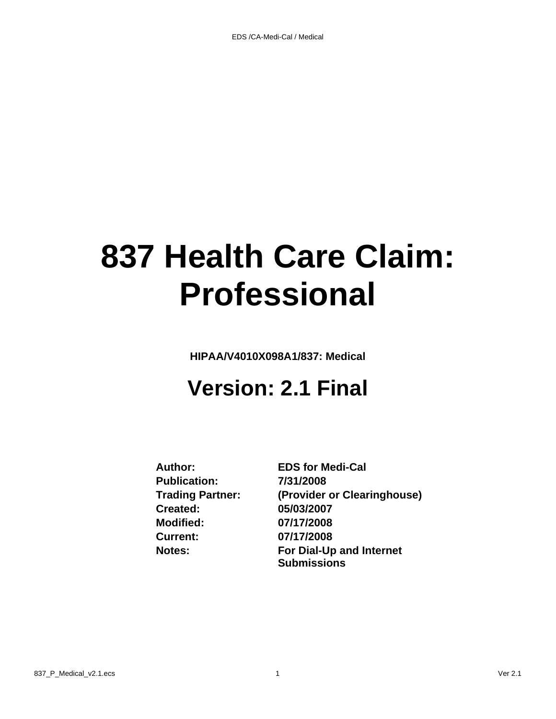# **837 Health Care Claim: Professional**

**HIPAA/V4010X098A1/837: Medical**

# **Version: 2.1 Final**

**Publication: 7/31/2008 Created: 05/03/2007 Modified: 07/17/2008 Current: 07/17/2008**

**Author: EDS for Medi-Cal Trading Partner: (Provider or Clearinghouse) Notes: For Dial-Up and Internet Submissions**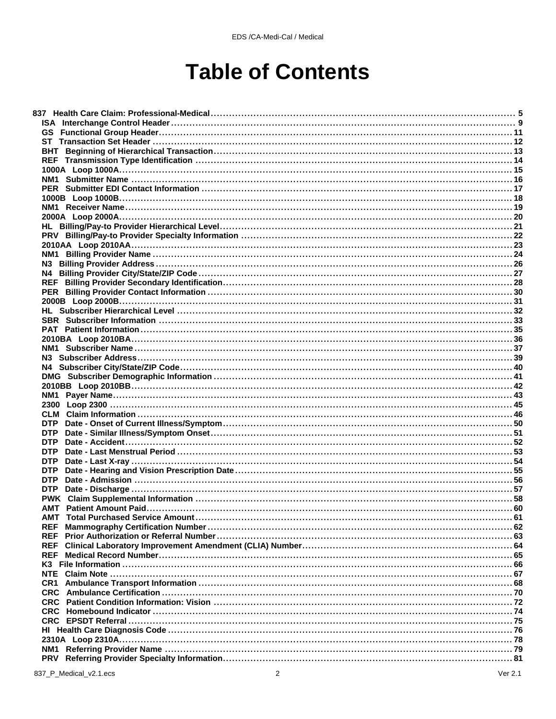# **Table of Contents**

| <b>DTP</b> |  |
|------------|--|
| <b>DTP</b> |  |
| <b>DTP</b> |  |
| <b>DTP</b> |  |
| <b>DTP</b> |  |
| <b>DTP</b> |  |
|            |  |
|            |  |
| AMT        |  |
|            |  |
| <b>REF</b> |  |
|            |  |
| <b>REF</b> |  |
|            |  |
|            |  |
|            |  |
|            |  |
|            |  |
|            |  |
|            |  |
|            |  |
|            |  |
|            |  |
| <b>PRV</b> |  |
|            |  |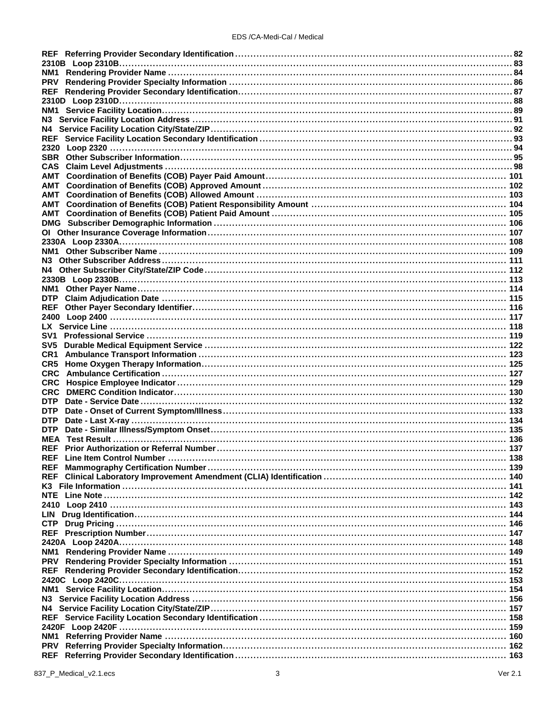| <b>PRV</b>                          |  |
|-------------------------------------|--|
|                                     |  |
|                                     |  |
|                                     |  |
| N3 .                                |  |
|                                     |  |
|                                     |  |
|                                     |  |
|                                     |  |
| <b>CAS</b>                          |  |
|                                     |  |
| AMT                                 |  |
| AMT                                 |  |
| AMT                                 |  |
| AMT                                 |  |
|                                     |  |
|                                     |  |
|                                     |  |
|                                     |  |
|                                     |  |
|                                     |  |
|                                     |  |
|                                     |  |
|                                     |  |
| <b>DTP</b>                          |  |
| <b>REF</b>                          |  |
|                                     |  |
|                                     |  |
|                                     |  |
| SV5                                 |  |
|                                     |  |
| CR1.                                |  |
| CR5                                 |  |
| <b>CRC</b>                          |  |
| <b>CRC</b>                          |  |
| <b>CRC</b>                          |  |
| <b>DTP</b>                          |  |
| <b>DTP</b>                          |  |
| <b>DTP</b>                          |  |
| <b>DTP</b>                          |  |
|                                     |  |
|                                     |  |
|                                     |  |
| <b>REF</b> Line Item Control Number |  |
|                                     |  |
| <b>REF</b>                          |  |
| K3.                                 |  |
|                                     |  |
|                                     |  |
| LIN.                                |  |
|                                     |  |
|                                     |  |
|                                     |  |
|                                     |  |
| NM1                                 |  |
| <b>PRV</b>                          |  |
|                                     |  |
|                                     |  |
|                                     |  |
| N3 I                                |  |
|                                     |  |
|                                     |  |
|                                     |  |
|                                     |  |
| <b>PRV</b>                          |  |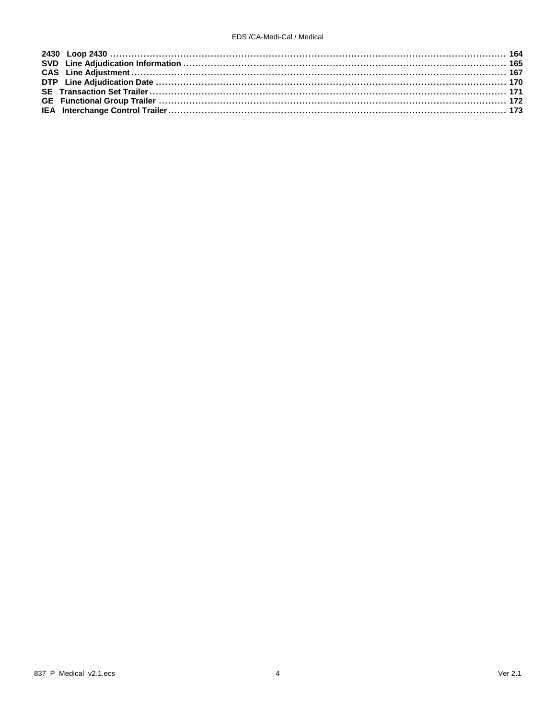#### EDS /CA-Medi-Cal / Medical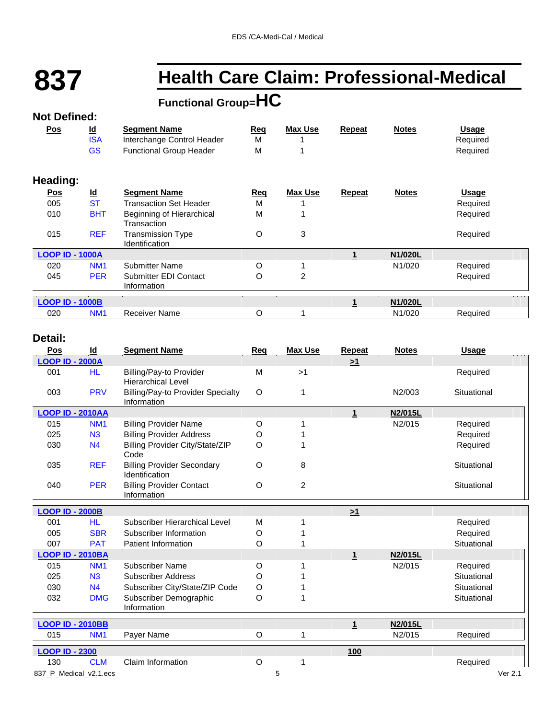# **837 Health Care Claim: Professional-Medical**

# **Functional Group=HC Not Defined:**

#### **Pos Id Segment Name Req Max Use Repeat Notes Usage** ISA Interchange Control Header M 1 1 M 1 Required GS Functional Group Header M 1 1 M 1 Required **Heading: Pos Id Segment Name Req Max Use Repeat Notes Usage** 005 ST Transaction Set Header M 1 1 Required 010 BHT Beginning of Hierarchical M 1 1 Required **Transaction** 015 REF Transmission Type O 3 Required Identification **LOOP ID - 1000A 1 N1/020L** 020 NM1 Submitter Name O 1 N1/020 Required 045 **PER** Submitter EDI Contact O 2 Required Information  $\frac{1}{1}$ **LOOP ID - 1000B 1 N1/020L** 020 NM1 Receiver Name **O** 1 N1/020 Required

#### **Detail:**

| Pos                     | Id             | <b>Segment Name</b>                                     | Req     | <b>Max Use</b> | Repeat       | <b>Notes</b> | Usage       |
|-------------------------|----------------|---------------------------------------------------------|---------|----------------|--------------|--------------|-------------|
| <b>LOOP ID - 2000A</b>  |                |                                                         |         |                | $\geq 1$     |              |             |
| 001                     | <b>HL</b>      | Billing/Pay-to Provider<br><b>Hierarchical Level</b>    | M       | >1             |              |              | Required    |
| 003                     | <b>PRV</b>     | <b>Billing/Pay-to Provider Specialty</b><br>Information | O       | 1              |              | N2/003       | Situational |
| <b>LOOP ID - 2010AA</b> |                |                                                         |         |                | 1            | N2/015L      |             |
| 015                     | <b>NM1</b>     | <b>Billing Provider Name</b>                            | O       |                |              | N2/015       | Required    |
| 025                     | N3             | <b>Billing Provider Address</b>                         | O       |                |              |              | Required    |
| 030                     | N <sub>4</sub> | <b>Billing Provider City/State/ZIP</b><br>Code          | $\circ$ |                |              |              | Required    |
| 035                     | <b>REF</b>     | <b>Billing Provider Secondary</b><br>Identification     | O       | 8              |              |              | Situational |
| 040                     | <b>PER</b>     | <b>Billing Provider Contact</b><br>Information          | O       | $\overline{2}$ |              |              | Situational |
| <b>LOOP ID - 2000B</b>  |                |                                                         |         |                | $\geq 1$     |              |             |
| 001                     | <b>HL</b>      | Subscriber Hierarchical Level                           | M       |                |              |              | Required    |
| 005                     | <b>SBR</b>     | Subscriber Information                                  | O       |                |              |              | Required    |
| 007                     | <b>PAT</b>     | Patient Information                                     | $\circ$ |                |              |              | Situational |
| <b>LOOP ID - 2010BA</b> |                |                                                         |         |                | $\mathbf{1}$ | N2/015L      |             |
| 015                     | <b>NM1</b>     | <b>Subscriber Name</b>                                  | $\circ$ |                |              | N2/015       | Required    |
| 025                     | N <sub>3</sub> | <b>Subscriber Address</b>                               | O       |                |              |              | Situational |
| 030                     | N <sub>4</sub> | Subscriber City/State/ZIP Code                          | O       |                |              |              | Situational |
| 032                     | <b>DMG</b>     | Subscriber Demographic<br>Information                   | O       |                |              |              | Situational |
| <b>LOOP ID - 2010BB</b> |                |                                                         |         |                | $\mathbf{1}$ | N2/015L      |             |
| 015                     | <b>NM1</b>     | Payer Name                                              | O       |                |              | N2/015       | Required    |
| <b>LOOP ID - 2300</b>   |                |                                                         |         |                | 100          |              |             |
| 130                     | <b>CLM</b>     | Claim Information                                       | $\circ$ |                |              |              | Required    |
| 837 P Medical v2.1.ecs  |                |                                                         |         | 5              |              |              | Ver 2.1     |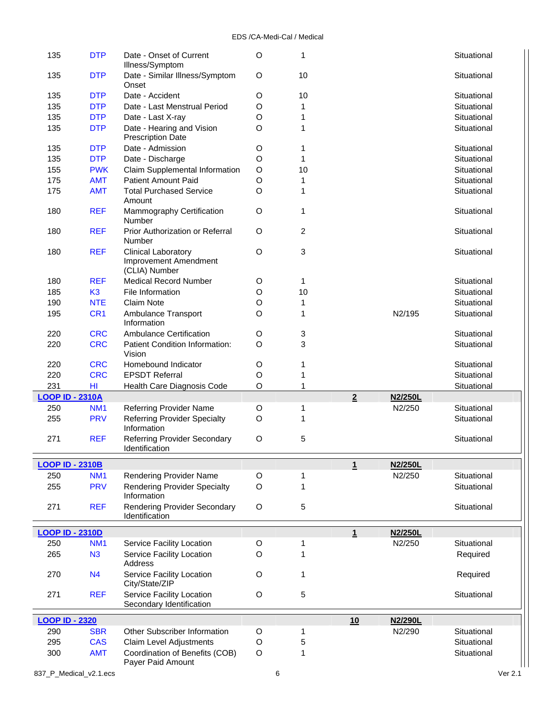| 135                    | <b>DTP</b>      | Date - Onset of Current<br>Illness/Symptom                           | O       | 1              |                |         | Situational |  |
|------------------------|-----------------|----------------------------------------------------------------------|---------|----------------|----------------|---------|-------------|--|
| 135                    | <b>DTP</b>      | Date - Similar Illness/Symptom<br>Onset                              | $\circ$ | 10             |                |         | Situational |  |
| 135                    | <b>DTP</b>      | Date - Accident                                                      | $\circ$ | 10             |                |         | Situational |  |
| 135                    | <b>DTP</b>      | Date - Last Menstrual Period                                         | O       | 1              |                |         | Situational |  |
| 135                    | <b>DTP</b>      |                                                                      | O       |                |                |         | Situational |  |
|                        |                 | Date - Last X-ray                                                    |         | 1              |                |         |             |  |
| 135                    | <b>DTP</b>      | Date - Hearing and Vision<br><b>Prescription Date</b>                | O       | 1              |                |         | Situational |  |
| 135                    | <b>DTP</b>      | Date - Admission                                                     | O       | 1              |                |         | Situational |  |
| 135                    | <b>DTP</b>      | Date - Discharge                                                     | O       | 1              |                |         | Situational |  |
| 155                    | <b>PWK</b>      | Claim Supplemental Information                                       | $\circ$ | 10             |                |         | Situational |  |
| 175                    | <b>AMT</b>      | <b>Patient Amount Paid</b>                                           | O       | 1              |                |         | Situational |  |
| 175                    | <b>AMT</b>      | <b>Total Purchased Service</b><br>Amount                             | $\circ$ | 1              |                |         | Situational |  |
| 180                    | <b>REF</b>      | Mammography Certification<br>Number                                  | $\circ$ | 1              |                |         | Situational |  |
| 180                    | <b>REF</b>      | Prior Authorization or Referral<br>Number                            | O       | $\overline{c}$ |                |         | Situational |  |
| 180                    | <b>REF</b>      | <b>Clinical Laboratory</b><br>Improvement Amendment<br>(CLIA) Number | O       | 3              |                |         | Situational |  |
| 180                    | <b>REF</b>      | <b>Medical Record Number</b>                                         | O       | 1              |                |         | Situational |  |
| 185                    | K <sub>3</sub>  | File Information                                                     | O       | 10             |                |         | Situational |  |
| 190                    | <b>NTE</b>      | <b>Claim Note</b>                                                    | O       | 1              |                |         | Situational |  |
| 195                    | CR <sub>1</sub> | Ambulance Transport                                                  | O       | 1              |                | N2/195  | Situational |  |
|                        |                 | Information                                                          |         |                |                |         |             |  |
| 220                    | <b>CRC</b>      | <b>Ambulance Certification</b>                                       | O       | 3              |                |         | Situational |  |
| 220                    | <b>CRC</b>      | Patient Condition Information:<br>Vision                             | O       | 3              |                |         | Situational |  |
| 220                    | <b>CRC</b>      | Homebound Indicator                                                  | O       | 1              |                |         | Situational |  |
| 220                    | <b>CRC</b>      | <b>EPSDT Referral</b>                                                | O       | 1              |                |         | Situational |  |
| 231                    | HI              | Health Care Diagnosis Code                                           | O       | 1              |                |         | Situational |  |
| <b>LOOP ID - 2310A</b> |                 |                                                                      |         |                | $\overline{2}$ | N2/250L |             |  |
| 250                    | NM <sub>1</sub> | <b>Referring Provider Name</b>                                       | O       | 1              |                | N2/250  | Situational |  |
| 255                    | <b>PRV</b>      | <b>Referring Provider Specialty</b><br>Information                   | $\circ$ | 1              |                |         | Situational |  |
| 271                    | <b>REF</b>      | <b>Referring Provider Secondary</b>                                  | $\circ$ | 5              |                |         | Situational |  |
|                        |                 | Identification                                                       |         |                |                |         |             |  |
| <b>LOOP ID - 2310B</b> |                 |                                                                      |         |                | $\mathbf{1}$   | N2/250L |             |  |
| 250                    | NM <sub>1</sub> | <b>Rendering Provider Name</b>                                       | O       | 1              |                | N2/250  | Situational |  |
| 255                    | <b>PRV</b>      | <b>Rendering Provider Specialty</b>                                  | O       | 1              |                |         | Situational |  |
|                        |                 | Information                                                          |         |                |                |         |             |  |
| 271                    | <b>REF</b>      | <b>Rendering Provider Secondary</b>                                  | O       | 5              |                |         | Situational |  |
|                        |                 | Identification                                                       |         |                |                |         |             |  |
|                        |                 |                                                                      |         |                |                |         |             |  |
| <b>LOOP ID - 2310D</b> |                 |                                                                      |         |                | 1              | N2/250L |             |  |
| 250                    | NM <sub>1</sub> | Service Facility Location                                            | $\circ$ | 1              |                | N2/250  | Situational |  |
| 265                    | N3              | Service Facility Location                                            | O       | 1              |                |         | Required    |  |
|                        |                 | <b>Address</b>                                                       |         |                |                |         |             |  |
| 270                    | N <sub>4</sub>  | Service Facility Location<br>City/State/ZIP                          | O       | 1              |                |         | Required    |  |
| 271                    | <b>REF</b>      | Service Facility Location<br>Secondary Identification                | O       | 5              |                |         | Situational |  |
| <b>LOOP ID - 2320</b>  |                 |                                                                      |         |                |                |         |             |  |
|                        |                 | Other Subscriber Information                                         |         |                | 10             | N2/290L | Situational |  |
| 290                    | <b>SBR</b>      |                                                                      | O       | 1              |                | N2/290  |             |  |
| 295                    | <b>CAS</b>      | Claim Level Adjustments                                              | O       | 5              |                |         | Situational |  |
| 300                    | <b>AMT</b>      | Coordination of Benefits (COB)<br>Payer Paid Amount                  | $\circ$ | 1              |                |         | Situational |  |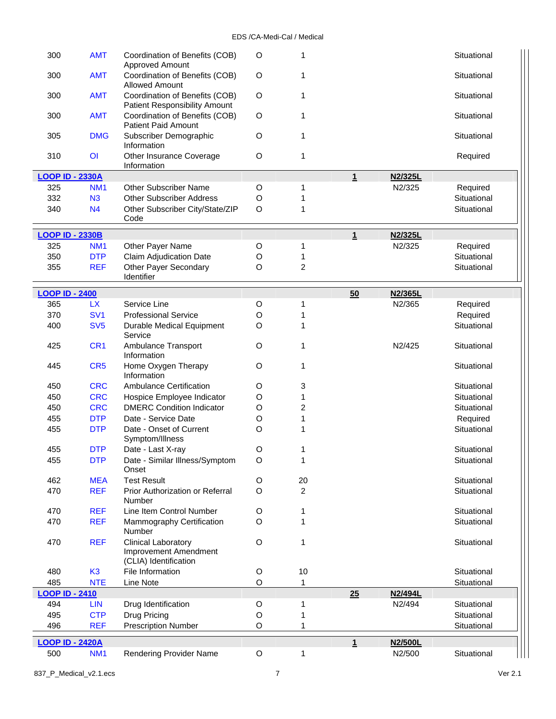| 300<br><b>AMT</b><br>O<br>Coordination of Benefits (COB)<br>1<br>Approved Amount                            | Situational           |
|-------------------------------------------------------------------------------------------------------------|-----------------------|
| 300<br><b>AMT</b><br>Coordination of Benefits (COB)<br>O<br>1<br><b>Allowed Amount</b>                      | Situational           |
| <b>AMT</b><br>Coordination of Benefits (COB)<br>O<br>300<br>1<br>Patient Responsibility Amount              | Situational           |
| <b>AMT</b><br>Coordination of Benefits (COB)<br>O<br>1<br>300<br><b>Patient Paid Amount</b>                 | Situational           |
| 305<br><b>DMG</b><br>Subscriber Demographic<br>O<br>1<br>Information                                        | Situational           |
| 310<br>$\overline{O}$<br>Other Insurance Coverage<br>O<br>1<br>Information                                  | Required              |
| <b>LOOP ID - 2330A</b><br>$\mathbf 1$                                                                       | N2/325L               |
| <b>Other Subscriber Name</b><br>325<br>NM <sub>1</sub><br>O<br>1                                            | N2/325<br>Required    |
| 332<br>N3<br><b>Other Subscriber Address</b><br>O<br>1                                                      | Situational           |
| 340<br>N <sub>4</sub><br>Other Subscriber City/State/ZIP<br>O<br>1                                          | Situational           |
| Code                                                                                                        |                       |
| $\overline{1}$<br><b>LOOP ID - 2330B</b>                                                                    | N2/325L               |
| 325<br>Other Payer Name<br>1<br>NM <sub>1</sub><br>O                                                        | N2/325<br>Required    |
| 350<br><b>DTP</b><br>Claim Adjudication Date<br>O<br>1                                                      | Situational           |
| <b>Other Payer Secondary</b><br>$\overline{2}$<br>355<br><b>REF</b><br>O                                    | Situational           |
| Identifier                                                                                                  |                       |
| <b>LOOP ID - 2400</b><br>50                                                                                 | N2/365L               |
| 365<br><b>LX</b><br>Service Line<br>O<br>1                                                                  | N2/365<br>Required    |
| 370<br>SV <sub>1</sub><br><b>Professional Service</b><br>O<br>1                                             | Required              |
| 400<br>SV <sub>5</sub><br>Durable Medical Equipment<br>O<br>1                                               | Situational           |
| Service                                                                                                     |                       |
| CR <sub>1</sub><br>Ambulance Transport<br>O<br>1<br>425<br>Information                                      | N2/425<br>Situational |
| CR <sub>5</sub><br>Home Oxygen Therapy<br>O<br>1<br>445<br>Information                                      | Situational           |
| <b>CRC</b><br><b>Ambulance Certification</b><br>3<br>450<br>O                                               | Situational           |
| 450<br><b>CRC</b><br>Hospice Employee Indicator<br>1<br>O                                                   | Situational           |
| <b>CRC</b><br><b>DMERC Condition Indicator</b><br>2<br>450<br>O                                             | Situational           |
| 455<br><b>DTP</b><br>Date - Service Date<br>O<br>1                                                          | Required              |
| 455<br><b>DTP</b><br>Date - Onset of Current<br>O<br>1<br>Symptom/Illness                                   | Situational           |
| $\circ$<br>455<br><b>DTP</b><br>Date - Last X-ray<br>1                                                      | Situational           |
| 455<br><b>DTP</b><br>1<br>Date - Similar Illness/Symptom<br>O                                               | Situational           |
| Onset                                                                                                       |                       |
| 462<br><b>MEA</b><br><b>Test Result</b><br>O<br>20                                                          | Situational           |
| $\overline{2}$<br>470<br><b>REF</b><br>Prior Authorization or Referral<br>O<br>Number                       | Situational           |
| <b>REF</b><br>Line Item Control Number<br>470<br>O<br>1                                                     | Situational           |
| 470<br><b>REF</b><br>Mammography Certification<br>O<br>1<br>Number                                          | Situational           |
| O<br>470<br><b>REF</b><br><b>Clinical Laboratory</b><br>1<br>Improvement Amendment<br>(CLIA) Identification | Situational           |
| 480<br>K <sub>3</sub><br>File Information<br>10<br>O                                                        | Situational           |
| 485<br><b>NTE</b><br>Line Note<br>O<br>1                                                                    | Situational           |
| <b>LOOP ID - 2410</b><br>25                                                                                 | N2/494L               |
| 494<br><b>LIN</b><br>Drug Identification<br>O<br>1                                                          | N2/494<br>Situational |
| 495<br><b>CTP</b><br>Drug Pricing<br>O                                                                      | Situational           |
| <b>Prescription Number</b><br>496<br><b>REF</b><br>O                                                        | Situational           |
| $1\overline{1}$<br><b>LOOP ID - 2420A</b>                                                                   | N2/500L               |
| Rendering Provider Name<br>500<br>NM <sub>1</sub><br>$\circ$<br>1                                           | Situational<br>N2/500 |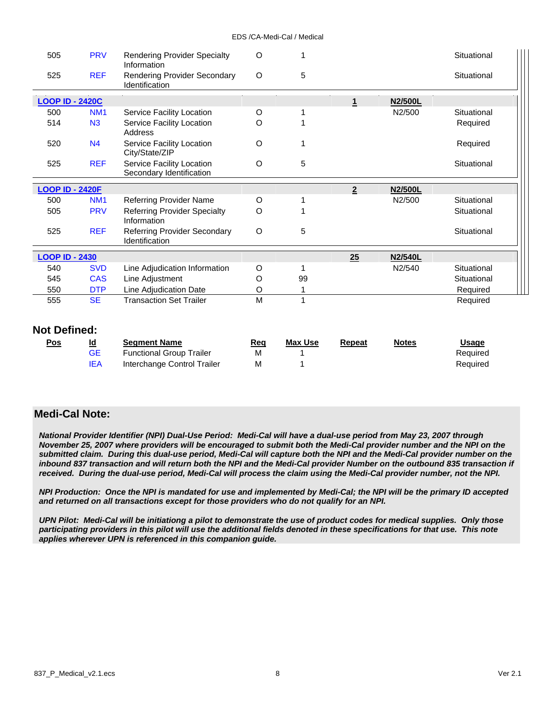| 505                    | <b>PRV</b>      | <b>Rendering Provider Specialty</b><br>Information    | O       |    |                |                | Situational |
|------------------------|-----------------|-------------------------------------------------------|---------|----|----------------|----------------|-------------|
| 525                    | <b>REF</b>      | <b>Rendering Provider Secondary</b><br>Identification | O       | 5  |                |                | Situational |
| <b>LOOP ID - 2420C</b> |                 |                                                       |         |    | 1              | N2/500L        |             |
| 500                    | NM <sub>1</sub> | Service Facility Location                             | O       |    |                | N2/500         | Situational |
| 514                    | N3              | Service Facility Location<br>Address                  | O       |    |                |                | Required    |
| 520                    | N <sub>4</sub>  | Service Facility Location<br>City/State/ZIP           | $\circ$ |    |                |                | Required    |
| 525                    | <b>REF</b>      | Service Facility Location<br>Secondary Identification | O       | 5  |                |                | Situational |
|                        |                 |                                                       |         |    |                |                |             |
| <b>LOOP ID - 2420F</b> |                 |                                                       |         |    | $\overline{2}$ | <b>N2/500L</b> |             |
| 500                    | NM <sub>1</sub> | <b>Referring Provider Name</b>                        | O       |    |                | N2/500         | Situational |
| 505                    | <b>PRV</b>      | <b>Referring Provider Specialty</b><br>Information    | O       |    |                |                | Situational |
| 525                    | <b>REF</b>      | <b>Referring Provider Secondary</b><br>Identification | O       | 5  |                |                | Situational |
| <b>LOOP ID - 2430</b>  |                 |                                                       |         |    | 25             | <b>N2/540L</b> |             |
| 540                    | <b>SVD</b>      | Line Adjudication Information                         | O       |    |                | N2/540         | Situational |
| 545                    | <b>CAS</b>      | Line Adjustment                                       | O       | 99 |                |                | Situational |
| 550                    | <b>DTP</b>      | Line Adjudication Date                                | O       |    |                |                | Required    |

#### **Not Defined:**

| <u>Pos</u> | Id  | <b>Seament Name</b>             | Req | Max Use | Repeat | <b>Notes</b> | <u>Usage</u> |
|------------|-----|---------------------------------|-----|---------|--------|--------------|--------------|
|            | GE  | <b>Functional Group Trailer</b> | M   |         |        |              | Required     |
|            | IEA | Interchange Control Trailer     | M   |         |        |              | Required     |

#### **Medi-Cal Note:**

*National Provider Identifier (NPI) Dual-Use Period: Medi-Cal will have a dual-use period from May 23, 2007 through November 25, 2007 where providers will be encouraged to submit both the Medi-Cal provider number and the NPI on the submitted claim. During this dual-use period, Medi-Cal will capture both the NPI and the Medi-Cal provider number on the*  inbound 837 transaction and will return both the NPI and the Medi-Cal provider Number on the outbound 835 transaction if *received. During the dual-use period, Medi-Cal will process the claim using the Medi-Cal provider number, not the NPI.* 

*NPI Production: Once the NPI is mandated for use and implemented by Medi-Cal; the NPI will be the primary ID accepted and returned on all transactions except for those providers who do not qualify for an NPI.* 

*UPN Pilot: Medi-Cal will be initiationg a pilot to demonstrate the use of product codes for medical supplies. Only those participating providers in this pilot will use the additional fields denoted in these specifications for that use. This note applies wherever UPN is referenced in this companion guide.*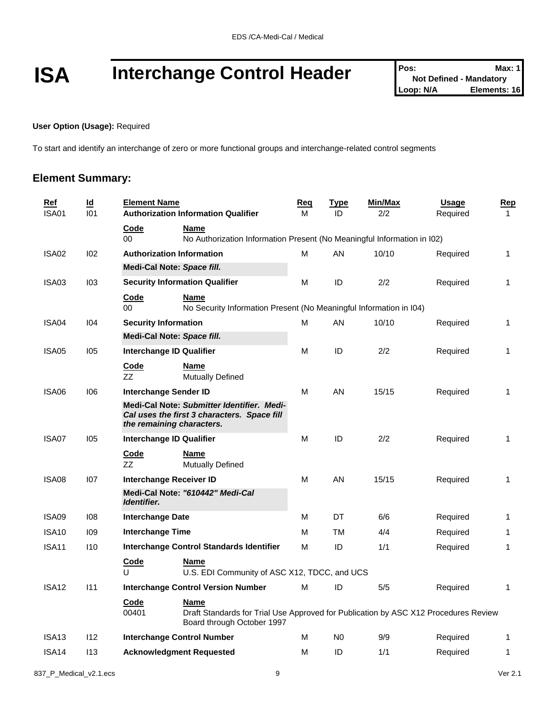# **ISA** Interchange Control Header **Pos:** Not Defined - Mandatory Max: 1<br>
Loop: N/A<br>
Loop: N/A<br>
Blements: 16

#### **User Option (Usage):** Required

To start and identify an interchange of zero or more functional groups and interchange-related control segments

#### **Element Summary:**

| <b>Ref</b><br><b>ISA01</b> | $\underline{\mathsf{Id}}$<br>101 | <b>Element Name</b>             | <b>Authorization Information Qualifier</b>                                                                                       | <u>Req</u><br>м | <u>Type</u><br>ID | <u>Min/Max</u><br>2/2 | <b>Usage</b><br>Required | <u>Rep</u><br>$\mathbf{1}$ |
|----------------------------|----------------------------------|---------------------------------|----------------------------------------------------------------------------------------------------------------------------------|-----------------|-------------------|-----------------------|--------------------------|----------------------------|
|                            |                                  | Code<br>$00\,$                  | <b>Name</b><br>No Authorization Information Present (No Meaningful Information in I02)                                           |                 |                   |                       |                          |                            |
| ISA02                      | 102                              |                                 | <b>Authorization Information</b>                                                                                                 | м               | AN                | 10/10                 | Required                 | 1                          |
|                            |                                  | Medi-Cal Note: Space fill.      |                                                                                                                                  |                 |                   |                       |                          |                            |
| ISA03                      | 103                              |                                 | <b>Security Information Qualifier</b>                                                                                            | М               | ID                | 2/2                   | Required                 | 1                          |
|                            |                                  | Code<br>$00\,$                  | <b>Name</b><br>No Security Information Present (No Meaningful Information in I04)                                                |                 |                   |                       |                          |                            |
| ISA04                      | 104                              | <b>Security Information</b>     |                                                                                                                                  | М               | AN                | 10/10                 | Required                 | 1                          |
|                            |                                  | Medi-Cal Note: Space fill.      |                                                                                                                                  |                 |                   |                       |                          |                            |
| ISA05                      | 105                              | <b>Interchange ID Qualifier</b> |                                                                                                                                  | м               | ID                | 2/2                   | Required                 | 1                          |
|                            |                                  | <b>Code</b><br>ZZ               | <b>Name</b><br><b>Mutually Defined</b>                                                                                           |                 |                   |                       |                          |                            |
| ISA06                      | 106                              | Interchange Sender ID           |                                                                                                                                  | м               | AN                | 15/15                 | Required                 | 1                          |
|                            |                                  |                                 | Medi-Cal Note: Submitter Identifier. Medi-<br>Cal uses the first 3 characters. Space fill<br>the remaining characters.           |                 |                   |                       |                          |                            |
| ISA07                      | 105                              | <b>Interchange ID Qualifier</b> |                                                                                                                                  | м               | ID                | 2/2                   | Required                 | 1                          |
|                            |                                  | <u>Code</u><br>ZZ               | <b>Name</b><br><b>Mutually Defined</b>                                                                                           |                 |                   |                       |                          |                            |
| ISA08                      | 107                              | <b>Interchange Receiver ID</b>  |                                                                                                                                  | М               | AN                | 15/15                 | Required                 | 1                          |
|                            |                                  | Identifier.                     | Medi-Cal Note: "610442" Medi-Cal                                                                                                 |                 |                   |                       |                          |                            |
| ISA09                      | 108                              | <b>Interchange Date</b>         |                                                                                                                                  | М               | DT                | 6/6                   | Required                 | $\mathbf{1}$               |
| <b>ISA10</b>               | 109                              | <b>Interchange Time</b>         |                                                                                                                                  | М               | ТM                | 4/4                   | Required                 | 1                          |
| ISA <sub>11</sub>          | 110                              |                                 | <b>Interchange Control Standards Identifier</b>                                                                                  | М               | ID                | 1/1                   | Required                 | 1                          |
|                            |                                  | <b>Code</b><br>U                | <b>Name</b><br>U.S. EDI Community of ASC X12, TDCC, and UCS                                                                      |                 |                   |                       |                          |                            |
| ISA <sub>12</sub>          | 111                              |                                 | <b>Interchange Control Version Number</b>                                                                                        | M               | ID                | 5/5                   | Required                 | 1                          |
|                            |                                  | <u>Code</u><br>00401            | <b>Name</b><br>Draft Standards for Trial Use Approved for Publication by ASC X12 Procedures Review<br>Board through October 1997 |                 |                   |                       |                          |                            |
| ISA <sub>13</sub>          | 112                              |                                 | <b>Interchange Control Number</b>                                                                                                | м               | N <sub>0</sub>    | 9/9                   | Required                 | 1                          |
| ISA <sub>14</sub>          | 113                              |                                 | <b>Acknowledgment Requested</b>                                                                                                  | М               | ID                | 1/1                   | Required                 | 1                          |
|                            |                                  |                                 |                                                                                                                                  |                 |                   |                       |                          |                            |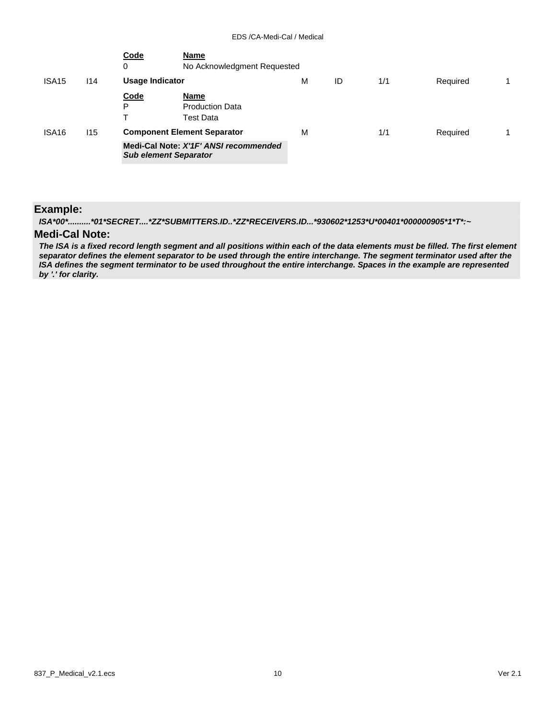|                   |     | Code<br>0        | <b>Name</b><br>No Acknowledgment Requested                                                                  |   |    |     |          |  |
|-------------------|-----|------------------|-------------------------------------------------------------------------------------------------------------|---|----|-----|----------|--|
| ISA <sub>15</sub> | 114 | Usage Indicator  |                                                                                                             | M | ID | 1/1 | Required |  |
|                   |     | <b>Code</b><br>P | Name<br><b>Production Data</b><br><b>Test Data</b>                                                          |   |    |     |          |  |
| ISA <sub>16</sub> | 115 |                  | <b>Component Element Separator</b><br>Medi-Cal Note: X'1F' ANSI recommended<br><b>Sub element Separator</b> | M |    | 1/1 | Required |  |

#### **Example:**

*ISA\*00\*..........\*01\*SECRET....\*ZZ\*SUBMITTERS.ID..\*ZZ\*RECEIVERS.ID...\*930602\*1253\*U\*00401\*000000905\*1\*T\*:~*

### **Medi-Cal Note:**

*The ISA is a fixed record length segment and all positions within each of the data elements must be filled. The first element separator defines the element separator to be used through the entire interchange. The segment terminator used after the ISA defines the segment terminator to be used throughout the entire interchange. Spaces in the example are represented by '.' for clarity.*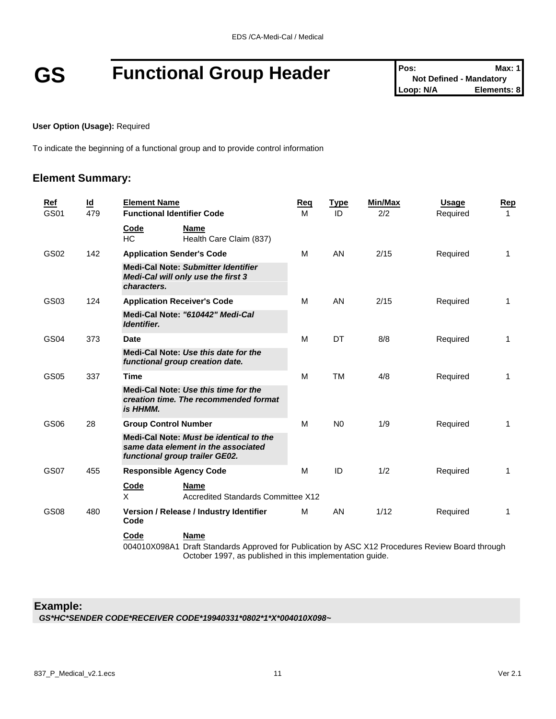# **GS Functional Group Header Pos:** Not Defined - Mandatory **Prosection Prosection Prosection Prosection Prosection Prosection Prosection Prosection Elements:** 8

#### **User Option (Usage):** Required

To indicate the beginning of a functional group and to provide control information

#### **Element Summary:**

| Ref<br>GS01 | $\underline{\mathsf{Id}}$<br>479 | <b>Element Name</b><br><b>Functional Identifier Code</b>                                                                                                                            | Req<br>м | <b>Type</b><br>ID | <b>Min/Max</b><br>2/2 | <b>Usage</b><br>Required | <b>Rep</b><br>$\mathbf 1$ |
|-------------|----------------------------------|-------------------------------------------------------------------------------------------------------------------------------------------------------------------------------------|----------|-------------------|-----------------------|--------------------------|---------------------------|
|             |                                  | Code<br><b>Name</b><br>HC<br>Health Care Claim (837)                                                                                                                                |          |                   |                       |                          |                           |
| GS02        | 142                              | <b>Application Sender's Code</b>                                                                                                                                                    | м        | AN                | 2/15                  | Required                 | 1                         |
|             |                                  | <b>Medi-Cal Note: Submitter Identifier</b><br>Medi-Cal will only use the first 3<br>characters.                                                                                     |          |                   |                       |                          |                           |
| GS03        | 124                              | <b>Application Receiver's Code</b>                                                                                                                                                  | M        | AN                | 2/15                  | Required                 | $\mathbf{1}$              |
|             |                                  | Medi-Cal Note: "610442" Medi-Cal<br>Identifier.                                                                                                                                     |          |                   |                       |                          |                           |
| GS04        | 373                              | <b>Date</b>                                                                                                                                                                         | M        | DT                | 8/8                   | Required                 | 1                         |
|             |                                  | Medi-Cal Note: Use this date for the<br>functional group creation date.                                                                                                             |          |                   |                       |                          |                           |
| GS05        | 337                              | <b>Time</b>                                                                                                                                                                         | M        | <b>TM</b>         | 4/8                   | Required                 | $\mathbf{1}$              |
|             |                                  | Medi-Cal Note: Use this time for the<br>creation time. The recommended format<br>is HHMM.                                                                                           |          |                   |                       |                          |                           |
| GS06        | 28                               | <b>Group Control Number</b>                                                                                                                                                         | M        | N <sub>0</sub>    | 1/9                   | Required                 | $\mathbf{1}$              |
|             |                                  | Medi-Cal Note: Must be identical to the<br>same data element in the associated<br>functional group trailer GE02.                                                                    |          |                   |                       |                          |                           |
| <b>GS07</b> | 455                              | <b>Responsible Agency Code</b>                                                                                                                                                      | M        | ID                | 1/2                   | Required                 | $\mathbf{1}$              |
|             |                                  | Code<br><b>Name</b><br>X<br><b>Accredited Standards Committee X12</b>                                                                                                               |          |                   |                       |                          |                           |
| <b>GS08</b> | 480                              | Version / Release / Industry Identifier<br>Code                                                                                                                                     | м        | AN                | 1/12                  | Required                 | $\mathbf{1}$              |
|             |                                  | Code<br><b>Name</b><br>004010X098A1 Draft Standards Approved for Publication by ASC X12 Procedures Review Board through<br>October 1997, as published in this implementation guide. |          |                   |                       |                          |                           |

#### **Example:**

*GS\*HC\*SENDER CODE\*RECEIVER CODE\*19940331\*0802\*1\*X\*004010X098~*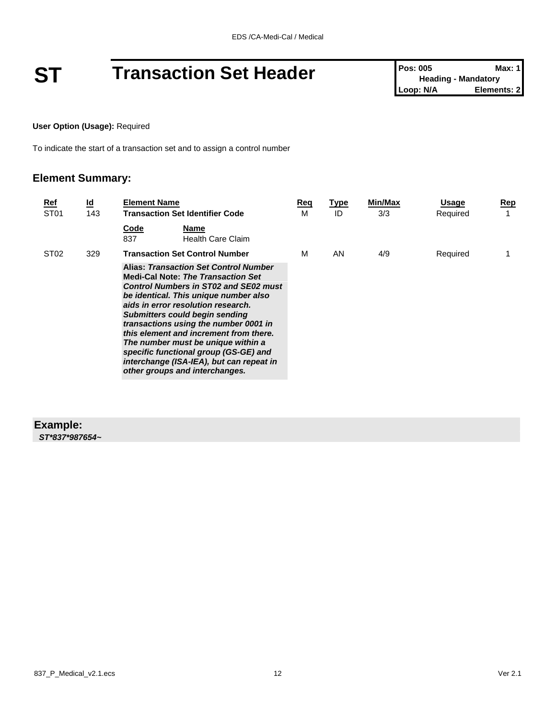# **ST Transaction Set Header Pos: 005 Max: 1**<br>
Leading - Mandatory<br>
Loop: N/A<br>
Elements: 2

**User Option (Usage):** Required

To indicate the start of a transaction set and to assign a control number

#### **Element Summary:**

| <u>Ref</u><br>ST <sub>01</sub> | <u>ld</u><br>143 | <b>Element Name</b><br><b>Transaction Set Identifier Code</b>                                                                                                                                                                                                                                                                                                                                                                                                                                                     | Req<br>м | <u>Type</u><br>ID | Min/Max<br>3/3 | Usage<br>Required | Rep |
|--------------------------------|------------------|-------------------------------------------------------------------------------------------------------------------------------------------------------------------------------------------------------------------------------------------------------------------------------------------------------------------------------------------------------------------------------------------------------------------------------------------------------------------------------------------------------------------|----------|-------------------|----------------|-------------------|-----|
|                                |                  | Code<br>Name<br>837<br><b>Health Care Claim</b>                                                                                                                                                                                                                                                                                                                                                                                                                                                                   |          |                   |                |                   |     |
| ST <sub>02</sub>               | 329              | <b>Transaction Set Control Number</b>                                                                                                                                                                                                                                                                                                                                                                                                                                                                             | м        | AN                | 4/9            | Required          |     |
|                                |                  | <b>Alias: Transaction Set Control Number</b><br><b>Medi-Cal Note: The Transaction Set</b><br><b>Control Numbers in ST02 and SE02 must</b><br>be identical. This unique number also<br>aids in error resolution research.<br><b>Submitters could begin sending</b><br>transactions using the number 0001 in<br>this element and increment from there.<br>The number must be unique within a<br>specific functional group (GS-GE) and<br>interchange (ISA-IEA), but can repeat in<br>other groups and interchanges. |          |                   |                |                   |     |
|                                |                  |                                                                                                                                                                                                                                                                                                                                                                                                                                                                                                                   |          |                   |                |                   |     |

#### **Example:** *ST\*837\*987654~*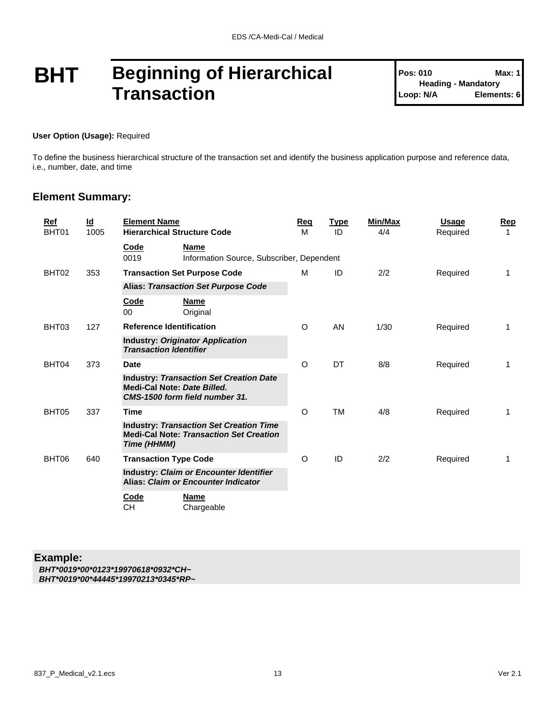### **BHT Beginning of Hierarchical Transaction**

**Pos: 010 Max: 1 Heading - Mandatory Loop: N/A Elements: 6**

#### **User Option (Usage):** Required

To define the business hierarchical structure of the transaction set and identify the business application purpose and reference data, i.e., number, date, and time

#### **Element Summary:**

| Ref<br>BHT01 | $\underline{\mathsf{Id}}$<br>1005 | <b>Element Name</b><br><b>Hierarchical Structure Code</b>                                                       | <b>Reg</b><br>M | <b>Type</b><br>ID | Min/Max<br>4/4 | <b>Usage</b><br>Required | Rep<br>1 |
|--------------|-----------------------------------|-----------------------------------------------------------------------------------------------------------------|-----------------|-------------------|----------------|--------------------------|----------|
|              |                                   | Code<br><b>Name</b><br>0019<br>Information Source, Subscriber, Dependent                                        |                 |                   |                |                          |          |
| BHT02        | 353                               | <b>Transaction Set Purpose Code</b>                                                                             | M               | ID                | 2/2            | Required                 | 1        |
|              |                                   | <b>Alias: Transaction Set Purpose Code</b>                                                                      |                 |                   |                |                          |          |
|              |                                   | Code<br><b>Name</b><br>00<br>Original                                                                           |                 |                   |                |                          |          |
| BHT03        | 127                               | <b>Reference Identification</b>                                                                                 | O               | <b>AN</b>         | 1/30           | Required                 | 1        |
|              |                                   | <b>Industry: Originator Application</b><br><b>Transaction Identifier</b>                                        |                 |                   |                |                          |          |
| BHT04        | 373                               | <b>Date</b>                                                                                                     | O               | DT                | 8/8            | Required                 | 1        |
|              |                                   | <b>Industry: Transaction Set Creation Date</b><br>Medi-Cal Note: Date Billed.<br>CMS-1500 form field number 31. |                 |                   |                |                          |          |
| BHT05        | 337                               | <b>Time</b>                                                                                                     | $\circ$         | TM                | 4/8            | Required                 | 1        |
|              |                                   | <b>Industry: Transaction Set Creation Time</b><br><b>Medi-Cal Note: Transaction Set Creation</b><br>Time (HHMM) |                 |                   |                |                          |          |
| BHT06        | 640                               | <b>Transaction Type Code</b>                                                                                    | $\circ$         | ID                | 2/2            | Required                 | 1        |
|              |                                   | <b>Industry: Claim or Encounter Identifier</b><br>Alias: Claim or Encounter Indicator                           |                 |                   |                |                          |          |
|              |                                   | Code<br><b>Name</b><br><b>CH</b><br>Chargeable                                                                  |                 |                   |                |                          |          |

#### **Example:**

*BHT\*0019\*00\*0123\*19970618\*0932\*CH~ BHT\*0019\*00\*44445\*19970213\*0345\*RP~*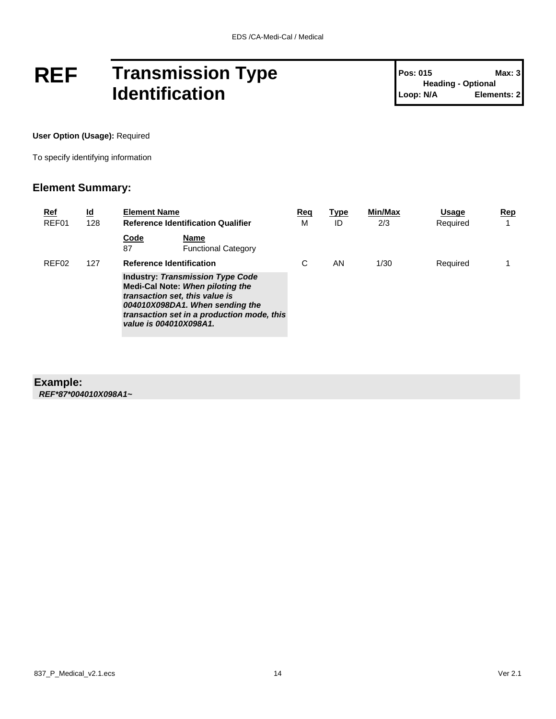## **REF Transmission Type Identification**

**User Option (Usage):** Required

To specify identifying information

#### **Element Summary:**

| <u>Ref</u><br>REF01 | $\underline{\mathsf{Id}}$<br>128 | <b>Element Name</b>                                                                                                                                                                                                      | <b>Reference Identification Qualifier</b> | Reg<br>M | <b>Type</b><br>ID | Min/Max<br>2/3 | Usage<br>Required | Rep |
|---------------------|----------------------------------|--------------------------------------------------------------------------------------------------------------------------------------------------------------------------------------------------------------------------|-------------------------------------------|----------|-------------------|----------------|-------------------|-----|
|                     |                                  | Code<br>87                                                                                                                                                                                                               | Name<br><b>Functional Category</b>        |          |                   |                |                   |     |
| REF <sub>02</sub>   | 127                              | <b>Reference Identification</b>                                                                                                                                                                                          |                                           | С        | ΑN                | 1/30           | Required          |     |
|                     |                                  | <b>Industry: Transmission Type Code</b><br>Medi-Cal Note: When piloting the<br>transaction set, this value is<br>004010X098DA1. When sending the<br>transaction set in a production mode, this<br>value is 004010X098A1. |                                           |          |                   |                |                   |     |

#### **Example:**

*REF\*87\*004010X098A1~*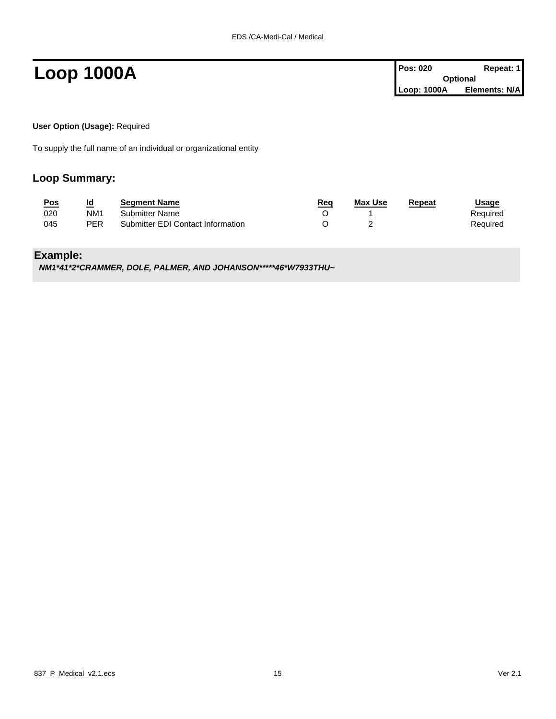**Loop 1000A Pos: 020 Repeat: 1 Pos: 020 Repeat: 1 Optional Loop: 1000A Elements: N/A**

**User Option (Usage):** Required

To supply the full name of an individual or organizational entity

#### **Loop Summary:**

| <u>Pos</u> | Id  | <b>Segment Name</b>               | Req | <b>Max Use</b> | Repeat | <u>Usage</u> |
|------------|-----|-----------------------------------|-----|----------------|--------|--------------|
| 020        | NM1 | <b>Submitter Name</b>             |     |                |        | Reauired     |
| 045        | PER | Submitter EDI Contact Information |     |                |        | Reauired     |

#### **Example:**

*NM1\*41\*2\*CRAMMER, DOLE, PALMER, AND JOHANSON\*\*\*\*\*46\*W7933THU~*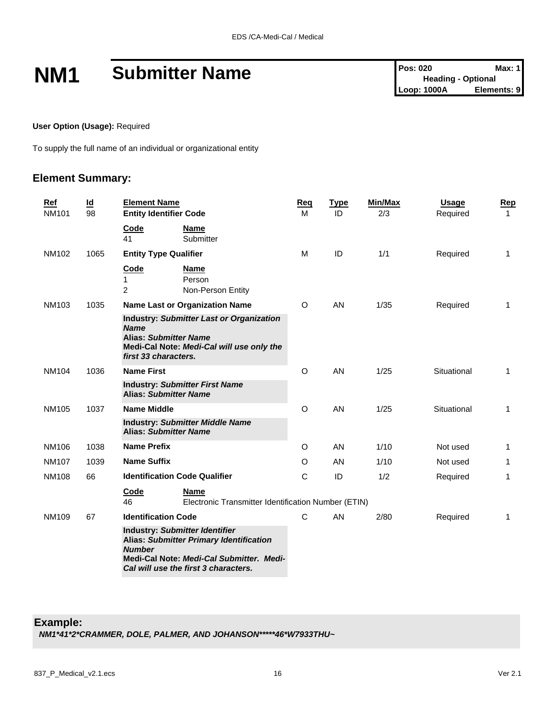# **NM1 Submitter Name Pos: 020 Max: 1**<br> **Pos: 020 Max: 1**<br> **Pos: 020 Max: 1**<br> **Pos: 020 Pos: 020 Max: 1**<br> **Loop: 1000A Elements: 9**

**User Option (Usage):** Required

To supply the full name of an individual or organizational entity

#### **Element Summary:**

| Ref<br><b>NM101</b> | $\underline{\mathbf{Id}}$<br>98 | <b>Element Name</b><br><b>Entity Identifier Code</b>                                                                                                                                         | <b>Reg</b><br>M | <b>Type</b><br>ID | Min/Max<br>2/3 | Usage<br>Required | Rep<br>$\mathbf{1}$ |
|---------------------|---------------------------------|----------------------------------------------------------------------------------------------------------------------------------------------------------------------------------------------|-----------------|-------------------|----------------|-------------------|---------------------|
|                     |                                 | Code<br><b>Name</b><br>Submitter<br>41                                                                                                                                                       |                 |                   |                |                   |                     |
| NM102               | 1065                            | <b>Entity Type Qualifier</b>                                                                                                                                                                 | м               | ID                | 1/1            | Required          | 1                   |
|                     |                                 | Code<br><b>Name</b><br>Person<br>1<br>2<br>Non-Person Entity                                                                                                                                 |                 |                   |                |                   |                     |
| NM103               | 1035                            | <b>Name Last or Organization Name</b>                                                                                                                                                        | O               | AN                | 1/35           | Required          | 1                   |
|                     |                                 | <b>Industry: Submitter Last or Organization</b><br><b>Name</b><br><b>Alias: Submitter Name</b><br>Medi-Cal Note: Medi-Cal will use only the<br>first 33 characters.                          |                 |                   |                |                   |                     |
| <b>NM104</b>        | 1036                            | <b>Name First</b>                                                                                                                                                                            | O               | AN                | 1/25           | Situational       | 1                   |
|                     |                                 | <b>Industry: Submitter First Name</b><br><b>Alias: Submitter Name</b>                                                                                                                        |                 |                   |                |                   |                     |
| NM105               | 1037                            | <b>Name Middle</b>                                                                                                                                                                           | O               | AN                | 1/25           | Situational       | 1                   |
|                     |                                 | <b>Industry: Submitter Middle Name</b><br><b>Alias: Submitter Name</b>                                                                                                                       |                 |                   |                |                   |                     |
| NM106               | 1038                            | <b>Name Prefix</b>                                                                                                                                                                           | O               | AN                | 1/10           | Not used          | 1                   |
| <b>NM107</b>        | 1039                            | <b>Name Suffix</b>                                                                                                                                                                           | O               | AN                | 1/10           | Not used          | 1                   |
| <b>NM108</b>        | 66                              | <b>Identification Code Qualifier</b>                                                                                                                                                         | C               | ID                | 1/2            | Required          | 1                   |
|                     |                                 | Code<br><b>Name</b><br>46<br>Electronic Transmitter Identification Number (ETIN)                                                                                                             |                 |                   |                |                   |                     |
| <b>NM109</b>        | 67                              | <b>Identification Code</b>                                                                                                                                                                   | C               | AN                | 2/80           | Required          | 1                   |
|                     |                                 | <b>Industry: Submitter Identifier</b><br><b>Alias: Submitter Primary Identification</b><br><b>Number</b><br>Medi-Cal Note: Medi-Cal Submitter. Medi-<br>Cal will use the first 3 characters. |                 |                   |                |                   |                     |

#### **Example:**

*NM1\*41\*2\*CRAMMER, DOLE, PALMER, AND JOHANSON\*\*\*\*\*46\*W7933THU~*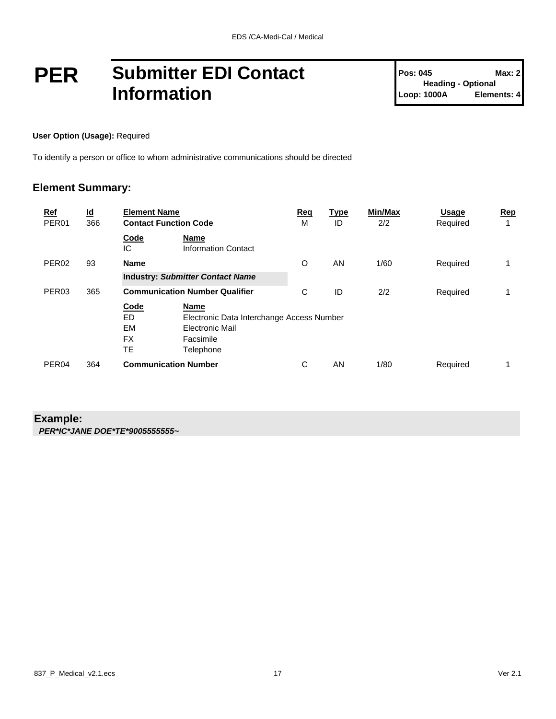### **PER Submitter EDI Contact Information**

#### **User Option (Usage):** Required

To identify a person or office to whom administrative communications should be directed

#### **Element Summary:**

| <u>Ref</u><br>PER <sub>01</sub> | $\underline{\mathsf{Id}}$<br>366 | <b>Element Name</b><br><b>Contact Function Code</b> |                                                                                                       | Req<br>M | <u>Type</u><br>ID | Min/Max<br>2/2 | <b>Usage</b><br>Required | Rep<br>1 |
|---------------------------------|----------------------------------|-----------------------------------------------------|-------------------------------------------------------------------------------------------------------|----------|-------------------|----------------|--------------------------|----------|
|                                 |                                  | Code<br>IC                                          | Name<br><b>Information Contact</b>                                                                    |          |                   |                |                          |          |
| PER <sub>02</sub>               | 93                               | <b>Name</b>                                         |                                                                                                       | O        | AN                | 1/60           | Required                 | 1        |
|                                 |                                  | <b>Industry: Submitter Contact Name</b>             |                                                                                                       |          |                   |                |                          |          |
| PER <sub>03</sub>               | 365                              |                                                     | <b>Communication Number Qualifier</b>                                                                 | C        | ID                | 2/2            | Required                 |          |
|                                 |                                  | Code<br>ED<br>EM<br><b>FX</b><br>TE                 | Name<br>Electronic Data Interchange Access Number<br><b>Electronic Mail</b><br>Facsimile<br>Telephone |          |                   |                |                          |          |
| PER <sub>04</sub>               | 364                              |                                                     | <b>Communication Number</b>                                                                           | C        | AN                | 1/80           | Required                 |          |

#### **Example:** *PER\*IC\*JANE DOE\*TE\*9005555555~*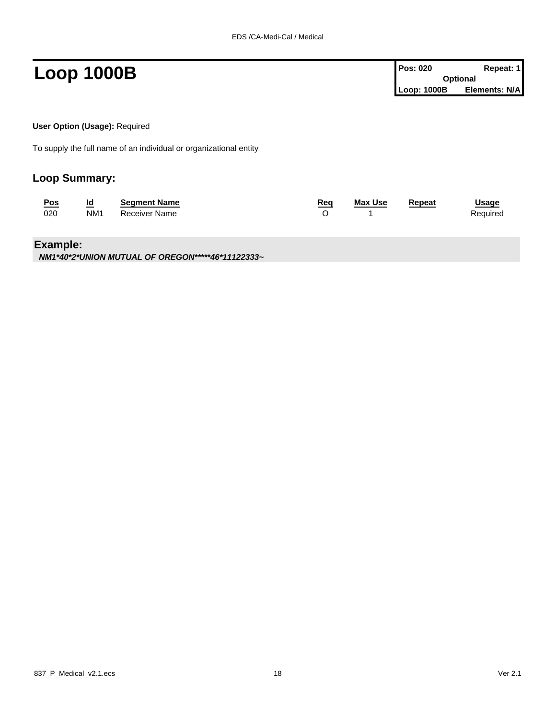**Loop 1000B Pos: 020 Repeat: 1 Pos: 020 Repeat: 1 Optional Loop: 1000B Elements: N/A**

**User Option (Usage):** Required

To supply the full name of an individual or organizational entity

#### **Loop Summary:**

| <u>Pos</u> | <u>ia</u>       | <b>Seament Name</b> | Rea | <b>Max Use</b> | Repeat | <b>Usage</b> |
|------------|-----------------|---------------------|-----|----------------|--------|--------------|
| 020        | NM <sub>1</sub> | Receiver Name       |     |                |        | Required     |

#### **Example:**

*NM1\*40\*2\*UNION MUTUAL OF OREGON\*\*\*\*\*46\*11122333~*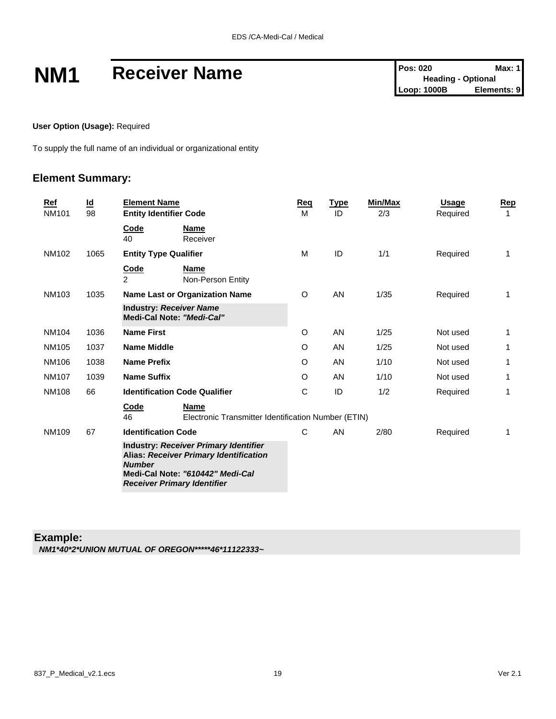# **NM1** Receiver Name<br>
Pos: 020<br>
Leading - Optional<br>
Leop: 1000B<br>
Elements: 9

**User Option (Usage):** Required

To supply the full name of an individual or organizational entity

#### **Element Summary:**

| Ref<br><b>NM101</b> | $\underline{\mathsf{Id}}$<br>98 | <b>Element Name</b><br><b>Entity Identifier Code</b>                                                                                                                                     | Reg<br>M | <b>Type</b><br>ID | Min/Max<br>2/3 | <b>Usage</b><br>Required | Rep<br>1 |
|---------------------|---------------------------------|------------------------------------------------------------------------------------------------------------------------------------------------------------------------------------------|----------|-------------------|----------------|--------------------------|----------|
|                     |                                 | Code<br>Name<br>40<br>Receiver                                                                                                                                                           |          |                   |                |                          |          |
| NM102               | 1065                            | <b>Entity Type Qualifier</b>                                                                                                                                                             | M        | ID                | 1/1            | Required                 | 1        |
|                     |                                 | Code<br>Name<br>$\mathcal{P}$<br>Non-Person Entity                                                                                                                                       |          |                   |                |                          |          |
| <b>NM103</b>        | 1035                            | Name Last or Organization Name                                                                                                                                                           | O        | <b>AN</b>         | 1/35           | Required                 | 1        |
|                     |                                 | <b>Industry: Receiver Name</b><br>Medi-Cal Note: "Medi-Cal"                                                                                                                              |          |                   |                |                          |          |
| NM104               | 1036                            | <b>Name First</b>                                                                                                                                                                        | O        | AN.               | 1/25           | Not used                 | 1        |
| NM105               | 1037                            | <b>Name Middle</b>                                                                                                                                                                       | O        | AN                | 1/25           | Not used                 | 1        |
| NM106               | 1038                            | <b>Name Prefix</b>                                                                                                                                                                       | $\circ$  | AN                | 1/10           | Not used                 | 1        |
| <b>NM107</b>        | 1039                            | <b>Name Suffix</b>                                                                                                                                                                       | O        | AN                | 1/10           | Not used                 | 1        |
| <b>NM108</b>        | 66                              | <b>Identification Code Qualifier</b>                                                                                                                                                     | C        | ID                | 1/2            | Required                 | 1        |
|                     |                                 | <b>Name</b><br>Code<br>46<br>Electronic Transmitter Identification Number (ETIN)                                                                                                         |          |                   |                |                          |          |
| NM109               | 67                              | <b>Identification Code</b>                                                                                                                                                               | C        | AN                | 2/80           | Required                 | 1        |
|                     |                                 | <b>Industry: Receiver Primary Identifier</b><br><b>Alias: Receiver Primary Identification</b><br><b>Number</b><br>Medi-Cal Note: "610442" Medi-Cal<br><b>Receiver Primary Identifier</b> |          |                   |                |                          |          |

#### **Example:**

*NM1\*40\*2\*UNION MUTUAL OF OREGON\*\*\*\*\*46\*11122333~*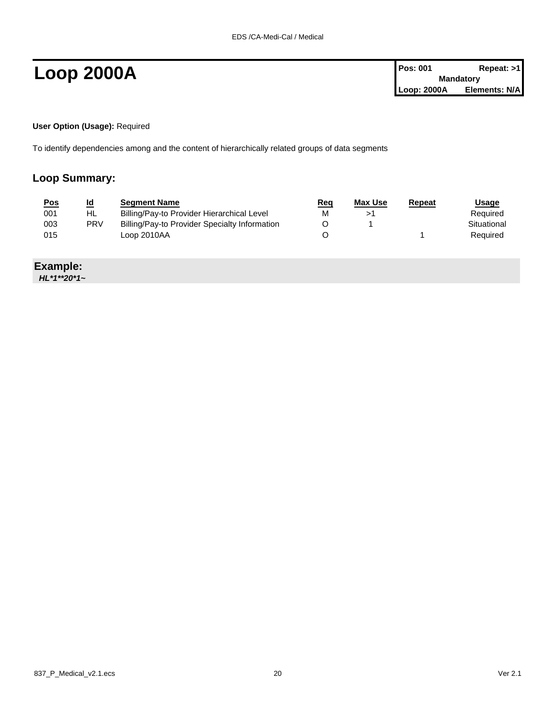**User Option (Usage):** Required

To identify dependencies among and the content of hierarchically related groups of data segments

#### **Loop Summary:**

| <u>Pos</u> | <u>ld</u>  | <b>Segment Name</b>                           | Req | Max Use | Repeat | <u>Usage</u> |
|------------|------------|-----------------------------------------------|-----|---------|--------|--------------|
| 001        | HL         | Billing/Pay-to Provider Hierarchical Level    | М   |         |        | Required     |
| 003        | <b>PRV</b> | Billing/Pay-to Provider Specialty Information |     |         |        | Situational  |
| 015        |            | Loop 2010AA                                   |     |         |        | Required     |

#### **Example:**

*HL\*1\*\*20\*1~*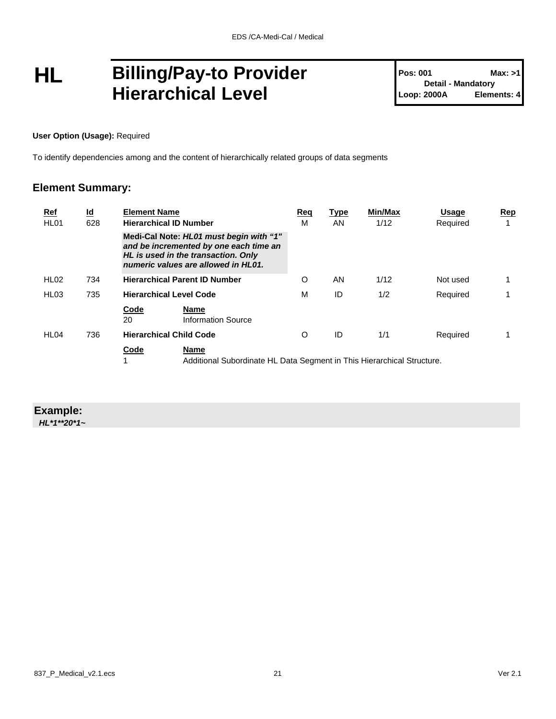## **HL Billing/Pay-to Provider Hierarchical Level**

**User Option (Usage):** Required

To identify dependencies among and the content of hierarchically related groups of data segments

#### **Element Summary:**

| <u>Ref</u><br>HL <sub>01</sub> | $\underline{\mathsf{Id}}$<br>628 | <b>Element Name</b>                                                                                                                                             | <b>Hierarchical ID Number</b>                                                  | Req<br>М | <b>Type</b><br>AN | <b>Min/Max</b><br>1/12 | Usage<br>Required | Rep |
|--------------------------------|----------------------------------|-----------------------------------------------------------------------------------------------------------------------------------------------------------------|--------------------------------------------------------------------------------|----------|-------------------|------------------------|-------------------|-----|
|                                |                                  | Medi-Cal Note: HL01 must begin with "1"<br>and be incremented by one each time an<br>HL is used in the transaction. Only<br>numeric values are allowed in HL01. |                                                                                |          |                   |                        |                   |     |
| HL <sub>02</sub>               | 734                              |                                                                                                                                                                 | <b>Hierarchical Parent ID Number</b>                                           | O        | AN                | 1/12                   | Not used          |     |
| HL <sub>03</sub>               | 735                              |                                                                                                                                                                 | <b>Hierarchical Level Code</b>                                                 | M        | ID                | 1/2                    | Required          |     |
|                                |                                  | Code<br>20                                                                                                                                                      | <b>Name</b><br><b>Information Source</b>                                       |          |                   |                        |                   |     |
| HL <sub>04</sub>               | 736                              |                                                                                                                                                                 | <b>Hierarchical Child Code</b>                                                 | O        | ID                | 1/1                    | Required          |     |
|                                |                                  | Code                                                                                                                                                            | Name<br>Additional Subordinate HL Data Segment in This Hierarchical Structure. |          |                   |                        |                   |     |

### **Example:**

*HL\*1\*\*20\*1~*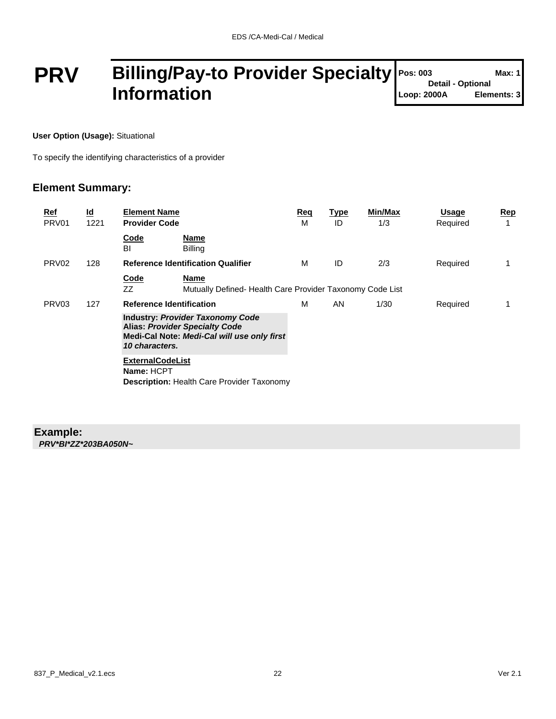### **PRV Billing/Pay-to Provider Specialty Information**

**User Option (Usage):** Situational

To specify the identifying characteristics of a provider

#### **Element Summary:**

| <u>Ref</u><br>PRV <sub>01</sub> | $\underline{\mathsf{Id}}$<br>1221 | <b>Element Name</b><br><b>Provider Code</b>                                                                                                       | Req<br>М | <b>Type</b><br>ID | Min/Max<br>1/3 | <b>Usage</b><br>Required | Rep<br>4 |
|---------------------------------|-----------------------------------|---------------------------------------------------------------------------------------------------------------------------------------------------|----------|-------------------|----------------|--------------------------|----------|
|                                 |                                   | <b>Name</b><br>Code<br>BI<br><b>Billing</b>                                                                                                       |          |                   |                |                          |          |
| PRV <sub>02</sub>               | 128                               | <b>Reference Identification Qualifier</b>                                                                                                         | м        | ID                | 2/3            | Required                 |          |
|                                 |                                   | <b>Code</b><br><b>Name</b><br>ZZ<br>Mutually Defined-Health Care Provider Taxonomy Code List                                                      |          |                   |                |                          |          |
| PRV <sub>03</sub>               | 127                               | <b>Reference Identification</b>                                                                                                                   | М        | AN                | 1/30           | Required                 |          |
|                                 |                                   | <b>Industry: Provider Taxonomy Code</b><br><b>Alias: Provider Specialty Code</b><br>Medi-Cal Note: Medi-Cal will use only first<br>10 characters. |          |                   |                |                          |          |
|                                 |                                   | <b>ExternalCodeList</b><br>Name: HCPT<br><b>Description: Health Care Provider Taxonomy</b>                                                        |          |                   |                |                          |          |

#### **Example:**

*PRV\*BI\*ZZ\*203BA050N~*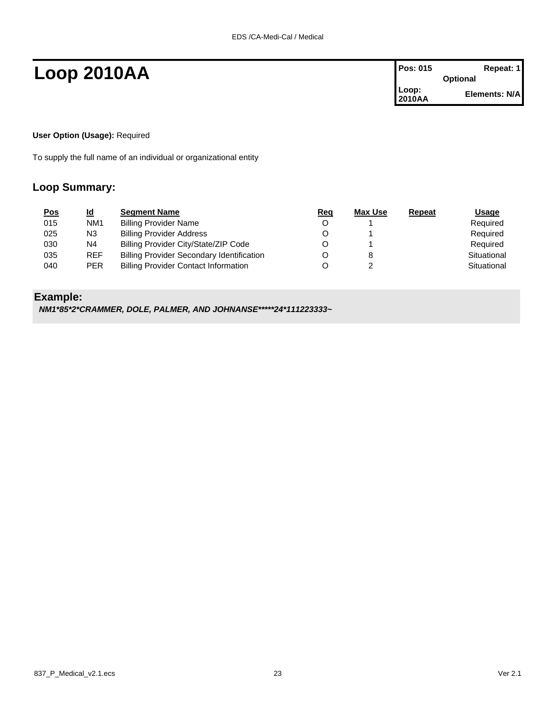## **Loop 2010AA Pos: 015 Repeat: 1**

| <b>Pos: 015</b> | Repeat: 1       |
|-----------------|-----------------|
|                 | <b>Optional</b> |
| Loop:<br>2010AA | Elements: N/A   |

#### **User Option (Usage):** Required

To supply the full name of an individual or organizational entity

#### **Loop Summary:**

| <u>Pos</u> | <u>ld</u>       | <b>Segment Name</b>                              | Req | Max Use | Repeat | <b>Usage</b> |
|------------|-----------------|--------------------------------------------------|-----|---------|--------|--------------|
| 015        | NM <sub>1</sub> | <b>Billing Provider Name</b>                     |     |         |        | Required     |
| 025        | N <sub>3</sub>  | <b>Billing Provider Address</b>                  |     |         |        | Required     |
| 030        | N <sub>4</sub>  | Billing Provider City/State/ZIP Code             |     |         |        | Required     |
| 035        | <b>REF</b>      | <b>Billing Provider Secondary Identification</b> |     |         |        | Situational  |
| 040        | <b>PER</b>      | <b>Billing Provider Contact Information</b>      |     |         |        | Situational  |

#### **Example:**

*NM1\*85\*2\*CRAMMER, DOLE, PALMER, AND JOHNANSE\*\*\*\*\*24\*111223333~*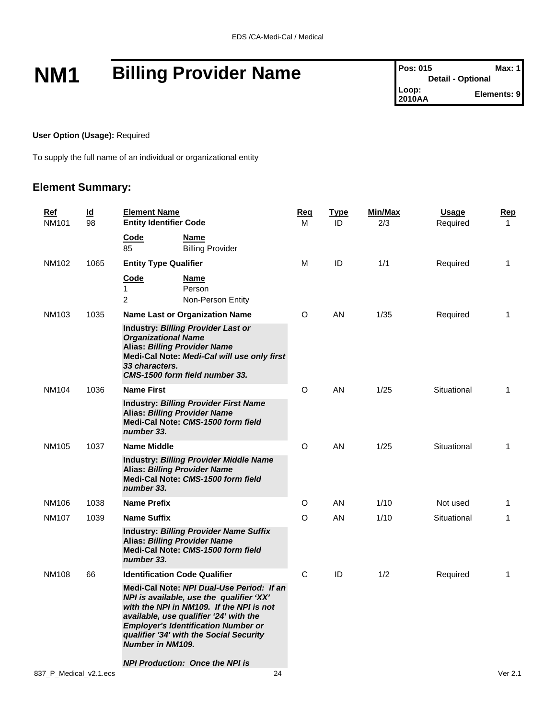# **NM1 Billing Provider Name Pos: 015 Max: 1 Max: 1**

#### **User Option (Usage):** Required

To supply the full name of an individual or organizational entity

#### **Element Summary:**

| Ref<br><b>NM101</b>    | $\underline{\mathsf{Id}}$<br>98                                                                                                         | <b>Element Name</b><br><b>Entity Identifier Code</b>                                                                                                                                                                                                                                            | Reg<br>М | <b>Type</b><br>ID | Min/Max<br>2/3 | <u>Usage</u><br>Required | Rep<br>1    |
|------------------------|-----------------------------------------------------------------------------------------------------------------------------------------|-------------------------------------------------------------------------------------------------------------------------------------------------------------------------------------------------------------------------------------------------------------------------------------------------|----------|-------------------|----------------|--------------------------|-------------|
|                        |                                                                                                                                         | Code<br><b>Name</b><br>85<br><b>Billing Provider</b>                                                                                                                                                                                                                                            |          |                   |                |                          |             |
| NM102                  | 1065                                                                                                                                    | <b>Entity Type Qualifier</b>                                                                                                                                                                                                                                                                    | М        | ID                | 1/1            | Required                 | 1           |
|                        |                                                                                                                                         | Code<br><b>Name</b><br>$\mathbf{1}$<br>Person<br>$\overline{2}$<br>Non-Person Entity                                                                                                                                                                                                            |          |                   |                |                          |             |
| NM103                  | 1035                                                                                                                                    | Name Last or Organization Name                                                                                                                                                                                                                                                                  | O        | AN                | 1/35           | Required                 | $\mathbf 1$ |
|                        |                                                                                                                                         | Industry: Billing Provider Last or<br><b>Organizational Name</b><br><b>Alias: Billing Provider Name</b><br>Medi-Cal Note: Medi-Cal will use only first<br>33 characters.<br>CMS-1500 form field number 33.                                                                                      |          |                   |                |                          |             |
| NM104                  | 1036                                                                                                                                    | <b>Name First</b>                                                                                                                                                                                                                                                                               | O        | AN                | 1/25           | Situational              | 1           |
|                        | <b>Industry: Billing Provider First Name</b><br><b>Alias: Billing Provider Name</b><br>Medi-Cal Note: CMS-1500 form field<br>number 33. |                                                                                                                                                                                                                                                                                                 |          |                   |                |                          |             |
| NM105                  | 1037                                                                                                                                    | <b>Name Middle</b>                                                                                                                                                                                                                                                                              | O        | AN                | 1/25           | Situational              | $\mathbf 1$ |
|                        |                                                                                                                                         | <b>Industry: Billing Provider Middle Name</b><br><b>Alias: Billing Provider Name</b><br>Medi-Cal Note: CMS-1500 form field<br>number 33.                                                                                                                                                        |          |                   |                |                          |             |
| NM106                  | 1038                                                                                                                                    | <b>Name Prefix</b>                                                                                                                                                                                                                                                                              | O        | AN                | 1/10           | Not used                 | -1          |
| <b>NM107</b>           | 1039                                                                                                                                    | <b>Name Suffix</b>                                                                                                                                                                                                                                                                              | O        | <b>AN</b>         | 1/10           | Situational              | 1           |
|                        |                                                                                                                                         | <b>Industry: Billing Provider Name Suffix</b><br><b>Alias: Billing Provider Name</b><br>Medi-Cal Note: CMS-1500 form field<br>number 33.                                                                                                                                                        |          |                   |                |                          |             |
| <b>NM108</b>           | 66                                                                                                                                      | <b>Identification Code Qualifier</b>                                                                                                                                                                                                                                                            | C        | ID                | 1/2            | Required                 | 1           |
|                        |                                                                                                                                         | Medi-Cal Note: NPI Dual-Use Period: If an<br>NPI is available, use the qualifier 'XX'<br>with the NPI in NM109. If the NPI is not<br>available, use qualifier '24' with the<br><b>Employer's Identification Number or</b><br>qualifier '34' with the Social Security<br><b>Number in NM109.</b> |          |                   |                |                          |             |
|                        |                                                                                                                                         | <b>NPI Production: Once the NPI is</b>                                                                                                                                                                                                                                                          |          |                   |                |                          |             |
| 837 P Medical v2.1.ecs |                                                                                                                                         | 24                                                                                                                                                                                                                                                                                              |          |                   |                |                          | Ver 2.1     |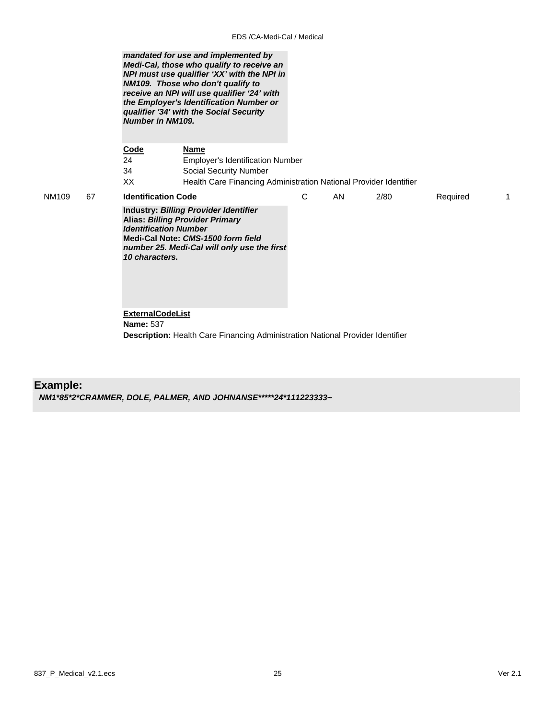*mandated for use and implemented by Medi-Cal, those who qualify to receive an NPI must use qualifier 'XX' with the NPI in NM109. Those who don't qualify to receive an NPI will use qualifier '24' with the Employer's Identification Number or qualifier '34' with the Social Security Number in NM109.* 

**Code Name** 24 Employer's Identification Number 34 Social Security Number XX Health Care Financing Administration National Provider Identifier NM109 67 **Identification Code Industry:** *Billing Provider Identifier* **Alias:** *Billing Provider Primary Identification Number* **Medi-Cal Note:** *CMS-1500 form field number 25. Medi-Cal will only use the first 10 characters.*  C AN 2/80 Required 1 **ExternalCodeList**

 **Name:** 537 **Description:** Health Care Financing Administration National Provider Identifier

#### **Example:**

*NM1\*85\*2\*CRAMMER, DOLE, PALMER, AND JOHNANSE\*\*\*\*\*24\*111223333~*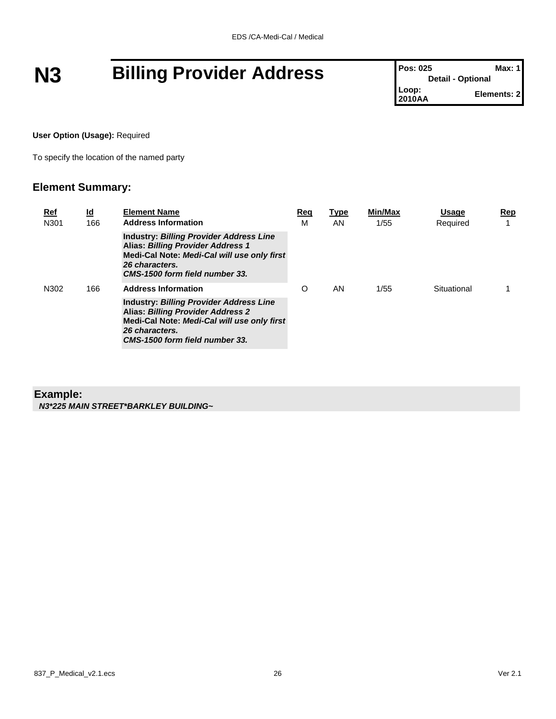# **N3 Billing Provider Address Pos: 025 Max: 1 Max: 1**

**Detail - Optional Loop: Elements: 2** 

#### **User Option (Usage):** Required

To specify the location of the named party

#### **Element Summary:**

| <u>Ref</u><br>N301 | <u>ld</u><br>166 | <b>Element Name</b><br><b>Address Information</b>                                                                                                                                             |   | <b>Type</b><br>AN | Min/Max<br>1/55 | <b>Usage</b><br>Required | Rep<br>$\overline{\phantom{a}}$ |
|--------------------|------------------|-----------------------------------------------------------------------------------------------------------------------------------------------------------------------------------------------|---|-------------------|-----------------|--------------------------|---------------------------------|
|                    |                  | <b>Industry: Billing Provider Address Line</b><br><b>Alias: Billing Provider Address 1</b><br>Medi-Cal Note: Medi-Cal will use only first<br>26 characters.<br>CMS-1500 form field number 33. |   |                   |                 |                          |                                 |
| N302               | 166              | <b>Address Information</b>                                                                                                                                                                    | O | AN.               | 1/55            | Situational              |                                 |
|                    |                  | <b>Industry: Billing Provider Address Line</b><br>Alias: Billing Provider Address 2<br>Medi-Cal Note: Medi-Cal will use only first<br>26 characters.<br>CMS-1500 form field number 33.        |   |                   |                 |                          |                                 |

#### **Example:**

*N3\*225 MAIN STREET\*BARKLEY BUILDING~*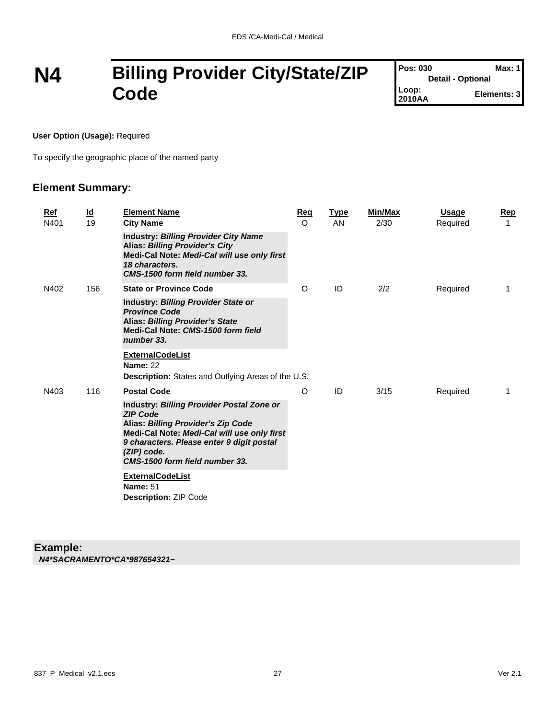## **N4 Billing Provider City/State/ZIP Code**

| <b>Pos: 030</b>          | Max: 1      |
|--------------------------|-------------|
| <b>Detail - Optional</b> |             |
| Loop:<br>2010AA          | Elements: 3 |

**User Option (Usage):** Required

To specify the geographic place of the named party

#### **Element Summary:**

| Ref<br>N401 | $\underline{\mathsf{Id}}$<br>19 | <b>Element Name</b><br><b>City Name</b>                                                                                                                                                                                                         | Req<br>$\circ$ | <b>Type</b><br>AN | Min/Max<br>2/30 | <b>Usage</b><br>Required | Rep<br>1 |
|-------------|---------------------------------|-------------------------------------------------------------------------------------------------------------------------------------------------------------------------------------------------------------------------------------------------|----------------|-------------------|-----------------|--------------------------|----------|
|             |                                 | <b>Industry: Billing Provider City Name</b><br><b>Alias: Billing Provider's City</b><br>Medi-Cal Note: Medi-Cal will use only first<br>18 characters.<br>CMS-1500 form field number 33.                                                         |                |                   |                 |                          |          |
| N402        | 156                             | <b>State or Province Code</b>                                                                                                                                                                                                                   | O              | ID                | 2/2             | Required                 | 1        |
|             |                                 | <b>Industry: Billing Provider State or</b><br><b>Province Code</b><br><b>Alias: Billing Provider's State</b><br>Medi-Cal Note: CMS-1500 form field<br>number 33.                                                                                |                |                   |                 |                          |          |
|             |                                 | <b>ExternalCodeList</b><br><b>Name: 22</b><br><b>Description:</b> States and Outlying Areas of the U.S.                                                                                                                                         |                |                   |                 |                          |          |
| N403        | 116                             | <b>Postal Code</b>                                                                                                                                                                                                                              | O              | ID                | 3/15            | Required                 | 1        |
|             |                                 | Industry: Billing Provider Postal Zone or<br><b>ZIP Code</b><br>Alias: Billing Provider's Zip Code<br>Medi-Cal Note: Medi-Cal will use only first<br>9 characters. Please enter 9 digit postal<br>(ZIP) code.<br>CMS-1500 form field number 33. |                |                   |                 |                          |          |
|             |                                 | <b>ExternalCodeList</b><br><b>Name: 51</b><br><b>Description: ZIP Code</b>                                                                                                                                                                      |                |                   |                 |                          |          |

#### **Example:**

*N4\*SACRAMENTO\*CA\*987654321~*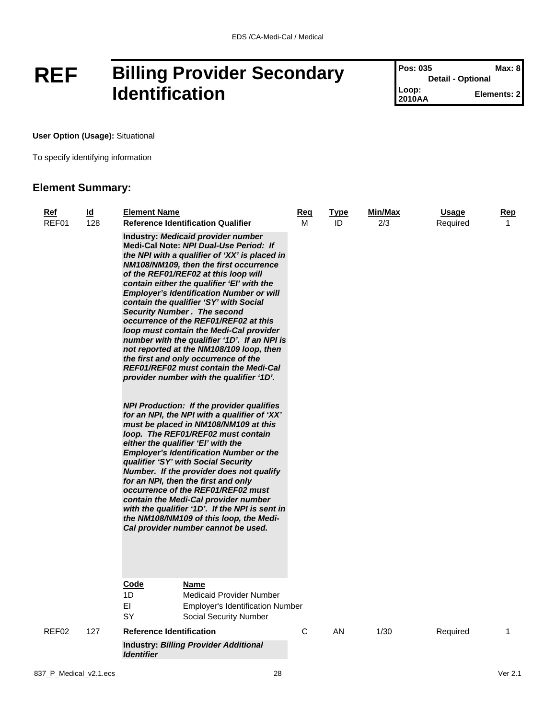## **REF Billing Provider Secondary Identification**

**Pos: 035 Max: 8 Detail - Optional Loop: Elements: 2** 

**User Option (Usage):** Situational

To specify identifying information

#### **Element Summary:**

| <u>Ref</u><br>REF01 | $\underline{\mathsf{Id}}$<br>128 | <b>Element Name</b>                                                      | <b>Reference Identification Qualifier</b>                                                                                                                                                                                                                                                                                                                                                                                                                                                                                                                                                                                                                                                                                                                                                                                                                                                                                                                                                                                                                                                                                                                                                                                                                       | <u>Req</u><br>м | <b>Type</b><br>ID | Min/Max<br>2/3 | <u>Usage</u><br>Required | <u>Rep</u><br>1 |
|---------------------|----------------------------------|--------------------------------------------------------------------------|-----------------------------------------------------------------------------------------------------------------------------------------------------------------------------------------------------------------------------------------------------------------------------------------------------------------------------------------------------------------------------------------------------------------------------------------------------------------------------------------------------------------------------------------------------------------------------------------------------------------------------------------------------------------------------------------------------------------------------------------------------------------------------------------------------------------------------------------------------------------------------------------------------------------------------------------------------------------------------------------------------------------------------------------------------------------------------------------------------------------------------------------------------------------------------------------------------------------------------------------------------------------|-----------------|-------------------|----------------|--------------------------|-----------------|
|                     |                                  | <b>Security Number. The second</b><br>either the qualifier 'EI' with the | Industry: Medicaid provider number<br>Medi-Cal Note: NPI Dual-Use Period: If<br>the NPI with a qualifier of 'XX' is placed in<br>NM108/NM109, then the first occurrence<br>of the REF01/REF02 at this loop will<br>contain either the qualifier 'EI' with the<br><b>Employer's Identification Number or will</b><br>contain the qualifier 'SY' with Social<br>occurrence of the REF01/REF02 at this<br>loop must contain the Medi-Cal provider<br>number with the qualifier '1D'. If an NPI is<br>not reported at the NM108/109 loop, then<br>the first and only occurrence of the<br><b>REF01/REF02 must contain the Medi-Cal</b><br>provider number with the qualifier '1D'.<br><b>NPI Production: If the provider qualifies</b><br>for an NPI, the NPI with a qualifier of 'XX'<br>must be placed in NM108/NM109 at this<br>loop. The REF01/REF02 must contain<br><b>Employer's Identification Number or the</b><br>qualifier 'SY' with Social Security<br>Number. If the provider does not qualify<br>for an NPI, then the first and only<br>occurrence of the REF01/REF02 must<br>contain the Medi-Cal provider number<br>with the qualifier '1D'. If the NPI is sent in<br>the NM108/NM109 of this loop, the Medi-<br>Cal provider number cannot be used. |                 |                   |                |                          |                 |
|                     |                                  | Code<br>1D<br>EI<br>SY                                                   | Name<br><b>Medicaid Provider Number</b><br><b>Employer's Identification Number</b><br>Social Security Number                                                                                                                                                                                                                                                                                                                                                                                                                                                                                                                                                                                                                                                                                                                                                                                                                                                                                                                                                                                                                                                                                                                                                    |                 |                   |                |                          |                 |
| REF02               | 127                              | <b>Reference Identification</b>                                          |                                                                                                                                                                                                                                                                                                                                                                                                                                                                                                                                                                                                                                                                                                                                                                                                                                                                                                                                                                                                                                                                                                                                                                                                                                                                 | C               | AN                | 1/30           | Required                 | 1               |
|                     |                                  | <i><u><b>Identifier</b></u></i>                                          | <b>Industry: Billing Provider Additional</b>                                                                                                                                                                                                                                                                                                                                                                                                                                                                                                                                                                                                                                                                                                                                                                                                                                                                                                                                                                                                                                                                                                                                                                                                                    |                 |                   |                |                          |                 |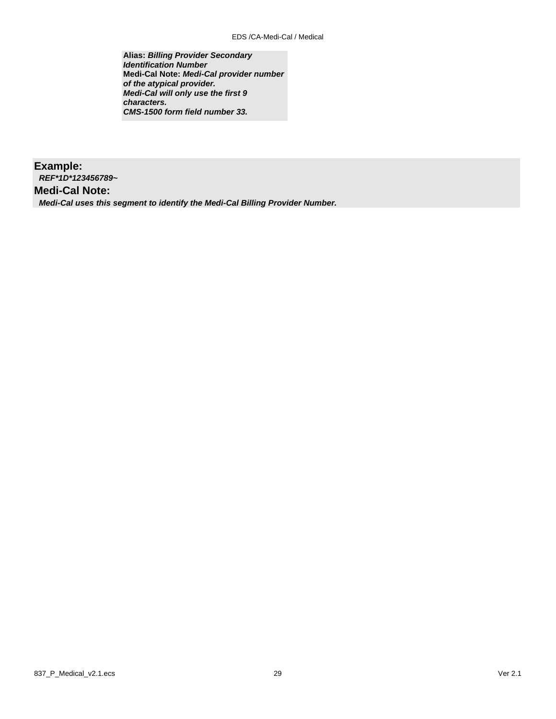**Alias:** *Billing Provider Secondary Identification Number* **Medi-Cal Note:** *Medi-Cal provider number of the atypical provider. Medi-Cal will only use the first 9 characters. CMS-1500 form field number 33.*

**Example:** *REF\*1D\*123456789~* **Medi-Cal Note:** *Medi-Cal uses this segment to identify the Medi-Cal Billing Provider Number.*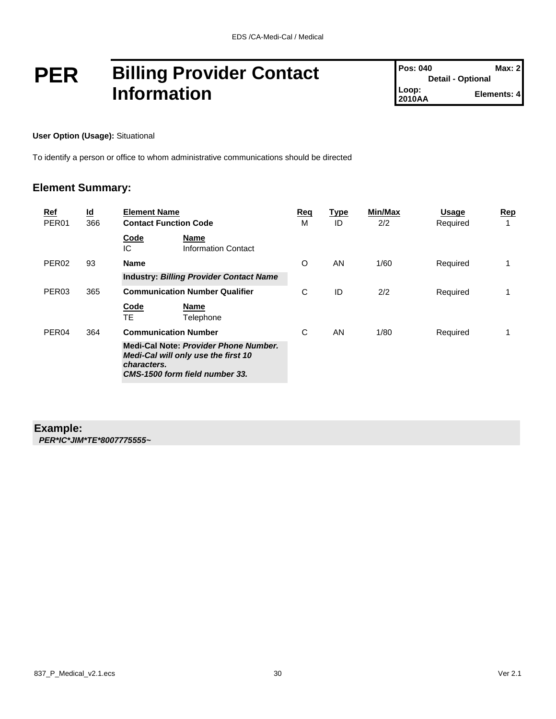## **PER Billing Provider Contact Information**

**User Option (Usage):** Situational

To identify a person or office to whom administrative communications should be directed

#### **Element Summary:**

| <u>Ref</u><br>PER <sub>01</sub> | $\underline{\mathsf{Id}}$<br>366 | <b>Element Name</b><br><b>Contact Function Code</b>                                                                           | Req<br>м | <u>Type</u><br>ID | Min/Max<br>2/2 | <b>Usage</b><br>Required | Rep<br>1 |
|---------------------------------|----------------------------------|-------------------------------------------------------------------------------------------------------------------------------|----------|-------------------|----------------|--------------------------|----------|
|                                 |                                  | Code<br>Name<br>IС<br><b>Information Contact</b>                                                                              |          |                   |                |                          |          |
| PER <sub>02</sub>               | 93                               | <b>Name</b>                                                                                                                   | O        | AN                | 1/60           | Required                 |          |
|                                 |                                  | <b>Industry: Billing Provider Contact Name</b>                                                                                |          |                   |                |                          |          |
| PER <sub>03</sub>               | 365                              | <b>Communication Number Qualifier</b>                                                                                         | C        | ID                | 2/2            | Required                 |          |
|                                 |                                  | Code<br><b>Name</b><br>TE<br>Telephone                                                                                        |          |                   |                |                          |          |
| PER <sub>04</sub>               | 364                              | <b>Communication Number</b>                                                                                                   | C        | AN                | 1/80           | Required                 |          |
|                                 |                                  | Medi-Cal Note: Provider Phone Number.<br>Medi-Cal will only use the first 10<br>characters.<br>CMS-1500 form field number 33. |          |                   |                |                          |          |

#### **Example:**

*PER\*IC\*JIM\*TE\*8007775555~*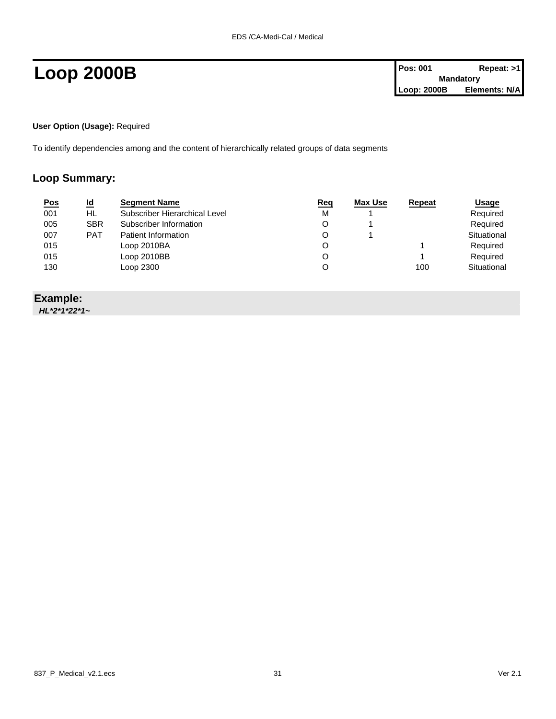**User Option (Usage):** Required

To identify dependencies among and the content of hierarchically related groups of data segments

#### **Loop Summary:**

| <u>Pos</u> | $\underline{\mathsf{Id}}$ | <b>Segment Name</b>           | Req | Max Use | Repeat | <b>Usage</b> |
|------------|---------------------------|-------------------------------|-----|---------|--------|--------------|
| 001        | HL                        | Subscriber Hierarchical Level | M   |         |        | Required     |
| 005        | <b>SBR</b>                | Subscriber Information        |     |         |        | Required     |
| 007        | <b>PAT</b>                | Patient Information           |     |         |        | Situational  |
| 015        |                           | Loop 2010BA                   |     |         |        | Required     |
| 015        |                           | Loop 2010BB                   |     |         |        | Required     |
| 130        |                           | Loop 2300                     |     |         | 100    | Situational  |
|            |                           |                               |     |         |        |              |

#### **Example:**

*HL\*2\*1\*22\*1~*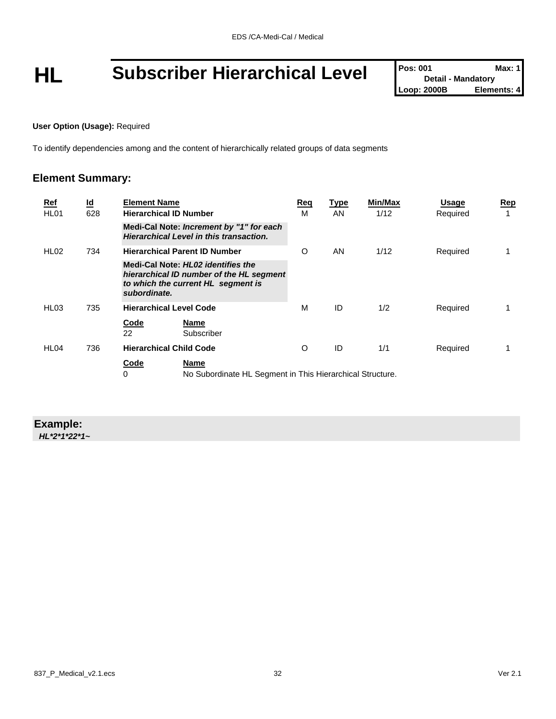# **HL** Subscriber Hierarchical Level **Pos: 001** Max: 1<br>
Loop: 2000B Elements: 4

#### **User Option (Usage):** Required

To identify dependencies among and the content of hierarchically related groups of data segments

#### **Element Summary:**

| $Ref$<br>HL <sub>01</sub> | $\underline{\mathsf{Id}}$<br>628 | <b>Element Name</b><br><b>Hierarchical ID Number</b> |                                                                                                                      | Req<br>м | <b>Type</b><br>AN | Min/Max<br>1/12 | <b>Usage</b><br>Required | Rep |
|---------------------------|----------------------------------|------------------------------------------------------|----------------------------------------------------------------------------------------------------------------------|----------|-------------------|-----------------|--------------------------|-----|
|                           |                                  |                                                      | Medi-Cal Note: Increment by "1" for each<br>Hierarchical Level in this transaction.                                  |          |                   |                 |                          |     |
| HL <sub>02</sub>          | 734                              |                                                      | <b>Hierarchical Parent ID Number</b>                                                                                 | O        | AN                | 1/12            | Required                 |     |
|                           |                                  | subordinate.                                         | Medi-Cal Note: HL02 identifies the<br>hierarchical ID number of the HL segment<br>to which the current HL segment is |          |                   |                 |                          |     |
| HL <sub>03</sub>          | 735                              |                                                      | <b>Hierarchical Level Code</b>                                                                                       | М        | ID                | 1/2             | Required                 |     |
|                           |                                  | <b>Code</b><br>22                                    | Name<br>Subscriber                                                                                                   |          |                   |                 |                          |     |
| HL <sub>04</sub>          | 736                              |                                                      | <b>Hierarchical Child Code</b>                                                                                       | $\circ$  | ID                | 1/1             | Required                 |     |
|                           |                                  | Code<br>0                                            | Name<br>No Subordinate HL Segment in This Hierarchical Structure.                                                    |          |                   |                 |                          |     |

### **Example:**

*HL\*2\*1\*22\*1~*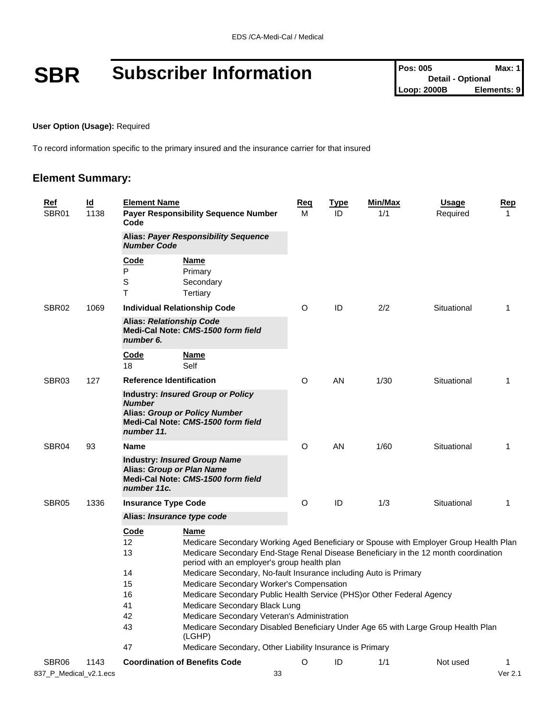# **SBR** Subscriber Information **Pos: 005** Max: 1<br>
Loop: 2000B Elements: 9

#### **User Option (Usage):** Required

To record information specific to the primary insured and the insurance carrier for that insured

#### **Element Summary:**

| <u>Ref</u><br>SBR01    | $\overline{\mathbf{d}}$<br>1138 | <b>Element Name</b><br>Code                                       | <b>Payer Responsibility Sequence Number</b>                                                                                                                                                                                                                                                                                                                                                                                                                                                                                                                                                                                                                                     | <u>Req</u><br>M | <b>Type</b><br>ID | Min/Max<br>1/1 | <b>Usage</b><br>Required | Rep<br>1 |
|------------------------|---------------------------------|-------------------------------------------------------------------|---------------------------------------------------------------------------------------------------------------------------------------------------------------------------------------------------------------------------------------------------------------------------------------------------------------------------------------------------------------------------------------------------------------------------------------------------------------------------------------------------------------------------------------------------------------------------------------------------------------------------------------------------------------------------------|-----------------|-------------------|----------------|--------------------------|----------|
|                        |                                 | <b>Alias: Payer Responsibility Sequence</b><br><b>Number Code</b> |                                                                                                                                                                                                                                                                                                                                                                                                                                                                                                                                                                                                                                                                                 |                 |                   |                |                          |          |
|                        |                                 | Code<br>P<br>S<br>T                                               | <b>Name</b><br>Primary<br>Secondary<br>Tertiary                                                                                                                                                                                                                                                                                                                                                                                                                                                                                                                                                                                                                                 |                 |                   |                |                          |          |
| SBR02                  | 1069                            |                                                                   | <b>Individual Relationship Code</b>                                                                                                                                                                                                                                                                                                                                                                                                                                                                                                                                                                                                                                             | O               | ID                | 2/2            | Situational              | 1        |
|                        |                                 | <b>Alias: Relationship Code</b><br>number 6.                      | Medi-Cal Note: CMS-1500 form field                                                                                                                                                                                                                                                                                                                                                                                                                                                                                                                                                                                                                                              |                 |                   |                |                          |          |
|                        |                                 | <u>Code</u><br>18                                                 | <u>Name</u><br>Self                                                                                                                                                                                                                                                                                                                                                                                                                                                                                                                                                                                                                                                             |                 |                   |                |                          |          |
| SBR <sub>03</sub>      | 127                             | <b>Reference Identification</b>                                   |                                                                                                                                                                                                                                                                                                                                                                                                                                                                                                                                                                                                                                                                                 | O               | AN                | 1/30           | Situational              | 1        |
|                        |                                 | <b>Number</b><br>number 11.                                       | <b>Industry: Insured Group or Policy</b><br><b>Alias: Group or Policy Number</b><br>Medi-Cal Note: CMS-1500 form field                                                                                                                                                                                                                                                                                                                                                                                                                                                                                                                                                          |                 |                   |                |                          |          |
| SBR04                  | 93                              | Name                                                              |                                                                                                                                                                                                                                                                                                                                                                                                                                                                                                                                                                                                                                                                                 | O               | AN                | 1/60           | Situational              | 1        |
|                        |                                 | number 11c.                                                       | <b>Industry: Insured Group Name</b><br>Alias: Group or Plan Name<br>Medi-Cal Note: CMS-1500 form field                                                                                                                                                                                                                                                                                                                                                                                                                                                                                                                                                                          |                 |                   |                |                          |          |
| SBR <sub>05</sub>      | 1336                            | <b>Insurance Type Code</b>                                        |                                                                                                                                                                                                                                                                                                                                                                                                                                                                                                                                                                                                                                                                                 | O               | ID                | 1/3            | Situational              | 1        |
|                        |                                 |                                                                   | Alias: Insurance type code                                                                                                                                                                                                                                                                                                                                                                                                                                                                                                                                                                                                                                                      |                 |                   |                |                          |          |
|                        |                                 | <b>Code</b><br>12<br>13<br>14<br>15<br>16<br>41<br>42<br>43<br>47 | <b>Name</b><br>Medicare Secondary Working Aged Beneficiary or Spouse with Employer Group Health Plan<br>Medicare Secondary End-Stage Renal Disease Beneficiary in the 12 month coordination<br>period with an employer's group health plan<br>Medicare Secondary, No-fault Insurance including Auto is Primary<br>Medicare Secondary Worker's Compensation<br>Medicare Secondary Public Health Service (PHS) or Other Federal Agency<br>Medicare Secondary Black Lung<br>Medicare Secondary Veteran's Administration<br>Medicare Secondary Disabled Beneficiary Under Age 65 with Large Group Health Plan<br>(LGHP)<br>Medicare Secondary, Other Liability Insurance is Primary |                 |                   |                |                          |          |
| SBR06                  | 1143                            |                                                                   | <b>Coordination of Benefits Code</b>                                                                                                                                                                                                                                                                                                                                                                                                                                                                                                                                                                                                                                            | O               | ID                | 1/1            | Not used                 | 1        |
| 837_P_Medical_v2.1.ecs |                                 |                                                                   | 33                                                                                                                                                                                                                                                                                                                                                                                                                                                                                                                                                                                                                                                                              |                 |                   |                |                          | Ver 2.1  |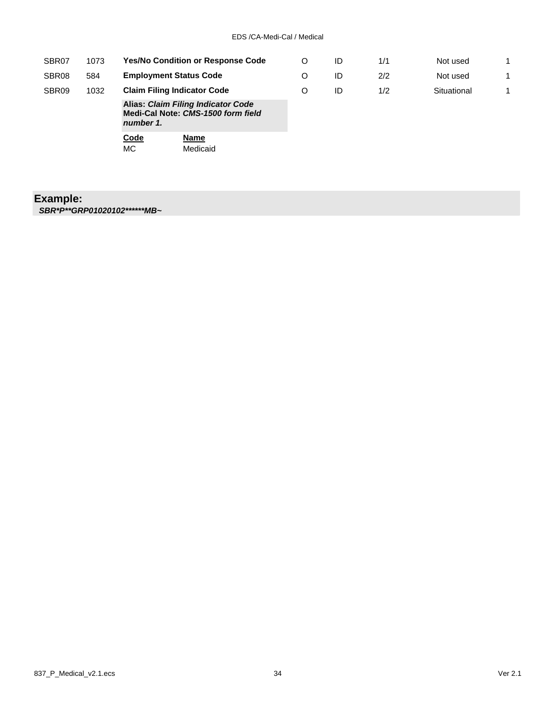| SBR07             | 1073 |                                                                                              | <b>Yes/No Condition or Response Code</b> |   | ID | 1/1 | Not used    | 1 |
|-------------------|------|----------------------------------------------------------------------------------------------|------------------------------------------|---|----|-----|-------------|---|
| SBR08             | 584  |                                                                                              | <b>Employment Status Code</b>            |   |    | 2/2 | Not used    | 1 |
| SBR <sub>09</sub> | 1032 |                                                                                              | <b>Claim Filing Indicator Code</b>       | O | ID | 1/2 | Situational | 1 |
|                   |      | <b>Alias: Claim Filing Indicator Code</b><br>Medi-Cal Note: CMS-1500 form field<br>number 1. |                                          |   |    |     |             |   |
|                   |      | Code<br>МC                                                                                   | Name<br>Medicaid                         |   |    |     |             |   |

### **Example:**

*SBR\*P\*\*GRP01020102\*\*\*\*\*\*MB~*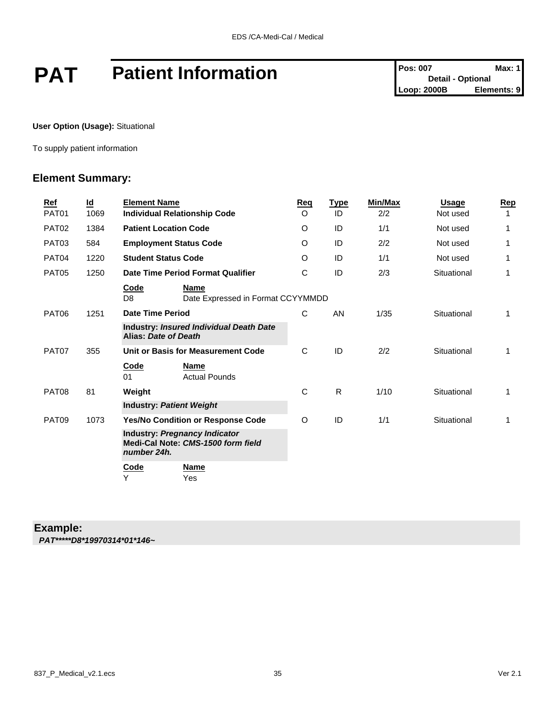# **PAT** Patient Information **Patient Information** Pos: 007 Max: 1

**User Option (Usage):** Situational

To supply patient information

#### **Element Summary:**

| <b>Ref</b>        | $\underline{\mathsf{Id}}$ | <b>Element Name</b>             |                                                                     | Reg     | <b>Type</b> | Min/Max | Usage       | Rep |
|-------------------|---------------------------|---------------------------------|---------------------------------------------------------------------|---------|-------------|---------|-------------|-----|
| PAT01             | 1069                      |                                 | <b>Individual Relationship Code</b>                                 | $\circ$ | ID          | 2/2     | Not used    | 1   |
| PAT <sub>02</sub> | 1384                      | <b>Patient Location Code</b>    |                                                                     | O       | ID          | 1/1     | Not used    | 1   |
| PAT03             | 584                       | <b>Employment Status Code</b>   |                                                                     | O       | ID          | 2/2     | Not used    | 1   |
| PAT04             | 1220                      | <b>Student Status Code</b>      |                                                                     | O       | ID          | 1/1     | Not used    | 1   |
| <b>PAT05</b>      | 1250                      |                                 | Date Time Period Format Qualifier                                   | C       | ID          | 2/3     | Situational | 1   |
|                   |                           | <u>Code</u><br>D <sub>8</sub>   | <b>Name</b><br>Date Expressed in Format CCYYMMDD                    |         |             |         |             |     |
| PAT06             | 1251                      | <b>Date Time Period</b>         |                                                                     | C       | AN          | 1/35    | Situational | 1   |
|                   |                           | Alias: Date of Death            | <b>Industry: Insured Individual Death Date</b>                      |         |             |         |             |     |
| PAT07             | 355                       |                                 | Unit or Basis for Measurement Code                                  | C       | ID          | 2/2     | Situational | 1   |
|                   |                           | Code<br>01                      | <b>Name</b><br><b>Actual Pounds</b>                                 |         |             |         |             |     |
| PAT08             | 81                        | Weight                          |                                                                     | C       | R           | 1/10    | Situational | 1   |
|                   |                           | <b>Industry: Patient Weight</b> |                                                                     |         |             |         |             |     |
| PAT09             | 1073                      |                                 | Yes/No Condition or Response Code                                   | O       | ID          | 1/1     | Situational | 1   |
|                   |                           | number 24h.                     | Industry: Pregnancy Indicator<br>Medi-Cal Note: CMS-1500 form field |         |             |         |             |     |
|                   |                           | Code<br>Y                       | <b>Name</b><br>Yes                                                  |         |             |         |             |     |

#### **Example:**

*PAT\*\*\*\*\*D8\*19970314\*01\*146~*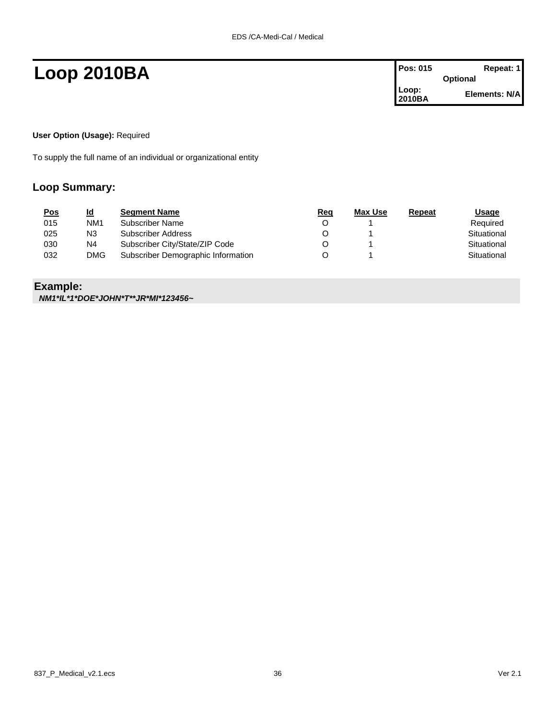## **Loop 2010BA Pos: 015 Repeat: 1**

| Pos: 015        | Repeat: 1       |
|-----------------|-----------------|
|                 | <b>Optional</b> |
| Loop:<br>2010BA | Elements: N/A   |

#### **User Option (Usage):** Required

To supply the full name of an individual or organizational entity

#### **Loop Summary:**

| <u>Pos</u> | <u>ld</u>       | <b>Segment Name</b>                | Req | Max Use | Repeat | <u>Usage</u> |
|------------|-----------------|------------------------------------|-----|---------|--------|--------------|
| 015        | NM <sub>1</sub> | Subscriber Name                    |     |         |        | Required     |
| 025        | N3              | Subscriber Address                 |     |         |        | Situational  |
| 030        | N4              | Subscriber City/State/ZIP Code     |     |         |        | Situational  |
| 032        | <b>DMG</b>      | Subscriber Demographic Information |     |         |        | Situational  |

### **Example:**

*NM1\*IL\*1\*DOE\*JOHN\*T\*\*JR\*MI\*123456~*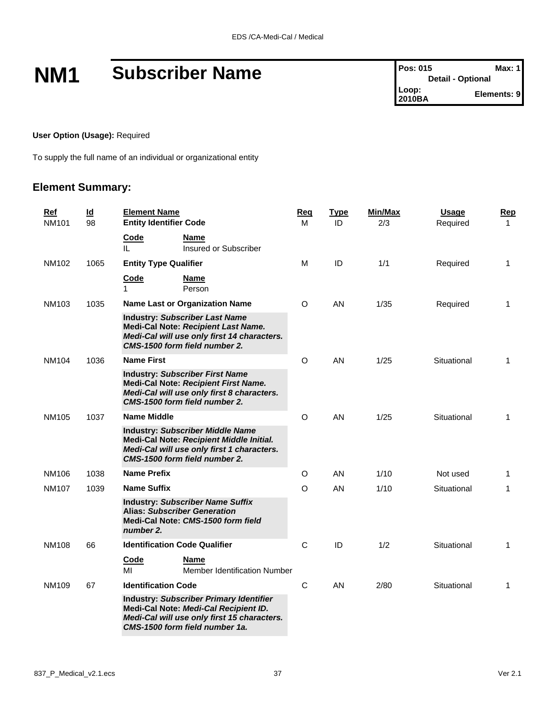## **NM1** Subscriber Name **Pos: 015** Max: 1

#### **User Option (Usage):** Required

To supply the full name of an individual or organizational entity

#### **Element Summary:**

| Ref<br><b>NM101</b> |              | $\underline{\mathsf{Id}}$<br>98 | <b>Element Name</b><br><b>Entity Identifier Code</b>                                                                                                         |                                                                                                                                                                          | Reg<br>м     | <b>Type</b><br>ID | <b>Min/Max</b><br>2/3 | <b>Usage</b><br>Required | <b>Rep</b><br>$\mathbf{1}$ |
|---------------------|--------------|---------------------------------|--------------------------------------------------------------------------------------------------------------------------------------------------------------|--------------------------------------------------------------------------------------------------------------------------------------------------------------------------|--------------|-------------------|-----------------------|--------------------------|----------------------------|
|                     |              |                                 | Code<br>Ш.                                                                                                                                                   | Name<br>Insured or Subscriber                                                                                                                                            |              |                   |                       |                          |                            |
|                     | NM102        | 1065                            | <b>Entity Type Qualifier</b>                                                                                                                                 |                                                                                                                                                                          | М            | ID                | 1/1                   | Required                 | 1                          |
|                     |              |                                 | Code<br>1                                                                                                                                                    | <b>Name</b><br>Person                                                                                                                                                    |              |                   |                       |                          |                            |
|                     | NM103        | 1035                            |                                                                                                                                                              | <b>Name Last or Organization Name</b>                                                                                                                                    | O            | AN                | 1/35                  | Required                 | 1                          |
|                     |              |                                 | <b>Industry: Subscriber Last Name</b><br>Medi-Cal Note: Recipient Last Name.<br>Medi-Cal will use only first 14 characters.<br>CMS-1500 form field number 2. |                                                                                                                                                                          |              |                   |                       |                          |                            |
|                     | NM104        | 1036                            | <b>Name First</b>                                                                                                                                            |                                                                                                                                                                          | O            | AN                | 1/25                  | Situational              | 1                          |
|                     |              |                                 |                                                                                                                                                              | <b>Industry: Subscriber First Name</b><br>Medi-Cal Note: Recipient First Name.<br>Medi-Cal will use only first 8 characters.<br>CMS-1500 form field number 2.            |              |                   |                       |                          |                            |
|                     | <b>NM105</b> | 1037                            | <b>Name Middle</b>                                                                                                                                           |                                                                                                                                                                          | O            | AN                | 1/25                  | Situational              | 1                          |
|                     |              |                                 |                                                                                                                                                              | <b>Industry: Subscriber Middle Name</b><br>Medi-Cal Note: Recipient Middle Initial.<br>Medi-Cal will use only first 1 characters.<br>CMS-1500 form field number 2.       |              |                   |                       |                          |                            |
|                     | NM106        | 1038                            | <b>Name Prefix</b>                                                                                                                                           |                                                                                                                                                                          | O            | AN                | 1/10                  | Not used                 | 1                          |
|                     | <b>NM107</b> | 1039                            | <b>Name Suffix</b>                                                                                                                                           |                                                                                                                                                                          | O            | AN                | 1/10                  | Situational              | $\mathbf{1}$               |
|                     |              |                                 | number 2.                                                                                                                                                    | <b>Industry: Subscriber Name Suffix</b><br><b>Alias: Subscriber Generation</b><br>Medi-Cal Note: CMS-1500 form field                                                     |              |                   |                       |                          |                            |
|                     | <b>NM108</b> | 66                              | <b>Identification Code Qualifier</b>                                                                                                                         |                                                                                                                                                                          | C            | ID                | 1/2                   | Situational              | 1                          |
|                     |              |                                 | Code<br>МI                                                                                                                                                   | Name<br><b>Member Identification Number</b>                                                                                                                              |              |                   |                       |                          |                            |
|                     | NM109        | 67                              | <b>Identification Code</b>                                                                                                                                   |                                                                                                                                                                          | $\mathsf{C}$ | AN                | 2/80                  | Situational              | 1                          |
|                     |              |                                 |                                                                                                                                                              | <b>Industry: Subscriber Primary Identifier</b><br>Medi-Cal Note: Medi-Cal Recipient ID.<br>Medi-Cal will use only first 15 characters.<br>CMS-1500 form field number 1a. |              |                   |                       |                          |                            |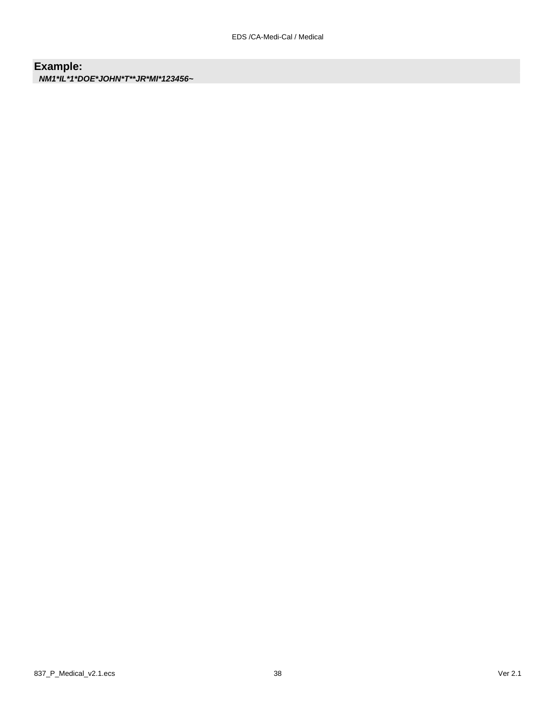### **Example:**

*NM1\*IL\*1\*DOE\*JOHN\*T\*\*JR\*MI\*123456~*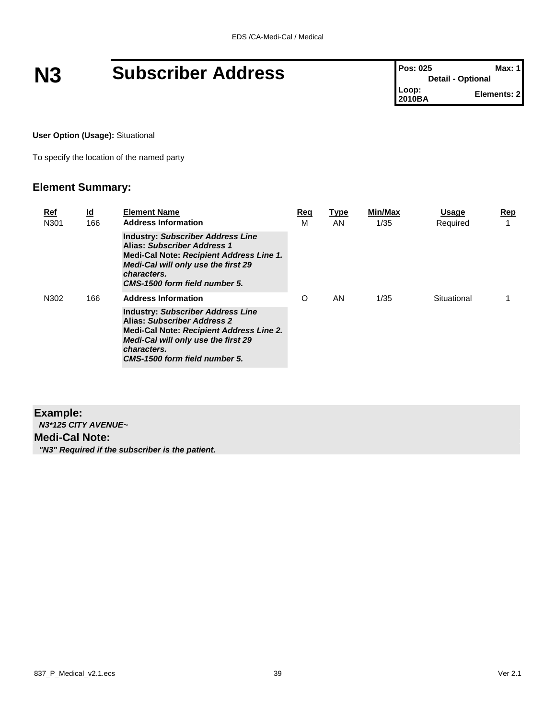## **N3 Subscriber Address Pos: 025 Max: 1 Pos: 025 Max: 1**

**User Option (Usage):** Situational

To specify the location of the named party

#### **Element Summary:**

| Ref<br>N301 | <u>ld</u><br>166 | <b>Element Name</b><br><b>Address Information</b>                                                                                                                                                                 | Req<br>м | <b>Type</b><br>AN. | Min/Max<br>1/35 | <b>Usage</b><br>Required | Rep<br>4 |
|-------------|------------------|-------------------------------------------------------------------------------------------------------------------------------------------------------------------------------------------------------------------|----------|--------------------|-----------------|--------------------------|----------|
|             |                  | <b>Industry: Subscriber Address Line</b><br>Alias: Subscriber Address 1<br>Medi-Cal Note: Recipient Address Line 1.<br><b>Medi-Cal will only use the first 29</b><br>characters.<br>CMS-1500 form field number 5. |          |                    |                 |                          |          |
| N302        | 166              | <b>Address Information</b>                                                                                                                                                                                        | O        | AN                 | 1/35            | Situational              |          |
|             |                  | <b>Industry: Subscriber Address Line</b><br>Alias: Subscriber Address 2<br>Medi-Cal Note: Recipient Address Line 2.<br><b>Medi-Cal will only use the first 29</b><br>characters.<br>CMS-1500 form field number 5. |          |                    |                 |                          |          |

#### **Example:** *N3\*125 CITY AVENUE~* **Medi-Cal Note:** *"N3" Required if the subscriber is the patient.*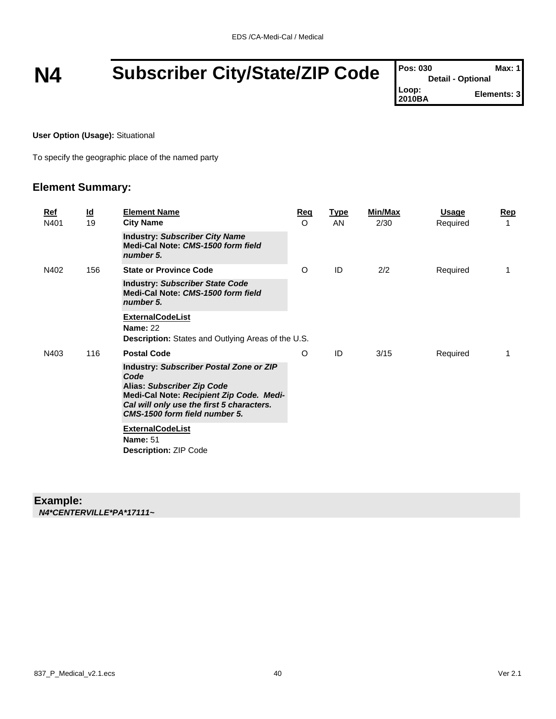## **N4** Subscriber City/State/ZIP Code

| <b>Pos: 030</b> | Max: 1                   |
|-----------------|--------------------------|
|                 | <b>Detail - Optional</b> |
| Loop:<br>2010BA | Elements: 3              |
|                 |                          |

#### **User Option (Usage):** Situational

To specify the geographic place of the named party

#### **Element Summary:**

| <u>Ref</u><br>N401 | $\underline{\mathsf{Id}}$<br>19 | <b>Element Name</b><br><b>City Name</b>                                                                                                                                                                 | <u>Req</u><br>$\Omega$ | <b>Type</b><br>AN. | Min/Max<br>2/30 | Usage<br>Required | <u>Rep</u><br>1 |
|--------------------|---------------------------------|---------------------------------------------------------------------------------------------------------------------------------------------------------------------------------------------------------|------------------------|--------------------|-----------------|-------------------|-----------------|
|                    |                                 | <b>Industry: Subscriber City Name</b><br>Medi-Cal Note: CMS-1500 form field<br>number 5.                                                                                                                |                        |                    |                 |                   |                 |
| N402               | 156                             | <b>State or Province Code</b>                                                                                                                                                                           | O                      | ID                 | 2/2             | Required          | 1               |
|                    |                                 | <b>Industry: Subscriber State Code</b><br>Medi-Cal Note: CMS-1500 form field<br>number 5.                                                                                                               |                        |                    |                 |                   |                 |
|                    |                                 | <b>ExternalCodeList</b><br><b>Name: 22</b><br>Description: States and Outlying Areas of the U.S.                                                                                                        |                        |                    |                 |                   |                 |
| N403               | 116                             | <b>Postal Code</b>                                                                                                                                                                                      | O                      | ID                 | 3/15            | Required          | 1               |
|                    |                                 | Industry: Subscriber Postal Zone or ZIP<br>Code<br>Alias: Subscriber Zip Code<br>Medi-Cal Note: Recipient Zip Code. Medi-<br>Cal will only use the first 5 characters.<br>CMS-1500 form field number 5. |                        |                    |                 |                   |                 |
|                    |                                 | <b>ExternalCodeList</b><br><b>Name: 51</b><br><b>Description: ZIP Code</b>                                                                                                                              |                        |                    |                 |                   |                 |

#### **Example:**

*N4\*CENTERVILLE\*PA\*17111~*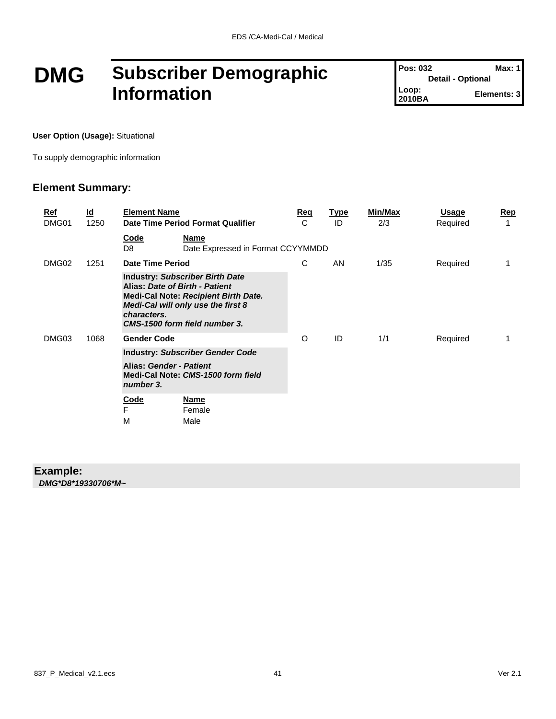### **DMG Subscriber Demographic Information**

**Pos: 032 Max: 1 Detail - Optional Loop: 2011 Elements: 3** 

**User Option (Usage):** Situational

To supply demographic information

#### **Element Summary:**

| <u>Ref</u><br>DMG01 | <u>ld</u><br>1250                                                                                                                                                                                             | <b>Element Name</b>                     | Date Time Period Format Qualifier                | Req<br>C | <b>Type</b><br>ID | Min/Max<br>2/3 | Usage<br>Required | <u>Rep</u><br>1 |
|---------------------|---------------------------------------------------------------------------------------------------------------------------------------------------------------------------------------------------------------|-----------------------------------------|--------------------------------------------------|----------|-------------------|----------------|-------------------|-----------------|
|                     |                                                                                                                                                                                                               | <u>Code</u><br>D8                       | <b>Name</b><br>Date Expressed in Format CCYYMMDD |          |                   |                |                   |                 |
| DMG02               | 1251                                                                                                                                                                                                          |                                         | Date Time Period                                 |          | AN                | 1/35           | Required          |                 |
|                     | <b>Industry: Subscriber Birth Date</b><br>Alias: Date of Birth - Patient<br><b>Medi-Cal Note: Recipient Birth Date.</b><br>Medi-Cal will only use the first 8<br>characters.<br>CMS-1500 form field number 3. |                                         |                                                  |          |                   |                |                   |                 |
| DMG03               | 1068                                                                                                                                                                                                          | <b>Gender Code</b>                      |                                                  | O        | ID                | 1/1            | Required          |                 |
|                     |                                                                                                                                                                                                               | <b>Industry: Subscriber Gender Code</b> |                                                  |          |                   |                |                   |                 |
|                     |                                                                                                                                                                                                               | Alias: Gender - Patient<br>number 3.    | Medi-Cal Note: CMS-1500 form field               |          |                   |                |                   |                 |
|                     |                                                                                                                                                                                                               | <b>Code</b><br>F<br>M                   | <b>Name</b><br>Female<br>Male                    |          |                   |                |                   |                 |

#### **Example:**

*DMG\*D8\*19330706\*M~*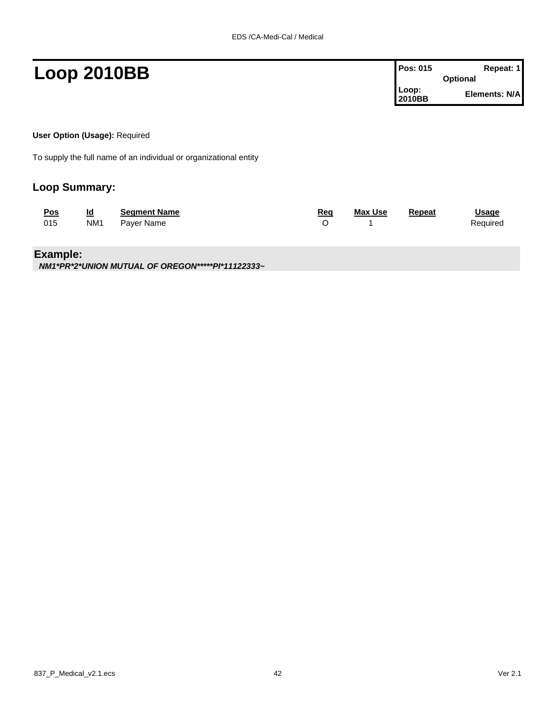| <b>Loop 2010BB</b> | Pos: 015        | Repeat: 1<br><b>Optional</b> |
|--------------------|-----------------|------------------------------|
|                    | Loop:<br>2010BB | Elements: N/A                |
|                    |                 |                              |

**User Option (Usage):** Required

To supply the full name of an individual or organizational entity

#### **Loop Summary:**

| <b>Pos</b> | Id              | <b>Seament Name</b> | <u>Req</u> | <b>Max Use</b> | Repeat | <b>Usage</b> |
|------------|-----------------|---------------------|------------|----------------|--------|--------------|
| 015        | NM <sub>1</sub> | Paver Name          |            |                |        | Required     |

#### **Example:**

*NM1\*PR\*2\*UNION MUTUAL OF OREGON\*\*\*\*\*PI\*11122333~*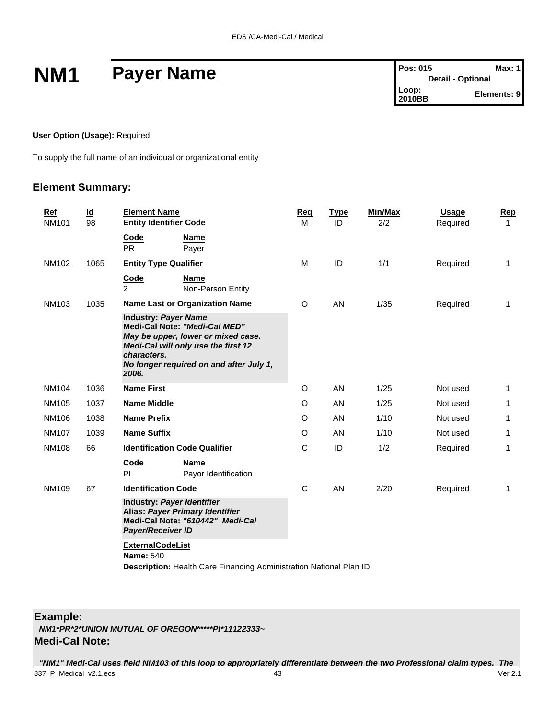## **NM1** Payer Name

| Pos: 015                 | Max: 1      |
|--------------------------|-------------|
| <b>Detail - Optional</b> |             |
| Loop:<br>2010BB          | Elements: 9 |

#### **User Option (Usage):** Required

To supply the full name of an individual or organizational entity

#### **Element Summary:**

| Ref<br><b>NM101</b> | $\underline{\mathsf{Id}}$<br>98 | <b>Element Name</b><br><b>Entity Identifier Code</b>                                                                                                                                                         | Req<br>м | <b>Type</b><br>ID | Min/Max<br>2/2 | Usage<br>Required | Rep<br>1     |
|---------------------|---------------------------------|--------------------------------------------------------------------------------------------------------------------------------------------------------------------------------------------------------------|----------|-------------------|----------------|-------------------|--------------|
|                     |                                 | <b>Code</b><br>Name<br><b>PR</b><br>Payer                                                                                                                                                                    |          |                   |                |                   |              |
| NM102               | 1065                            | <b>Entity Type Qualifier</b>                                                                                                                                                                                 | м        | ID                | 1/1            | Required          | $\mathbf{1}$ |
|                     |                                 | Code<br><b>Name</b><br>$\overline{2}$<br>Non-Person Entity                                                                                                                                                   |          |                   |                |                   |              |
| <b>NM103</b>        | 1035                            | <b>Name Last or Organization Name</b>                                                                                                                                                                        | O        | AN                | 1/35           | Required          | $\mathbf{1}$ |
|                     |                                 | <b>Industry: Payer Name</b><br>Medi-Cal Note: "Medi-Cal MED"<br>May be upper, lower or mixed case.<br>Medi-Cal will only use the first 12<br>characters.<br>No longer required on and after July 1,<br>2006. |          |                   |                |                   |              |
| <b>NM104</b>        | 1036                            | <b>Name First</b>                                                                                                                                                                                            | O        | <b>AN</b>         | 1/25           | Not used          | $\mathbf{1}$ |
| NM105               | 1037                            | <b>Name Middle</b>                                                                                                                                                                                           | O        | <b>AN</b>         | 1/25           | Not used          | 1            |
| NM106               | 1038                            | <b>Name Prefix</b>                                                                                                                                                                                           | O        | AN                | 1/10           | Not used          | 1            |
| <b>NM107</b>        | 1039                            | <b>Name Suffix</b>                                                                                                                                                                                           | O        | AN                | 1/10           | Not used          | 1            |
| <b>NM108</b>        | 66                              | <b>Identification Code Qualifier</b>                                                                                                                                                                         | C        | ID                | 1/2            | Required          | $\mathbf{1}$ |
|                     |                                 | Code<br><b>Name</b><br>PI.<br>Payor Identification                                                                                                                                                           |          |                   |                |                   |              |
| <b>NM109</b>        | 67                              | <b>Identification Code</b>                                                                                                                                                                                   | C        | AN                | 2/20           | Required          | $\mathbf{1}$ |
|                     |                                 | Industry: Payer Identifier<br>Alias: Payer Primary Identifier<br>Medi-Cal Note: "610442" Medi-Cal<br><b>Payer/Receiver ID</b>                                                                                |          |                   |                |                   |              |
|                     |                                 | <b>ExternalCodeList</b><br><b>Name: 540</b><br><b>Description:</b> Health Care Financing Administration National Plan ID                                                                                     |          |                   |                |                   |              |

**Example:**

*NM1\*PR\*2\*UNION MUTUAL OF OREGON\*\*\*\*\*PI\*11122333~*

#### **Medi-Cal Note:**

837\_P\_Medical\_v2.1.ecs 43 Ver 2.1 *"NM1" Medi-Cal uses field NM103 of this loop to appropriately differentiate between the two Professional claim types. The*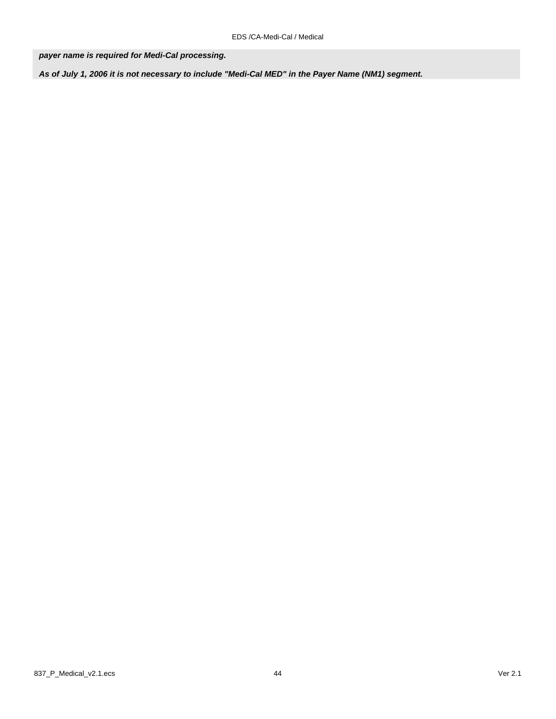*payer name is required for Medi-Cal processing.* 

*As of July 1, 2006 it is not necessary to include "Medi-Cal MED" in the Payer Name (NM1) segment.*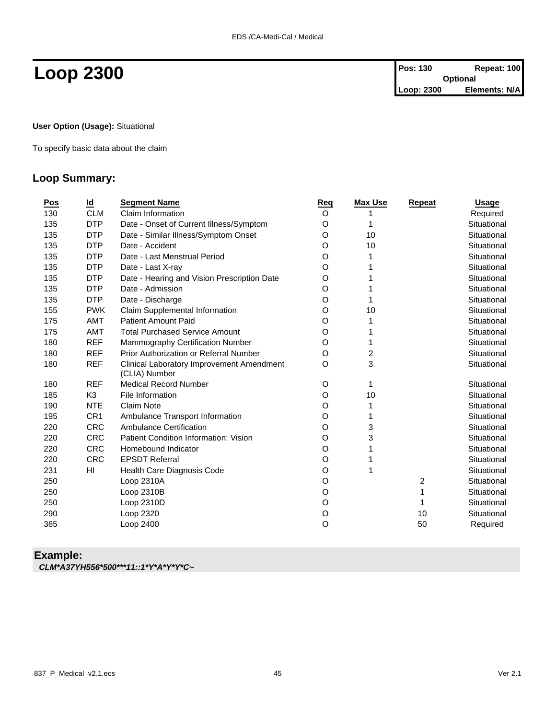**User Option (Usage):** Situational

To specify basic data about the claim

#### **Loop Summary:**

| <u>Pos</u> | $\underline{\mathsf{Id}}$ | <b>Segment Name</b>                                        | Req | <b>Max Use</b> | Repeat         | <b>Usage</b> |
|------------|---------------------------|------------------------------------------------------------|-----|----------------|----------------|--------------|
| 130        | <b>CLM</b>                | Claim Information                                          | O   |                |                | Required     |
| 135        | <b>DTP</b>                | Date - Onset of Current Illness/Symptom                    | O   | 1              |                | Situational  |
| 135        | <b>DTP</b>                | Date - Similar Illness/Symptom Onset                       | O   | 10             |                | Situational  |
| 135        | <b>DTP</b>                | Date - Accident                                            | O   | 10             |                | Situational  |
| 135        | <b>DTP</b>                | Date - Last Menstrual Period                               | O   | 1              |                | Situational  |
| 135        | <b>DTP</b>                | Date - Last X-ray                                          | O   |                |                | Situational  |
| 135        | <b>DTP</b>                | Date - Hearing and Vision Prescription Date                | O   |                |                | Situational  |
| 135        | <b>DTP</b>                | Date - Admission                                           | O   |                |                | Situational  |
| 135        | <b>DTP</b>                | Date - Discharge                                           | O   | 1              |                | Situational  |
| 155        | <b>PWK</b>                | Claim Supplemental Information                             | O   | 10             |                | Situational  |
| 175        | <b>AMT</b>                | <b>Patient Amount Paid</b>                                 | O   |                |                | Situational  |
| 175        | AMT                       | <b>Total Purchased Service Amount</b>                      | O   | 1              |                | Situational  |
| 180        | <b>REF</b>                | Mammography Certification Number                           | O   | 1              |                | Situational  |
| 180        | <b>REF</b>                | Prior Authorization or Referral Number                     | O   | 2              |                | Situational  |
| 180        | <b>REF</b>                | Clinical Laboratory Improvement Amendment<br>(CLIA) Number | O   | 3              |                | Situational  |
| 180        | <b>REF</b>                | <b>Medical Record Number</b>                               | O   | 1              |                | Situational  |
| 185        | K <sub>3</sub>            | File Information                                           | O   | 10             |                | Situational  |
| 190        | <b>NTE</b>                | <b>Claim Note</b>                                          | O   | 1              |                | Situational  |
| 195        | CR <sub>1</sub>           | Ambulance Transport Information                            | O   | 1              |                | Situational  |
| 220        | <b>CRC</b>                | <b>Ambulance Certification</b>                             | O   | 3              |                | Situational  |
| 220        | <b>CRC</b>                | Patient Condition Information: Vision                      | O   | 3              |                | Situational  |
| 220        | <b>CRC</b>                | Homebound Indicator                                        | O   | 1              |                | Situational  |
| 220        | <b>CRC</b>                | <b>EPSDT Referral</b>                                      | O   | 1              |                | Situational  |
| 231        | HI                        | Health Care Diagnosis Code                                 | O   | 1              |                | Situational  |
| 250        |                           | Loop 2310A                                                 | O   |                | $\overline{c}$ | Situational  |
| 250        |                           | Loop 2310B                                                 | O   |                | 1              | Situational  |
| 250        |                           | Loop 2310D                                                 | O   |                |                | Situational  |
| 290        |                           | Loop 2320                                                  | O   |                | 10             | Situational  |
| 365        |                           | Loop 2400                                                  | O   |                | 50             | Required     |
|            |                           |                                                            |     |                |                |              |

#### **Example:**

*CLM\*A37YH556\*500\*\*\*11::1\*Y\*A\*Y\*Y\*C~*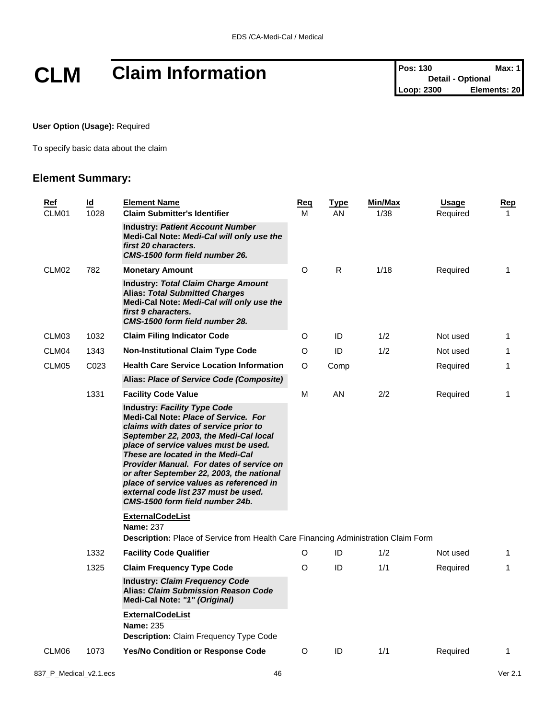# **CLM Claim Information Pos: 130 Detail - Optional Max: 1**<br>
Loop: 2300 **Elements: 20**

**User Option (Usage):** Required

To specify basic data about the claim

#### **Element Summary:**

| Ref<br>CLM01 | Id<br>1028                                                                                                           | <b>Element Name</b><br><b>Claim Submitter's Identifier</b>                                                                                                                                                                                                                                                                                                                                                                                                   |   | <u>Type</u><br>AN | <b>Min/Max</b><br>1/38 | <b>Usage</b><br>Required | <u>Rep</u><br>$\mathbf{1}$ |  |  |
|--------------|----------------------------------------------------------------------------------------------------------------------|--------------------------------------------------------------------------------------------------------------------------------------------------------------------------------------------------------------------------------------------------------------------------------------------------------------------------------------------------------------------------------------------------------------------------------------------------------------|---|-------------------|------------------------|--------------------------|----------------------------|--|--|
|              |                                                                                                                      | <b>Industry: Patient Account Number</b><br>Medi-Cal Note: Medi-Cal will only use the<br>first 20 characters.<br>CMS-1500 form field number 26.                                                                                                                                                                                                                                                                                                               |   |                   |                        |                          |                            |  |  |
| CLM02        | 782                                                                                                                  | <b>Monetary Amount</b>                                                                                                                                                                                                                                                                                                                                                                                                                                       | O | R.                | 1/18                   | Required                 | $\mathbf{1}$               |  |  |
|              |                                                                                                                      | <b>Industry: Total Claim Charge Amount</b><br><b>Alias: Total Submitted Charges</b><br>Medi-Cal Note: Medi-Cal will only use the<br>first 9 characters.<br>CMS-1500 form field number 28.                                                                                                                                                                                                                                                                    |   |                   |                        |                          |                            |  |  |
| CLM03        | 1032                                                                                                                 | <b>Claim Filing Indicator Code</b>                                                                                                                                                                                                                                                                                                                                                                                                                           | O | ID                | 1/2                    | Not used                 | 1                          |  |  |
| CLM04        | 1343                                                                                                                 | <b>Non-Institutional Claim Type Code</b>                                                                                                                                                                                                                                                                                                                                                                                                                     | O | ID                | 1/2                    | Not used                 | 1                          |  |  |
| CLM05        | C <sub>023</sub>                                                                                                     | <b>Health Care Service Location Information</b>                                                                                                                                                                                                                                                                                                                                                                                                              | O | Comp              |                        | Required                 | 1                          |  |  |
|              |                                                                                                                      | Alias: Place of Service Code (Composite)                                                                                                                                                                                                                                                                                                                                                                                                                     |   |                   |                        |                          |                            |  |  |
|              | 1331                                                                                                                 | <b>Facility Code Value</b>                                                                                                                                                                                                                                                                                                                                                                                                                                   | М | AN                | 2/2                    | Required                 | 1                          |  |  |
|              |                                                                                                                      | <b>Industry: Facility Type Code</b><br>Medi-Cal Note: Place of Service, For<br>claims with dates of service prior to<br>September 22, 2003, the Medi-Cal local<br>place of service values must be used.<br>These are located in the Medi-Cal<br>Provider Manual. For dates of service on<br>or after September 22, 2003, the national<br>place of service values as referenced in<br>external code list 237 must be used.<br>CMS-1500 form field number 24b. |   |                   |                        |                          |                            |  |  |
|              |                                                                                                                      | <b>ExternalCodeList</b><br><b>Name: 237</b>                                                                                                                                                                                                                                                                                                                                                                                                                  |   |                   |                        |                          |                            |  |  |
|              |                                                                                                                      | Description: Place of Service from Health Care Financing Administration Claim Form                                                                                                                                                                                                                                                                                                                                                                           |   |                   |                        |                          |                            |  |  |
|              | 1332                                                                                                                 | <b>Facility Code Qualifier</b>                                                                                                                                                                                                                                                                                                                                                                                                                               | O | ID                | 1/2                    | Not used                 | 1                          |  |  |
|              | 1325                                                                                                                 | <b>Claim Frequency Type Code</b>                                                                                                                                                                                                                                                                                                                                                                                                                             | O | ID                | 1/1                    | Required                 | $\mathbf{1}$               |  |  |
|              | <b>Industry: Claim Frequency Code</b><br><b>Alias: Claim Submission Reason Code</b><br>Medi-Cal Note: "1" (Original) |                                                                                                                                                                                                                                                                                                                                                                                                                                                              |   |                   |                        |                          |                            |  |  |
|              |                                                                                                                      | <b>ExternalCodeList</b><br><b>Name: 235</b><br><b>Description:</b> Claim Frequency Type Code                                                                                                                                                                                                                                                                                                                                                                 |   |                   |                        |                          |                            |  |  |
| CLM06        | 1073                                                                                                                 | Yes/No Condition or Response Code                                                                                                                                                                                                                                                                                                                                                                                                                            | O | ID                | 1/1                    | Required                 | 1                          |  |  |
|              |                                                                                                                      |                                                                                                                                                                                                                                                                                                                                                                                                                                                              |   |                   |                        |                          |                            |  |  |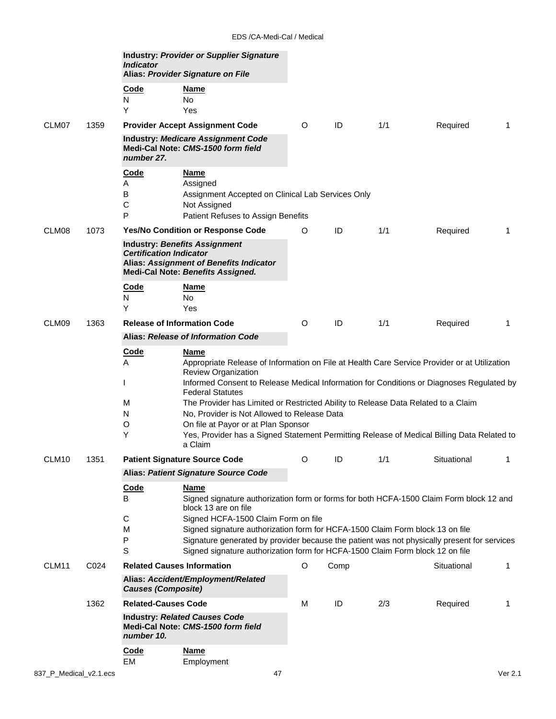|       |      | <b>Indicator</b>                          | <b>Industry: Provider or Supplier Signature</b><br>Alias: Provider Signature on File                                                                                                                                                                          |   |      |     |             |   |
|-------|------|-------------------------------------------|---------------------------------------------------------------------------------------------------------------------------------------------------------------------------------------------------------------------------------------------------------------|---|------|-----|-------------|---|
|       |      | Code<br>N<br>Υ                            | Name<br><b>No</b><br>Yes                                                                                                                                                                                                                                      |   |      |     |             |   |
| CLM07 | 1359 |                                           | <b>Provider Accept Assignment Code</b>                                                                                                                                                                                                                        | O | ID   | 1/1 | Required    | 1 |
|       |      | number 27.                                | <b>Industry: Medicare Assignment Code</b><br>Medi-Cal Note: CMS-1500 form field                                                                                                                                                                               |   |      |     |             |   |
|       |      | <b>Code</b><br>A<br>B<br>$\mathsf C$<br>P | <u>Name</u><br>Assigned<br>Assignment Accepted on Clinical Lab Services Only<br>Not Assigned<br>Patient Refuses to Assign Benefits                                                                                                                            |   |      |     |             |   |
| CLM08 | 1073 |                                           | <b>Yes/No Condition or Response Code</b>                                                                                                                                                                                                                      | O | ID   | 1/1 | Required    | 1 |
|       |      | <b>Certification Indicator</b>            | <b>Industry: Benefits Assignment</b><br>Alias: Assignment of Benefits Indicator<br><b>Medi-Cal Note: Benefits Assigned.</b>                                                                                                                                   |   |      |     |             |   |
|       |      | Code<br>N<br>Y                            | <u>Name</u><br>No<br>Yes                                                                                                                                                                                                                                      |   |      |     |             |   |
| CLM09 | 1363 |                                           | <b>Release of Information Code</b>                                                                                                                                                                                                                            | O | ID   | 1/1 | Required    | 1 |
|       |      |                                           | Alias: Release of Information Code                                                                                                                                                                                                                            |   |      |     |             |   |
|       |      | <u>Code</u><br>A                          | Name<br>Appropriate Release of Information on File at Health Care Service Provider or at Utilization<br><b>Review Organization</b><br>Informed Consent to Release Medical Information for Conditions or Diagnoses Regulated by<br><b>Federal Statutes</b>     |   |      |     |             |   |
|       |      | м<br>N<br>O                               | The Provider has Limited or Restricted Ability to Release Data Related to a Claim<br>No, Provider is Not Allowed to Release Data<br>On file at Payor or at Plan Sponsor                                                                                       |   |      |     |             |   |
|       |      | Y                                         | Yes, Provider has a Signed Statement Permitting Release of Medical Billing Data Related to<br>a Claim                                                                                                                                                         |   |      |     |             |   |
| CLM10 | 1351 |                                           | <b>Patient Signature Source Code</b>                                                                                                                                                                                                                          | O | ID   | 1/1 | Situational |   |
|       |      |                                           | <b>Alias: Patient Signature Source Code</b>                                                                                                                                                                                                                   |   |      |     |             |   |
|       |      | Code<br>B<br>$\mathsf C$                  | <b>Name</b><br>Signed signature authorization form or forms for both HCFA-1500 Claim Form block 12 and<br>block 13 are on file<br>Signed HCFA-1500 Claim Form on file                                                                                         |   |      |     |             |   |
|       |      | M<br>P<br>$\mathsf S$                     | Signed signature authorization form for HCFA-1500 Claim Form block 13 on file<br>Signature generated by provider because the patient was not physically present for services<br>Signed signature authorization form for HCFA-1500 Claim Form block 12 on file |   |      |     |             |   |
| CLM11 | C024 |                                           | <b>Related Causes Information</b>                                                                                                                                                                                                                             | O | Comp |     | Situational | 1 |
|       |      | <b>Causes (Composite)</b>                 | Alias: Accident/Employment/Related                                                                                                                                                                                                                            |   |      |     |             |   |
|       | 1362 | <b>Related-Causes Code</b>                |                                                                                                                                                                                                                                                               | M | ID   | 2/3 | Required    | 1 |
|       |      | number 10.                                | <b>Industry: Related Causes Code</b><br>Medi-Cal Note: CMS-1500 form field                                                                                                                                                                                    |   |      |     |             |   |
|       |      | <b>Code</b><br>EM                         | <b>Name</b><br>Employment                                                                                                                                                                                                                                     |   |      |     |             |   |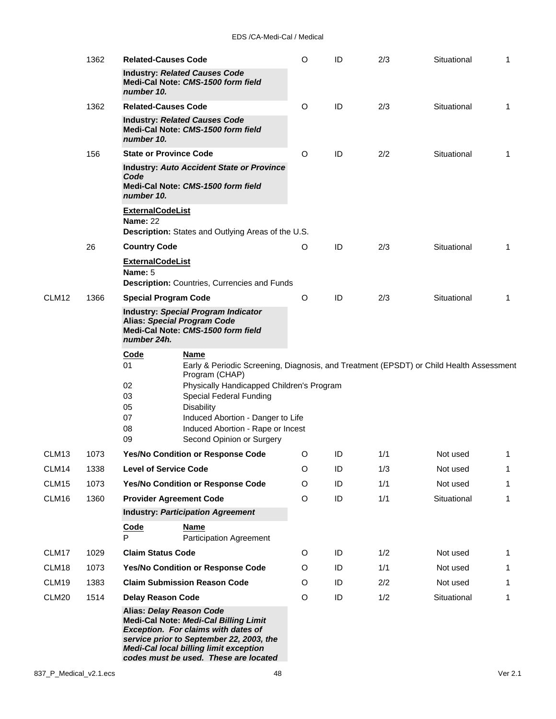|                   | 1362 | <b>Related-Causes Code</b>                 |                                                                                                                                                                                                                                                              | O | ID | 2/3 | Situational | 1 |
|-------------------|------|--------------------------------------------|--------------------------------------------------------------------------------------------------------------------------------------------------------------------------------------------------------------------------------------------------------------|---|----|-----|-------------|---|
|                   |      | number 10.                                 | <b>Industry: Related Causes Code</b><br>Medi-Cal Note: CMS-1500 form field                                                                                                                                                                                   |   |    |     |             |   |
|                   | 1362 | <b>Related-Causes Code</b>                 |                                                                                                                                                                                                                                                              | O | ID | 2/3 | Situational | 1 |
|                   |      | number 10.                                 | <b>Industry: Related Causes Code</b><br>Medi-Cal Note: CMS-1500 form field                                                                                                                                                                                   |   |    |     |             |   |
|                   | 156  | <b>State or Province Code</b>              |                                                                                                                                                                                                                                                              | O | ID | 2/2 | Situational | 1 |
|                   |      | Code<br>number 10.                         | <b>Industry: Auto Accident State or Province</b><br>Medi-Cal Note: CMS-1500 form field                                                                                                                                                                       |   |    |     |             |   |
|                   |      | <b>ExternalCodeList</b><br><b>Name: 22</b> |                                                                                                                                                                                                                                                              |   |    |     |             |   |
|                   |      |                                            | Description: States and Outlying Areas of the U.S.                                                                                                                                                                                                           |   |    |     |             |   |
|                   | 26   | <b>Country Code</b>                        |                                                                                                                                                                                                                                                              | O | ID | 2/3 | Situational | 1 |
|                   |      | <b>ExternalCodeList</b><br>Name: 5         | Description: Countries, Currencies and Funds                                                                                                                                                                                                                 |   |    |     |             |   |
| CLM12             | 1366 | <b>Special Program Code</b>                |                                                                                                                                                                                                                                                              | O | ID | 2/3 | Situational | 1 |
|                   |      | number 24h.                                | Industry: Special Program Indicator<br><b>Alias: Special Program Code</b><br>Medi-Cal Note: CMS-1500 form field                                                                                                                                              |   |    |     |             |   |
|                   |      | <b>Code</b>                                | Name                                                                                                                                                                                                                                                         |   |    |     |             |   |
|                   |      | 01                                         | Early & Periodic Screening, Diagnosis, and Treatment (EPSDT) or Child Health Assessment<br>Program (CHAP)                                                                                                                                                    |   |    |     |             |   |
|                   |      | 02                                         | Physically Handicapped Children's Program                                                                                                                                                                                                                    |   |    |     |             |   |
|                   |      | 03<br>05                                   | Special Federal Funding<br><b>Disability</b>                                                                                                                                                                                                                 |   |    |     |             |   |
|                   |      | 07                                         | Induced Abortion - Danger to Life                                                                                                                                                                                                                            |   |    |     |             |   |
|                   |      | 08                                         | Induced Abortion - Rape or Incest                                                                                                                                                                                                                            |   |    |     |             |   |
|                   |      | 09                                         | Second Opinion or Surgery                                                                                                                                                                                                                                    |   |    |     |             |   |
| CLM <sub>13</sub> | 1073 |                                            | Yes/No Condition or Response Code                                                                                                                                                                                                                            | O | ID | 1/1 | Not used    | 1 |
| CLM14             | 1338 | <b>Level of Service Code</b>               |                                                                                                                                                                                                                                                              | O | ID | 1/3 | Not used    | 1 |
| CLM15             | 1073 |                                            | Yes/No Condition or Response Code                                                                                                                                                                                                                            | O | ID | 1/1 | Not used    | 1 |
| CLM16             | 1360 |                                            | <b>Provider Agreement Code</b><br><b>Industry: Participation Agreement</b>                                                                                                                                                                                   | O | ID | 1/1 | Situational | 1 |
|                   |      | Code                                       | <u>Name</u>                                                                                                                                                                                                                                                  |   |    |     |             |   |
|                   |      | P                                          | <b>Participation Agreement</b>                                                                                                                                                                                                                               |   |    |     |             |   |
| CLM17             | 1029 | <b>Claim Status Code</b>                   |                                                                                                                                                                                                                                                              | O | ID | 1/2 | Not used    | 1 |
| CLM18             | 1073 |                                            | Yes/No Condition or Response Code                                                                                                                                                                                                                            | O | ID | 1/1 | Not used    | 1 |
| CLM19             | 1383 |                                            | <b>Claim Submission Reason Code</b>                                                                                                                                                                                                                          | O | ID | 2/2 | Not used    | 1 |
| CLM20             | 1514 | <b>Delay Reason Code</b>                   |                                                                                                                                                                                                                                                              | O | ID | 1/2 | Situational | 1 |
|                   |      |                                            | Alias: Delay Reason Code<br><b>Medi-Cal Note: Medi-Cal Billing Limit</b><br><b>Exception.</b> For claims with dates of<br>service prior to September 22, 2003, the<br><b>Medi-Cal local billing limit exception</b><br>codes must be used. These are located |   |    |     |             |   |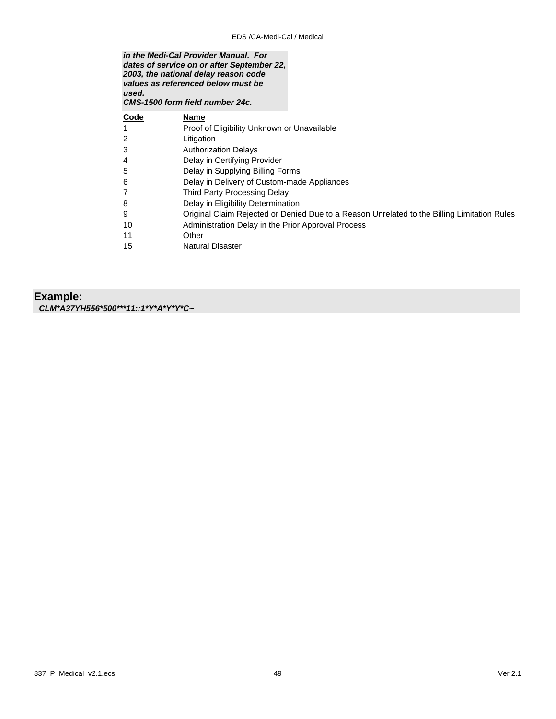| used. | in the Medi-Cal Provider Manual. For<br>dates of service on or after September 22,<br>2003, the national delay reason code<br>values as referenced below must be<br>CMS-1500 form field number 24c. |
|-------|-----------------------------------------------------------------------------------------------------------------------------------------------------------------------------------------------------|
| Code  | Name                                                                                                                                                                                                |
|       | Proof of Eligibility Unknown or Unavailable                                                                                                                                                         |
|       | Litigation                                                                                                                                                                                          |
| 3     | <b>Authorization Delays</b>                                                                                                                                                                         |
| 4     | Delay in Certifying Provider                                                                                                                                                                        |
| 5     | Delay in Supplying Billing Forms                                                                                                                                                                    |
| 6     | Delay in Delivery of Custom-made Appliances                                                                                                                                                         |
|       | Third Party Processing Delay                                                                                                                                                                        |
| 8     | Delay in Eligibility Determination                                                                                                                                                                  |
| 9     | Original Claim Rejected or Denied Due to a Reason Unrelated to the Billing Limitation Rules                                                                                                         |
| 10    | Administration Delay in the Prior Approval Process                                                                                                                                                  |
| 11    | Other                                                                                                                                                                                               |
| 15    | <b>Natural Disaster</b>                                                                                                                                                                             |
|       |                                                                                                                                                                                                     |

**Example:** *CLM\*A37YH556\*500\*\*\*11::1\*Y\*A\*Y\*Y\*C~*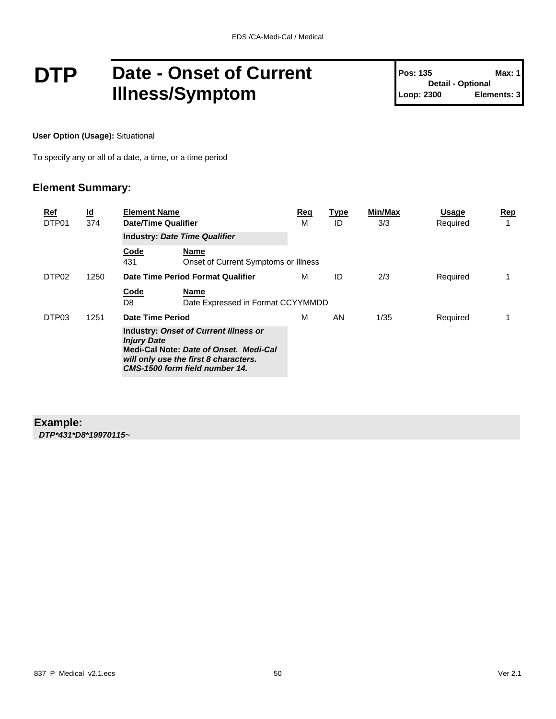### **DTP** Date - Onset of Current **Illness/Symptom**

**Pos: 135 Max: 1 Detail - Optional Loop: 2300 Elements: 3**

**User Option (Usage):** Situational

To specify any or all of a date, a time, or a time period

#### **Element Summary:**

| <u>Ref</u><br>DTP01 | $\underline{\mathsf{Id}}$<br>374 | <b>Element Name</b><br><b>Date/Time Qualifier</b>                                                                                                                                       |                                                     | Req<br>м | <b>Type</b><br>ID | Min/Max<br>3/3 | <b>Usage</b><br>Required | <u>Rep</u><br>1 |
|---------------------|----------------------------------|-----------------------------------------------------------------------------------------------------------------------------------------------------------------------------------------|-----------------------------------------------------|----------|-------------------|----------------|--------------------------|-----------------|
|                     |                                  |                                                                                                                                                                                         | <b>Industry: Date Time Qualifier</b>                |          |                   |                |                          |                 |
|                     |                                  | Code<br>431                                                                                                                                                                             | <b>Name</b><br>Onset of Current Symptoms or Illness |          |                   |                |                          |                 |
| DTP <sub>02</sub>   | 1250                             |                                                                                                                                                                                         | Date Time Period Format Qualifier                   | м        | ID                | 2/3            | Required                 |                 |
|                     |                                  | Code<br>D8                                                                                                                                                                              | <b>Name</b><br>Date Expressed in Format CCYYMMDD    |          |                   |                |                          |                 |
| DTP03               | 1251                             | Date Time Period                                                                                                                                                                        |                                                     | м        | AN                | 1/35           | Required                 |                 |
|                     |                                  | <b>Industry: Onset of Current Illness or</b><br><b>Injury Date</b><br>Medi-Cal Note: Date of Onset. Medi-Cal<br>will only use the first 8 characters.<br>CMS-1500 form field number 14. |                                                     |          |                   |                |                          |                 |

#### **Example:** *DTP\*431\*D8\*19970115~*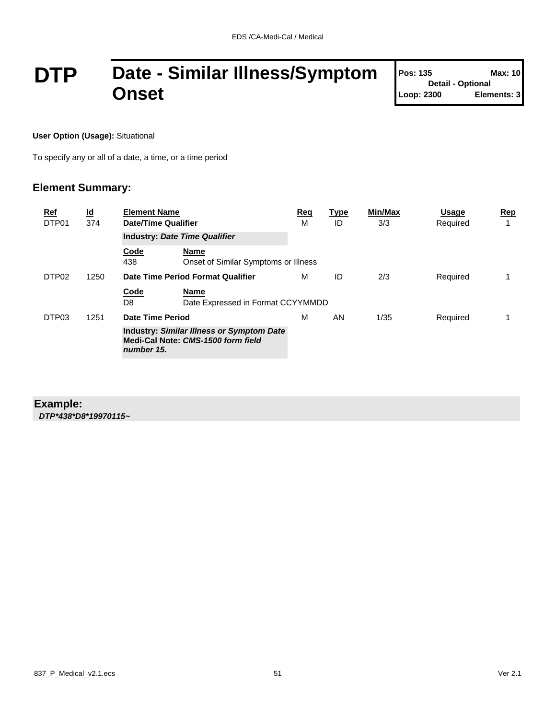## **DTP Date - Similar Illness/Symptom Onset**

| <b>Pos: 135</b>          | Max: 10     |
|--------------------------|-------------|
| <b>Detail - Optional</b> |             |
| Loop: 2300               | Elements: 3 |

**User Option (Usage):** Situational

To specify any or all of a date, a time, or a time period

#### **Element Summary:**

| Ref<br>DTP01      | $\underline{\mathsf{Id}}$<br>374 | <b>Element Name</b><br>Date/Time Qualifier |                                                                                        | Req<br>м | <b>Type</b><br>ID | Min/Max<br>3/3 | <b>Usage</b><br>Required | Rep |
|-------------------|----------------------------------|--------------------------------------------|----------------------------------------------------------------------------------------|----------|-------------------|----------------|--------------------------|-----|
|                   |                                  | <b>Industry: Date Time Qualifier</b>       |                                                                                        |          |                   |                |                          |     |
|                   |                                  | Code<br>438                                | Name<br>Onset of Similar Symptoms or Illness                                           |          |                   |                |                          |     |
| DTP <sub>02</sub> | 1250                             |                                            | Date Time Period Format Qualifier                                                      | м        | ID                | 2/3            | Required                 |     |
|                   |                                  | Code<br>D8                                 | Name<br>Date Expressed in Format CCYYMMDD                                              |          |                   |                |                          |     |
| DTP03             | 1251                             | Date Time Period                           |                                                                                        | м        | AN                | 1/35           | Required                 |     |
|                   |                                  | number 15.                                 | <b>Industry: Similar Illness or Symptom Date</b><br>Medi-Cal Note: CMS-1500 form field |          |                   |                |                          |     |

#### **Example:** *DTP\*438\*D8\*19970115~*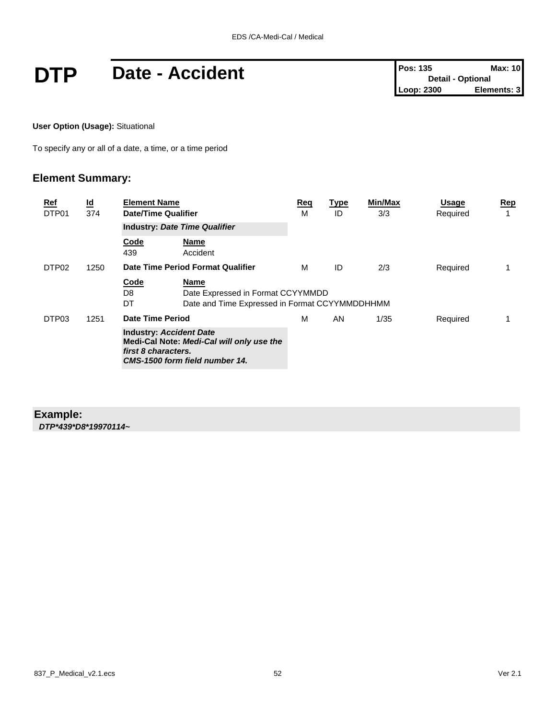# **DTP** Date - Accident **Pos:** 135 **Max:** 10<br> **DTP** Date - Accident **Post** Detail - Optional **Pos:** 135

**User Option (Usage):** Situational

To specify any or all of a date, a time, or a time period

#### **Element Summary:**

| <u>Ref</u><br>DTP01 | $\underline{\mathsf{Id}}$<br>374 | <b>Element Name</b><br><b>Date/Time Qualifier</b>     |                                                                                                    | Req<br>м | <u>Type</u><br>ID | Min/Max<br>3/3 | <b>Usage</b><br>Required | Rep<br>1 |
|---------------------|----------------------------------|-------------------------------------------------------|----------------------------------------------------------------------------------------------------|----------|-------------------|----------------|--------------------------|----------|
|                     |                                  |                                                       | <b>Industry: Date Time Qualifier</b>                                                               |          |                   |                |                          |          |
|                     |                                  | Code<br>439                                           | <b>Name</b><br>Accident                                                                            |          |                   |                |                          |          |
| DTP <sub>02</sub>   | 1250                             |                                                       | Date Time Period Format Qualifier                                                                  | м        | ID                | 2/3            | Required                 | 1        |
|                     |                                  | Code<br>D8<br>DT                                      | <b>Name</b><br>Date Expressed in Format CCYYMMDD<br>Date and Time Expressed in Format CCYYMMDDHHMM |          |                   |                |                          |          |
| DTP03               | 1251                             | Date Time Period                                      |                                                                                                    | м        | AN                | 1/35           | Required                 |          |
|                     |                                  | <b>Industry: Accident Date</b><br>first 8 characters. | Medi-Cal Note: Medi-Cal will only use the<br>CMS-1500 form field number 14.                        |          |                   |                |                          |          |

#### **Example:** *DTP\*439\*D8\*19970114~*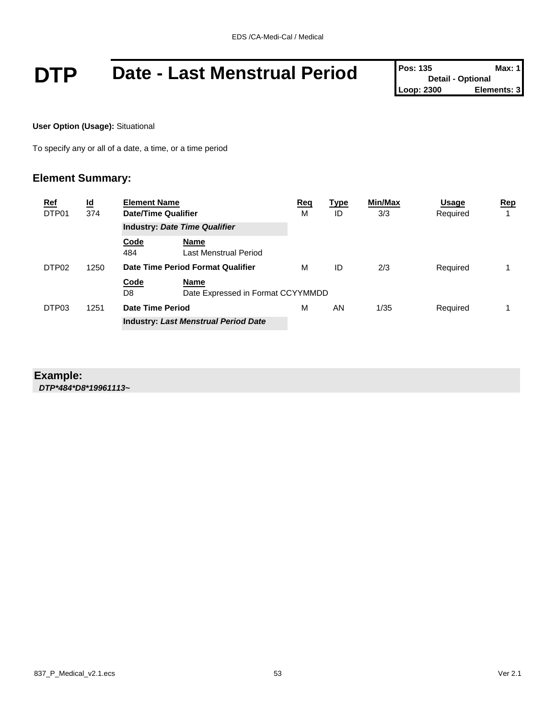# **DTP** Date - Last Menstrual Period Pos: 135 Detail - Optional Max: 1<br>Loop: 2300 Elements: 3

**User Option (Usage):** Situational

To specify any or all of a date, a time, or a time period

#### **Element Summary:**

| <u>Ref</u><br>DTP01 |                   | $\underline{\mathsf{Id}}$<br>374 | <b>Element Name</b><br>Date/Time Qualifier  |                                           | <u>Req</u><br>M | <u>Type</u><br>ID | Min/Max<br>3/3 | Usage<br>Required | Rep |
|---------------------|-------------------|----------------------------------|---------------------------------------------|-------------------------------------------|-----------------|-------------------|----------------|-------------------|-----|
|                     |                   |                                  |                                             | <b>Industry: Date Time Qualifier</b>      |                 |                   |                |                   |     |
|                     |                   |                                  | Code<br>484                                 | Name<br>Last Menstrual Period             |                 |                   |                |                   |     |
|                     | DTP <sub>02</sub> | 1250                             | Date Time Period Format Qualifier           |                                           | M               | ID                | 2/3            | Required          |     |
|                     |                   |                                  | Code<br>D8                                  | Name<br>Date Expressed in Format CCYYMMDD |                 |                   |                |                   |     |
| DTP03               |                   | 1251                             | Date Time Period                            |                                           | м               | AN                | 1/35           | Required          |     |
|                     |                   |                                  | <b>Industry: Last Menstrual Period Date</b> |                                           |                 |                   |                |                   |     |

#### **Example:**

*DTP\*484\*D8\*19961113~*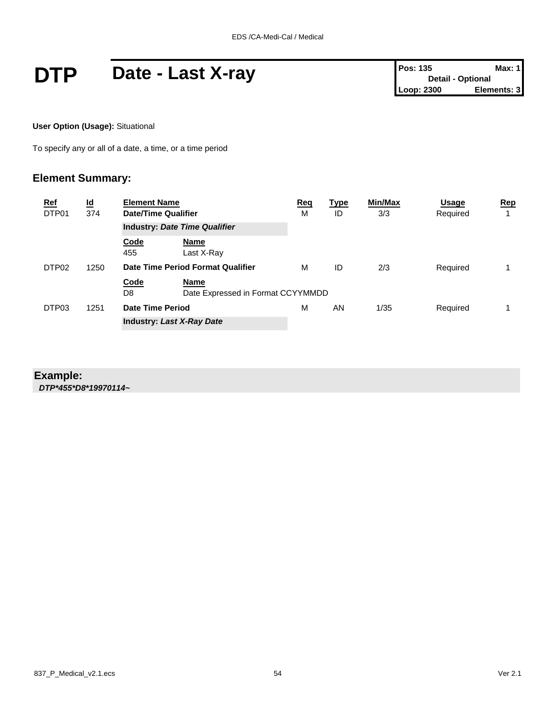# **DTP** Date - Last X-ray **Pos: 135** Max: 1<br>
Loop: 2300 Elements: 3

**User Option (Usage):** Situational

To specify any or all of a date, a time, or a time period

#### **Element Summary:**

| <b>Ref</b><br>DTP01 | $\underline{\mathsf{Id}}$<br>374 | <b>Element Name</b><br>Date/Time Qualifier |                                           | <u>Req</u><br>M | <u>Type</u><br>ID | Min/Max<br>3/3 | Usage<br>Required | $\mathbf{Rep}$ |
|---------------------|----------------------------------|--------------------------------------------|-------------------------------------------|-----------------|-------------------|----------------|-------------------|----------------|
|                     |                                  |                                            | <b>Industry: Date Time Qualifier</b>      |                 |                   |                |                   |                |
|                     |                                  | Code<br>455                                | <b>Name</b><br>Last X-Ray                 |                 |                   |                |                   |                |
| DTP <sub>02</sub>   | 1250                             | Date Time Period Format Qualifier          |                                           | м               | ID                | 2/3            | Required          |                |
|                     |                                  | Code<br>D8                                 | Name<br>Date Expressed in Format CCYYMMDD |                 |                   |                |                   |                |
| DTP03               | 1251                             | Date Time Period                           |                                           |                 | AN                | 1/35           | Required          |                |
|                     |                                  |                                            | <b>Industry: Last X-Ray Date</b>          |                 |                   |                |                   |                |

#### **Example:**

*DTP\*455\*D8\*19970114~*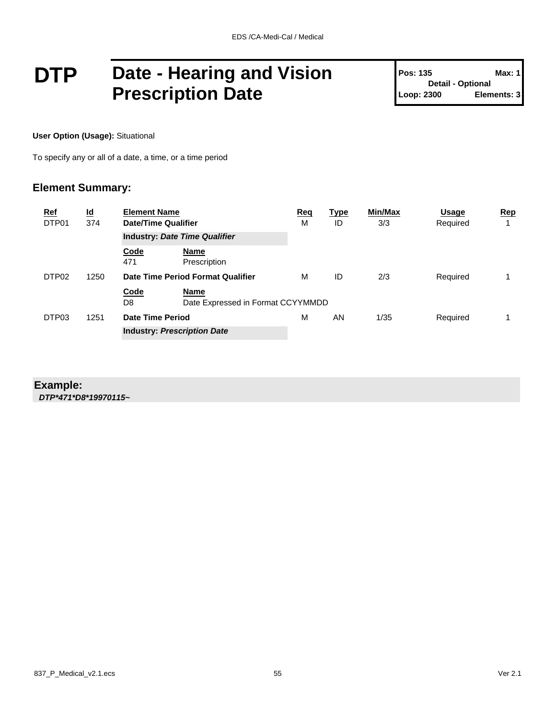### **DTP Date - Hearing and Vision Prescription Date**

**Pos: 135 Max: 1 Detail - Optional Loop: 2300 Elements: 3**

**User Option (Usage):** Situational

To specify any or all of a date, a time, or a time period

#### **Element Summary:**

| <b>Ref</b><br>DTP01 | $\underline{\mathsf{Id}}$<br>374 | <b>Element Name</b><br>Date/Time Qualifier |                                           | <b>Req</b><br>M | <b>Type</b><br>ID | Min/Max<br>3/3 | <b>Usage</b><br>Required | Rep<br>1 |
|---------------------|----------------------------------|--------------------------------------------|-------------------------------------------|-----------------|-------------------|----------------|--------------------------|----------|
|                     |                                  | <b>Industry: Date Time Qualifier</b>       |                                           |                 |                   |                |                          |          |
|                     |                                  | Code<br>471                                | Name<br>Prescription                      |                 |                   |                |                          |          |
| DTP <sub>02</sub>   | 1250                             |                                            | Date Time Period Format Qualifier         | м               | ID                | 2/3            | Required                 |          |
|                     |                                  | Code<br>D <sub>8</sub>                     | Name<br>Date Expressed in Format CCYYMMDD |                 |                   |                |                          |          |
| DTP03               | 1251                             | Date Time Period                           |                                           | M               | AN                | 1/35           | Required                 |          |
|                     |                                  |                                            | <b>Industry: Prescription Date</b>        |                 |                   |                |                          |          |

#### **Example:**

*DTP\*471\*D8\*19970115~*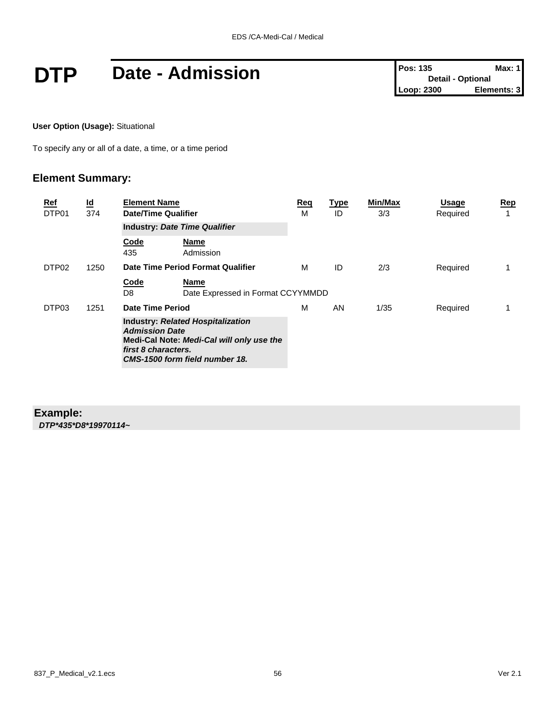# **DTP** Date - Admission **Pos:** 135 **Max:** 1<br> **DTP** Date - Admission **Pos:** 135 **Detail** - Optional **Detail** - Optional **Elements:** 3

**User Option (Usage):** Situational

To specify any or all of a date, a time, or a time period

#### **Element Summary:**

| <u>Ref</u><br>DTP01 | $\underline{\mathsf{Id}}$<br>374 | <b>Element Name</b><br><b>Date/Time Qualifier</b>                                                                                                                       |   | <b>Type</b><br>ID | Min/Max<br>3/3 | <b>Usage</b><br>Required | Rep<br>1 |
|---------------------|----------------------------------|-------------------------------------------------------------------------------------------------------------------------------------------------------------------------|---|-------------------|----------------|--------------------------|----------|
|                     |                                  | <b>Industry: Date Time Qualifier</b>                                                                                                                                    |   |                   |                |                          |          |
|                     |                                  | Code<br>Name<br>435<br>Admission                                                                                                                                        |   |                   |                |                          |          |
| DTP <sub>02</sub>   | 1250                             | Date Time Period Format Qualifier                                                                                                                                       | м | ID                | 2/3            | Required                 | 1        |
|                     |                                  | Code<br>Name<br>D8<br>Date Expressed in Format CCYYMMDD                                                                                                                 |   |                   |                |                          |          |
| DTP03               | 1251                             | <b>Date Time Period</b>                                                                                                                                                 | М | AN                | 1/35           | Required                 |          |
|                     |                                  | <b>Industry: Related Hospitalization</b><br><b>Admission Date</b><br>Medi-Cal Note: Medi-Cal will only use the<br>first 8 characters.<br>CMS-1500 form field number 18. |   |                   |                |                          |          |

#### **Example:**

*DTP\*435\*D8\*19970114~*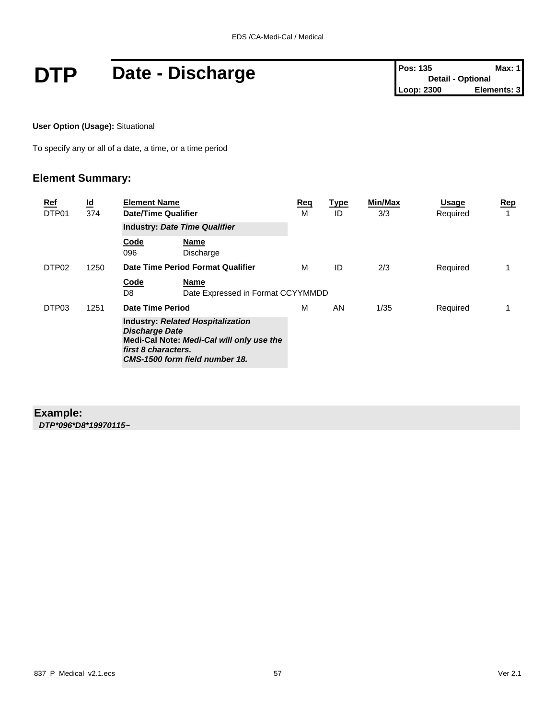## **DTP** Date - Discharge **Pos: 135** Max: 1<br>
Loop: 2300 Elements: 3

**User Option (Usage):** Situational

To specify any or all of a date, a time, or a time period

#### **Element Summary:**

| <u>Ref</u><br>DTP01 | $\underline{\mathsf{Id}}$<br>374 | <b>Element Name</b><br><b>Date/Time Qualifier</b><br><b>Industry: Date Time Qualifier</b>                                                                               |   | <u>Type</u><br>ID | Min/Max<br>3/3 | <b>Usage</b><br>Required | Rep<br>1 |
|---------------------|----------------------------------|-------------------------------------------------------------------------------------------------------------------------------------------------------------------------|---|-------------------|----------------|--------------------------|----------|
|                     |                                  |                                                                                                                                                                         |   |                   |                |                          |          |
|                     |                                  | Code<br>Name<br>096<br>Discharge                                                                                                                                        |   |                   |                |                          |          |
| DTP <sub>02</sub>   | 1250                             | Date Time Period Format Qualifier                                                                                                                                       | м | ID                | 2/3            | Required                 | 1        |
|                     |                                  | Code<br>Name<br>D <sub>8</sub><br>Date Expressed in Format CCYYMMDD                                                                                                     |   |                   |                |                          |          |
| DTP03               | 1251                             | <b>Date Time Period</b>                                                                                                                                                 | М | AN                | 1/35           | Required                 |          |
|                     |                                  | <b>Industry: Related Hospitalization</b><br><b>Discharge Date</b><br>Medi-Cal Note: Medi-Cal will only use the<br>first 8 characters.<br>CMS-1500 form field number 18. |   |                   |                |                          |          |

#### **Example:**

*DTP\*096\*D8\*19970115~*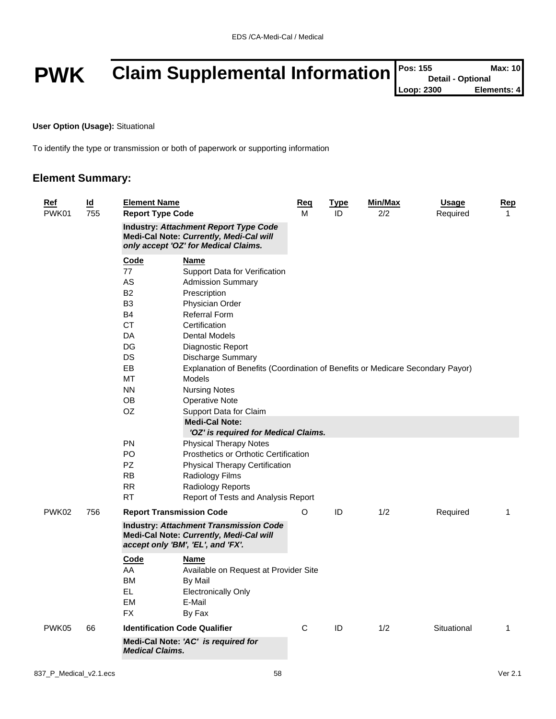# **PWK** Claim Supplemental Information **Pos: 155** Max: 10<br>
Loop: 2300 Elements: 4

**User Option (Usage):** Situational

To identify the type or transmission or both of paperwork or supporting information

#### **Element Summary:**

| Ref<br>PWK01 | $\overline{\mathsf{Id}}$<br>755 | <b>Element Name</b><br><b>Report Type Code</b>                                                                                |                                                                                                                                 | Req<br>м | <b>Type</b><br>ID | Min/Max<br>2/2 | <b>Usage</b><br>Required | Rep<br>$\mathbf{1}$ |
|--------------|---------------------------------|-------------------------------------------------------------------------------------------------------------------------------|---------------------------------------------------------------------------------------------------------------------------------|----------|-------------------|----------------|--------------------------|---------------------|
|              |                                 |                                                                                                                               | <b>Industry: Attachment Report Type Code</b><br>Medi-Cal Note: Currently, Medi-Cal will<br>only accept 'OZ' for Medical Claims. |          |                   |                |                          |                     |
|              |                                 | <b>Code</b><br>77                                                                                                             | <u>Name</u><br>Support Data for Verification                                                                                    |          |                   |                |                          |                     |
|              |                                 | AS                                                                                                                            | <b>Admission Summary</b>                                                                                                        |          |                   |                |                          |                     |
|              |                                 | <b>B2</b>                                                                                                                     | Prescription                                                                                                                    |          |                   |                |                          |                     |
|              |                                 | B <sub>3</sub>                                                                                                                | Physician Order                                                                                                                 |          |                   |                |                          |                     |
|              |                                 | <b>B4</b>                                                                                                                     | <b>Referral Form</b>                                                                                                            |          |                   |                |                          |                     |
|              |                                 | <b>CT</b>                                                                                                                     | Certification                                                                                                                   |          |                   |                |                          |                     |
|              |                                 | DA                                                                                                                            | <b>Dental Models</b>                                                                                                            |          |                   |                |                          |                     |
|              |                                 | DG                                                                                                                            | Diagnostic Report                                                                                                               |          |                   |                |                          |                     |
|              |                                 | DS.                                                                                                                           | Discharge Summary                                                                                                               |          |                   |                |                          |                     |
|              |                                 | EB                                                                                                                            | Explanation of Benefits (Coordination of Benefits or Medicare Secondary Payor)                                                  |          |                   |                |                          |                     |
|              |                                 | МT                                                                                                                            | <b>Models</b>                                                                                                                   |          |                   |                |                          |                     |
|              |                                 | <b>NN</b>                                                                                                                     | <b>Nursing Notes</b>                                                                                                            |          |                   |                |                          |                     |
|              |                                 | 0B                                                                                                                            | <b>Operative Note</b>                                                                                                           |          |                   |                |                          |                     |
|              |                                 | OZ.                                                                                                                           | Support Data for Claim                                                                                                          |          |                   |                |                          |                     |
|              |                                 |                                                                                                                               | <b>Medi-Cal Note:</b>                                                                                                           |          |                   |                |                          |                     |
|              |                                 |                                                                                                                               | 'OZ' is required for Medical Claims.                                                                                            |          |                   |                |                          |                     |
|              |                                 | <b>PN</b>                                                                                                                     | <b>Physical Therapy Notes</b>                                                                                                   |          |                   |                |                          |                     |
|              |                                 | PO.                                                                                                                           | Prosthetics or Orthotic Certification                                                                                           |          |                   |                |                          |                     |
|              |                                 | PZ.                                                                                                                           | <b>Physical Therapy Certification</b>                                                                                           |          |                   |                |                          |                     |
|              |                                 | <b>RB</b>                                                                                                                     | Radiology Films                                                                                                                 |          |                   |                |                          |                     |
|              |                                 | <b>RR</b>                                                                                                                     | Radiology Reports                                                                                                               |          |                   |                |                          |                     |
|              |                                 | <b>RT</b>                                                                                                                     | Report of Tests and Analysis Report                                                                                             |          |                   |                |                          |                     |
| PWK02        | 756                             |                                                                                                                               | <b>Report Transmission Code</b>                                                                                                 | O        | ID                | 1/2            | Required                 | 1                   |
|              |                                 | <b>Industry: Attachment Transmission Code</b><br>Medi-Cal Note: Currently, Medi-Cal will<br>accept only 'BM', 'EL', and 'FX'. |                                                                                                                                 |          |                   |                |                          |                     |
|              |                                 | Code                                                                                                                          | <b>Name</b>                                                                                                                     |          |                   |                |                          |                     |
|              |                                 | AA                                                                                                                            | Available on Request at Provider Site                                                                                           |          |                   |                |                          |                     |
|              |                                 | BM                                                                                                                            | By Mail                                                                                                                         |          |                   |                |                          |                     |
|              |                                 | EL                                                                                                                            | <b>Electronically Only</b>                                                                                                      |          |                   |                |                          |                     |
|              |                                 | <b>EM</b>                                                                                                                     | E-Mail                                                                                                                          |          |                   |                |                          |                     |
|              |                                 | <b>FX</b>                                                                                                                     | By Fax                                                                                                                          |          |                   |                |                          |                     |
| PWK05        | 66                              |                                                                                                                               | <b>Identification Code Qualifier</b>                                                                                            | С        | ID                | 1/2            | Situational              | $\mathbf{1}$        |
|              |                                 | <b>Medical Claims.</b>                                                                                                        | Medi-Cal Note: 'AC' is required for                                                                                             |          |                   |                |                          |                     |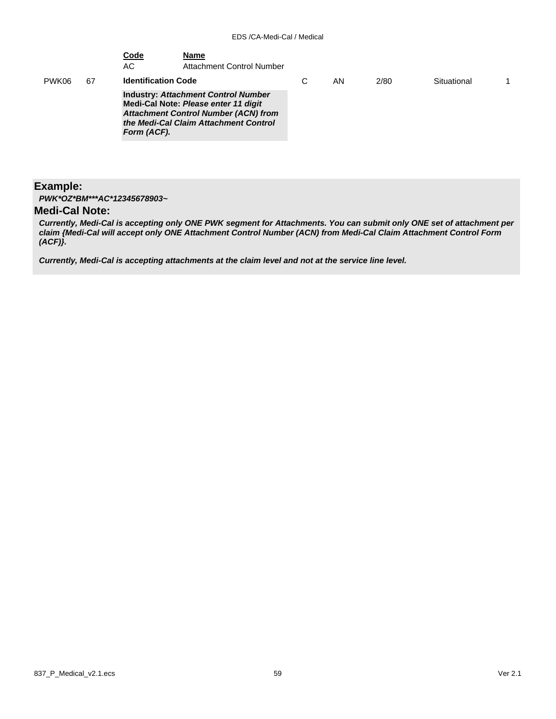|       |    | <u>Code</u><br>АC          | <b>Name</b><br><b>Attachment Control Number</b>                                                                                                                            |   |    |      |             |  |
|-------|----|----------------------------|----------------------------------------------------------------------------------------------------------------------------------------------------------------------------|---|----|------|-------------|--|
| PWK06 | 67 | <b>Identification Code</b> |                                                                                                                                                                            | С | ΑN | 2/80 | Situational |  |
|       |    | Form (ACF).                | <b>Industry: Attachment Control Number</b><br>Medi-Cal Note: Please enter 11 digit<br><b>Attachment Control Number (ACN) from</b><br>the Medi-Cal Claim Attachment Control |   |    |      |             |  |

#### **Example:**

*PWK\*OZ\*BM\*\*\*AC\*12345678903~*

#### **Medi-Cal Note:**

*Currently, Medi-Cal is accepting only ONE PWK segment for Attachments. You can submit only ONE set of attachment per claim {Medi-Cal will accept only ONE Attachment Control Number (ACN) from Medi-Cal Claim Attachment Control Form (ACF)}.* 

*Currently, Medi-Cal is accepting attachments at the claim level and not at the service line level.*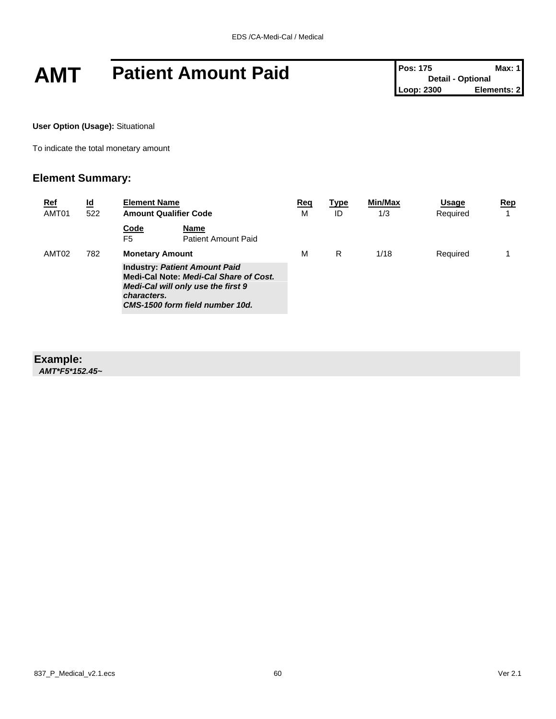## **AMT Patient Amount Paid Pos: 175 Max: 1**

**User Option (Usage):** Situational

To indicate the total monetary amount

#### **Element Summary:**

| <b>Ref</b><br>AMT01 | <u>ld</u><br>522                                                                                                                                                       | <b>Element Name</b><br><b>Amount Qualifier Code</b> |                             | Req<br>M | <b>Type</b><br>ID | Min/Max<br>1/3 | Usage<br>Required | $\mathbf{Rep}$ |
|---------------------|------------------------------------------------------------------------------------------------------------------------------------------------------------------------|-----------------------------------------------------|-----------------------------|----------|-------------------|----------------|-------------------|----------------|
|                     |                                                                                                                                                                        | Code<br>F <sub>5</sub>                              | Name<br>Patient Amount Paid |          |                   |                |                   |                |
| AMT02               | 782                                                                                                                                                                    | <b>Monetary Amount</b>                              |                             | M        | R                 | 1/18           | Required          |                |
|                     | <b>Industry: Patient Amount Paid</b><br>Medi-Cal Note: Medi-Cal Share of Cost.<br>Medi-Cal will only use the first 9<br>characters.<br>CMS-1500 form field number 10d. |                                                     |                             |          |                   |                |                   |                |

### **Example:**

*AMT\*F5\*152.45~*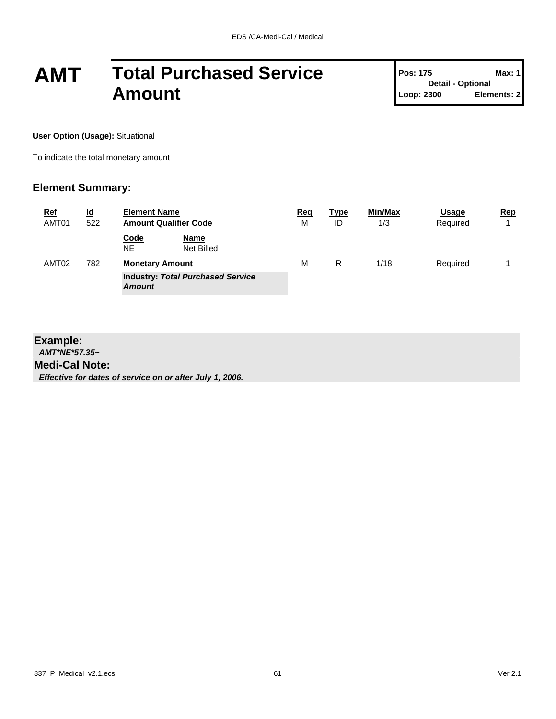## **AMT Total Purchased Service Amount**

**Pos: 175 Max: 1 Detail - Optional Loop: 2300 Elements: 2**

**User Option (Usage):** Situational

To indicate the total monetary amount

#### **Element Summary:**

| <b>Ref</b><br>AMT01 | <u>ld</u><br>522 | <b>Element Name</b><br><b>Amount Qualifier Code</b>       |   | Type<br>ID | <b>Min/Max</b><br>1/3 | Usage<br>Required | Rep |
|---------------------|------------------|-----------------------------------------------------------|---|------------|-----------------------|-------------------|-----|
|                     |                  | Code<br>Name<br><b>NE</b><br>Net Billed                   |   |            |                       |                   |     |
| AMT <sub>02</sub>   | 782              | <b>Monetary Amount</b>                                    | M | R          | 1/18                  | Required          |     |
|                     |                  | <b>Industry: Total Purchased Service</b><br><b>Amount</b> |   |            |                       |                   |     |

#### **Example:**

*AMT\*NE\*57.35~*

#### **Medi-Cal Note:**

*Effective for dates of service on or after July 1, 2006.*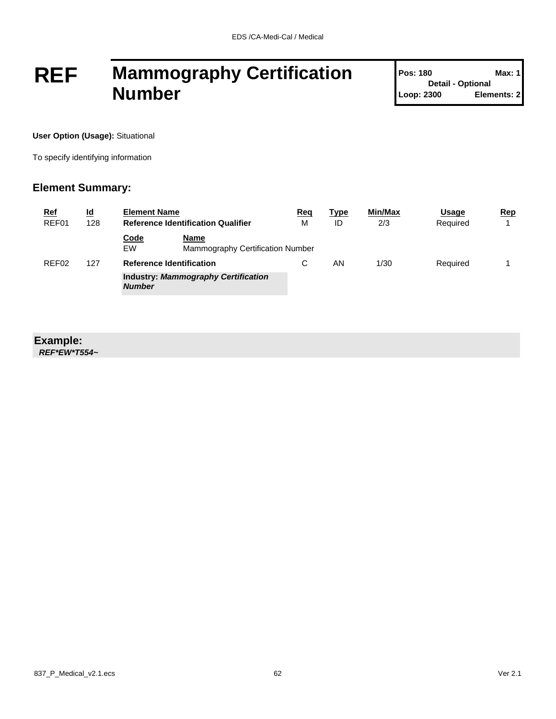## **REF Mammography Certification Number**

| <b>Pos: 180</b>          | Max: 1      |
|--------------------------|-------------|
| <b>Detail - Optional</b> |             |
| Loop: 2300               | Elements: 2 |

T

**User Option (Usage):** Situational

To specify identifying information

#### **Element Summary:**

| <b>Ref</b>        | <u>ld</u> | <b>Element Name</b>                       |                                            | Req | <b>Type</b> | <b>Min/Max</b> | Usage    | Rep |
|-------------------|-----------|-------------------------------------------|--------------------------------------------|-----|-------------|----------------|----------|-----|
| REF01             | 128       | <b>Reference Identification Qualifier</b> |                                            | M   | ID          | 2/3            | Required |     |
|                   |           | <b>Code</b><br>EW                         | Name<br>Mammography Certification Number   |     |             |                |          |     |
| REF <sub>02</sub> | 127       | <b>Reference Identification</b>           |                                            | С   | ΑN          | 1/30           | Required |     |
|                   |           | <b>Number</b>                             | <b>Industry: Mammography Certification</b> |     |             |                |          |     |

#### **Example:**

*REF\*EW\*T554~*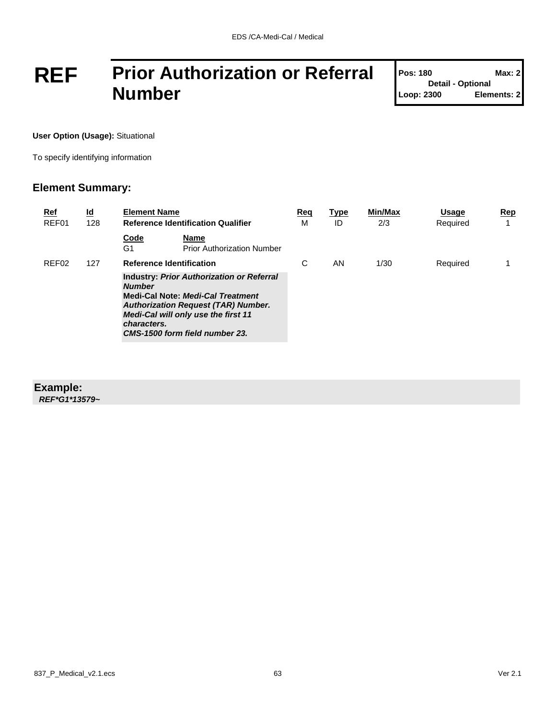## **REF Prior Authorization or Referral Number**

| <b>Pos: 180</b>          | Max: 2      |
|--------------------------|-------------|
| <b>Detail - Optional</b> |             |
| Loop: 2300               | Elements: 2 |

T

**User Option (Usage):** Situational

To specify identifying information

#### **Element Summary:**

| <u>Ref</u><br>REF01 | $\underline{\mathsf{Id}}$<br>128 | <b>Element Name</b>                                                                                                                                                                                                                                                                    | <b>Reference Identification Qualifier</b>        | Req<br>м | <u>Type</u><br>ID | Min/Max<br>2/3 | Usage<br>Required | $\mathbf{Rep}$<br>4 |
|---------------------|----------------------------------|----------------------------------------------------------------------------------------------------------------------------------------------------------------------------------------------------------------------------------------------------------------------------------------|--------------------------------------------------|----------|-------------------|----------------|-------------------|---------------------|
|                     |                                  | Code<br>G1                                                                                                                                                                                                                                                                             | <b>Name</b><br><b>Prior Authorization Number</b> |          |                   |                |                   |                     |
| REF <sub>02</sub>   | 127                              |                                                                                                                                                                                                                                                                                        |                                                  | C        | AN                | 1/30           | Required          |                     |
|                     |                                  | <b>Reference Identification</b><br><b>Industry: Prior Authorization or Referral</b><br><b>Number</b><br><b>Medi-Cal Note: Medi-Cal Treatment</b><br><b>Authorization Request (TAR) Number.</b><br>Medi-Cal will only use the first 11<br>characters.<br>CMS-1500 form field number 23. |                                                  |          |                   |                |                   |                     |

#### **Example:**

*REF\*G1\*13579~*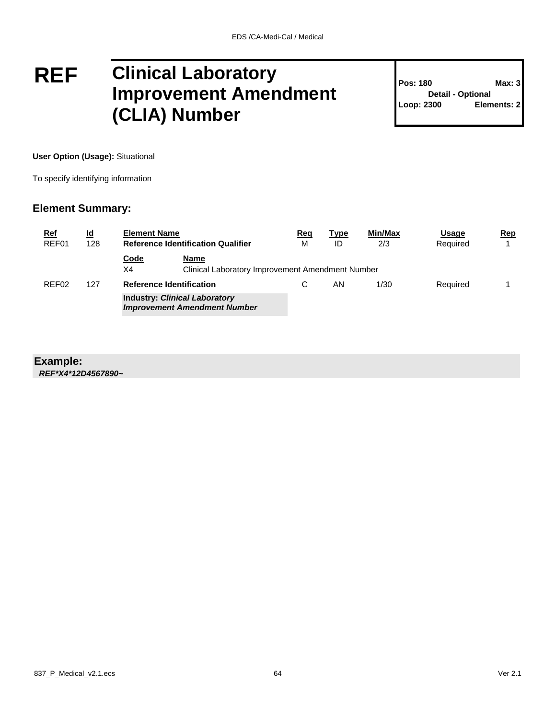### **REF Clinical Laboratory Improvement Amendment (CLIA) Number**

**Pos: 180 Max: 3 Detail - Optional Loop: 2300 Elements: 2**

**User Option (Usage):** Situational

To specify identifying information

#### **Element Summary:**

| <u>Ref</u><br>REF01 | <u>ld</u><br>128 | <b>Element Name</b><br><b>Reference Identification Qualifier</b> |                                                                             | Req<br>м | <b>Type</b><br>ID | Min/Max<br>2/3 | <b>Usage</b><br>Required | $\mathbf{Rep}$ |
|---------------------|------------------|------------------------------------------------------------------|-----------------------------------------------------------------------------|----------|-------------------|----------------|--------------------------|----------------|
|                     |                  | <b>Code</b><br>X4                                                | Name<br>Clinical Laboratory Improvement Amendment Number                    |          |                   |                |                          |                |
| REF02               | 127              | <b>Reference Identification</b>                                  |                                                                             |          | ΑN                | 1/30           | Required                 |                |
|                     |                  |                                                                  | <b>Industry: Clinical Laboratory</b><br><b>Improvement Amendment Number</b> |          |                   |                |                          |                |

#### **Example:**

*REF\*X4\*12D4567890~*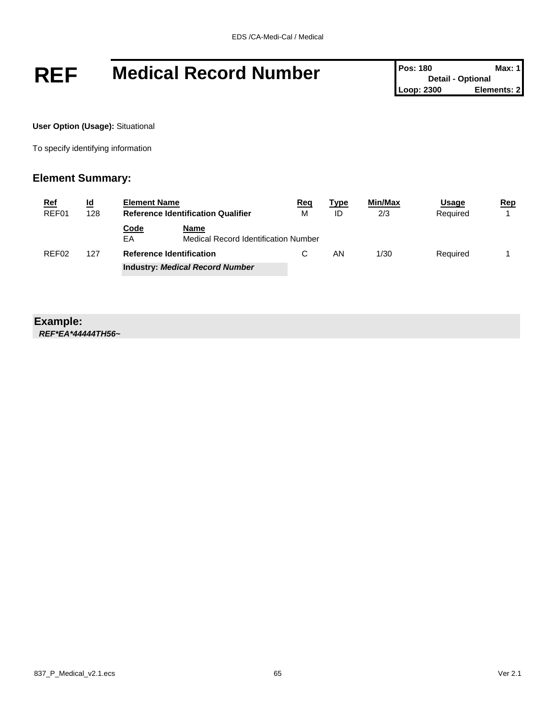## **REF** Medical Record Number **Pos: 180 Detail - Optional Max: 1**<br>Loop: 2300 **Elements: 2**

**Detail - Optional Elements: 2** 

**User Option (Usage):** Situational

To specify identifying information

#### **Element Summary:**

| <u>Ref</u>        | <u>ld</u> | <b>Element Name</b>                       |                                              | Req | Type | <b>Min/Max</b> | Usage    | Rep |
|-------------------|-----------|-------------------------------------------|----------------------------------------------|-----|------|----------------|----------|-----|
| REF01             | 128       | <b>Reference Identification Qualifier</b> |                                              | M   | ID   | 2/3            | Required |     |
|                   |           | Code<br>EA                                | Name<br>Medical Record Identification Number |     |      |                |          |     |
| REF <sub>02</sub> | 127       |                                           | <b>Reference Identification</b>              |     | ΑN   | 1/30           | Required |     |
|                   |           |                                           | <b>Industry: Medical Record Number</b>       |     |      |                |          |     |

#### **Example:**

*REF\*EA\*44444TH56~*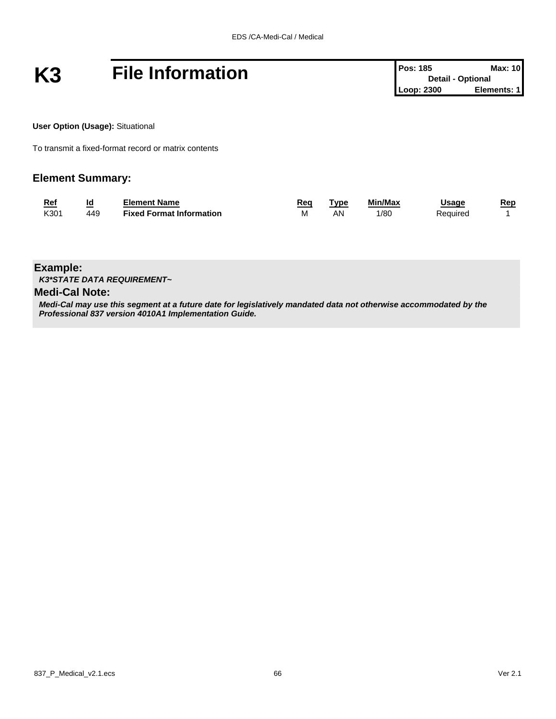# **K3 File Information Pos: 185 Max: 10**<br> **Pos: 185 Max: 10**<br>
Loop: 2300 **Elements: 1**

**User Option (Usage):** Situational

To transmit a fixed-format record or matrix contents

#### **Element Summary:**

| <b>Ref</b> | Id  | Element Name                    | Rea | `vpe | Min/Max | Jsage    | Rep |
|------------|-----|---------------------------------|-----|------|---------|----------|-----|
| K301       | 449 | <b>Fixed Format Information</b> | М   | A٧   | l/80    | Required |     |

**Example:**

*K3\*STATE DATA REQUIREMENT~*

#### **Medi-Cal Note:**

*Medi-Cal may use this segment at a future date for legislatively mandated data not otherwise accommodated by the Professional 837 version 4010A1 Implementation Guide.*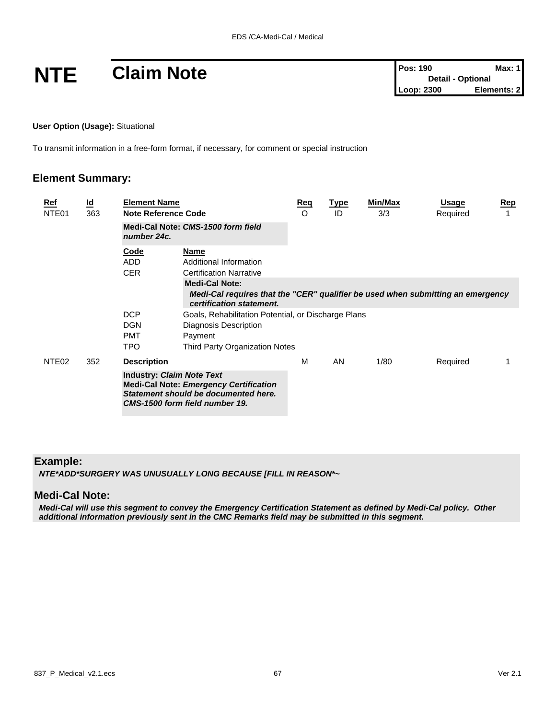**User Option (Usage):** Situational

To transmit information in a free-form format, if necessary, for comment or special instruction

#### **Element Summary:**

| <u>Ref</u><br>NTE01 | $\underline{\mathsf{Id}}$<br>363 | <b>Element Name</b><br>Note Reference Code             |                                                                                                                                      | <u>Req</u><br>O | <u>Type</u><br>ID | Min/Max<br>3/3 | Usage<br>Required | <u>Rep</u> |
|---------------------|----------------------------------|--------------------------------------------------------|--------------------------------------------------------------------------------------------------------------------------------------|-----------------|-------------------|----------------|-------------------|------------|
|                     |                                  | number 24c.                                            | Medi-Cal Note: CMS-1500 form field                                                                                                   |                 |                   |                |                   |            |
|                     |                                  | Code<br><b>ADD</b><br><b>CER</b>                       | <b>Name</b><br>Additional Information<br><b>Certification Narrative</b>                                                              |                 |                   |                |                   |            |
|                     |                                  |                                                        | <b>Medi-Cal Note:</b><br>Medi-Cal requires that the "CER" qualifier be used when submitting an emergency<br>certification statement. |                 |                   |                |                   |            |
|                     |                                  | <b>DCP</b><br><b>DGN</b><br><b>PMT</b><br><b>TPO</b>   | Goals, Rehabilitation Potential, or Discharge Plans<br>Diagnosis Description<br>Payment<br>Third Party Organization Notes            |                 |                   |                |                   |            |
| NTE <sub>02</sub>   | 352                              | <b>Description</b><br><b>Industry: Claim Note Text</b> | <b>Medi-Cal Note: Emergency Certification</b><br>Statement should be documented here.<br>CMS-1500 form field number 19.              | м               | AN                | 1/80           | Required          |            |

#### **Example:**

*NTE\*ADD\*SURGERY WAS UNUSUALLY LONG BECAUSE [FILL IN REASON\*~* 

#### **Medi-Cal Note:**

*Medi-Cal will use this segment to convey the Emergency Certification Statement as defined by Medi-Cal policy. Other additional information previously sent in the CMC Remarks field may be submitted in this segment.*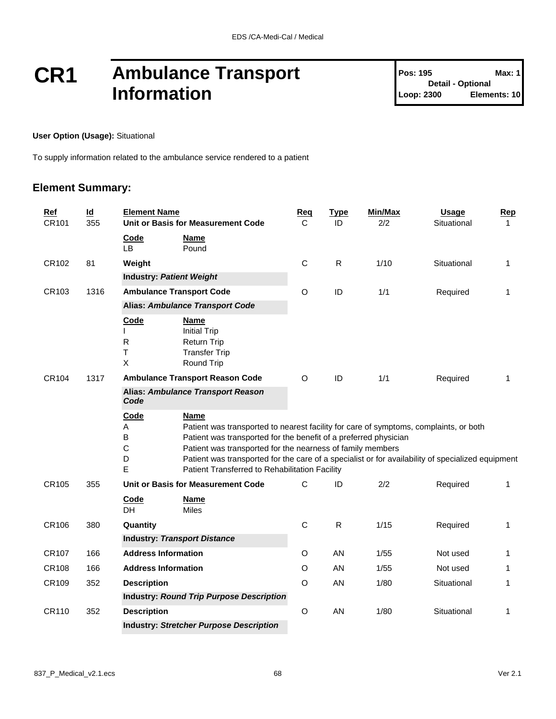### **CR1 Ambulance Transport Information**

#### **User Option (Usage):** Situational

To supply information related to the ambulance service rendered to a patient

#### **Element Summary:**

| <b>Ref</b><br>CR101 | $\underline{\mathsf{Id}}$<br>355 | <b>Element Name</b><br>Unit or Basis for Measurement Code                               |                                                                                                                                                                                                                                                                                                                                                                                        | <u>Req</u><br>С | <b>Type</b><br>ID | Min/Max<br>2/2 | <b>Usage</b><br>Situational | <b>Rep</b><br>$\mathbf 1$ |
|---------------------|----------------------------------|-----------------------------------------------------------------------------------------|----------------------------------------------------------------------------------------------------------------------------------------------------------------------------------------------------------------------------------------------------------------------------------------------------------------------------------------------------------------------------------------|-----------------|-------------------|----------------|-----------------------------|---------------------------|
|                     |                                  | <b>Code</b><br>LB.                                                                      | Name<br>Pound                                                                                                                                                                                                                                                                                                                                                                          |                 |                   |                |                             |                           |
| CR102               | 81                               | Weight                                                                                  |                                                                                                                                                                                                                                                                                                                                                                                        | $\mathsf C$     | ${\sf R}$         | 1/10           | Situational                 | 1                         |
|                     |                                  | <b>Industry: Patient Weight</b>                                                         |                                                                                                                                                                                                                                                                                                                                                                                        |                 |                   |                |                             |                           |
| CR103               | 1316                             | <b>Ambulance Transport Code</b>                                                         |                                                                                                                                                                                                                                                                                                                                                                                        | O               | ID                | 1/1            | Required                    | 1                         |
|                     |                                  | <b>Alias: Ambulance Transport Code</b>                                                  |                                                                                                                                                                                                                                                                                                                                                                                        |                 |                   |                |                             |                           |
|                     | Code<br>R<br>Τ<br>X              | <b>Name</b><br><b>Initial Trip</b><br>Return Trip<br><b>Transfer Trip</b><br>Round Trip |                                                                                                                                                                                                                                                                                                                                                                                        |                 |                   |                |                             |                           |
| CR104               | 1317                             | <b>Ambulance Transport Reason Code</b>                                                  |                                                                                                                                                                                                                                                                                                                                                                                        | O               | ID                | 1/1            | Required                    | 1                         |
|                     |                                  | Code                                                                                    | Alias: Ambulance Transport Reason                                                                                                                                                                                                                                                                                                                                                      |                 |                   |                |                             |                           |
|                     |                                  | Code<br>Α<br>B<br>$\mathsf C$<br>D<br>E                                                 | Name<br>Patient was transported to nearest facility for care of symptoms, complaints, or both<br>Patient was transported for the benefit of a preferred physician<br>Patient was transported for the nearness of family members<br>Patient was transported for the care of a specialist or for availability of specialized equipment<br>Patient Transferred to Rehabilitation Facility |                 |                   |                |                             |                           |
| CR105               | 355                              |                                                                                         | Unit or Basis for Measurement Code                                                                                                                                                                                                                                                                                                                                                     | $\mathsf{C}$    | ID                | 2/2            | Required                    | 1                         |
|                     |                                  | Code<br>DH                                                                              | <b>Name</b><br><b>Miles</b>                                                                                                                                                                                                                                                                                                                                                            |                 |                   |                |                             |                           |
| CR106               | 380                              | Quantity                                                                                |                                                                                                                                                                                                                                                                                                                                                                                        | $\mathsf C$     | ${\sf R}$         | 1/15           | Required                    | 1                         |
|                     |                                  |                                                                                         | <b>Industry: Transport Distance</b>                                                                                                                                                                                                                                                                                                                                                    |                 |                   |                |                             |                           |
| CR107               | 166                              | <b>Address Information</b>                                                              |                                                                                                                                                                                                                                                                                                                                                                                        | O               | AN                | 1/55           | Not used                    | 1                         |
| CR108               | 166                              | <b>Address Information</b>                                                              |                                                                                                                                                                                                                                                                                                                                                                                        | O               | AN                | 1/55           | Not used                    | 1                         |
| CR109               | 352                              | <b>Description</b>                                                                      |                                                                                                                                                                                                                                                                                                                                                                                        | O               | AN                | 1/80           | Situational                 | 1                         |
|                     |                                  |                                                                                         | <b>Industry: Round Trip Purpose Description</b>                                                                                                                                                                                                                                                                                                                                        |                 |                   |                |                             |                           |
| CR110               | 352                              | <b>Description</b>                                                                      |                                                                                                                                                                                                                                                                                                                                                                                        | O               | AN                | 1/80           | Situational                 | 1                         |
|                     |                                  |                                                                                         | <b>Industry: Stretcher Purpose Description</b>                                                                                                                                                                                                                                                                                                                                         |                 |                   |                |                             |                           |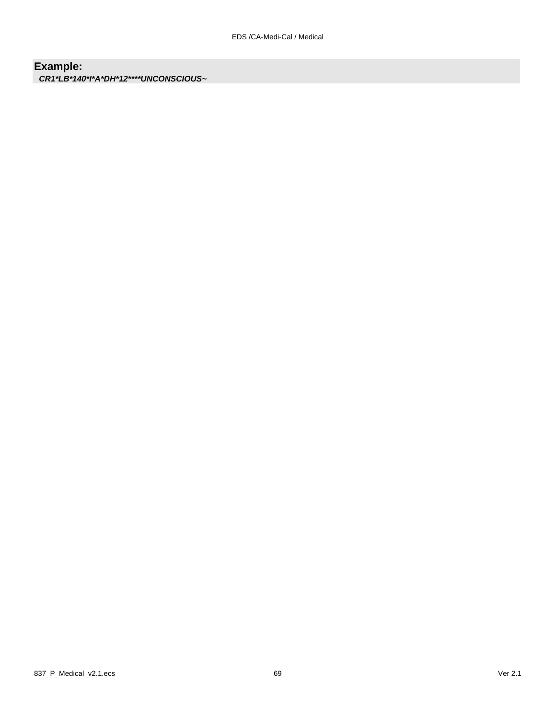### **Example:**

*CR1\*LB\*140\*I\*A\*DH\*12\*\*\*\*UNCONSCIOUS~*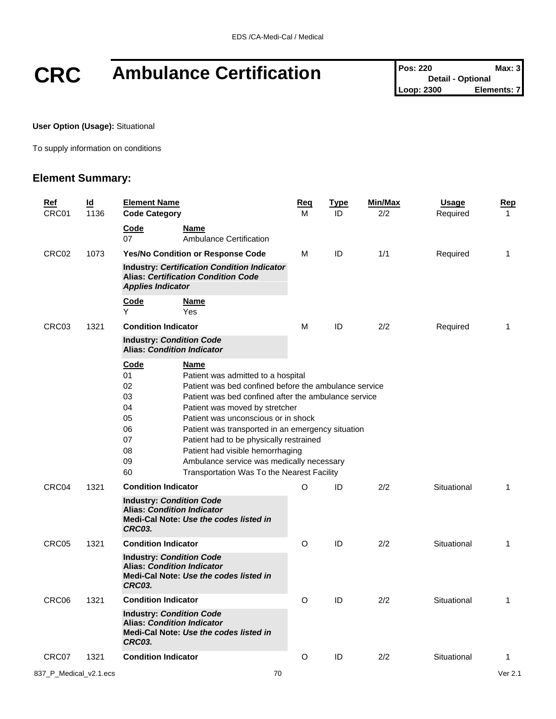# **CRC** Ambulance Certification **Pos: 220 Max: 3**<br>Loop: 2300 **Elements: 7**

**Detail - Optional Elements: 7** 

**User Option (Usage):** Situational

To supply information on conditions

#### **Element Summary:**

| <b>Ref</b><br>CRC01 |                                                                                                                                 | ld<br>1136 | <b>Element Name</b><br><b>Code Category</b>                                                                                                                                                                                                                                                                                                                                                                                                                                                                                                    |                                               | <u>Req</u><br>М | <u>Type</u><br>ID | Min/Max<br>2/2 | <b>Usage</b><br>Required | <u>Rep</u><br>$\mathbf{1}$ |
|---------------------|---------------------------------------------------------------------------------------------------------------------------------|------------|------------------------------------------------------------------------------------------------------------------------------------------------------------------------------------------------------------------------------------------------------------------------------------------------------------------------------------------------------------------------------------------------------------------------------------------------------------------------------------------------------------------------------------------------|-----------------------------------------------|-----------------|-------------------|----------------|--------------------------|----------------------------|
|                     |                                                                                                                                 |            | Code<br>07                                                                                                                                                                                                                                                                                                                                                                                                                                                                                                                                     | <b>Name</b><br><b>Ambulance Certification</b> |                 |                   |                |                          |                            |
|                     | CRC02                                                                                                                           | 1073       | Yes/No Condition or Response Code<br><b>Industry: Certification Condition Indicator</b><br><b>Alias: Certification Condition Code</b><br><b>Applies Indicator</b>                                                                                                                                                                                                                                                                                                                                                                              |                                               | М               | ID                | 1/1            | Required                 | 1                          |
|                     |                                                                                                                                 |            |                                                                                                                                                                                                                                                                                                                                                                                                                                                                                                                                                |                                               |                 |                   |                |                          |                            |
|                     |                                                                                                                                 |            | <b>Code</b><br>Υ                                                                                                                                                                                                                                                                                                                                                                                                                                                                                                                               | <u>Name</u><br>Yes                            |                 |                   |                |                          |                            |
|                     | CRC03                                                                                                                           | 1321       | <b>Condition Indicator</b>                                                                                                                                                                                                                                                                                                                                                                                                                                                                                                                     |                                               | м               | ID                | 2/2            | Required                 | 1                          |
|                     |                                                                                                                                 |            | <b>Industry: Condition Code</b><br><b>Alias: Condition Indicator</b>                                                                                                                                                                                                                                                                                                                                                                                                                                                                           |                                               |                 |                   |                |                          |                            |
|                     |                                                                                                                                 |            | <b>Code</b><br>Name<br>01<br>Patient was admitted to a hospital<br>02<br>Patient was bed confined before the ambulance service<br>03<br>Patient was bed confined after the ambulance service<br>04<br>Patient was moved by stretcher<br>05<br>Patient was unconscious or in shock<br>06<br>Patient was transported in an emergency situation<br>07<br>Patient had to be physically restrained<br>08<br>Patient had visible hemorrhaging<br>09<br>Ambulance service was medically necessary<br>60<br>Transportation Was To the Nearest Facility |                                               |                 |                   |                |                          |                            |
|                     | CRC04                                                                                                                           | 1321       | <b>Condition Indicator</b><br><b>Industry: Condition Code</b><br><b>Alias: Condition Indicator</b><br>Medi-Cal Note: Use the codes listed in<br>CRC03.                                                                                                                                                                                                                                                                                                                                                                                         |                                               | O               | ID                | 2/2            | Situational              | 1                          |
|                     | CRC05                                                                                                                           | 1321       | <b>Condition Indicator</b>                                                                                                                                                                                                                                                                                                                                                                                                                                                                                                                     |                                               | O               | ID                | 2/2            | Situational              | 1                          |
|                     | <b>Industry: Condition Code</b><br><b>Alias: Condition Indicator</b><br>Medi-Cal Note: Use the codes listed in<br><b>CRC03.</b> |            |                                                                                                                                                                                                                                                                                                                                                                                                                                                                                                                                                |                                               |                 |                   |                |                          |                            |
|                     | CRC06                                                                                                                           | 1321       | <b>Condition Indicator</b>                                                                                                                                                                                                                                                                                                                                                                                                                                                                                                                     |                                               | O               | ID                | 2/2            | Situational              | 1                          |
|                     |                                                                                                                                 |            | <b>Industry: Condition Code</b><br><b>Alias: Condition Indicator</b><br><b>CRC03.</b>                                                                                                                                                                                                                                                                                                                                                                                                                                                          | Medi-Cal Note: Use the codes listed in        |                 |                   |                |                          |                            |
|                     | CRC07                                                                                                                           | 1321       | <b>Condition Indicator</b>                                                                                                                                                                                                                                                                                                                                                                                                                                                                                                                     |                                               | O               | ID                | 2/2            | Situational              | 1                          |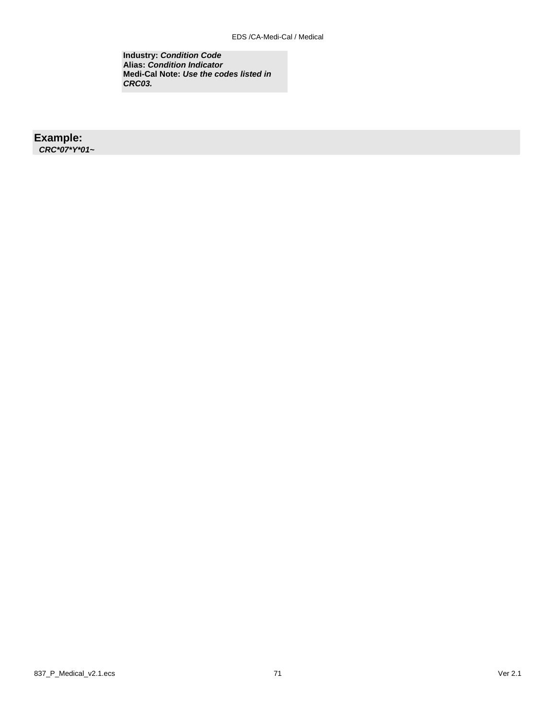**Industry:** *Condition Code* **Alias:** *Condition Indicator* **Medi-Cal Note:** *Use the codes listed in CRC03.*

#### **Example:**

*CRC\*07\*Y\*01~*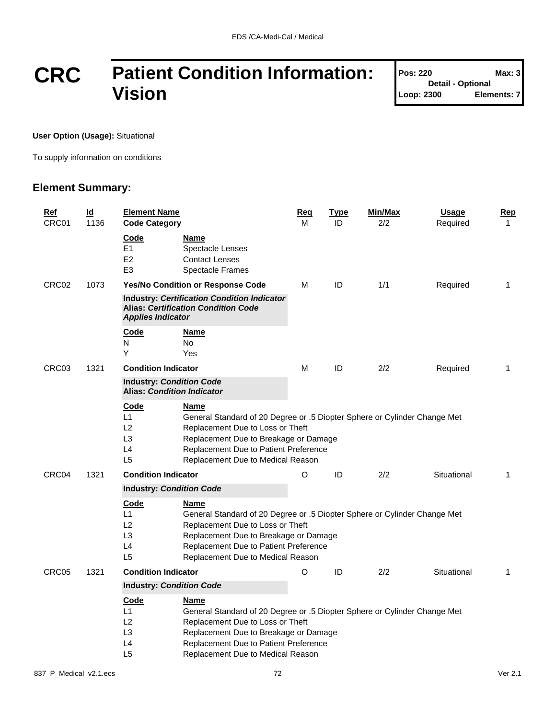## **CRC Patient Condition Information: Vision**

| <b>Pos: 220</b>          | Max: 3      |  |  |  |  |
|--------------------------|-------------|--|--|--|--|
| <b>Detail - Optional</b> |             |  |  |  |  |
| Loop: 2300               | Elements: 7 |  |  |  |  |

T

**User Option (Usage):** Situational

To supply information on conditions

#### **Element Summary:**

| <b>Ref</b><br>CRC01 | Id<br>1136 | <b>Element Name</b><br><b>Code Category</b>                                                                                                                                                                                                                                                                       |                                                                                                                                                                                                                                              | Req<br>М | <b>Type</b><br>ID | Min/Max<br>2/2 | <b>Usage</b><br>Required | Rep<br>$\mathbf{1}$ |
|---------------------|------------|-------------------------------------------------------------------------------------------------------------------------------------------------------------------------------------------------------------------------------------------------------------------------------------------------------------------|----------------------------------------------------------------------------------------------------------------------------------------------------------------------------------------------------------------------------------------------|----------|-------------------|----------------|--------------------------|---------------------|
|                     |            | Code<br>E <sub>1</sub><br>E <sub>2</sub><br>E <sub>3</sub>                                                                                                                                                                                                                                                        | Name<br>Spectacle Lenses<br><b>Contact Lenses</b><br><b>Spectacle Frames</b>                                                                                                                                                                 |          |                   |                |                          |                     |
| CRC02               | 1073       |                                                                                                                                                                                                                                                                                                                   | Yes/No Condition or Response Code                                                                                                                                                                                                            | М        | ID                | 1/1            | Required                 | $\mathbf{1}$        |
|                     |            | <b>Industry: Certification Condition Indicator</b><br><b>Alias: Certification Condition Code</b><br><b>Applies Indicator</b>                                                                                                                                                                                      |                                                                                                                                                                                                                                              |          |                   |                |                          |                     |
|                     |            | Code<br>N<br>Υ                                                                                                                                                                                                                                                                                                    | Name<br>No<br>Yes                                                                                                                                                                                                                            |          |                   |                |                          |                     |
| CRC03               | 1321       | <b>Condition Indicator</b>                                                                                                                                                                                                                                                                                        |                                                                                                                                                                                                                                              | м        | ID                | 2/2            | Required                 | $\mathbf{1}$        |
|                     |            | <b>Industry: Condition Code</b><br><b>Alias: Condition Indicator</b>                                                                                                                                                                                                                                              |                                                                                                                                                                                                                                              |          |                   |                |                          |                     |
|                     |            | Code<br><u>Name</u><br>L1<br>General Standard of 20 Degree or .5 Diopter Sphere or Cylinder Change Met<br>L2<br>Replacement Due to Loss or Theft<br>L <sub>3</sub><br>Replacement Due to Breakage or Damage<br>L4<br>Replacement Due to Patient Preference<br>L <sub>5</sub><br>Replacement Due to Medical Reason |                                                                                                                                                                                                                                              |          |                   |                |                          |                     |
| CRC04               | 1321       | <b>Condition Indicator</b>                                                                                                                                                                                                                                                                                        |                                                                                                                                                                                                                                              | $\circ$  | ID                | 2/2            | Situational              | 1                   |
|                     |            | <b>Industry: Condition Code</b>                                                                                                                                                                                                                                                                                   |                                                                                                                                                                                                                                              |          |                   |                |                          |                     |
|                     |            | Code<br>Name<br>L1<br>General Standard of 20 Degree or .5 Diopter Sphere or Cylinder Change Met<br>L2<br>Replacement Due to Loss or Theft<br>L <sub>3</sub><br>Replacement Due to Breakage or Damage<br>L4<br>Replacement Due to Patient Preference<br>L <sub>5</sub><br>Replacement Due to Medical Reason        |                                                                                                                                                                                                                                              |          |                   |                |                          |                     |
| CRC05               | 1321       | <b>Condition Indicator</b>                                                                                                                                                                                                                                                                                        |                                                                                                                                                                                                                                              | O        | ID                | 2/2            | Situational              | 1                   |
|                     |            | <b>Industry: Condition Code</b>                                                                                                                                                                                                                                                                                   |                                                                                                                                                                                                                                              |          |                   |                |                          |                     |
|                     |            | <u>Code</u><br>L1<br>L2<br>L <sub>3</sub><br>L4<br>L <sub>5</sub>                                                                                                                                                                                                                                                 | Name<br>General Standard of 20 Degree or .5 Diopter Sphere or Cylinder Change Met<br>Replacement Due to Loss or Theft<br>Replacement Due to Breakage or Damage<br>Replacement Due to Patient Preference<br>Replacement Due to Medical Reason |          |                   |                |                          |                     |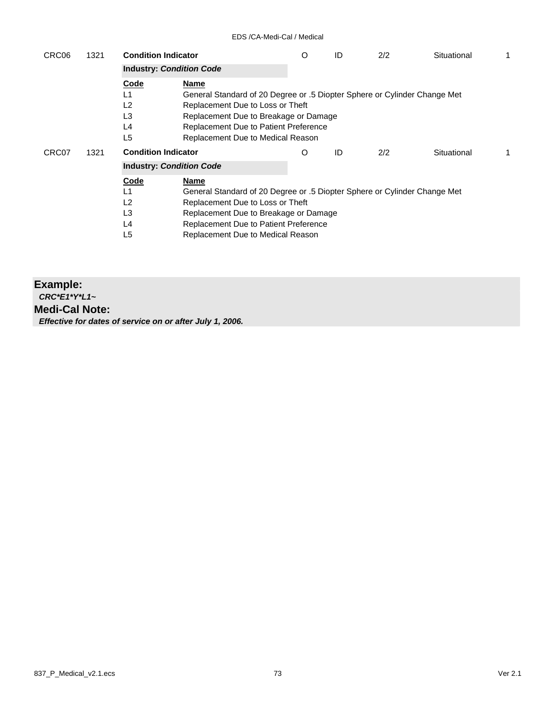| CRC06 | 1321 | <b>Condition Indicator</b><br><b>Industry: Condition Code</b>                                                               |                                                                                                                                                                                                                                              | O | ID | 2/2 | Situational |   |
|-------|------|-----------------------------------------------------------------------------------------------------------------------------|----------------------------------------------------------------------------------------------------------------------------------------------------------------------------------------------------------------------------------------------|---|----|-----|-------------|---|
| CRC07 | 1321 | Code<br>L1<br>L <sub>2</sub><br>L <sub>3</sub><br>L4<br>L5<br><b>Condition Indicator</b><br><b>Industry: Condition Code</b> | Name<br>General Standard of 20 Degree or .5 Diopter Sphere or Cylinder Change Met<br>Replacement Due to Loss or Theft<br>Replacement Due to Breakage or Damage<br>Replacement Due to Patient Preference<br>Replacement Due to Medical Reason | O | ID | 2/2 | Situational | 1 |
|       |      | Code<br>L1<br>L2<br>L <sub>3</sub><br>L4<br>L5                                                                              | Name<br>General Standard of 20 Degree or .5 Diopter Sphere or Cylinder Change Met<br>Replacement Due to Loss or Theft<br>Replacement Due to Breakage or Damage<br>Replacement Due to Patient Preference<br>Replacement Due to Medical Reason |   |    |     |             |   |

### **Example:** *CRC\*E1\*Y\*L1~* **Medi-Cal Note:** *Effective for dates of service on or after July 1, 2006.*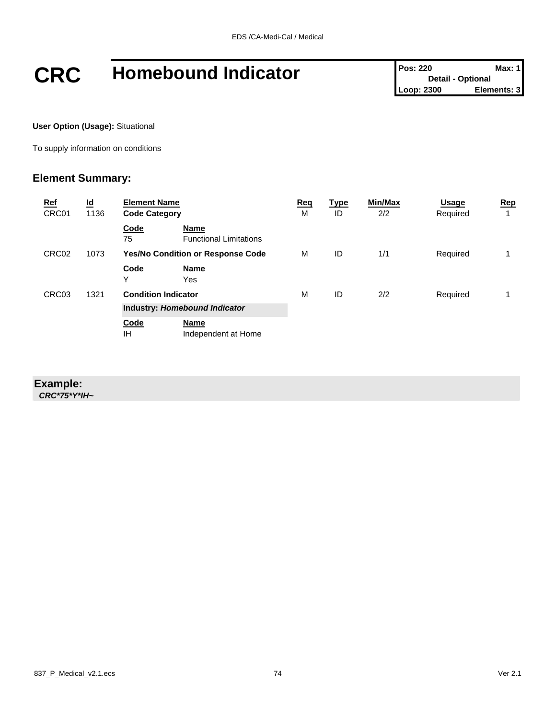# **CRC Homebound Indicator Pos: 220 Pos: 220 Max: 1**<br>
Loop: 2300 **Elements: 3**

**User Option (Usage):** Situational

To supply information on conditions

### **Element Summary:**

| <b>Ref</b><br>CRC01 | $\underline{\mathsf{Id}}$<br>1136 | <b>Element Name</b><br><b>Code Category</b> |                                          | <u>Req</u><br>м | <u>Type</u><br>ID | Min/Max<br>2/2 | <b>Usage</b><br>Required | Rep |
|---------------------|-----------------------------------|---------------------------------------------|------------------------------------------|-----------------|-------------------|----------------|--------------------------|-----|
|                     |                                   | Code<br>75                                  | Name<br><b>Functional Limitations</b>    |                 |                   |                |                          |     |
| CRC02               | 1073                              |                                             | <b>Yes/No Condition or Response Code</b> | м               | ID                | 1/1            | Required                 |     |
|                     |                                   | Code<br>Υ                                   | <b>Name</b><br>Yes                       |                 |                   |                |                          |     |
| CRC03               | 1321                              | <b>Condition Indicator</b>                  |                                          | м               | ID                | 2/2            | Required                 |     |
|                     |                                   |                                             | Industry: Homebound Indicator            |                 |                   |                |                          |     |
|                     |                                   | Code<br>ΙH                                  | <b>Name</b><br>Independent at Home       |                 |                   |                |                          |     |

### **Example:**

*CRC\*75\*Y\*IH~*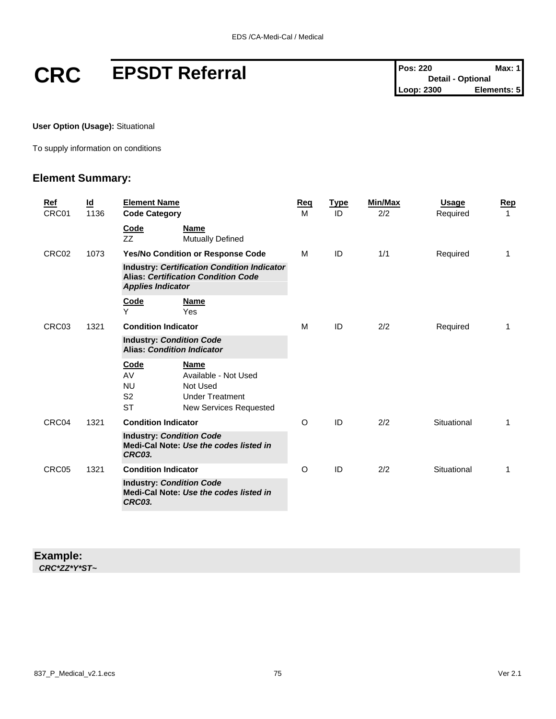# **CRC EPSDT Referral Pos: 220 Max: 1**<br> **Pos: 220 Detail - Optional**<br>
Loop: 2300 **Elements: 5**

**User Option (Usage):** Situational

To supply information on conditions

### **Element Summary:**

|  | Ref<br>CRC01  | Id<br>1136 | <b>Element Name</b><br><b>Code Category</b>                                         |                                                                                                            | <b>Reg</b><br>M | <b>Type</b><br>ID | Min/Max<br>2/2 | <b>Usage</b><br>Required | Rep<br>1 |
|--|---------------|------------|-------------------------------------------------------------------------------------|------------------------------------------------------------------------------------------------------------|-----------------|-------------------|----------------|--------------------------|----------|
|  |               |            | Code<br>ZZ                                                                          | <b>Name</b><br><b>Mutually Defined</b>                                                                     |                 |                   |                |                          |          |
|  | CRC02         | 1073       |                                                                                     | Yes/No Condition or Response Code                                                                          | M               | ID                | 1/1            | Required                 | 1        |
|  |               |            | <b>Applies Indicator</b>                                                            | <b>Industry: Certification Condition Indicator</b><br><b>Alias: Certification Condition Code</b>           |                 |                   |                |                          |          |
|  |               |            | Code<br>Y                                                                           | <b>Name</b><br>Yes                                                                                         |                 |                   |                |                          |          |
|  | CRC03<br>1321 |            | <b>Condition Indicator</b>                                                          |                                                                                                            | M               | ID                | 2/2            | Required                 | 1        |
|  |               |            | <b>Industry: Condition Code</b><br><b>Alias: Condition Indicator</b>                |                                                                                                            |                 |                   |                |                          |          |
|  |               |            | Code<br>AV<br><b>NU</b><br>S <sub>2</sub><br><b>ST</b>                              | <b>Name</b><br>Available - Not Used<br>Not Used<br><b>Under Treatment</b><br><b>New Services Requested</b> |                 |                   |                |                          |          |
|  | CRC04         | 1321       | <b>Condition Indicator</b>                                                          |                                                                                                            | O               | ID                | 2/2            | Situational              | 1        |
|  |               |            | <b>Industry: Condition Code</b><br>Medi-Cal Note: Use the codes listed in<br>CRC03. |                                                                                                            |                 |                   |                |                          |          |
|  | CRC05         | 1321       | <b>Condition Indicator</b>                                                          |                                                                                                            | O               | ID                | 2/2            | Situational              | 1        |
|  |               |            | <b>Industry: Condition Code</b><br>Medi-Cal Note: Use the codes listed in<br>CRC03. |                                                                                                            |                 |                   |                |                          |          |
|  |               |            |                                                                                     |                                                                                                            |                 |                   |                |                          |          |

### **Example:** *CRC\*ZZ\*Y\*ST~*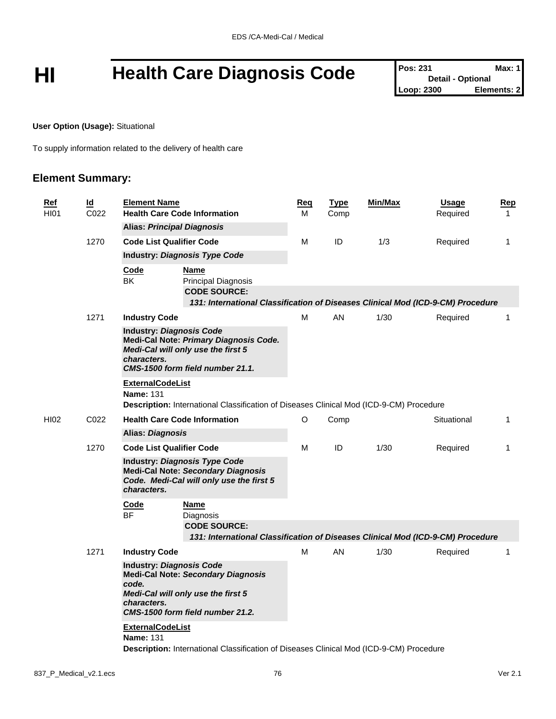# HI **Health Care Diagnosis Code** Pos: 231 Detail - Optional Max: 1

**Detail - Optional Elements: 2** 

**User Option (Usage):** Situational

To supply information related to the delivery of health care

### **Element Summary:**

| <u>Ref</u><br><b>HI01</b> | $\underline{\mathsf{Id}}$<br>C <sub>022</sub> | <b>Element Name</b><br><b>Health Care Code Information</b>                                                                                                                     |                                                                                                                                                     | <u>Req</u><br>м | <b>Type</b><br>Comp | <b>Min/Max</b> | <b>Usage</b><br>Required | <u>Rep</u><br>$\mathbf{1}$ |
|---------------------------|-----------------------------------------------|--------------------------------------------------------------------------------------------------------------------------------------------------------------------------------|-----------------------------------------------------------------------------------------------------------------------------------------------------|-----------------|---------------------|----------------|--------------------------|----------------------------|
|                           |                                               | <b>Alias: Principal Diagnosis</b>                                                                                                                                              |                                                                                                                                                     |                 |                     |                |                          |                            |
|                           | 1270                                          | <b>Code List Qualifier Code</b>                                                                                                                                                |                                                                                                                                                     | М               | ID                  | 1/3            | Required                 | $\mathbf{1}$               |
|                           |                                               |                                                                                                                                                                                | <b>Industry: Diagnosis Type Code</b>                                                                                                                |                 |                     |                |                          |                            |
|                           |                                               | Code<br>BK                                                                                                                                                                     | Name<br><b>Principal Diagnosis</b><br><b>CODE SOURCE:</b>                                                                                           |                 |                     |                |                          |                            |
|                           |                                               |                                                                                                                                                                                | 131: International Classification of Diseases Clinical Mod (ICD-9-CM) Procedure                                                                     |                 |                     |                |                          |                            |
|                           | 1271                                          | <b>Industry Code</b>                                                                                                                                                           |                                                                                                                                                     | м               | AN                  | 1/30           | Required                 | 1                          |
|                           |                                               | characters.                                                                                                                                                                    | <b>Industry: Diagnosis Code</b><br>Medi-Cal Note: Primary Diagnosis Code.<br>Medi-Cal will only use the first 5<br>CMS-1500 form field number 21.1. |                 |                     |                |                          |                            |
|                           |                                               | <b>ExternalCodeList</b><br><b>Name: 131</b>                                                                                                                                    | Description: International Classification of Diseases Clinical Mod (ICD-9-CM) Procedure                                                             |                 |                     |                |                          |                            |
| <b>HI02</b>               | C <sub>022</sub>                              |                                                                                                                                                                                | <b>Health Care Code Information</b>                                                                                                                 | O               | Comp                |                | Situational              | 1                          |
|                           |                                               | <b>Alias: Diagnosis</b>                                                                                                                                                        |                                                                                                                                                     |                 |                     |                |                          |                            |
|                           | 1270                                          | <b>Code List Qualifier Code</b>                                                                                                                                                |                                                                                                                                                     | М               | ID                  | 1/30           | Required                 | $\mathbf{1}$               |
|                           |                                               | characters.                                                                                                                                                                    | <b>Industry: Diagnosis Type Code</b><br><b>Medi-Cal Note: Secondary Diagnosis</b><br>Code. Medi-Cal will only use the first 5                       |                 |                     |                |                          |                            |
|                           |                                               | Code                                                                                                                                                                           | <b>Name</b>                                                                                                                                         |                 |                     |                |                          |                            |
|                           |                                               | <b>BF</b>                                                                                                                                                                      | Diagnosis                                                                                                                                           |                 |                     |                |                          |                            |
|                           |                                               |                                                                                                                                                                                | <b>CODE SOURCE:</b><br>131: International Classification of Diseases Clinical Mod (ICD-9-CM) Procedure                                              |                 |                     |                |                          |                            |
|                           | 1271                                          | <b>Industry Code</b>                                                                                                                                                           |                                                                                                                                                     | М               | AN                  | 1/30           | Required                 | $\mathbf{1}$               |
|                           |                                               | <b>Industry: Diagnosis Code</b><br><b>Medi-Cal Note: Secondary Diagnosis</b><br>code.<br>Medi-Cal will only use the first 5<br>characters.<br>CMS-1500 form field number 21.2. |                                                                                                                                                     |                 |                     |                |                          |                            |
|                           |                                               | <b>ExternalCodeList</b><br><b>Name: 131</b>                                                                                                                                    | Description: International Classification of Diseases Clinical Mod (ICD-9-CM) Procedure                                                             |                 |                     |                |                          |                            |
|                           |                                               |                                                                                                                                                                                |                                                                                                                                                     |                 |                     |                |                          |                            |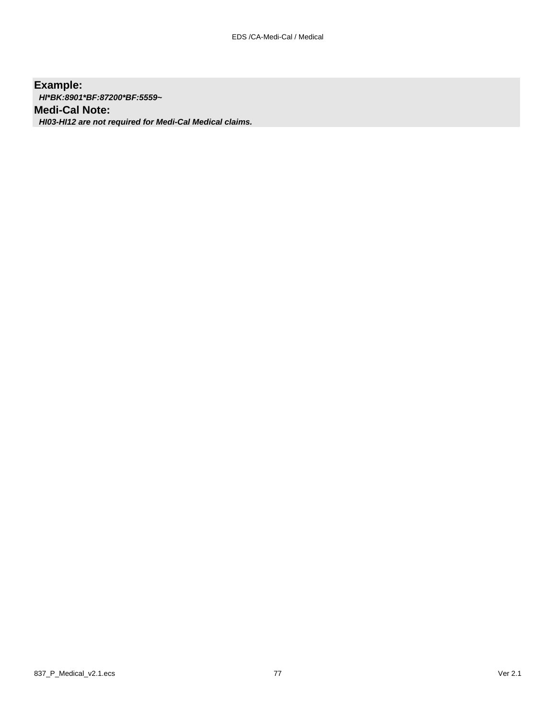### **Example:**

*HI\*BK:8901\*BF:87200\*BF:5559~*

### **Medi-Cal Note:**

*HI03-HI12 are not required for Medi-Cal Medical claims.*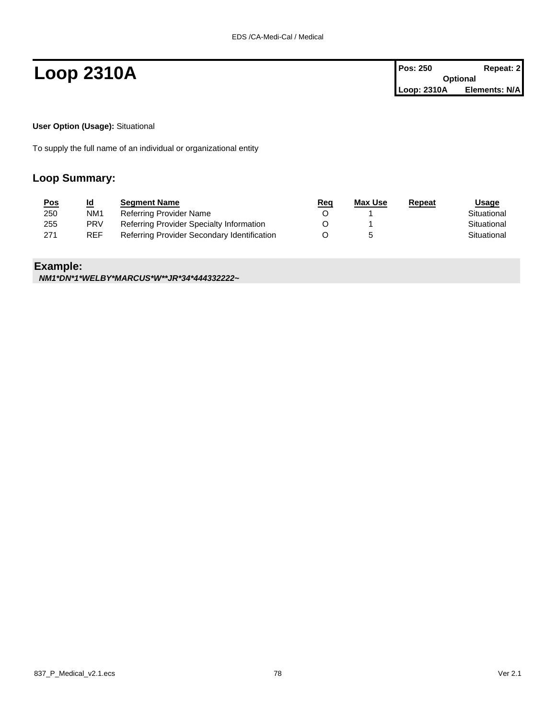**Loop 2310A Pos: 250 Repeat: 2 Pos: 250 Repeat: 2 Optional Loop: 2310A Elements: N/A**

**User Option (Usage):** Situational

To supply the full name of an individual or organizational entity

### **Loop Summary:**

| <u>Pos</u> | <u>ld</u>       | <b>Segment Name</b>                         | <u>Req</u> | Max Use | Repeat | Usage       |
|------------|-----------------|---------------------------------------------|------------|---------|--------|-------------|
| 250        | NM <sub>1</sub> | Referring Provider Name                     |            |         |        | Situational |
| 255        | <b>PRV</b>      | Referring Provider Specialty Information    |            |         |        | Situational |
| 271        | <b>REF</b>      | Referring Provider Secondary Identification |            |         |        | Situational |

### **Example:**

*NM1\*DN\*1\*WELBY\*MARCUS\*W\*\*JR\*34\*444332222~*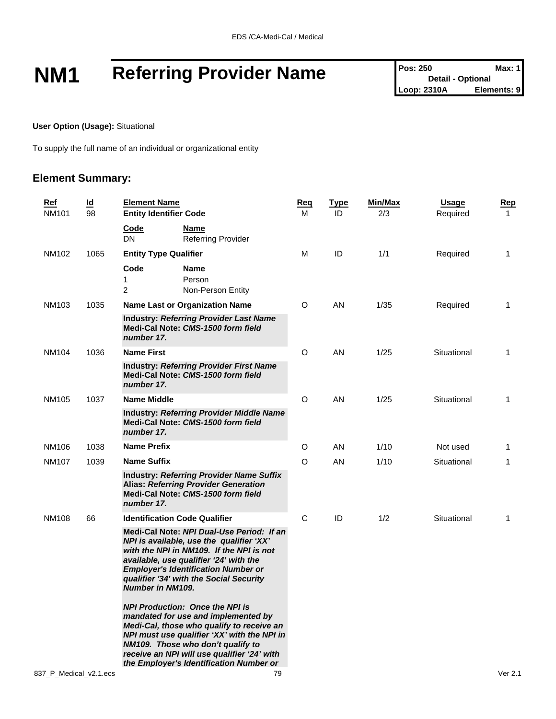# **NM1** Referring Provider Name Pos: 250 Max: 1<br>
Loop: 2310A Elements: 9

**Detail - Optional Loop: 2310A** 

**User Option (Usage):** Situational

To supply the full name of an individual or organizational entity

### **Element Summary:**

| <u>Ref</u><br><b>NM101</b> | <u>ld</u><br>98 | <b>Element Name</b><br><b>Entity Identifier Code</b> |                                                                                                                                                                                                                                                                                                          | <b>Req</b><br>м | <u>Type</u><br>ID | Min/Max<br>2/3 | <b>Usage</b><br>Required | Rep<br>1 |
|----------------------------|-----------------|------------------------------------------------------|----------------------------------------------------------------------------------------------------------------------------------------------------------------------------------------------------------------------------------------------------------------------------------------------------------|-----------------|-------------------|----------------|--------------------------|----------|
|                            |                 | Code<br><b>DN</b>                                    | Name<br><b>Referring Provider</b>                                                                                                                                                                                                                                                                        |                 |                   |                |                          |          |
| NM102                      | 1065            | <b>Entity Type Qualifier</b>                         |                                                                                                                                                                                                                                                                                                          | M               | ID                | 1/1            | Required                 | 1        |
|                            |                 | Code<br>1<br>2                                       | Name<br>Person<br>Non-Person Entity                                                                                                                                                                                                                                                                      |                 |                   |                |                          |          |
| <b>NM103</b>               | 1035            |                                                      | <b>Name Last or Organization Name</b>                                                                                                                                                                                                                                                                    | O               | AN                | 1/35           | Required                 | 1        |
|                            |                 | number 17.                                           | <b>Industry: Referring Provider Last Name</b><br>Medi-Cal Note: CMS-1500 form field                                                                                                                                                                                                                      |                 |                   |                |                          |          |
| <b>NM104</b>               | 1036            | <b>Name First</b>                                    |                                                                                                                                                                                                                                                                                                          | O               | AN                | 1/25           | Situational              | 1        |
|                            |                 | number 17.                                           | <b>Industry: Referring Provider First Name</b><br>Medi-Cal Note: CMS-1500 form field                                                                                                                                                                                                                     |                 |                   |                |                          |          |
| NM105                      | 1037            | <b>Name Middle</b>                                   |                                                                                                                                                                                                                                                                                                          | O               | AN                | 1/25           | Situational              | 1        |
|                            |                 | number 17.                                           | <b>Industry: Referring Provider Middle Name</b><br>Medi-Cal Note: CMS-1500 form field                                                                                                                                                                                                                    |                 |                   |                |                          |          |
| NM106                      | 1038            | <b>Name Prefix</b>                                   |                                                                                                                                                                                                                                                                                                          | O               | AN                | 1/10           | Not used                 | 1        |
| <b>NM107</b>               | 1039            | <b>Name Suffix</b>                                   |                                                                                                                                                                                                                                                                                                          | O               | AN                | 1/10           | Situational              | 1        |
|                            |                 | number 17.                                           | <b>Industry: Referring Provider Name Suffix</b><br><b>Alias: Referring Provider Generation</b><br>Medi-Cal Note: CMS-1500 form field                                                                                                                                                                     |                 |                   |                |                          |          |
| <b>NM108</b>               | 66              |                                                      | <b>Identification Code Qualifier</b>                                                                                                                                                                                                                                                                     | C               | ID                | 1/2            | Situational              | 1        |
|                            |                 | <b>Number in NM109.</b>                              | Medi-Cal Note: NPI Dual-Use Period: If an<br>NPI is available, use the qualifier 'XX'<br>with the NPI in NM109. If the NPI is not<br>available, use qualifier '24' with the<br><b>Employer's Identification Number or</b><br>qualifier '34' with the Social Security                                     |                 |                   |                |                          |          |
|                            |                 |                                                      | <b>NPI Production: Once the NPI is</b><br>mandated for use and implemented by<br>Medi-Cal, those who qualify to receive an<br>NPI must use qualifier 'XX' with the NPI in<br>NM109. Those who don't qualify to<br>receive an NPI will use qualifier '24' with<br>the Employer's Identification Number or |                 |                   |                |                          |          |
| 837 P Medical v2.1.ecs     |                 |                                                      | 79                                                                                                                                                                                                                                                                                                       |                 |                   |                |                          | Ver 2.1  |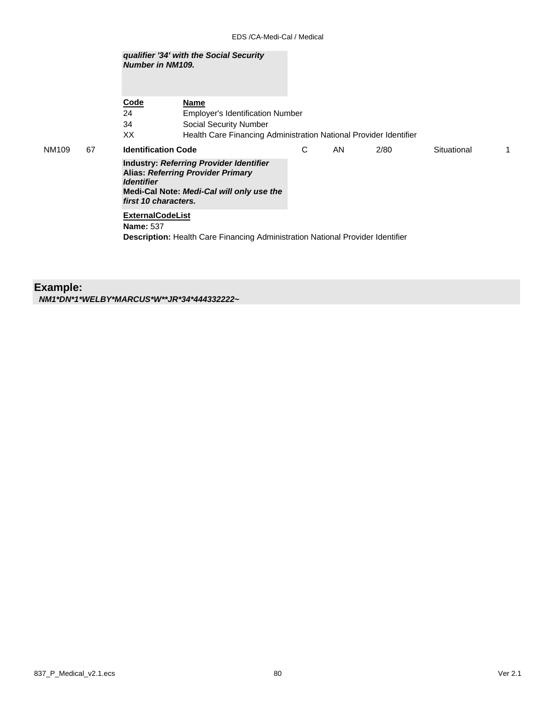|       |    | qualifier '34' with the Social Security<br><b>Number in NM109.</b> |                                                                                                                                         |   |           |      |             |   |
|-------|----|--------------------------------------------------------------------|-----------------------------------------------------------------------------------------------------------------------------------------|---|-----------|------|-------------|---|
|       |    | <b>Code</b>                                                        | Name                                                                                                                                    |   |           |      |             |   |
|       |    | 24                                                                 | <b>Employer's Identification Number</b>                                                                                                 |   |           |      |             |   |
|       |    | 34                                                                 | Social Security Number                                                                                                                  |   |           |      |             |   |
|       |    | XX                                                                 | Health Care Financing Administration National Provider Identifier                                                                       |   |           |      |             |   |
| NM109 | 67 | <b>Identification Code</b>                                         |                                                                                                                                         | C | <b>AN</b> | 2/80 | Situational | 1 |
|       |    | <b>Identifier</b><br>first 10 characters.                          | <b>Industry: Referring Provider Identifier</b><br><b>Alias: Referring Provider Primary</b><br>Medi-Cal Note: Medi-Cal will only use the |   |           |      |             |   |
|       |    | <b>ExternalCodeList</b><br><b>Name: 537</b>                        |                                                                                                                                         |   |           |      |             |   |
|       |    |                                                                    | <b>Description:</b> Health Care Financing Administration National Provider Identifier                                                   |   |           |      |             |   |

### **Example:** *NM1\*DN\*1\*WELBY\*MARCUS\*W\*\*JR\*34\*444332222~*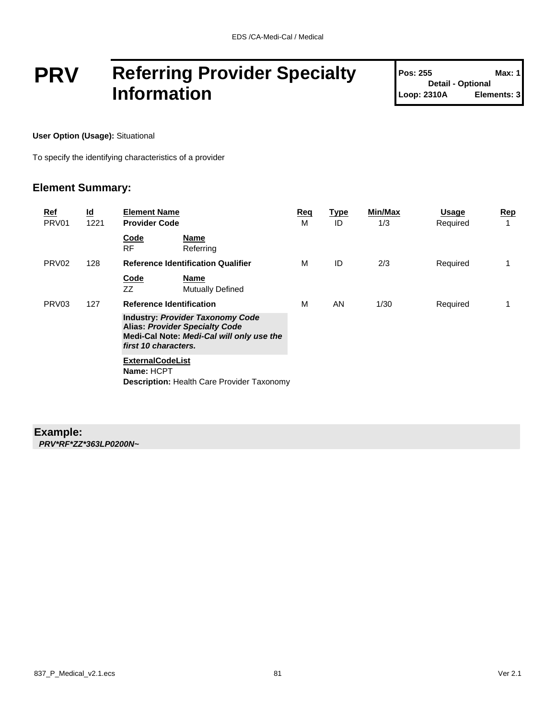## **PRV Referring Provider Specialty Information**

| <b>Pos: 255</b>          | Max: 1'     |
|--------------------------|-------------|
| <b>Detail - Optional</b> |             |
| Loop: 2310A              | Elements: 3 |

**User Option (Usage):** Situational

To specify the identifying characteristics of a provider

### **Element Summary:**

| Ref<br>PRV01      | $\underline{\mathsf{Id}}$<br>1221 | <b>Element Name</b><br><b>Provider Code</b>                                                                                                           | Req<br>м | <u>Type</u><br>ID | Min/Max<br>1/3 | Usage<br>Required | <u>Rep</u><br>1 |
|-------------------|-----------------------------------|-------------------------------------------------------------------------------------------------------------------------------------------------------|----------|-------------------|----------------|-------------------|-----------------|
|                   |                                   | Code<br>Name<br><b>RF</b><br>Referring                                                                                                                |          |                   |                |                   |                 |
| PRV <sub>02</sub> | 128                               | <b>Reference Identification Qualifier</b>                                                                                                             | м        | ID                | 2/3            | Required          | 1               |
|                   |                                   | Code<br><b>Name</b><br>ZZ<br><b>Mutually Defined</b>                                                                                                  |          |                   |                |                   |                 |
| PRV <sub>03</sub> | 127                               | <b>Reference Identification</b>                                                                                                                       | м        | AN                | 1/30           | Required          |                 |
|                   |                                   | <b>Industry: Provider Taxonomy Code</b><br><b>Alias: Provider Specialty Code</b><br>Medi-Cal Note: Medi-Cal will only use the<br>first 10 characters. |          |                   |                |                   |                 |
|                   |                                   | <b>ExternalCodeList</b><br>Name: HCPT<br><b>Description: Health Care Provider Taxonomy</b>                                                            |          |                   |                |                   |                 |

### **Example:**

*PRV\*RF\*ZZ\*363LP0200N~*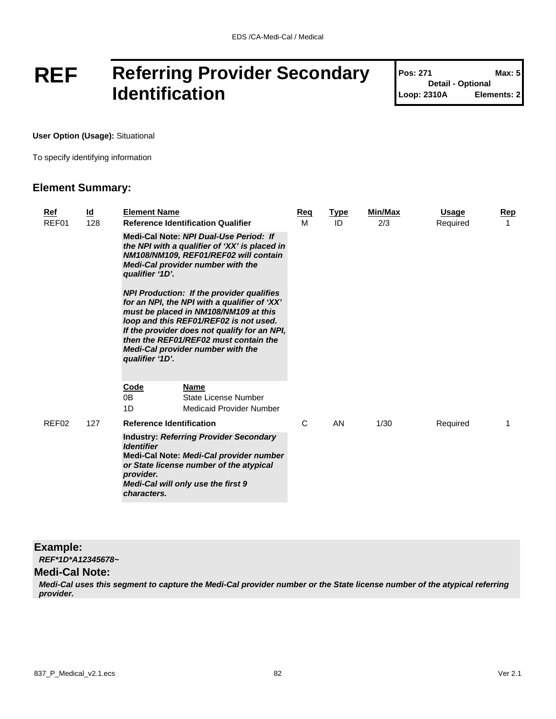## **REF Referring Provider Secondary Identification**

| <b>Pos: 271</b>          | Max: 5      |
|--------------------------|-------------|
| <b>Detail - Optional</b> |             |
| Loop: 2310A              | Elements: 2 |

Т

**User Option (Usage):** Situational

To specify identifying information

### **Element Summary:**

| Ref<br>REF01 | <u>ld</u><br>128 | <b>Element Name</b><br><b>Reference Identification Qualifier</b>                                                                                                                                                                                                                                                                            | Req<br>м | <b>Type</b><br>ID | Min/Max<br>2/3 | <b>Usage</b><br>Required | Rep<br>1 |
|--------------|------------------|---------------------------------------------------------------------------------------------------------------------------------------------------------------------------------------------------------------------------------------------------------------------------------------------------------------------------------------------|----------|-------------------|----------------|--------------------------|----------|
|              |                  | Medi-Cal Note: NPI Dual-Use Period: If<br>the NPI with a qualifier of 'XX' is placed in<br>NM108/NM109, REF01/REF02 will contain<br><b>Medi-Cal provider number with the</b><br>qualifier '1D'.                                                                                                                                             |          |                   |                |                          |          |
|              |                  | <b>NPI Production: If the provider qualifies</b><br>for an NPI, the NPI with a qualifier of 'XX'<br>must be placed in NM108/NM109 at this<br>loop and this REF01/REF02 is not used.<br>If the provider does not qualify for an NPI,<br>then the REF01/REF02 must contain the<br><b>Medi-Cal provider number with the</b><br>qualifier '1D'. |          |                   |                |                          |          |
|              |                  | <b>Code</b><br><b>Name</b><br>0B<br>State License Number<br>1D<br>Medicaid Provider Number                                                                                                                                                                                                                                                  |          |                   |                |                          |          |
| REF02        | 127              | <b>Reference Identification</b>                                                                                                                                                                                                                                                                                                             | C        | AN                | 1/30           | Required                 |          |
|              |                  | <b>Industry: Referring Provider Secondary</b><br><b>Identifier</b><br>Medi-Cal Note: Medi-Cal provider number<br>or State license number of the atypical<br>provider.<br>Medi-Cal will only use the first 9<br>characters.                                                                                                                  |          |                   |                |                          |          |

#### **Example:**

*REF\*1D\*A12345678~*

#### **Medi-Cal Note:**

*Medi-Cal uses this segment to capture the Medi-Cal provider number or the State license number of the atypical referring provider.*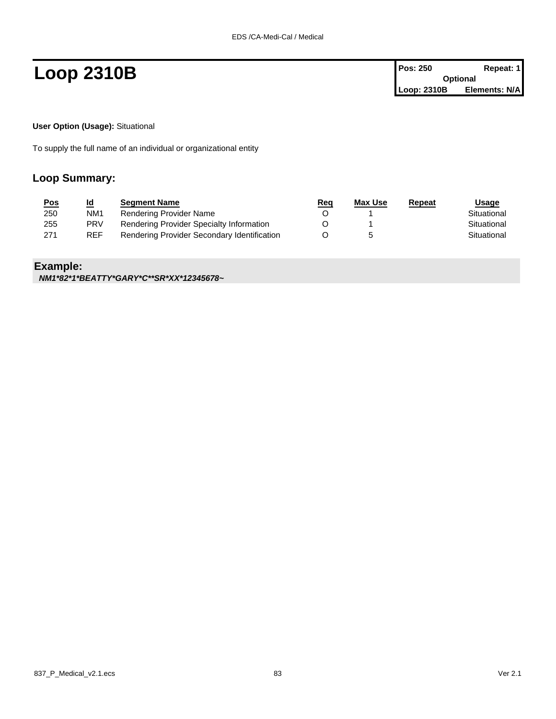**Loop 2310B Pos: 250 Repeat: 1 Pos: 250 Repeat: 1 Optional Loop: 2310B Elements: N/A**

**User Option (Usage):** Situational

To supply the full name of an individual or organizational entity

### **Loop Summary:**

| <u>Pos</u> | <u>ld</u>       | <b>Segment Name</b>                         | <u>Req</u> | Max Use | Repeat | Usage       |
|------------|-----------------|---------------------------------------------|------------|---------|--------|-------------|
| 250        | NM <sub>1</sub> | Rendering Provider Name                     |            |         |        | Situational |
| 255        | <b>PRV</b>      | Rendering Provider Specialty Information    |            |         |        | Situational |
| 271        | <b>REF</b>      | Rendering Provider Secondary Identification |            |         |        | Situational |

### **Example:**

*NM1\*82\*1\*BEATTY\*GARY\*C\*\*SR\*XX\*12345678~*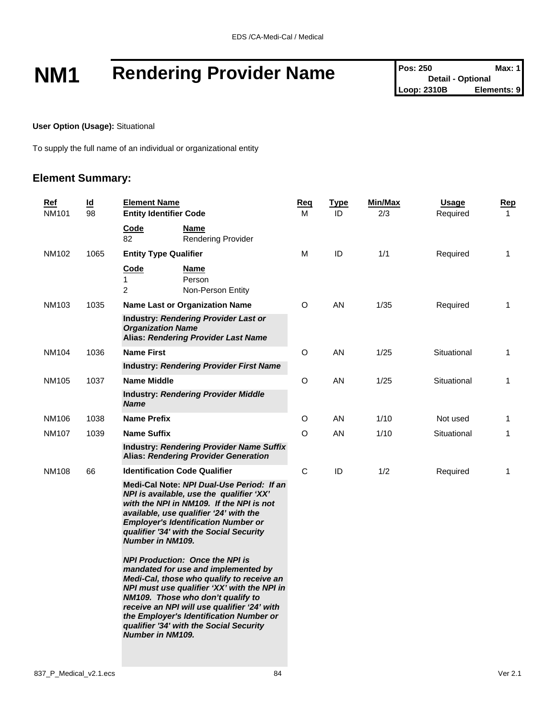# **NM1 Rendering Provider Name** Pos: 250 **Max: 1 Pos: 250** *Max: 1* **Pos: 250** *Max: 1* **Loop: 2310B Elements: 9**

**User Option (Usage):** Situational

To supply the full name of an individual or organizational entity

### **Element Summary:**

| <u>Ref</u><br>NM101 | $\underline{\mathsf{Id}}$<br>98 | <b>Element Name</b><br><b>Entity Identifier Code</b>                                                                                                                                                                                                                                                                                                                           | <u>Req</u><br>м | <b>Type</b><br>ID | Min/Max<br>2/3 | <b>Usage</b><br>Required | <u>Rep</u><br>$\mathbf 1$ |
|---------------------|---------------------------------|--------------------------------------------------------------------------------------------------------------------------------------------------------------------------------------------------------------------------------------------------------------------------------------------------------------------------------------------------------------------------------|-----------------|-------------------|----------------|--------------------------|---------------------------|
|                     |                                 | Code<br>Name<br>82<br><b>Rendering Provider</b>                                                                                                                                                                                                                                                                                                                                |                 |                   |                |                          |                           |
| NM102               | 1065                            | <b>Entity Type Qualifier</b>                                                                                                                                                                                                                                                                                                                                                   | M               | ID                | 1/1            | Required                 | $\mathbf{1}$              |
|                     |                                 | Code<br>Name<br>1<br>Person<br>$\overline{2}$<br>Non-Person Entity                                                                                                                                                                                                                                                                                                             |                 |                   |                |                          |                           |
| NM103               | 1035                            | <b>Name Last or Organization Name</b>                                                                                                                                                                                                                                                                                                                                          | O               | AN                | 1/35           | Required                 | 1                         |
|                     |                                 | Industry: Rendering Provider Last or<br><b>Organization Name</b><br><b>Alias: Rendering Provider Last Name</b>                                                                                                                                                                                                                                                                 |                 |                   |                |                          |                           |
| NM104               | 1036                            | <b>Name First</b>                                                                                                                                                                                                                                                                                                                                                              | O               | AN                | 1/25           | Situational              | 1                         |
|                     |                                 | <b>Industry: Rendering Provider First Name</b>                                                                                                                                                                                                                                                                                                                                 |                 |                   |                |                          |                           |
| NM105               | 1037                            | <b>Name Middle</b>                                                                                                                                                                                                                                                                                                                                                             | O               | AN                | 1/25           | Situational              | 1                         |
|                     |                                 | <b>Industry: Rendering Provider Middle</b><br><b>Name</b>                                                                                                                                                                                                                                                                                                                      |                 |                   |                |                          |                           |
| NM106               | 1038                            | <b>Name Prefix</b>                                                                                                                                                                                                                                                                                                                                                             | O               | AN                | 1/10           | Not used                 | $\mathbf{1}$              |
| NM107               | 1039                            | <b>Name Suffix</b>                                                                                                                                                                                                                                                                                                                                                             | $\circ$         | AN                | 1/10           | Situational              | 1                         |
|                     |                                 | <b>Industry: Rendering Provider Name Suffix</b><br><b>Alias: Rendering Provider Generation</b>                                                                                                                                                                                                                                                                                 |                 |                   |                |                          |                           |
| <b>NM108</b>        | 66                              | <b>Identification Code Qualifier</b>                                                                                                                                                                                                                                                                                                                                           | $\mathsf{C}$    | ID                | 1/2            | Required                 | 1                         |
|                     |                                 | Medi-Cal Note: NPI Dual-Use Period: If an<br>NPI is available, use the qualifier 'XX'<br>with the NPI in NM109. If the NPI is not<br>available, use qualifier '24' with the<br><b>Employer's Identification Number or</b><br>qualifier '34' with the Social Security<br><b>Number in NM109.</b>                                                                                |                 |                   |                |                          |                           |
|                     |                                 | <b>NPI Production: Once the NPI is</b><br>mandated for use and implemented by<br>Medi-Cal, those who qualify to receive an<br>NPI must use qualifier 'XX' with the NPI in<br>NM109. Those who don't qualify to<br>receive an NPI will use qualifier '24' with<br>the Employer's Identification Number or<br>qualifier '34' with the Social Security<br><b>Number in NM109.</b> |                 |                   |                |                          |                           |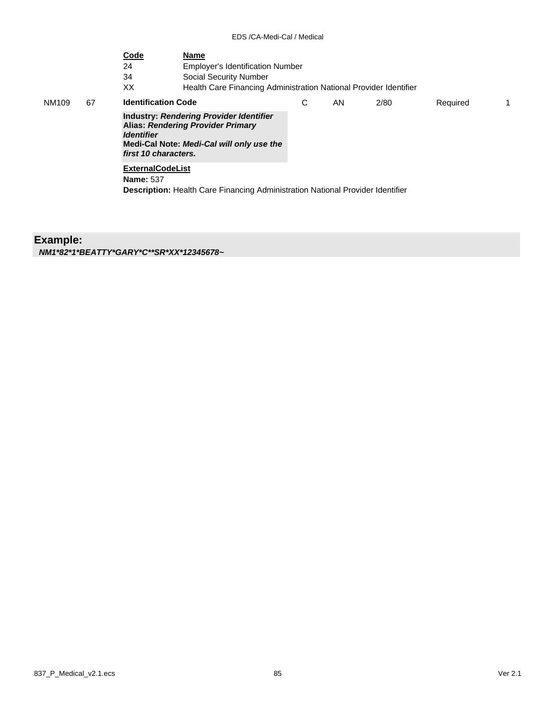| 24<br>34<br>Social Security Number<br>XX                | <b>Employer's Identification Number</b> |                                                                                                                           |      |                                                                                       |                                                                   |
|---------------------------------------------------------|-----------------------------------------|---------------------------------------------------------------------------------------------------------------------------|------|---------------------------------------------------------------------------------------|-------------------------------------------------------------------|
| <b>Identification Code</b>                              | С                                       | AN.                                                                                                                       | 2/80 | Required                                                                              | 1.                                                                |
| <i><u><b>Identifier</b></u></i><br>first 10 characters. |                                         |                                                                                                                           |      |                                                                                       |                                                                   |
| <b>ExternalCodeList</b><br><b>Name: 537</b>             |                                         |                                                                                                                           |      |                                                                                       |                                                                   |
|                                                         |                                         | Industry: Rendering Provider Identifier<br>Alias: Rendering Provider Primary<br>Medi-Cal Note: Medi-Cal will only use the |      | <b>Description:</b> Health Care Financing Administration National Provider Identifier | Health Care Financing Administration National Provider Identifier |

**Example:** *NM1\*82\*1\*BEATTY\*GARY\*C\*\*SR\*XX\*12345678~*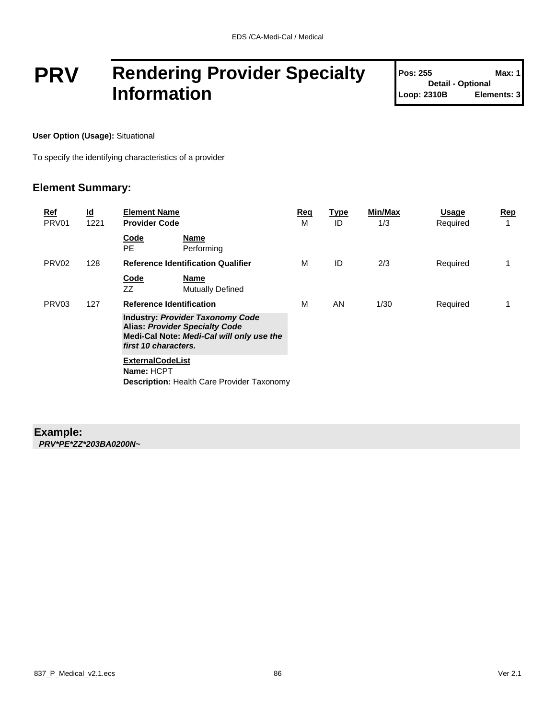## **PRV Rendering Provider Specialty Information**

| <b>Pos: 255</b>          | Max: 1      |
|--------------------------|-------------|
| <b>Detail - Optional</b> |             |
| Loop: 2310B              | Elements: 3 |

**User Option (Usage):** Situational

To specify the identifying characteristics of a provider

### **Element Summary:**

| Ref<br>PRV01      | $\underline{\mathsf{Id}}$<br>1221 | <b>Element Name</b><br><b>Provider Code</b>                                                                                                           | Req<br>м | <u>Type</u><br>ID | Min/Max<br>1/3 | Usage<br>Required | <u>Rep</u><br>1 |
|-------------------|-----------------------------------|-------------------------------------------------------------------------------------------------------------------------------------------------------|----------|-------------------|----------------|-------------------|-----------------|
|                   |                                   | Code<br><b>Name</b><br>PE.<br>Performing                                                                                                              |          |                   |                |                   |                 |
| PRV <sub>02</sub> | 128                               | <b>Reference Identification Qualifier</b>                                                                                                             | м        | ID                | 2/3            | Required          | 1               |
|                   |                                   | Code<br><b>Name</b><br>ZZ<br><b>Mutually Defined</b>                                                                                                  |          |                   |                |                   |                 |
| PRV <sub>03</sub> | 127                               | <b>Reference Identification</b>                                                                                                                       | м        | AN                | 1/30           | Required          |                 |
|                   |                                   | <b>Industry: Provider Taxonomy Code</b><br><b>Alias: Provider Specialty Code</b><br>Medi-Cal Note: Medi-Cal will only use the<br>first 10 characters. |          |                   |                |                   |                 |
|                   |                                   | <b>ExternalCodeList</b><br>Name: HCPT<br><b>Description: Health Care Provider Taxonomy</b>                                                            |          |                   |                |                   |                 |

### **Example:**

*PRV\*PE\*ZZ\*203BA0200N~*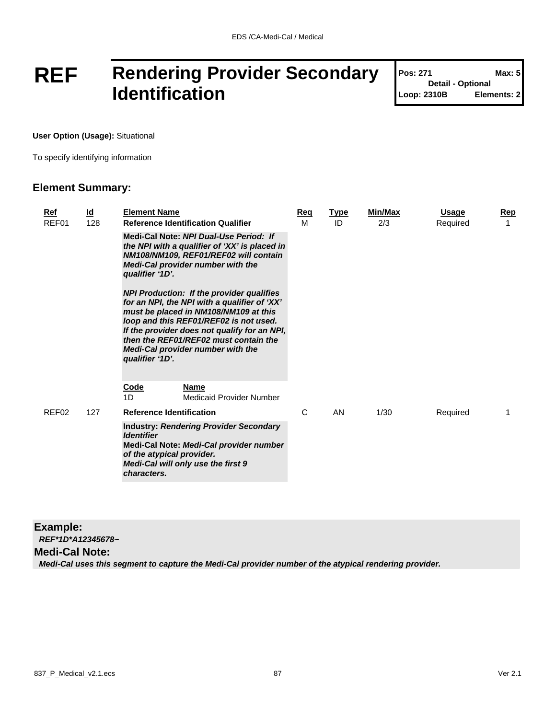## **REF Rendering Provider Secondary Identification**

| Pos: 271                 | Max: 5      |
|--------------------------|-------------|
| <b>Detail - Optional</b> |             |
| Loop: 2310B              | Elements: 2 |

T

**User Option (Usage):** Situational

To specify identifying information

### **Element Summary:**

| <b>Element Name</b><br><b>Reference Identification Qualifier</b>                                                                                                                                                                     | Reg<br>м | <b>Type</b><br>ID                                                                                                                                                                                                                                                                  | <b>Min/Max</b><br>2/3 | Usage<br>Required | Rep<br>1 |
|--------------------------------------------------------------------------------------------------------------------------------------------------------------------------------------------------------------------------------------|----------|------------------------------------------------------------------------------------------------------------------------------------------------------------------------------------------------------------------------------------------------------------------------------------|-----------------------|-------------------|----------|
| Medi-Cal Note: NPI Dual-Use Period: If<br>Medi-Cal provider number with the<br>qualifier '1D'.                                                                                                                                       |          |                                                                                                                                                                                                                                                                                    |                       |                   |          |
| <b>NPI Production: If the provider qualifies</b><br>must be placed in NM108/NM109 at this<br>loop and this REF01/REF02 is not used.<br>then the REF01/REF02 must contain the<br>Medi-Cal provider number with the<br>qualifier '1D'. |          |                                                                                                                                                                                                                                                                                    |                       |                   |          |
| <b>Code</b><br><b>Name</b><br>Medicaid Provider Number<br>1D                                                                                                                                                                         |          |                                                                                                                                                                                                                                                                                    |                       |                   |          |
| <b>Reference Identification</b>                                                                                                                                                                                                      | C        | AN                                                                                                                                                                                                                                                                                 | 1/30                  | Required          |          |
| <b>Identifier</b><br>of the atypical provider.<br>Medi-Cal will only use the first 9<br>characters.                                                                                                                                  |          |                                                                                                                                                                                                                                                                                    |                       |                   |          |
|                                                                                                                                                                                                                                      |          | the NPI with a qualifier of 'XX' is placed in<br>NM108/NM109, REF01/REF02 will contain<br>for an NPI, the NPI with a qualifier of 'XX'<br>If the provider does not qualify for an NPI,<br><b>Industry: Rendering Provider Secondary</b><br>Medi-Cal Note: Medi-Cal provider number |                       |                   |          |

### **Example:**

*REF\*1D\*A12345678~*

**Medi-Cal Note:**

*Medi-Cal uses this segment to capture the Medi-Cal provider number of the atypical rendering provider.*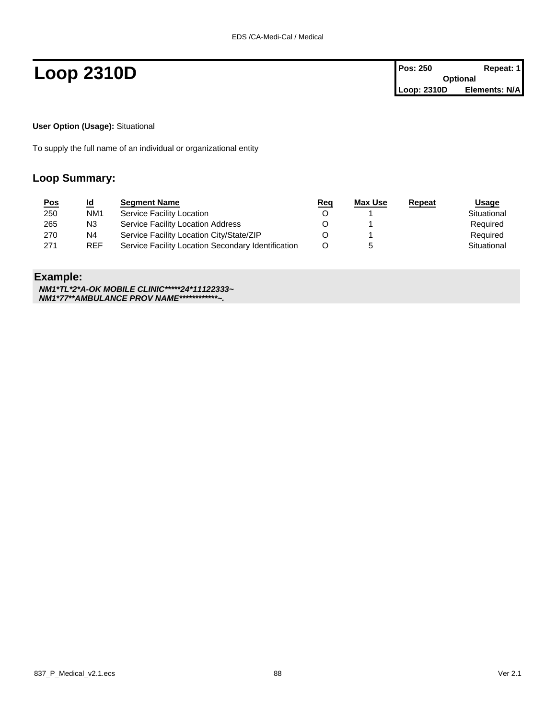**Loop 2310D Pos: 250 Repeat: 1 Pos: 250 Repeat: 1 Optional Loop: 2310D Elements: N/A**

**User Option (Usage):** Situational

To supply the full name of an individual or organizational entity

### **Loop Summary:**

| <u>Pos</u> | <u>ld</u>       | <b>Segment Name</b>                                | <u>Req</u> | Max Use | Repeat | <u>Usage</u> |
|------------|-----------------|----------------------------------------------------|------------|---------|--------|--------------|
| 250        | NM <sub>1</sub> | Service Facility Location                          |            |         |        | Situational  |
| 265        | N3              | Service Facility Location Address                  |            |         |        | Required     |
| 270        | N4              | Service Facility Location City/State/ZIP           |            |         |        | Required     |
| 271        | <b>REF</b>      | Service Facility Location Secondary Identification |            |         |        | Situational  |

### **Example:**

*NM1\*TL\*2\*A-OK MOBILE CLINIC\*\*\*\*\*24\*11122333~ NM1\*77\*\*AMBULANCE PROV NAME\*\*\*\*\*\*\*\*\*\*\*\*~.*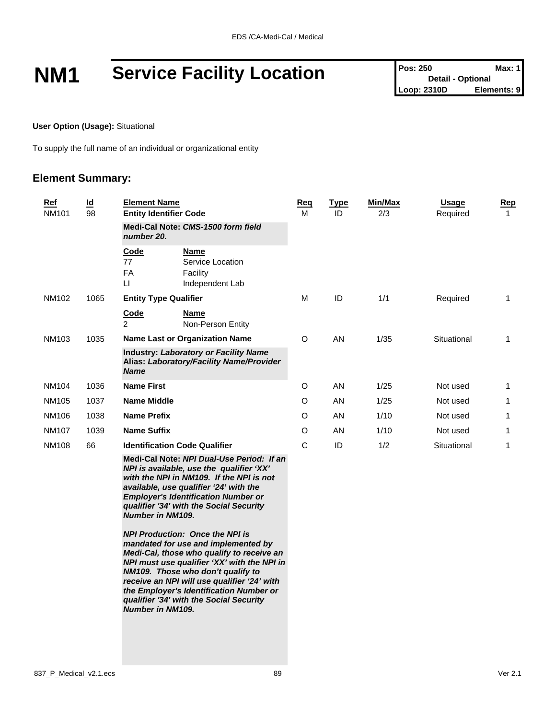# **NM1 Service Facility Location Pos: 250 Detail - Optional Max: 1**<br>
Loop: 2310D **Elements: 9**

**User Option (Usage):** Situational

To supply the full name of an individual or organizational entity

### **Element Summary:**

| <b>Ref</b><br><b>NM101</b> | $\underline{\mathsf{Id}}$<br>98 | <b>Element Name</b><br><b>Entity Identifier Code</b> |                                                                                                                                                                                                                                                                      | <b>Req</b><br>M | <b>Type</b><br>ID | <b>Min/Max</b><br>2/3 | <b>Usage</b><br>Required | Rep<br>1     |
|----------------------------|---------------------------------|------------------------------------------------------|----------------------------------------------------------------------------------------------------------------------------------------------------------------------------------------------------------------------------------------------------------------------|-----------------|-------------------|-----------------------|--------------------------|--------------|
|                            |                                 | number 20.                                           | Medi-Cal Note: CMS-1500 form field                                                                                                                                                                                                                                   |                 |                   |                       |                          |              |
|                            |                                 | Code<br>77<br>FA<br>$\mathsf{L}$                     | Name<br>Service Location<br>Facility<br>Independent Lab                                                                                                                                                                                                              |                 |                   |                       |                          |              |
| NM102                      | 1065                            | <b>Entity Type Qualifier</b>                         |                                                                                                                                                                                                                                                                      | м               | ID                | 1/1                   | Required                 | $\mathbf{1}$ |
|                            |                                 | Code<br>2                                            | <b>Name</b><br>Non-Person Entity                                                                                                                                                                                                                                     |                 |                   |                       |                          |              |
| NM103                      | 1035                            |                                                      | <b>Name Last or Organization Name</b>                                                                                                                                                                                                                                | O               | AN                | 1/35                  | Situational              | 1            |
|                            |                                 | <b>Name</b>                                          | <b>Industry: Laboratory or Facility Name</b><br>Alias: Laboratory/Facility Name/Provider                                                                                                                                                                             |                 |                   |                       |                          |              |
| NM104                      | 1036                            | <b>Name First</b>                                    |                                                                                                                                                                                                                                                                      | $\circ$         | AN                | 1/25                  | Not used                 | 1            |
| NM105                      | 1037                            | <b>Name Middle</b>                                   |                                                                                                                                                                                                                                                                      | $\circ$         | <b>AN</b>         | 1/25                  | Not used                 | 1            |
| NM106                      | 1038                            | <b>Name Prefix</b>                                   |                                                                                                                                                                                                                                                                      | $\circ$         | AN                | 1/10                  | Not used                 | 1            |
| <b>NM107</b>               | 1039                            | <b>Name Suffix</b>                                   |                                                                                                                                                                                                                                                                      | $\circ$         | AN                | 1/10                  | Not used                 | 1            |
| <b>NM108</b>               | 66                              | <b>Identification Code Qualifier</b>                 |                                                                                                                                                                                                                                                                      | C               | ID                | 1/2                   | Situational              | 1            |
|                            |                                 | <b>Number in NM109.</b>                              | Medi-Cal Note: NPI Dual-Use Period: If an<br>NPI is available, use the qualifier 'XX'<br>with the NPI in NM109. If the NPI is not<br>available, use qualifier '24' with the<br><b>Employer's Identification Number or</b><br>qualifier '34' with the Social Security |                 |                   |                       |                          |              |

*NPI Production: Once the NPI is mandated for use and implemented by Medi-Cal, those who qualify to receive an NPI must use qualifier 'XX' with the NPI in NM109. Those who don't qualify to receive an NPI will use qualifier '24' with the Employer's Identification Number or qualifier '34' with the Social Security Number in NM109.*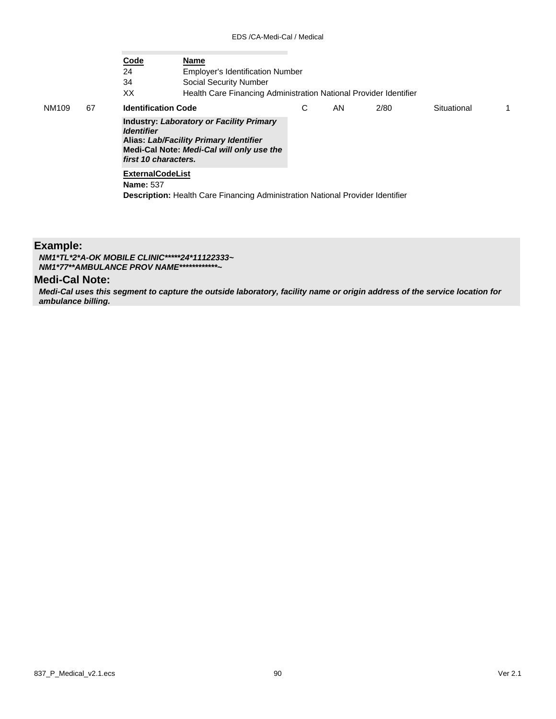|             | Code<br>24<br>34<br>ХX | <b>Name</b><br><b>Employer's Identification Number</b><br>Social Security Number<br>Health Care Financing Administration National Provider Identifier          |   |     |      |             |    |
|-------------|------------------------|----------------------------------------------------------------------------------------------------------------------------------------------------------------|---|-----|------|-------------|----|
| 67<br>NM109 |                        | <b>Identification Code</b>                                                                                                                                     | С | AN. | 2/80 | Situational | 1. |
|             | <b>Identifier</b>      | <b>Industry: Laboratory or Facility Primary</b><br>Alias: Lab/Facility Primary Identifier<br>Medi-Cal Note: Medi-Cal will only use the<br>first 10 characters. |   |     |      |             |    |
|             | <b>Name: 537</b>       | <b>ExternalCodeList</b>                                                                                                                                        |   |     |      |             |    |
|             |                        | <b>Description:</b> Health Care Financing Administration National Provider Identifier                                                                          |   |     |      |             |    |

### **Example:**

*NM1\*TL\*2\*A-OK MOBILE CLINIC\*\*\*\*\*24\*11122333~ NM1\*77\*\*AMBULANCE PROV NAME\*\*\*\*\*\*\*\*\*\*\*\*~*

### **Medi-Cal Note:**

*Medi-Cal uses this segment to capture the outside laboratory, facility name or origin address of the service location for ambulance billing.*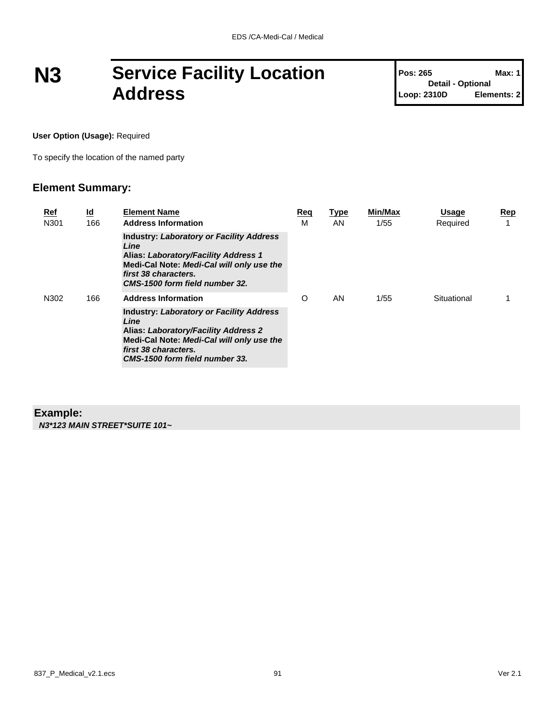## **N3 Service Facility Location Address**

**Pos: 265 Max: 1 Detail - Optional Loop: 2310D Elements: 2**

**User Option (Usage):** Required

To specify the location of the named party

### **Element Summary:**

| Ref<br>N301 | <u>ld</u><br>166 | <b>Element Name</b><br><b>Address Information</b>                                                                                                                                                             | Req<br>M | Type<br>AN | Min/Max<br>1/55 | <b>Usage</b><br>Required | Rep |
|-------------|------------------|---------------------------------------------------------------------------------------------------------------------------------------------------------------------------------------------------------------|----------|------------|-----------------|--------------------------|-----|
|             |                  | <b>Industry: Laboratory or Facility Address</b><br>Line<br>Alias: Laboratory/Facility Address 1<br>Medi-Cal Note: Medi-Cal will only use the<br>first 38 characters.<br>CMS-1500 form field number 32.        |          |            |                 |                          |     |
| N302        | 166              | <b>Address Information</b>                                                                                                                                                                                    | $\circ$  | AN         | 1/55            | Situational              |     |
|             |                  | <b>Industry: Laboratory or Facility Address</b><br>Line<br><b>Alias: Laboratory/Facility Address 2</b><br>Medi-Cal Note: Medi-Cal will only use the<br>first 38 characters.<br>CMS-1500 form field number 33. |          |            |                 |                          |     |

### **Example:**

*N3\*123 MAIN STREET\*SUITE 101~*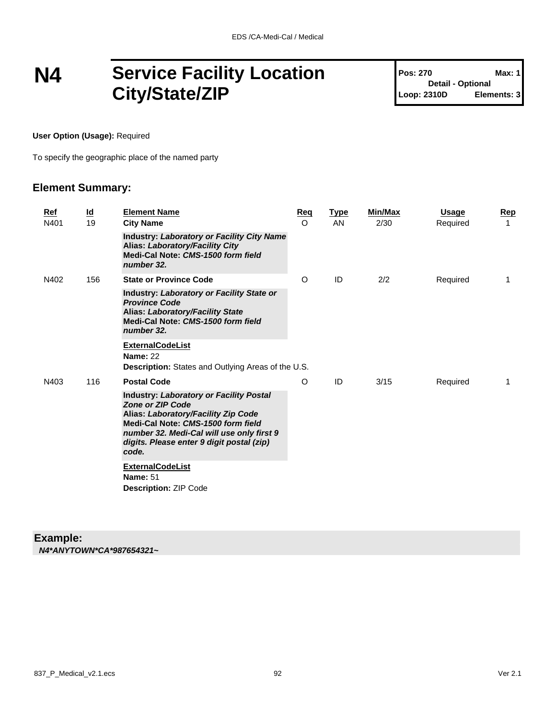### **N4 Service Facility Location City/State/ZIP**

**Pos: 270 Max: 1 Detail - Optional Loop: 2310D Elements: 3**

**User Option (Usage):** Required

To specify the geographic place of the named party

### **Element Summary:**

|  | Ref<br>N401 | $\underline{\mathsf{Id}}$<br>19 | <b>Element Name</b><br><b>City Name</b>                                                                                                                                                                                                                   | <b>Reg</b><br>$\circ$ | <b>Type</b><br>AN | <b>Min/Max</b><br>2/30 | <b>Usage</b><br>Required | Rep<br>1 |
|--|-------------|---------------------------------|-----------------------------------------------------------------------------------------------------------------------------------------------------------------------------------------------------------------------------------------------------------|-----------------------|-------------------|------------------------|--------------------------|----------|
|  |             |                                 | <b>Industry: Laboratory or Facility City Name</b><br>Alias: Laboratory/Facility City<br>Medi-Cal Note: CMS-1500 form field<br>number 32.                                                                                                                  |                       |                   |                        |                          |          |
|  | N402        | 156                             | <b>State or Province Code</b>                                                                                                                                                                                                                             | O                     | ID                | 2/2                    | Required                 | 1        |
|  |             |                                 | Industry: Laboratory or Facility State or<br><b>Province Code</b><br><b>Alias: Laboratory/Facility State</b><br>Medi-Cal Note: CMS-1500 form field<br>number 32.                                                                                          |                       |                   |                        |                          |          |
|  |             |                                 | <b>ExternalCodeList</b>                                                                                                                                                                                                                                   |                       |                   |                        |                          |          |
|  |             |                                 | <b>Name: 22</b><br>Description: States and Outlying Areas of the U.S.                                                                                                                                                                                     |                       |                   |                        |                          |          |
|  | N403        | 116                             | <b>Postal Code</b>                                                                                                                                                                                                                                        | O                     | ID                | 3/15                   | Required                 | 1        |
|  |             |                                 | <b>Industry: Laboratory or Facility Postal</b><br><b>Zone or ZIP Code</b><br>Alias: Laboratory/Facility Zip Code<br>Medi-Cal Note: CMS-1500 form field<br>number 32. Medi-Cal will use only first 9<br>digits. Please enter 9 digit postal (zip)<br>code. |                       |                   |                        |                          |          |
|  |             |                                 | <b>ExternalCodeList</b><br><b>Name: 51</b><br><b>Description: ZIP Code</b>                                                                                                                                                                                |                       |                   |                        |                          |          |

#### **Example:** *N4\*ANYTOWN\*CA\*987654321~*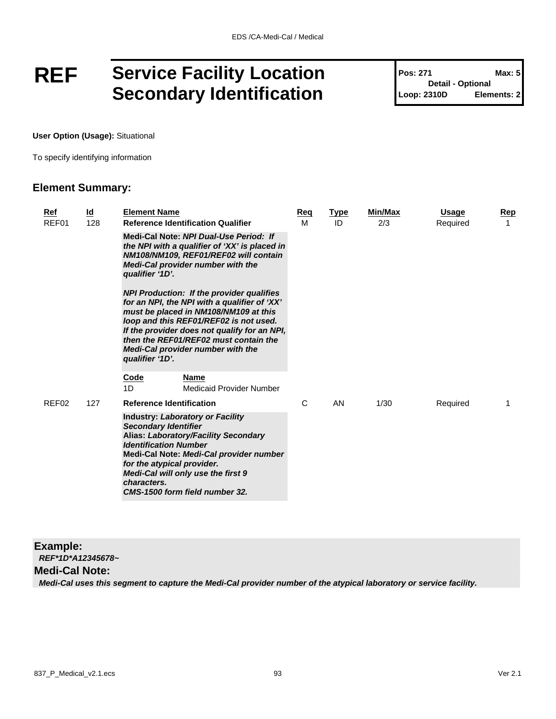### **REF Service Facility Location Secondary Identification**

**Pos: 271 Max: 5 Detail - Optional Loop: 2310D Elements: 2**

**User Option (Usage):** Situational

To specify identifying information

### **Element Summary:**

| <u>Ref</u><br>REF01 | <u>ld</u><br>128 | <b>Element Name</b><br><b>Reference Identification Qualifier</b>                                                                                                                                                                                                                                                                            | <u>Req</u><br>M | <b>Type</b><br>ID | <b>Min/Max</b><br>2/3 | <b>Usage</b><br>Required | <b>Rep</b> |
|---------------------|------------------|---------------------------------------------------------------------------------------------------------------------------------------------------------------------------------------------------------------------------------------------------------------------------------------------------------------------------------------------|-----------------|-------------------|-----------------------|--------------------------|------------|
|                     |                  | Medi-Cal Note: NPI Dual-Use Period: If<br>the NPI with a qualifier of 'XX' is placed in<br>NM108/NM109, REF01/REF02 will contain<br>Medi-Cal provider number with the<br>qualifier '1D'.                                                                                                                                                    |                 |                   |                       |                          |            |
|                     |                  | <b>NPI Production: If the provider qualifies</b><br>for an NPI, the NPI with a qualifier of 'XX'<br>must be placed in NM108/NM109 at this<br>loop and this REF01/REF02 is not used.<br>If the provider does not qualify for an NPI,<br>then the REF01/REF02 must contain the<br><b>Medi-Cal provider number with the</b><br>qualifier '1D'. |                 |                   |                       |                          |            |
|                     |                  | Code<br><b>Name</b><br>1D<br>Medicaid Provider Number                                                                                                                                                                                                                                                                                       |                 |                   |                       |                          |            |
| REF <sub>02</sub>   | 127              | <b>Reference Identification</b>                                                                                                                                                                                                                                                                                                             | C               | AN                | 1/30                  | Required                 |            |
|                     |                  | <b>Industry: Laboratory or Facility</b><br><b>Secondary Identifier</b><br>Alias: Laboratory/Facility Secondary<br><b>Identification Number</b><br>Medi-Cal Note: Medi-Cal provider number<br>for the atypical provider.<br>Medi-Cal will only use the first 9<br>characters.<br>CMS-1500 form field number 32.                              |                 |                   |                       |                          |            |

**Example:**

*REF\*1D\*A12345678~*

### **Medi-Cal Note:**

*Medi-Cal uses this segment to capture the Medi-Cal provider number of the atypical laboratory or service facility.*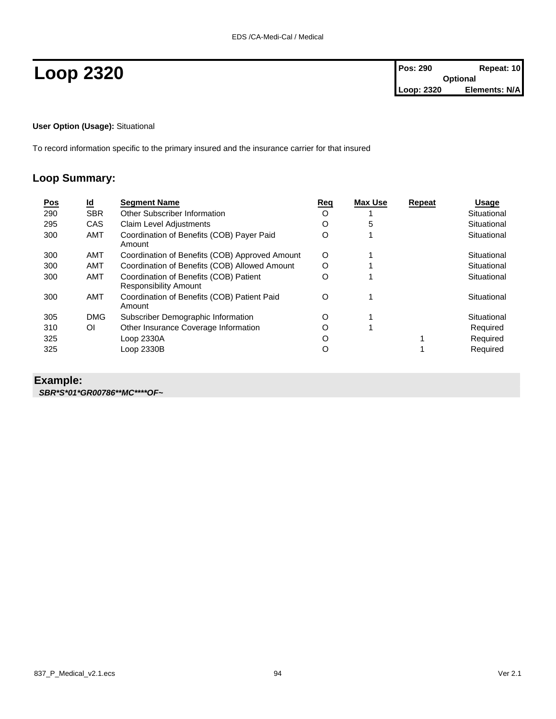**User Option (Usage):** Situational

To record information specific to the primary insured and the insurance carrier for that insured

### **Loop Summary:**

| <u>Pos</u> | <u>ld</u>  | <b>Segment Name</b>                                                    | Req | <b>Max Use</b> | Repeat | <b>Usage</b> |
|------------|------------|------------------------------------------------------------------------|-----|----------------|--------|--------------|
| 290        | <b>SBR</b> | Other Subscriber Information                                           | O   |                |        | Situational  |
| 295        | <b>CAS</b> | Claim Level Adjustments                                                | Ω   | 5              |        | Situational  |
| 300        | <b>AMT</b> | Coordination of Benefits (COB) Payer Paid<br>Amount                    | O   |                |        | Situational  |
| 300        | AMT        | Coordination of Benefits (COB) Approved Amount                         | O   |                |        | Situational  |
| 300        | <b>AMT</b> | Coordination of Benefits (COB) Allowed Amount                          | O   |                |        | Situational  |
| 300        | <b>AMT</b> | Coordination of Benefits (COB) Patient<br><b>Responsibility Amount</b> | O   |                |        | Situational  |
| 300        | AMT        | Coordination of Benefits (COB) Patient Paid<br>Amount                  | O   |                |        | Situational  |
| 305        | <b>DMG</b> | Subscriber Demographic Information                                     | O   |                |        | Situational  |
| 310        | ΟI         | Other Insurance Coverage Information                                   | O   | 1              |        | Required     |
| 325        |            | Loop 2330A                                                             | O   |                |        | Required     |
| 325        |            | Loop 2330B                                                             | O   |                |        | Required     |

### **Example:**

*SBR\*S\*01\*GR00786\*\*MC\*\*\*\*OF~*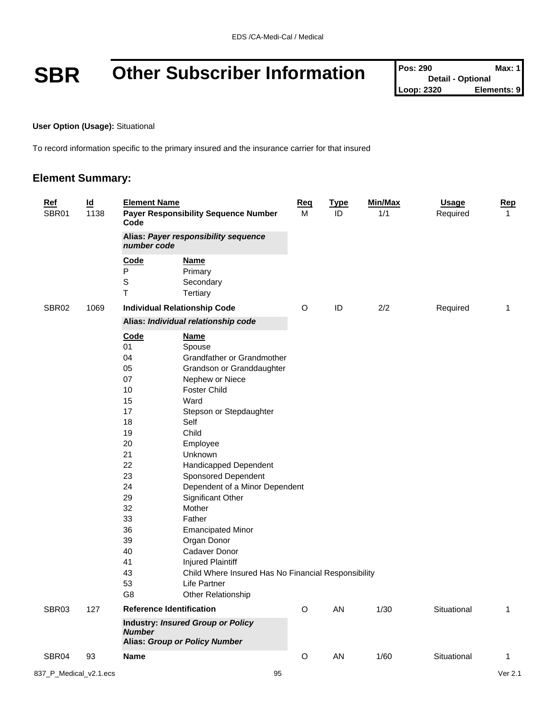## **SBR** Other Subscriber Information

| <b>Pos: 290</b>          | Max: 1l     |
|--------------------------|-------------|
| <b>Detail - Optional</b> |             |
| Loop: 2320               | Elements: 9 |

**User Option (Usage):** Situational

To record information specific to the primary insured and the insurance carrier for that insured

### **Element Summary:**

| $\underline{\mathsf{Id}}$<br><b>Element Name</b><br><b>Ref</b><br>SBR01<br>1138<br><b>Payer Responsibility Sequence Number</b><br>Code |      |                                                                                                                                                      | <u>Req</u><br>М                                                                                                                                                                                                                                                                                                                                                                                                                                                                                                       | <b>Type</b><br>ID | Min/Max<br>1/1 | <b>Usage</b><br>Required | <b>Rep</b><br>$\mathbf{1}$ |   |
|----------------------------------------------------------------------------------------------------------------------------------------|------|------------------------------------------------------------------------------------------------------------------------------------------------------|-----------------------------------------------------------------------------------------------------------------------------------------------------------------------------------------------------------------------------------------------------------------------------------------------------------------------------------------------------------------------------------------------------------------------------------------------------------------------------------------------------------------------|-------------------|----------------|--------------------------|----------------------------|---|
|                                                                                                                                        |      | Alias: Payer responsibility sequence<br>number code                                                                                                  |                                                                                                                                                                                                                                                                                                                                                                                                                                                                                                                       |                   |                |                          |                            |   |
|                                                                                                                                        |      | Code<br>${\sf P}$<br>$\mathbb S$<br>$\mathsf T$                                                                                                      | <u>Name</u><br>Primary<br>Secondary<br>Tertiary                                                                                                                                                                                                                                                                                                                                                                                                                                                                       |                   |                |                          |                            |   |
| SBR <sub>02</sub>                                                                                                                      | 1069 |                                                                                                                                                      | <b>Individual Relationship Code</b>                                                                                                                                                                                                                                                                                                                                                                                                                                                                                   | O                 | ID             | 2/2                      | Required                   | 1 |
|                                                                                                                                        |      | Alias: Individual relationship code                                                                                                                  |                                                                                                                                                                                                                                                                                                                                                                                                                                                                                                                       |                   |                |                          |                            |   |
|                                                                                                                                        |      | Code<br>01<br>04<br>05<br>07<br>10<br>15<br>17<br>18<br>19<br>20<br>21<br>22<br>23<br>24<br>29<br>32<br>33<br>36<br>39<br>40<br>41<br>43<br>53<br>G8 | <b>Name</b><br>Spouse<br>Grandfather or Grandmother<br>Grandson or Granddaughter<br>Nephew or Niece<br><b>Foster Child</b><br>Ward<br>Stepson or Stepdaughter<br>Self<br>Child<br>Employee<br>Unknown<br>Handicapped Dependent<br>Sponsored Dependent<br>Dependent of a Minor Dependent<br>Significant Other<br>Mother<br>Father<br><b>Emancipated Minor</b><br>Organ Donor<br>Cadaver Donor<br><b>Injured Plaintiff</b><br>Child Where Insured Has No Financial Responsibility<br>Life Partner<br>Other Relationship |                   |                |                          |                            |   |
| SBR03                                                                                                                                  | 127  | <b>Reference Identification</b>                                                                                                                      |                                                                                                                                                                                                                                                                                                                                                                                                                                                                                                                       | $\circ$           | AN             | 1/30                     | Situational                | 1 |
|                                                                                                                                        |      | <b>Number</b>                                                                                                                                        | <b>Industry: Insured Group or Policy</b><br><b>Alias: Group or Policy Number</b>                                                                                                                                                                                                                                                                                                                                                                                                                                      |                   |                |                          |                            |   |
| SBR04                                                                                                                                  | 93   | <b>Name</b>                                                                                                                                          |                                                                                                                                                                                                                                                                                                                                                                                                                                                                                                                       | O                 | AN             | 1/60                     | Situational                | 1 |
|                                                                                                                                        |      |                                                                                                                                                      |                                                                                                                                                                                                                                                                                                                                                                                                                                                                                                                       |                   |                |                          |                            |   |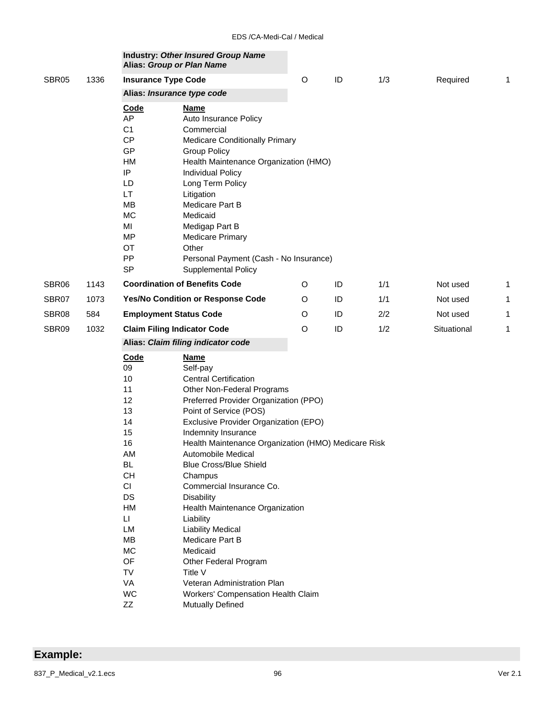| 1336 |                                                                                                                                                                           |                                                                                                                                                                                                                                                                                                                                                         | $\circ$                                                                                                                                                                                                                                                                                                               | ID                                                                                                                                                               | 1/3                                                                                                                                                                                                                                                               | Required                                                                        | 1                                               |
|------|---------------------------------------------------------------------------------------------------------------------------------------------------------------------------|---------------------------------------------------------------------------------------------------------------------------------------------------------------------------------------------------------------------------------------------------------------------------------------------------------------------------------------------------------|-----------------------------------------------------------------------------------------------------------------------------------------------------------------------------------------------------------------------------------------------------------------------------------------------------------------------|------------------------------------------------------------------------------------------------------------------------------------------------------------------|-------------------------------------------------------------------------------------------------------------------------------------------------------------------------------------------------------------------------------------------------------------------|---------------------------------------------------------------------------------|-------------------------------------------------|
|      |                                                                                                                                                                           |                                                                                                                                                                                                                                                                                                                                                         |                                                                                                                                                                                                                                                                                                                       |                                                                                                                                                                  |                                                                                                                                                                                                                                                                   |                                                                                 |                                                 |
|      | <b>Code</b><br>AP<br>C <sub>1</sub><br>CP<br>GP<br><b>HM</b><br>IP<br>LD<br>LT.<br><b>MB</b><br><b>MC</b><br>MI<br>MP<br><b>OT</b><br>PP                                  | <b>Name</b><br>Auto Insurance Policy<br>Commercial<br><b>Group Policy</b><br><b>Individual Policy</b><br>Long Term Policy<br>Litigation<br>Medicare Part B<br>Medicaid<br>Medigap Part B<br><b>Medicare Primary</b><br>Other                                                                                                                            |                                                                                                                                                                                                                                                                                                                       |                                                                                                                                                                  |                                                                                                                                                                                                                                                                   |                                                                                 |                                                 |
|      |                                                                                                                                                                           |                                                                                                                                                                                                                                                                                                                                                         |                                                                                                                                                                                                                                                                                                                       |                                                                                                                                                                  |                                                                                                                                                                                                                                                                   |                                                                                 | 1                                               |
|      |                                                                                                                                                                           |                                                                                                                                                                                                                                                                                                                                                         |                                                                                                                                                                                                                                                                                                                       |                                                                                                                                                                  |                                                                                                                                                                                                                                                                   |                                                                                 | 1                                               |
|      |                                                                                                                                                                           |                                                                                                                                                                                                                                                                                                                                                         |                                                                                                                                                                                                                                                                                                                       |                                                                                                                                                                  |                                                                                                                                                                                                                                                                   |                                                                                 | 1                                               |
|      |                                                                                                                                                                           |                                                                                                                                                                                                                                                                                                                                                         |                                                                                                                                                                                                                                                                                                                       |                                                                                                                                                                  |                                                                                                                                                                                                                                                                   |                                                                                 |                                                 |
|      |                                                                                                                                                                           |                                                                                                                                                                                                                                                                                                                                                         |                                                                                                                                                                                                                                                                                                                       |                                                                                                                                                                  |                                                                                                                                                                                                                                                                   |                                                                                 | 1                                               |
|      |                                                                                                                                                                           |                                                                                                                                                                                                                                                                                                                                                         |                                                                                                                                                                                                                                                                                                                       |                                                                                                                                                                  |                                                                                                                                                                                                                                                                   |                                                                                 |                                                 |
|      | 09<br>10<br>11<br>12<br>13<br>14<br>15<br>16<br>AM<br><b>BL</b><br><b>CH</b><br><b>CI</b><br>DS<br>НM<br>$\mathsf{L}\mathsf{L}$<br>LM<br>MB<br>MC<br>OF<br>TV<br>VA<br>WC | Self-pay<br><b>Central Certification</b><br>Point of Service (POS)<br>Indemnity Insurance<br>Automobile Medical<br><b>Blue Cross/Blue Shield</b><br>Champus<br>Commercial Insurance Co.<br><b>Disability</b><br>Liability<br><b>Liability Medical</b><br>Medicare Part B<br>Medicaid<br>Other Federal Program<br>Title V<br>Veteran Administration Plan |                                                                                                                                                                                                                                                                                                                       |                                                                                                                                                                  |                                                                                                                                                                                                                                                                   |                                                                                 |                                                 |
|      | 1143<br>1073<br>584<br>1032                                                                                                                                               | <b>SP</b><br>Code<br>ZZ                                                                                                                                                                                                                                                                                                                                 | Alias: Group or Plan Name<br><b>Insurance Type Code</b><br>Alias: Insurance type code<br>Supplemental Policy<br><b>Coordination of Benefits Code</b><br>Yes/No Condition or Response Code<br><b>Employment Status Code</b><br><b>Claim Filing Indicator Code</b><br>Alias: Claim filing indicator code<br><b>Name</b> | <b>Medicare Conditionally Primary</b><br>O<br>O<br>O<br>O<br>Other Non-Federal Programs<br>Health Maintenance Organization<br>Workers' Compensation Health Claim | <b>Industry: Other Insured Group Name</b><br>Health Maintenance Organization (HMO)<br>Personal Payment (Cash - No Insurance)<br>ID<br>ID<br>ID<br>ID<br>Preferred Provider Organization (PPO)<br>Exclusive Provider Organization (EPO)<br><b>Mutually Defined</b> | 1/1<br>1/1<br>2/2<br>1/2<br>Health Maintenance Organization (HMO) Medicare Risk | Not used<br>Not used<br>Not used<br>Situational |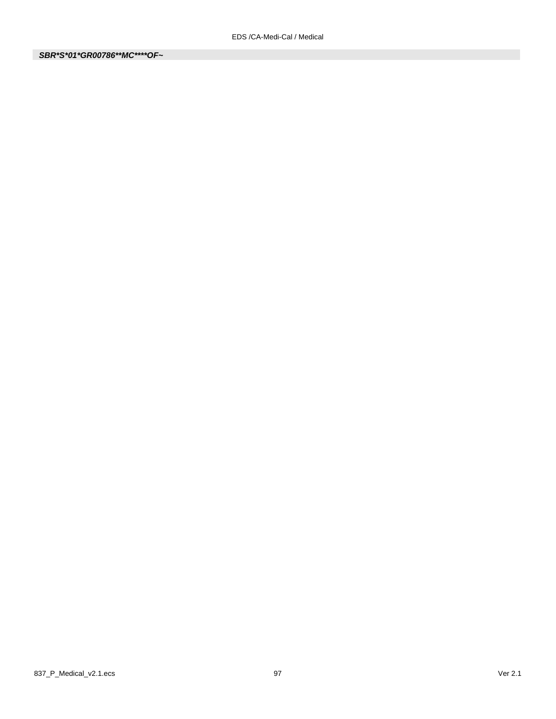*SBR\*S\*01\*GR00786\*\*MC\*\*\*\*OF~*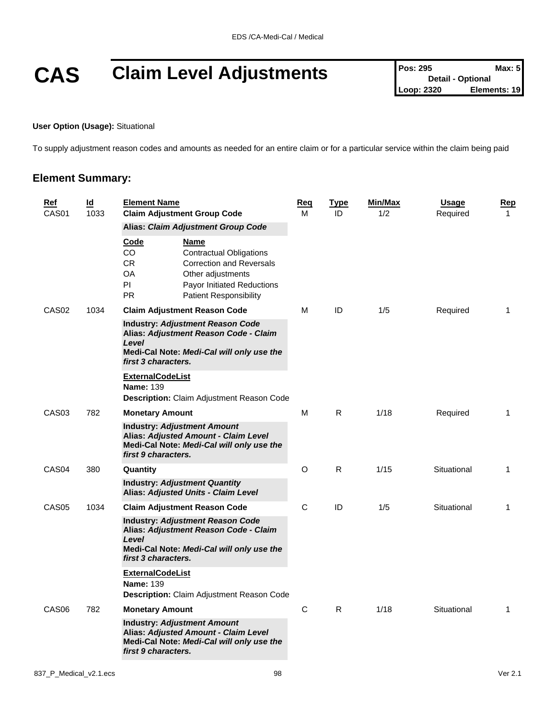# **CAS Claim Level Adjustments Pos: 295 Detail - Optional Max: 5**<br>Loop: 2320 **Elements: 19**

#### **User Option (Usage):** Situational

To supply adjustment reason codes and amounts as needed for an entire claim or for a particular service within the claim being paid

### **Element Summary:**

| <b>Ref</b><br>CAS01 | $\underline{\mathsf{Id}}$<br>1033 | <b>Element Name</b><br><b>Claim Adjustment Group Code</b>                                                                                                                                                                                | <u>Req</u><br>м | <u>Type</u><br>ID | Min/Max<br>1/2 | <b>Usage</b><br>Required | <b>Rep</b><br>$\mathbf 1$ |
|---------------------|-----------------------------------|------------------------------------------------------------------------------------------------------------------------------------------------------------------------------------------------------------------------------------------|-----------------|-------------------|----------------|--------------------------|---------------------------|
|                     |                                   | Alias: Claim Adjustment Group Code                                                                                                                                                                                                       |                 |                   |                |                          |                           |
|                     |                                   | <u>Code</u><br><u>Name</u><br>CO.<br><b>Contractual Obligations</b><br><b>CR</b><br><b>Correction and Reversals</b><br>OA<br>Other adjustments<br>PI.<br><b>Payor Initiated Reductions</b><br><b>PR</b><br><b>Patient Responsibility</b> |                 |                   |                |                          |                           |
| CAS <sub>02</sub>   | 1034                              | <b>Claim Adjustment Reason Code</b>                                                                                                                                                                                                      | м               | ID                | 1/5            | Required                 | 1                         |
|                     |                                   | <b>Industry: Adjustment Reason Code</b><br>Alias: Adjustment Reason Code - Claim<br>Level<br>Medi-Cal Note: Medi-Cal will only use the<br>first 3 characters.                                                                            |                 |                   |                |                          |                           |
|                     |                                   | <b>ExternalCodeList</b><br><b>Name: 139</b><br>Description: Claim Adjustment Reason Code                                                                                                                                                 |                 |                   |                |                          |                           |
| CAS <sub>03</sub>   | 782                               | <b>Monetary Amount</b>                                                                                                                                                                                                                   | м               | R.                | 1/18           | Required                 | $\mathbf 1$               |
|                     |                                   | <b>Industry: Adjustment Amount</b><br>Alias: Adjusted Amount - Claim Level<br>Medi-Cal Note: Medi-Cal will only use the<br>first 9 characters.                                                                                           |                 |                   |                |                          |                           |
| CAS <sub>04</sub>   | 380                               | Quantity                                                                                                                                                                                                                                 | O               | R                 | 1/15           | Situational              | 1                         |
|                     |                                   | <b>Industry: Adjustment Quantity</b><br>Alias: Adjusted Units - Claim Level                                                                                                                                                              |                 |                   |                |                          |                           |
| CAS <sub>05</sub>   | 1034                              | <b>Claim Adjustment Reason Code</b>                                                                                                                                                                                                      | C               | ID                | 1/5            | Situational              | 1                         |
|                     |                                   | <b>Industry: Adjustment Reason Code</b><br>Alias: Adjustment Reason Code - Claim<br>Level                                                                                                                                                |                 |                   |                |                          |                           |
|                     |                                   | Medi-Cal Note: Medi-Cal will only use the<br>first 3 characters.                                                                                                                                                                         |                 |                   |                |                          |                           |
|                     |                                   | <b>ExternalCodeList</b><br><b>Name: 139</b><br><b>Description:</b> Claim Adjustment Reason Code                                                                                                                                          |                 |                   |                |                          |                           |
| CAS <sub>06</sub>   | 782                               | <b>Monetary Amount</b>                                                                                                                                                                                                                   | С               | R.                | 1/18           | Situational              | $\mathbf{1}$              |
|                     |                                   | <b>Industry: Adjustment Amount</b><br>Alias: Adjusted Amount - Claim Level<br>Medi-Cal Note: Medi-Cal will only use the<br>first 9 characters.                                                                                           |                 |                   |                |                          |                           |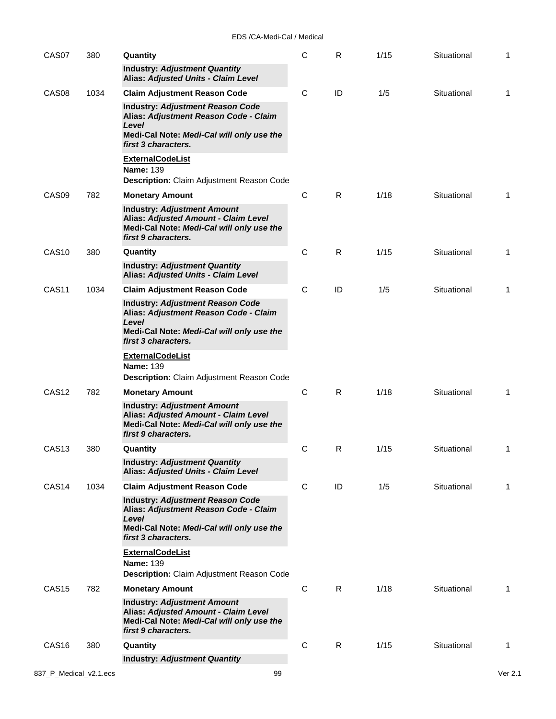| CAS07             |  | 380  | Quantity                                                                                                                                                      | $\mathsf C$ | R. | 1/15 | Situational | 1 |
|-------------------|--|------|---------------------------------------------------------------------------------------------------------------------------------------------------------------|-------------|----|------|-------------|---|
|                   |  |      | <b>Industry: Adjustment Quantity</b><br>Alias: Adjusted Units - Claim Level                                                                                   |             |    |      |             |   |
| CAS <sub>08</sub> |  | 1034 | <b>Claim Adjustment Reason Code</b>                                                                                                                           | C           | ID | 1/5  | Situational | 1 |
|                   |  |      | <b>Industry: Adjustment Reason Code</b><br>Alias: Adjustment Reason Code - Claim<br>Level                                                                     |             |    |      |             |   |
|                   |  |      | Medi-Cal Note: Medi-Cal will only use the<br>first 3 characters.                                                                                              |             |    |      |             |   |
|                   |  |      | <b>ExternalCodeList</b><br><b>Name: 139</b><br>Description: Claim Adjustment Reason Code                                                                      |             |    |      |             |   |
| CAS <sub>09</sub> |  | 782  | <b>Monetary Amount</b>                                                                                                                                        | C           | R. | 1/18 | Situational | 1 |
|                   |  |      | <b>Industry: Adjustment Amount</b><br>Alias: Adjusted Amount - Claim Level<br>Medi-Cal Note: Medi-Cal will only use the<br>first 9 characters.                |             |    |      |             |   |
| <b>CAS10</b>      |  | 380  | Quantity                                                                                                                                                      | C           | R  | 1/15 | Situational | 1 |
|                   |  |      | <b>Industry: Adjustment Quantity</b><br>Alias: Adjusted Units - Claim Level                                                                                   |             |    |      |             |   |
| CAS <sub>11</sub> |  | 1034 | <b>Claim Adjustment Reason Code</b>                                                                                                                           | C           | ID | 1/5  | Situational | 1 |
|                   |  |      | <b>Industry: Adjustment Reason Code</b><br>Alias: Adjustment Reason Code - Claim<br>Level<br>Medi-Cal Note: Medi-Cal will only use the<br>first 3 characters. |             |    |      |             |   |
|                   |  |      | <b>ExternalCodeList</b><br><b>Name: 139</b><br><b>Description:</b> Claim Adjustment Reason Code                                                               |             |    |      |             |   |
| CAS <sub>12</sub> |  | 782  | <b>Monetary Amount</b>                                                                                                                                        | C           | R. | 1/18 | Situational | 1 |
|                   |  |      | <b>Industry: Adjustment Amount</b><br>Alias: Adjusted Amount - Claim Level<br>Medi-Cal Note: Medi-Cal will only use the<br>first 9 characters.                |             |    |      |             |   |
| CAS <sub>13</sub> |  | 380  | Quantity                                                                                                                                                      | С           | R  | 1/15 | Situational | 1 |
|                   |  |      | <b>Industry: Adjustment Quantity</b><br>Alias: Adjusted Units - Claim Level                                                                                   |             |    |      |             |   |
| CAS <sub>14</sub> |  | 1034 | <b>Claim Adjustment Reason Code</b>                                                                                                                           | C           | ID | 1/5  | Situational | 1 |
|                   |  |      | <b>Industry: Adjustment Reason Code</b><br>Alias: Adjustment Reason Code - Claim<br>Level<br>Medi-Cal Note: Medi-Cal will only use the<br>first 3 characters. |             |    |      |             |   |
|                   |  |      | <b>ExternalCodeList</b><br><b>Name: 139</b><br>Description: Claim Adjustment Reason Code                                                                      |             |    |      |             |   |
| CAS <sub>15</sub> |  | 782  | <b>Monetary Amount</b>                                                                                                                                        | C           | R  | 1/18 | Situational | 1 |
|                   |  |      | <b>Industry: Adjustment Amount</b><br>Alias: Adjusted Amount - Claim Level<br>Medi-Cal Note: Medi-Cal will only use the<br>first 9 characters.                |             |    |      |             |   |
| CAS <sub>16</sub> |  | 380  | Quantity                                                                                                                                                      | C           | R  | 1/15 | Situational | 1 |
|                   |  |      | <b>Industry: Adjustment Quantity</b>                                                                                                                          |             |    |      |             |   |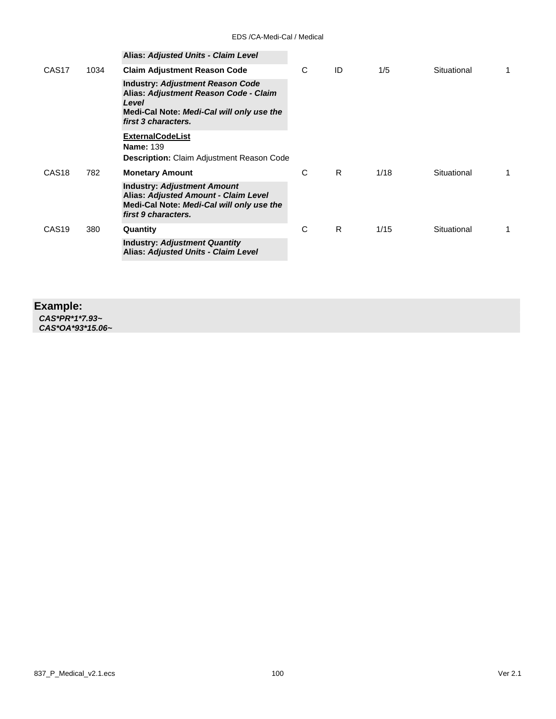|                   |      | <b>Alias: Adjusted Units - Claim Level</b>                                                                                                                    |   |    |      |             |  |
|-------------------|------|---------------------------------------------------------------------------------------------------------------------------------------------------------------|---|----|------|-------------|--|
| CAS <sub>17</sub> | 1034 | <b>Claim Adjustment Reason Code</b>                                                                                                                           | C | ID | 1/5  | Situational |  |
|                   |      | <b>Industry: Adjustment Reason Code</b><br>Alias: Adjustment Reason Code - Claim<br>Level<br>Medi-Cal Note: Medi-Cal will only use the<br>first 3 characters. |   |    |      |             |  |
|                   |      | <b>ExternalCodeList</b><br><b>Name: 139</b><br><b>Description:</b> Claim Adjustment Reason Code                                                               |   |    |      |             |  |
| CAS <sub>18</sub> | 782  | <b>Monetary Amount</b>                                                                                                                                        | C | R  | 1/18 | Situational |  |
|                   |      | <b>Industry: Adjustment Amount</b><br>Alias: Adjusted Amount - Claim Level<br>Medi-Cal Note: Medi-Cal will only use the<br>first 9 characters.                |   |    |      |             |  |
| CAS <sub>19</sub> | 380  | Quantity                                                                                                                                                      | C | R  | 1/15 | Situational |  |
|                   |      | <b>Industry: Adjustment Quantity</b><br>Alias: Adjusted Units - Claim Level                                                                                   |   |    |      |             |  |

### **Example:**

*CAS\*PR\*1\*7.93~ CAS\*OA\*93\*15.06~*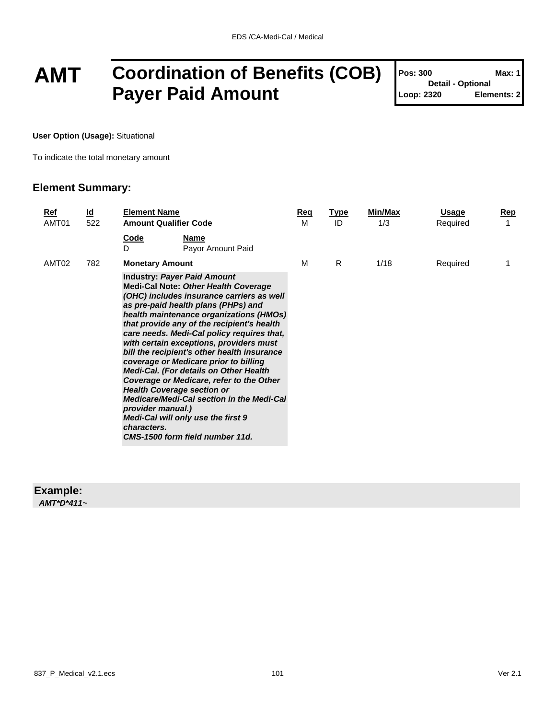## **AMT Coordination of Benefits (COB) Payer Paid Amount**

| Pos: 300                 | Max: 1      |
|--------------------------|-------------|
| <b>Detail - Optional</b> |             |
| Loop: 2320               | Elements: 2 |

T

**User Option (Usage):** Situational

To indicate the total monetary amount

### **Element Summary:**

| Ref<br>AMT01 | $\underline{\mathsf{Id}}$<br>522 | <b>Element Name</b><br><b>Amount Qualifier Code</b>                                                                                                                                                                                                                                                                                                                                                                                                                                                                                                                                                                                                                                                      |                                  | Req<br>м | <u>Type</u><br>ID | Min/Max<br>1/3 | Usage<br>Required | <u>Rep</u><br>1 |
|--------------|----------------------------------|----------------------------------------------------------------------------------------------------------------------------------------------------------------------------------------------------------------------------------------------------------------------------------------------------------------------------------------------------------------------------------------------------------------------------------------------------------------------------------------------------------------------------------------------------------------------------------------------------------------------------------------------------------------------------------------------------------|----------------------------------|----------|-------------------|----------------|-------------------|-----------------|
|              |                                  | Code<br>D                                                                                                                                                                                                                                                                                                                                                                                                                                                                                                                                                                                                                                                                                                | <b>Name</b><br>Payor Amount Paid |          |                   |                |                   |                 |
| AMT02        | 782                              | <b>Monetary Amount</b>                                                                                                                                                                                                                                                                                                                                                                                                                                                                                                                                                                                                                                                                                   |                                  | м        | R.                | 1/18           | Required          |                 |
|              |                                  | <b>Industry: Payer Paid Amount</b><br><b>Medi-Cal Note: Other Health Coverage</b><br>(OHC) includes insurance carriers as well<br>as pre-paid health plans (PHPs) and<br>health maintenance organizations (HMOs)<br>that provide any of the recipient's health<br>care needs. Medi-Cal policy requires that,<br>with certain exceptions, providers must<br>bill the recipient's other health insurance<br>coverage or Medicare prior to billing<br><b>Medi-Cal. (For details on Other Health</b><br>Coverage or Medicare, refer to the Other<br><b>Health Coverage section or</b><br>Medicare/Medi-Cal section in the Medi-Cal<br>provider manual.)<br>Medi-Cal will only use the first 9<br>characters. |                                  |          |                   |                |                   |                 |

### **Example:**

*AMT\*D\*411~*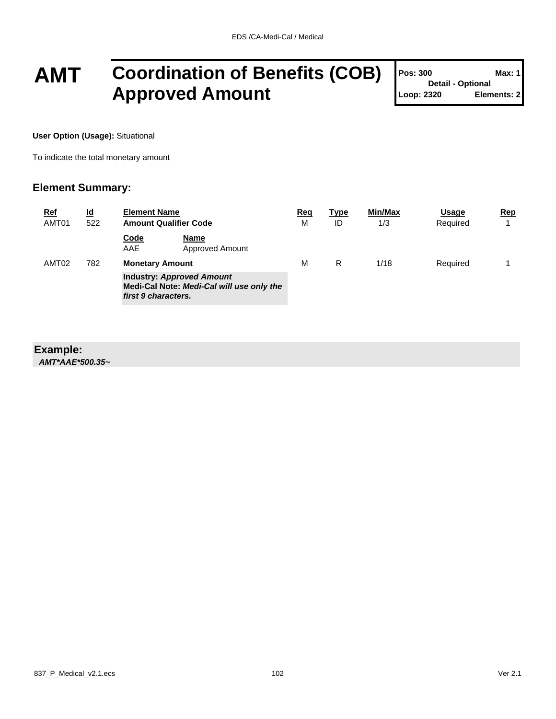## **AMT Coordination of Benefits (COB) Approved Amount**

| Pos: 300                 | Max: 1      |
|--------------------------|-------------|
| <b>Detail - Optional</b> |             |
| Loop: 2320               | Elements: 2 |

**User Option (Usage):** Situational

To indicate the total monetary amount

### **Element Summary:**

| <b>Ref</b><br>AMT01 | <u>ld</u><br>522 | <b>Element Name</b><br><b>Amount Qualifier Code</b>                                                  |                         | <u>Req</u><br>M | Type<br>ID | Min/Max<br>1/3 | Usage<br>Required | Rep |
|---------------------|------------------|------------------------------------------------------------------------------------------------------|-------------------------|-----------------|------------|----------------|-------------------|-----|
|                     |                  | <b>Code</b><br>AAE                                                                                   | Name<br>Approved Amount |                 |            |                |                   |     |
| AMT <sub>02</sub>   | 782              | <b>Monetary Amount</b>                                                                               |                         | M               | R          | 1/18           | Required          |     |
|                     |                  | <b>Industry: Approved Amount</b><br>Medi-Cal Note: Medi-Cal will use only the<br>first 9 characters. |                         |                 |            |                |                   |     |

#### **Example:** *AMT\*AAE\*500.35~*

837\_P\_Medical\_v2.1.ecs 102 Ver 2.1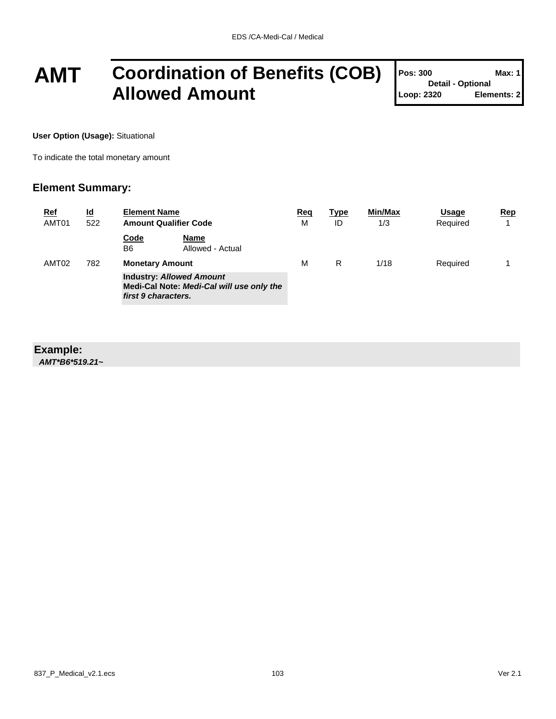### **AMT Coordination of Benefits (COB) Allowed Amount**

| Pos: 300                 | Max: 1      |
|--------------------------|-------------|
| <b>Detail - Optional</b> |             |
| Loop: 2320               | Elements: 2 |

**User Option (Usage):** Situational

To indicate the total monetary amount

### **Element Summary:**

| <b>Ref</b><br>AMT01 | <u>ld</u><br>522 | <b>Element Name</b><br><b>Amount Qualifier Code</b>                                                 |                          | <u>Req</u><br>M | <u>Type</u><br>ID | Min/Max<br>1/3 | Usage<br>Required | Rep |
|---------------------|------------------|-----------------------------------------------------------------------------------------------------|--------------------------|-----------------|-------------------|----------------|-------------------|-----|
|                     |                  | Code<br>B6                                                                                          | Name<br>Allowed - Actual |                 |                   |                |                   |     |
| AMT02               | 782              | <b>Monetary Amount</b>                                                                              |                          | M               | R                 | 1/18           | Required          |     |
|                     |                  | <b>Industry: Allowed Amount</b><br>Medi-Cal Note: Medi-Cal will use only the<br>first 9 characters. |                          |                 |                   |                |                   |     |

#### **Example:** *AMT\*B6\*519.21~*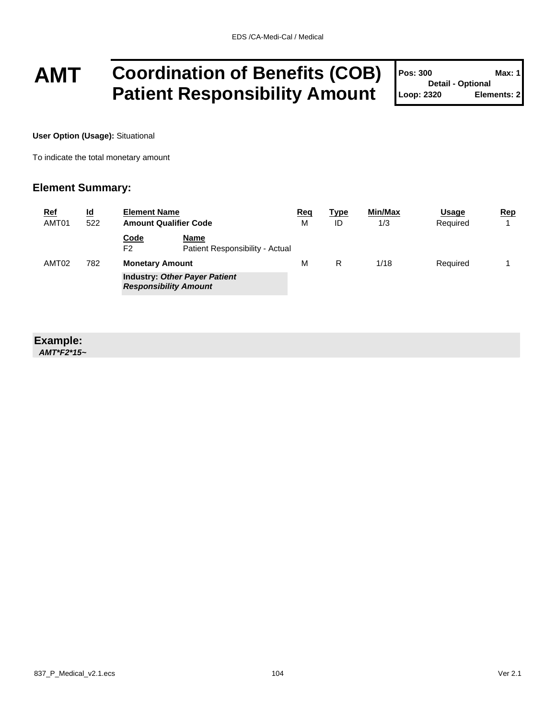## **AMT Coordination of Benefits (COB) Patient Responsibility Amount**

| Pos: 300                 | <b>Max: 1</b> |
|--------------------------|---------------|
| <b>Detail - Optional</b> |               |
| Loop: 2320               | Elements: 2   |

**User Option (Usage):** Situational

To indicate the total monetary amount

### **Element Summary:**

| <u>Ref</u><br>AMT01 | <u>ld</u><br>522 | <b>Element Name</b><br><b>Amount Qualifier Code</b> |                                                | <u>Req</u><br>M | <u>Type</u><br>ID | <b>Min/Max</b><br>1/3 | Usage<br>Required | Rep |
|---------------------|------------------|-----------------------------------------------------|------------------------------------------------|-----------------|-------------------|-----------------------|-------------------|-----|
|                     |                  | <b>Code</b><br>F <sub>2</sub>                       | <b>Name</b><br>Patient Responsibility - Actual |                 |                   |                       |                   |     |
| AMT <sub>02</sub>   | 782              | <b>Monetary Amount</b>                              |                                                | м               | R                 | 1/18                  | Required          |     |
|                     |                  | <b>Responsibility Amount</b>                        | <b>Industry: Other Payer Patient</b>           |                 |                   |                       |                   |     |

### **Example:**

*AMT\*F2\*15~*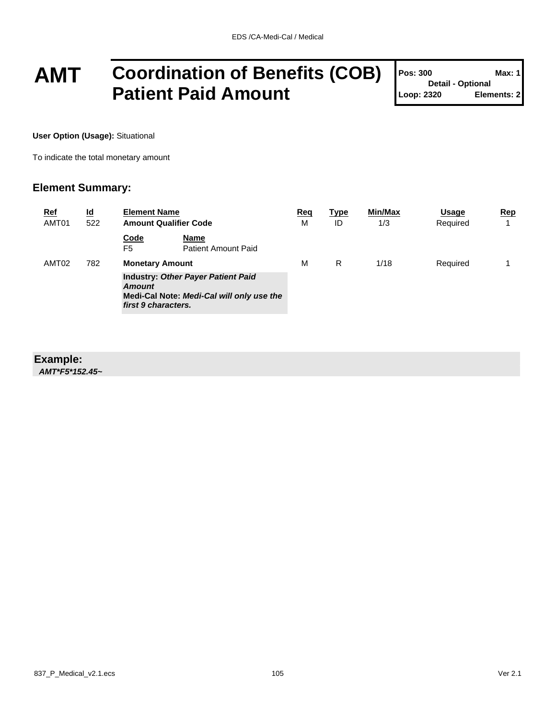## **AMT Coordination of Benefits (COB) Patient Paid Amount**

| <b>Pos: 300</b>          | Max: 1      |  |  |  |
|--------------------------|-------------|--|--|--|
| <b>Detail - Optional</b> |             |  |  |  |
| Loop: 2320               | Elements: 2 |  |  |  |

Τ

**User Option (Usage):** Situational

To indicate the total monetary amount

### **Element Summary:**

| <b>Ref</b><br>AMT01 | $\underline{\mathsf{Id}}$<br>522 | <b>Element Name</b><br><b>Amount Qualifier Code</b>                                                                     | <u>Req</u><br>M     | <u>Type</u><br>ID | Min/Max<br>1/3 | Usage<br>Required | Rep |
|---------------------|----------------------------------|-------------------------------------------------------------------------------------------------------------------------|---------------------|-------------------|----------------|-------------------|-----|
|                     |                                  | <b>Code</b><br>Name<br>F <sub>5</sub>                                                                                   | Patient Amount Paid |                   |                |                   |     |
| AMT02               | 782                              | <b>Monetary Amount</b>                                                                                                  |                     | R                 | 1/18           | Required          |     |
|                     |                                  | <b>Industry: Other Payer Patient Paid</b><br>Amount<br>Medi-Cal Note: Medi-Cal will only use the<br>first 9 characters. |                     |                   |                |                   |     |

### **Example:**

*AMT\*F5\*152.45~*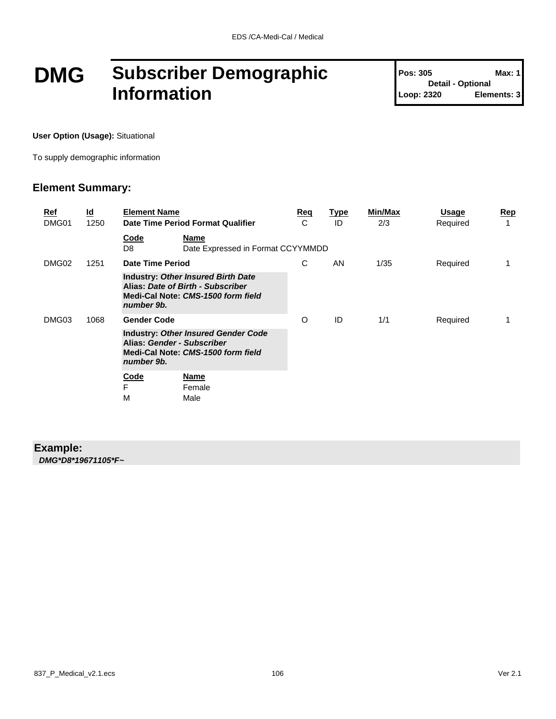## **DMG Subscriber Demographic Information**

**Pos: 305 Max: 1 Detail - Optional Loop: 2320 Elements: 3**

**User Option (Usage):** Situational

To supply demographic information

### **Element Summary:**

| <u>Ref</u><br>DMG01 | <u>ld</u><br>1250 | <b>Element Name</b> | Date Time Period Format Qualifier                                                                                    | Reg<br>C | <b>Type</b><br>ID | <b>Min/Max</b><br>2/3 | Usage<br>Required | <u>Rep</u> |
|---------------------|-------------------|---------------------|----------------------------------------------------------------------------------------------------------------------|----------|-------------------|-----------------------|-------------------|------------|
|                     |                   | Code<br>D8          | Name<br>Date Expressed in Format CCYYMMDD                                                                            |          |                   |                       |                   |            |
| DMG02               | 1251              | Date Time Period    |                                                                                                                      | C        | AN                | 1/35                  | Required          |            |
|                     |                   | number 9b.          | <b>Industry: Other Insured Birth Date</b><br>Alias: Date of Birth - Subscriber<br>Medi-Cal Note: CMS-1500 form field |          |                   |                       |                   |            |
| DMG03               | 1068              | <b>Gender Code</b>  |                                                                                                                      | O        | ID                | 1/1                   | Required          | 1          |
|                     |                   | number 9b.          | <b>Industry: Other Insured Gender Code</b><br>Alias: Gender - Subscriber<br>Medi-Cal Note: CMS-1500 form field       |          |                   |                       |                   |            |
|                     |                   | Code<br>F<br>M      | <b>Name</b><br>Female<br>Male                                                                                        |          |                   |                       |                   |            |
|                     |                   |                     |                                                                                                                      |          |                   |                       |                   |            |

### **Example:** *DMG\*D8\*19671105\*F~*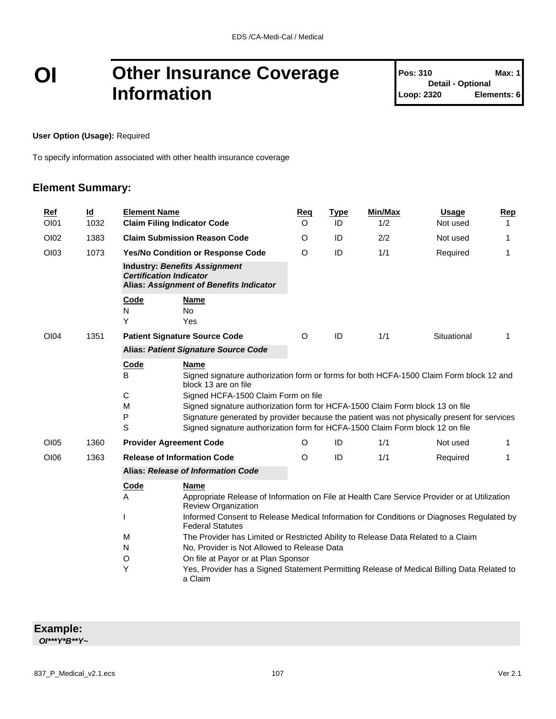### **OI Other Insurance Coverage Information**

**Pos: 310 Max: 1 Detail - Optional Loop: 2320 Elements: 6**

**User Option (Usage):** Required

To specify information associated with other health insurance coverage

### **Element Summary:**

| Ref<br>OI01 | $\underline{\mathsf{Id}}$<br>1032 | <b>Element Name</b>            | <b>Claim Filing Indicator Code</b>                                                                                                                                                                                                                                                                                                                                                                                                     | Reg<br>O                                                                                   | <b>Type</b><br>ID                                                                            | Min/Max<br>1/2 | <b>Usage</b><br>Not used | Rep<br>1 |  |  |  |
|-------------|-----------------------------------|--------------------------------|----------------------------------------------------------------------------------------------------------------------------------------------------------------------------------------------------------------------------------------------------------------------------------------------------------------------------------------------------------------------------------------------------------------------------------------|--------------------------------------------------------------------------------------------|----------------------------------------------------------------------------------------------|----------------|--------------------------|----------|--|--|--|
| OI02        | 1383                              |                                | <b>Claim Submission Reason Code</b>                                                                                                                                                                                                                                                                                                                                                                                                    |                                                                                            | ID                                                                                           | 2/2            | Not used                 | 1        |  |  |  |
| OI03        | 1073                              |                                | Yes/No Condition or Response Code                                                                                                                                                                                                                                                                                                                                                                                                      | $\Omega$                                                                                   | ID                                                                                           | 1/1            | Required                 | 1        |  |  |  |
|             |                                   | <b>Certification Indicator</b> | <b>Industry: Benefits Assignment</b><br>Alias: Assignment of Benefits Indicator                                                                                                                                                                                                                                                                                                                                                        |                                                                                            |                                                                                              |                |                          |          |  |  |  |
|             |                                   | Code<br>N<br>Y                 | <b>Name</b><br><b>No</b><br>Yes                                                                                                                                                                                                                                                                                                                                                                                                        |                                                                                            |                                                                                              |                |                          |          |  |  |  |
| OI04        | 1351                              |                                | <b>Patient Signature Source Code</b>                                                                                                                                                                                                                                                                                                                                                                                                   | O                                                                                          | ID                                                                                           | 1/1            | Situational              | 1        |  |  |  |
|             |                                   |                                | <b>Alias: Patient Signature Source Code</b>                                                                                                                                                                                                                                                                                                                                                                                            |                                                                                            |                                                                                              |                |                          |          |  |  |  |
|             |                                   | Code<br>B<br>С<br>M<br>P<br>S  | <b>Name</b><br>Signed signature authorization form or forms for both HCFA-1500 Claim Form block 12 and<br>block 13 are on file<br>Signed HCFA-1500 Claim Form on file<br>Signed signature authorization form for HCFA-1500 Claim Form block 13 on file<br>Signature generated by provider because the patient was not physically present for services<br>Signed signature authorization form for HCFA-1500 Claim Form block 12 on file |                                                                                            |                                                                                              |                |                          |          |  |  |  |
| <b>OI05</b> | 1360                              |                                | <b>Provider Agreement Code</b>                                                                                                                                                                                                                                                                                                                                                                                                         | O                                                                                          | ID                                                                                           | 1/1            | Not used                 | 1        |  |  |  |
| OI06        | 1363                              |                                | <b>Release of Information Code</b>                                                                                                                                                                                                                                                                                                                                                                                                     |                                                                                            | ID                                                                                           | 1/1            | Required                 | 1        |  |  |  |
|             |                                   |                                | Alias: Release of Information Code                                                                                                                                                                                                                                                                                                                                                                                                     |                                                                                            |                                                                                              |                |                          |          |  |  |  |
|             |                                   | Code<br>A                      | <b>Name</b><br><b>Review Organization</b>                                                                                                                                                                                                                                                                                                                                                                                              |                                                                                            | Appropriate Release of Information on File at Health Care Service Provider or at Utilization |                |                          |          |  |  |  |
|             |                                   |                                | Informed Consent to Release Medical Information for Conditions or Diagnoses Regulated by<br><b>Federal Statutes</b>                                                                                                                                                                                                                                                                                                                    |                                                                                            |                                                                                              |                |                          |          |  |  |  |
|             |                                   | M                              | The Provider has Limited or Restricted Ability to Release Data Related to a Claim                                                                                                                                                                                                                                                                                                                                                      |                                                                                            |                                                                                              |                |                          |          |  |  |  |
|             |                                   | N                              | No, Provider is Not Allowed to Release Data                                                                                                                                                                                                                                                                                                                                                                                            |                                                                                            |                                                                                              |                |                          |          |  |  |  |
|             |                                   | $\circ$<br>Υ                   | On file at Payor or at Plan Sponsor<br>a Claim                                                                                                                                                                                                                                                                                                                                                                                         | Yes, Provider has a Signed Statement Permitting Release of Medical Billing Data Related to |                                                                                              |                |                          |          |  |  |  |

| <b>Example:</b>            |  |
|----------------------------|--|
| $O I^{***} Y^* B^{**} Y^*$ |  |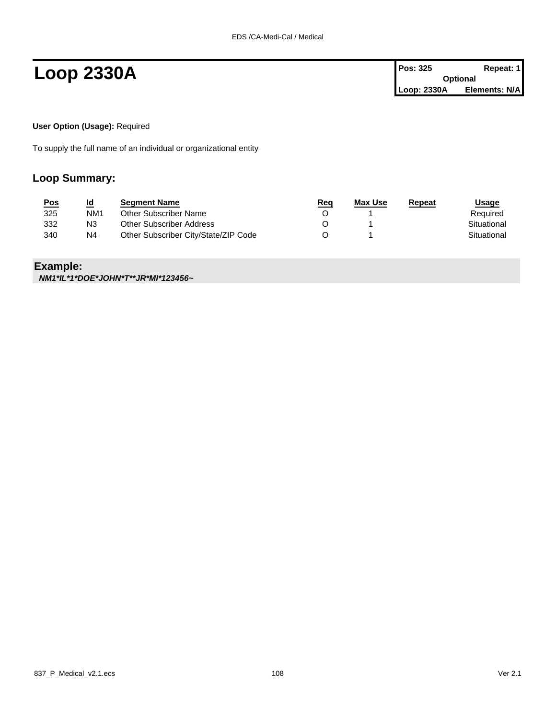**Loop 2330A Pos:** 325 **Repeat:** 1 **Optional Loop: 2330A Elements: N/A**

**User Option (Usage):** Required

To supply the full name of an individual or organizational entity

### **Loop Summary:**

| <u>Pos</u> | <u>ld</u>       | <b>Seament Name</b>                  | <u>Req</u> | <b>Max Use</b> | Repeat | <u>Usage</u> |
|------------|-----------------|--------------------------------------|------------|----------------|--------|--------------|
| 325        | NM <sub>1</sub> | Other Subscriber Name                |            |                |        | Required     |
| 332        | N3              | Other Subscriber Address             |            |                |        | Situational  |
| 340        | N4              | Other Subscriber City/State/ZIP Code |            |                |        | Situational  |

### **Example:**

*NM1\*IL\*1\*DOE\*JOHN\*T\*\*JR\*MI\*123456~*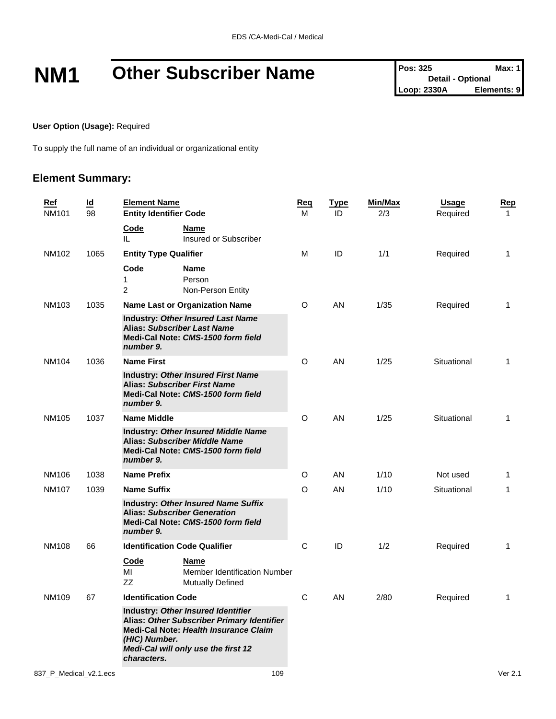# **NM1** Other Subscriber Name<br>  $\begin{bmatrix} \n\text{Pos: } 325 \\
\text{Des: } 325\n\end{bmatrix}$  **Max: 1**<br>
Loop: 2330A Elements: 9

**Detail - Optional Loop: 2330A** 

**User Option (Usage):** Required

To supply the full name of an individual or organizational entity

| <u>Ref</u><br><b>NM101</b> | $\underline{\mathsf{Id}}$<br>98 | <b>Element Name</b><br><b>Entity Identifier Code</b>                                                                                                                                                    | <u>Req</u><br>м | <u>Type</u><br>ID | Min/Max<br>2/3 | <u>Usage</u><br>Required | <u>Rep</u><br>$\mathbf{1}$ |
|----------------------------|---------------------------------|---------------------------------------------------------------------------------------------------------------------------------------------------------------------------------------------------------|-----------------|-------------------|----------------|--------------------------|----------------------------|
|                            |                                 | Code<br>Name<br>Insured or Subscriber<br>IL.                                                                                                                                                            |                 |                   |                |                          |                            |
| NM102                      | 1065                            | <b>Entity Type Qualifier</b>                                                                                                                                                                            | м               | ID                | 1/1            | Required                 | $\mathbf{1}$               |
|                            |                                 | <u>Code</u><br><u>Name</u><br>1<br>Person<br>$\overline{c}$<br>Non-Person Entity                                                                                                                        |                 |                   |                |                          |                            |
| NM103                      | 1035                            | <b>Name Last or Organization Name</b>                                                                                                                                                                   | O               | AN                | 1/35           | Required                 | 1                          |
|                            |                                 | <b>Industry: Other Insured Last Name</b><br><b>Alias: Subscriber Last Name</b><br>Medi-Cal Note: CMS-1500 form field<br>number 9.                                                                       |                 |                   |                |                          |                            |
| NM104                      | 1036                            | <b>Name First</b>                                                                                                                                                                                       | O               | AN                | 1/25           | Situational              | 1                          |
|                            |                                 | <b>Industry: Other Insured First Name</b><br><b>Alias: Subscriber First Name</b><br>Medi-Cal Note: CMS-1500 form field<br>number 9.                                                                     |                 |                   |                |                          |                            |
| NM105                      | 1037                            | <b>Name Middle</b>                                                                                                                                                                                      | O               | AN                | 1/25           | Situational              | 1                          |
|                            |                                 | <b>Industry: Other Insured Middle Name</b><br><b>Alias: Subscriber Middle Name</b><br>Medi-Cal Note: CMS-1500 form field<br>number 9.                                                                   |                 |                   |                |                          |                            |
| NM106                      | 1038                            | <b>Name Prefix</b>                                                                                                                                                                                      | O               | AN                | 1/10           | Not used                 | 1                          |
| <b>NM107</b>               | 1039                            | <b>Name Suffix</b>                                                                                                                                                                                      | O               | AN                | 1/10           | Situational              | 1                          |
|                            |                                 | <b>Industry: Other Insured Name Suffix</b><br><b>Alias: Subscriber Generation</b><br>Medi-Cal Note: CMS-1500 form field<br>number 9.                                                                    |                 |                   |                |                          |                            |
| <b>NM108</b>               | 66                              | <b>Identification Code Qualifier</b>                                                                                                                                                                    | С               | ID                | 1/2            | Required                 | $\mathbf{1}$               |
|                            |                                 | Code<br>Name<br>МI<br>Member Identification Number<br>ZZ<br><b>Mutually Defined</b>                                                                                                                     |                 |                   |                |                          |                            |
| NM109                      | 67                              | <b>Identification Code</b>                                                                                                                                                                              | C               | AN                | 2/80           | Required                 | 1                          |
|                            |                                 | Industry: Other Insured Identifier<br>Alias: Other Subscriber Primary Identifier<br>Medi-Cal Note: Health Insurance Claim<br>(HIC) Number.<br><b>Medi-Cal will only use the first 12</b><br>characters. |                 |                   |                |                          |                            |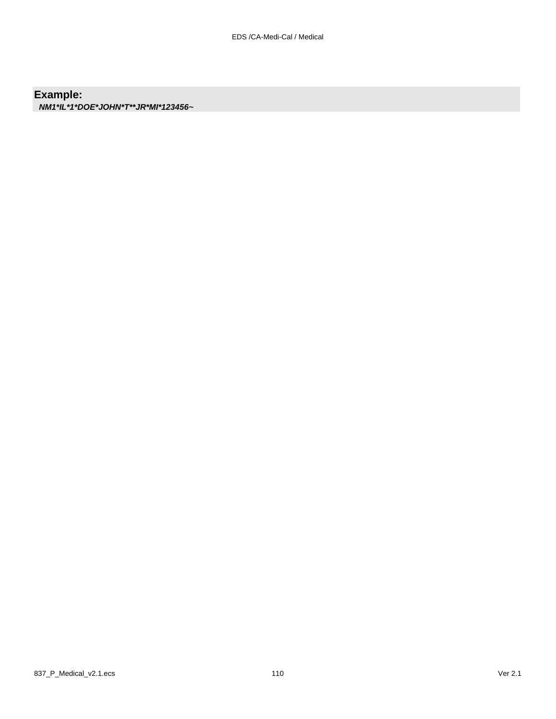#### **Example:**

*NM1\*IL\*1\*DOE\*JOHN\*T\*\*JR\*MI\*123456~*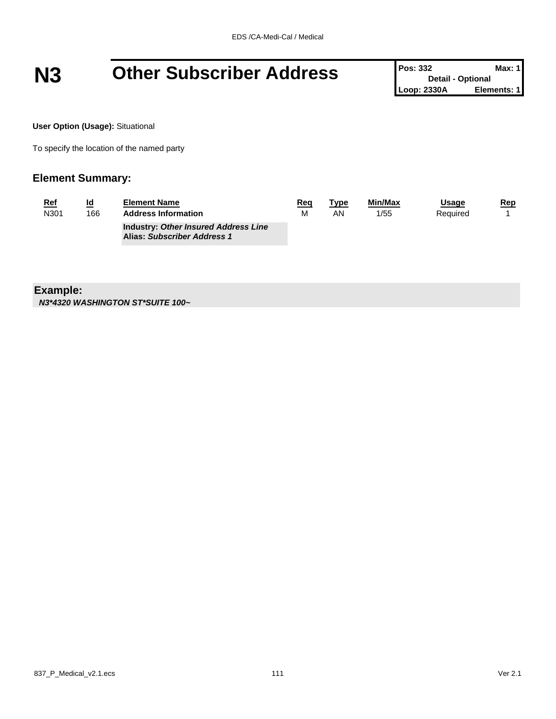# **N3 Other Subscriber Address Pos:** 332 **Detail - Optional** Max: 1<br>
Loop: 2330A **Elements:** 1

**Detail - Optional Loop: 2330A** 

**User Option (Usage):** Situational

To specify the location of the named party

#### **Element Summary:**

| <u>Ref</u> | <u>ld</u> | <b>Element Name</b>                                                        | Req | <u> Type</u> | Min/Max | Usage    | <u>Rep</u> |
|------------|-----------|----------------------------------------------------------------------------|-----|--------------|---------|----------|------------|
| N301       | 166       | <b>Address Information</b>                                                 | М   | AN           | 1/55    | Required |            |
|            |           | <b>Industry: Other Insured Address Line</b><br>Alias: Subscriber Address 1 |     |              |         |          |            |

**Example:**

*N3\*4320 WASHINGTON ST\*SUITE 100~*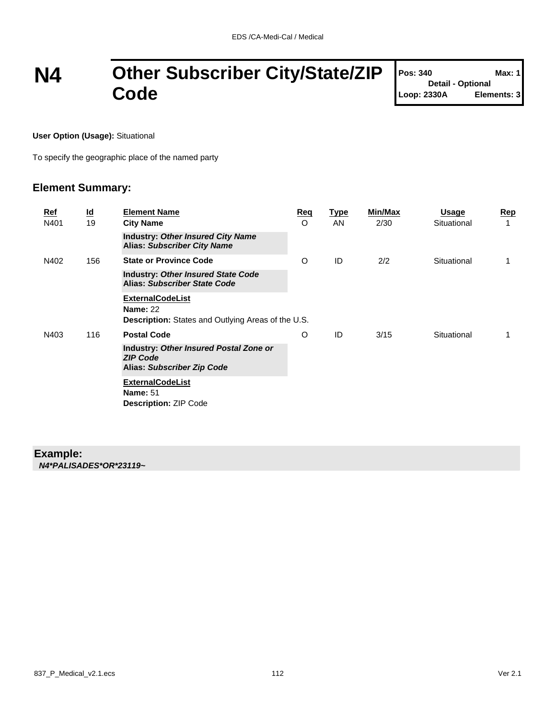### **N4 Other Subscriber City/State/ZIP Code**

| Pos: 340                 | Max: 1      |
|--------------------------|-------------|
| <b>Detail - Optional</b> |             |
| Loop: 2330A              | Elements: 3 |

**User Option (Usage):** Situational

To specify the geographic place of the named party

#### **Element Summary:**

| <u>Ref</u><br>N401 | $\overline{\mathbf{d}}$<br>19 | <b>Element Name</b><br><b>City Name</b>                                                                 | <u>Req</u><br>O | Type<br>AN | Min/Max<br>2/30 | <b>Usage</b><br>Situational | <u>Rep</u> |
|--------------------|-------------------------------|---------------------------------------------------------------------------------------------------------|-----------------|------------|-----------------|-----------------------------|------------|
|                    |                               | <b>Industry: Other Insured City Name</b><br><b>Alias: Subscriber City Name</b>                          |                 |            |                 |                             |            |
| N402               | 156                           | <b>State or Province Code</b>                                                                           | O               | ID         | 2/2             | Situational                 |            |
|                    |                               | <b>Industry: Other Insured State Code</b><br>Alias: Subscriber State Code                               |                 |            |                 |                             |            |
|                    |                               | <b>ExternalCodeList</b><br><b>Name: 22</b><br><b>Description:</b> States and Outlying Areas of the U.S. |                 |            |                 |                             |            |
| N403               | 116                           | <b>Postal Code</b>                                                                                      | O               | ID         | 3/15            | Situational                 |            |
|                    |                               | Industry: Other Insured Postal Zone or<br><b>ZIP Code</b><br>Alias: Subscriber Zip Code                 |                 |            |                 |                             |            |
|                    |                               | <b>ExternalCodeList</b><br><b>Name: 51</b><br><b>Description: ZIP Code</b>                              |                 |            |                 |                             |            |

#### **Example:**

*N4\*PALISADES\*OR\*23119~*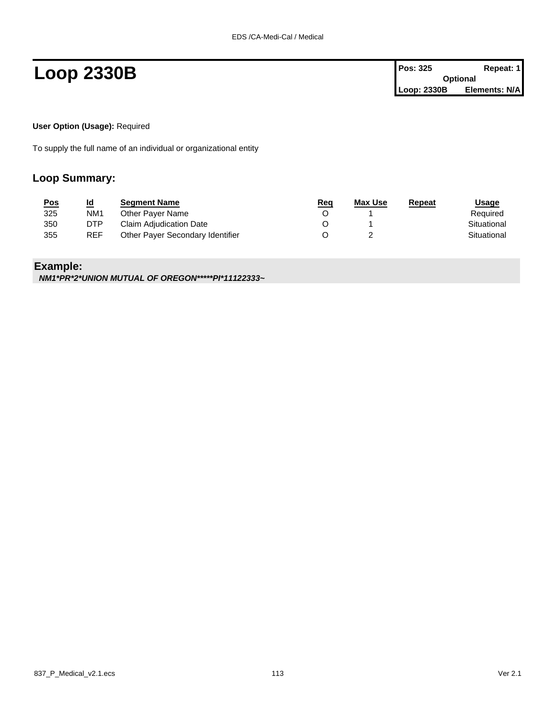### **Loop 2330B Pos: 325 Repeat: 1**

| Pos: 325    | Repeat: 1       |
|-------------|-----------------|
|             | <b>Optional</b> |
| Loop: 2330B | Elements: N/A   |

**User Option (Usage):** Required

To supply the full name of an individual or organizational entity

#### **Loop Summary:**

| <u>Pos</u> | <u>ld</u>       | <b>Segment Name</b>              | <u>Req</u> | Max Use | Repeat | <u>Usage</u> |
|------------|-----------------|----------------------------------|------------|---------|--------|--------------|
| 325        | NM <sub>1</sub> | Other Paver Name                 |            |         |        | Required     |
| 350        | DTP             | Claim Adjudication Date          |            |         |        | Situational  |
| 355        | <b>REF</b>      | Other Payer Secondary Identifier |            |         |        | Situational  |

### **Example:**

*NM1\*PR\*2\*UNION MUTUAL OF OREGON\*\*\*\*\*PI\*11122333~*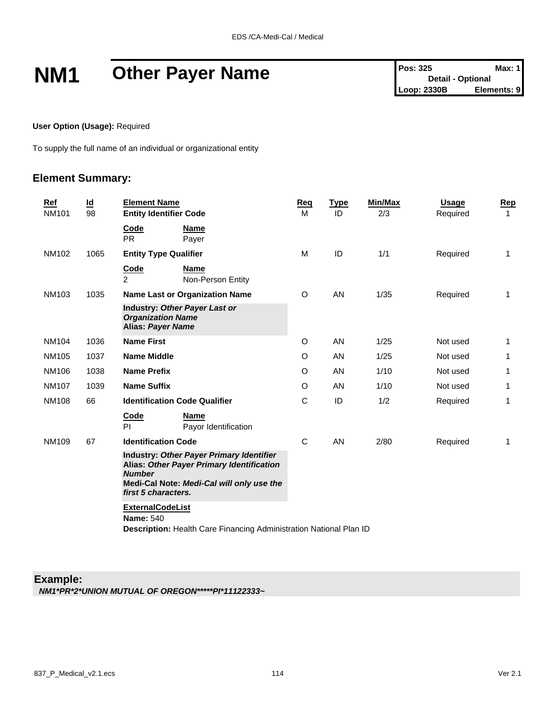## **NM1** Other Payer Name<br>  $\begin{bmatrix} \n\text{Pos: } 325 \\
\text{Des: } 325\n\end{bmatrix}$  Detail - Optional<br>
Loop: 2330B Elements: 9

**User Option (Usage):** Required

To supply the full name of an individual or organizational entity

#### **Element Summary:**

| Ref<br><b>NM101</b> | $\underline{\mathsf{Id}}$<br>98 | <b>Element Name</b><br><b>Entity Identifier Code</b>                                                                                                                       | Reg<br>м | <b>Type</b><br>ID | Min/Max<br>2/3 | <b>Usage</b><br>Required | Rep<br>$\mathbf{1}$ |
|---------------------|---------------------------------|----------------------------------------------------------------------------------------------------------------------------------------------------------------------------|----------|-------------------|----------------|--------------------------|---------------------|
|                     |                                 | <b>Code</b><br><b>Name</b><br><b>PR</b><br>Payer                                                                                                                           |          |                   |                |                          |                     |
| NM102               | 1065                            | <b>Entity Type Qualifier</b>                                                                                                                                               | M        | ID                | 1/1            | Required                 | 1                   |
|                     |                                 | Code<br><b>Name</b><br>$\overline{2}$<br>Non-Person Entity                                                                                                                 |          |                   |                |                          |                     |
| <b>NM103</b>        | 1035                            | <b>Name Last or Organization Name</b>                                                                                                                                      | O        | AN                | 1/35           | Required                 | $\mathbf{1}$        |
|                     |                                 | Industry: Other Payer Last or<br><b>Organization Name</b><br><b>Alias: Payer Name</b>                                                                                      |          |                   |                |                          |                     |
| <b>NM104</b>        | 1036                            | <b>Name First</b>                                                                                                                                                          | O        | AN                | 1/25           | Not used                 | 1                   |
| <b>NM105</b>        | 1037                            | <b>Name Middle</b>                                                                                                                                                         | $\circ$  | <b>AN</b>         | 1/25           | Not used                 | 1                   |
| NM106               | 1038                            | <b>Name Prefix</b>                                                                                                                                                         | $\circ$  | AN                | 1/10           | Not used                 | 1                   |
| <b>NM107</b>        | 1039                            | <b>Name Suffix</b>                                                                                                                                                         | O        | <b>AN</b>         | 1/10           | Not used                 | 1                   |
| <b>NM108</b>        | 66                              | <b>Identification Code Qualifier</b>                                                                                                                                       | C        | ID                | 1/2            | Required                 | $\mathbf{1}$        |
|                     |                                 | Code<br><b>Name</b><br><b>PI</b><br>Payor Identification                                                                                                                   |          |                   |                |                          |                     |
| <b>NM109</b>        | 67                              | <b>Identification Code</b>                                                                                                                                                 | C        | AN                | 2/80           | Required                 | 1                   |
|                     |                                 | Industry: Other Payer Primary Identifier<br>Alias: Other Payer Primary Identification<br><b>Number</b><br>Medi-Cal Note: Medi-Cal will only use the<br>first 5 characters. |          |                   |                |                          |                     |
|                     |                                 | <b>ExternalCodeList</b><br><b>Name: 540</b><br>Description: Health Care Financing Administration National Plan ID                                                          |          |                   |                |                          |                     |

#### **Example:** *NM1\*PR\*2\*UNION MUTUAL OF OREGON\*\*\*\*\*PI\*11122333~*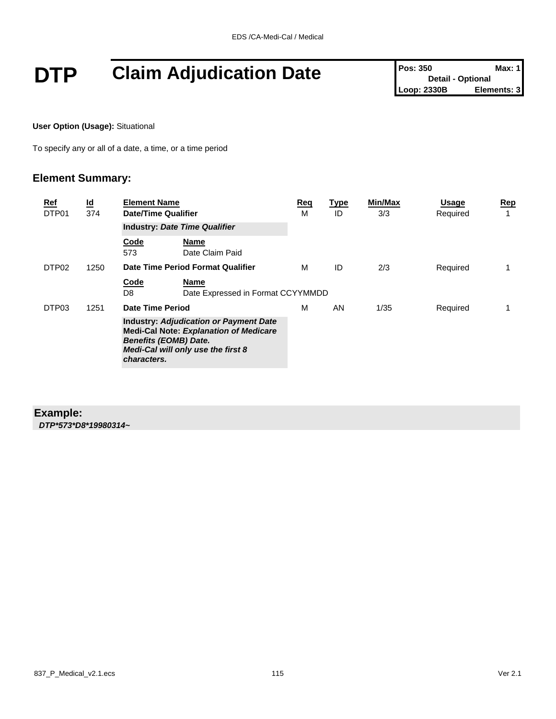# **DTP Claim Adjudication Date Pos: 350 Max: 1**<br>
Loop: 2330B **Elements: 3**

**User Option (Usage):** Situational

To specify any or all of a date, a time, or a time period

### **Element Summary:**

| Ref<br>DTP01      | $\underline{\mathsf{Id}}$<br>374 | <b>Element Name</b><br>Date/Time Qualifier  |                                                                                                                                      | Req<br>М | <u>Type</u><br>ID | Min/Max<br>3/3 | <b>Usage</b><br>Required | <u>Rep</u><br>1 |
|-------------------|----------------------------------|---------------------------------------------|--------------------------------------------------------------------------------------------------------------------------------------|----------|-------------------|----------------|--------------------------|-----------------|
|                   |                                  | <b>Industry: Date Time Qualifier</b>        |                                                                                                                                      |          |                   |                |                          |                 |
|                   |                                  | Code<br>573                                 | Name<br>Date Claim Paid                                                                                                              |          |                   |                |                          |                 |
| DTP <sub>02</sub> | 1250                             |                                             | Date Time Period Format Qualifier                                                                                                    | м        | ID                | 2/3            | Required                 |                 |
|                   |                                  | Code<br>D8                                  | Name<br>Date Expressed in Format CCYYMMDD                                                                                            |          |                   |                |                          |                 |
| DTP03             | 1251                             | Date Time Period                            |                                                                                                                                      | м        | AN                | 1/35           | Required                 | 1               |
|                   |                                  | <b>Benefits (EOMB) Date.</b><br>characters. | <b>Industry: Adjudication or Payment Date</b><br><b>Medi-Cal Note: Explanation of Medicare</b><br>Medi-Cal will only use the first 8 |          |                   |                |                          |                 |

#### **Example:**

*DTP\*573\*D8\*19980314~*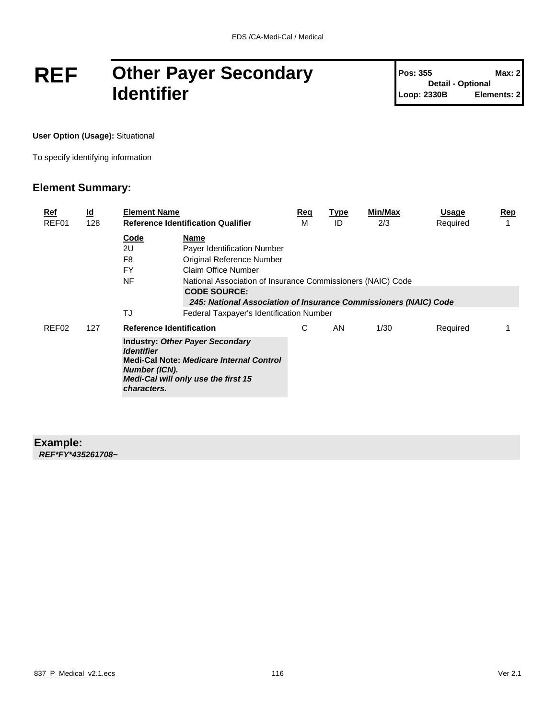### **REF Other Payer Secondary Identifier**

**Pos: 355 Max: 2 Detail - Optional Loop: 2330B Elements: 2**

**User Option (Usage):** Situational

To specify identifying information

#### **Element Summary:**

| <u>Ref</u> | <u>ld</u> | <b>Element Name</b>                               |                                                                                                                           | Req | <u>Type</u> | Min/Max | Usage    | <b>Rep</b> |
|------------|-----------|---------------------------------------------------|---------------------------------------------------------------------------------------------------------------------------|-----|-------------|---------|----------|------------|
| REF01      | 128       |                                                   | <b>Reference Identification Qualifier</b>                                                                                 | м   | ID          | 2/3     | Required |            |
|            |           | Code                                              | Name                                                                                                                      |     |             |         |          |            |
|            |           | 2U                                                | <b>Payer Identification Number</b>                                                                                        |     |             |         |          |            |
|            |           | F8                                                | Original Reference Number                                                                                                 |     |             |         |          |            |
|            |           | FY                                                | Claim Office Number                                                                                                       |     |             |         |          |            |
|            |           | NF                                                | National Association of Insurance Commissioners (NAIC) Code                                                               |     |             |         |          |            |
|            |           |                                                   | <b>CODE SOURCE:</b>                                                                                                       |     |             |         |          |            |
|            |           |                                                   | 245: National Association of Insurance Commissioners (NAIC) Code                                                          |     |             |         |          |            |
|            |           | TJ                                                | Federal Taxpayer's Identification Number                                                                                  |     |             |         |          |            |
| REF02      | 127       | <b>Reference Identification</b>                   |                                                                                                                           | С   | AN          | 1/30    | Required |            |
|            |           | <b>Identifier</b><br>Number (ICN).<br>characters. | <b>Industry: Other Payer Secondary</b><br>Medi-Cal Note: Medicare Internal Control<br>Medi-Cal will only use the first 15 |     |             |         |          |            |

#### **Example:**

*REF\*FY\*435261708~*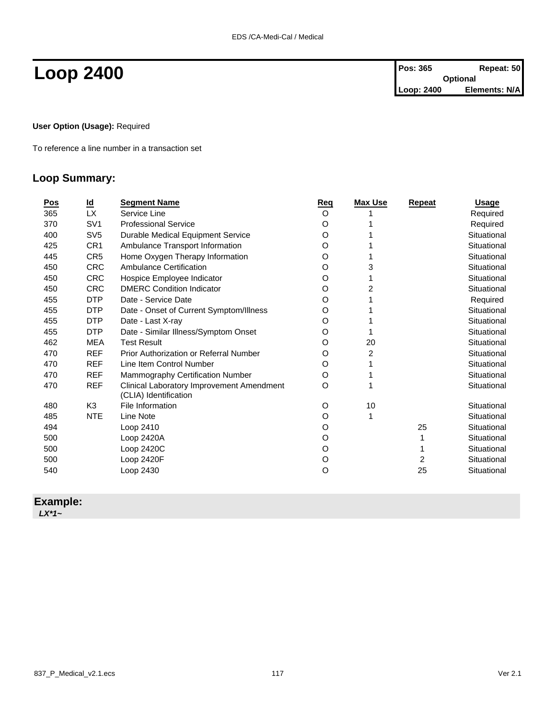#### **User Option (Usage):** Required

To reference a line number in a transaction set

### **Loop Summary:**

| <u>Pos</u> | <u>ld</u>       | <b>Segment Name</b>                                                | Reg     | <b>Max Use</b> | Repeat | <b>Usage</b> |
|------------|-----------------|--------------------------------------------------------------------|---------|----------------|--------|--------------|
| 365        | LX.             | Service Line                                                       | $\circ$ |                |        | Required     |
| 370        | SV <sub>1</sub> | <b>Professional Service</b>                                        | O       |                |        | Required     |
| 400        | SV <sub>5</sub> | Durable Medical Equipment Service                                  | O       |                |        | Situational  |
| 425        | CR <sub>1</sub> | Ambulance Transport Information                                    | O       |                |        | Situational  |
| 445        | CR <sub>5</sub> | Home Oxygen Therapy Information                                    | O       |                |        | Situational  |
| 450        | <b>CRC</b>      | Ambulance Certification                                            | O       | 3              |        | Situational  |
| 450        | <b>CRC</b>      | Hospice Employee Indicator                                         | O       |                |        | Situational  |
| 450        | <b>CRC</b>      | <b>DMERC Condition Indicator</b>                                   | O       | 2              |        | Situational  |
| 455        | <b>DTP</b>      | Date - Service Date                                                | O       |                |        | Required     |
| 455        | <b>DTP</b>      | Date - Onset of Current Symptom/Illness                            | O       |                |        | Situational  |
| 455        | <b>DTP</b>      | Date - Last X-ray                                                  | O       |                |        | Situational  |
| 455        | <b>DTP</b>      | Date - Similar Illness/Symptom Onset                               | O       |                |        | Situational  |
| 462        | <b>MEA</b>      | <b>Test Result</b>                                                 | O       | 20             |        | Situational  |
| 470        | <b>REF</b>      | <b>Prior Authorization or Referral Number</b>                      | O       | 2              |        | Situational  |
| 470        | <b>REF</b>      | Line Item Control Number                                           | O       |                |        | Situational  |
| 470        | <b>REF</b>      | Mammography Certification Number                                   | O       |                |        | Situational  |
| 470        | <b>REF</b>      | Clinical Laboratory Improvement Amendment<br>(CLIA) Identification | O       |                |        | Situational  |
| 480        | K <sub>3</sub>  | File Information                                                   | O       | 10             |        | Situational  |
| 485        | <b>NTE</b>      | Line Note                                                          | O       | 1              |        | Situational  |
| 494        |                 | Loop 2410                                                          | O       |                | 25     | Situational  |
| 500        |                 | Loop 2420A                                                         | O       |                |        | Situational  |
| 500        |                 | Loop 2420C                                                         | O       |                |        | Situational  |
| 500        |                 | Loop 2420F                                                         | O       |                | 2      | Situational  |
| 540        |                 | Loop 2430                                                          | $\circ$ |                | 25     | Situational  |

### **Example:**

*LX\*1~*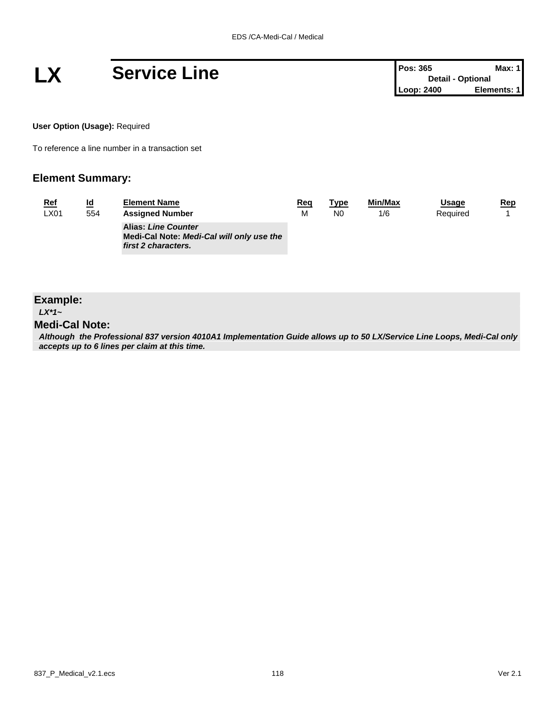

| <b>Pos: 365</b>          | <b>Max: 1</b> |
|--------------------------|---------------|
| <b>Detail - Optional</b> |               |
| Loop: 2400               | Elements: 1   |

**User Option (Usage):** Required

To reference a line number in a transaction set

#### **Element Summary:**

| <u>Ref</u> | <u>ld</u> | <b>Element Name</b>                                                                            | Req | <u>Type</u>    | Min/Max | Usage    | <u>Rep</u> |
|------------|-----------|------------------------------------------------------------------------------------------------|-----|----------------|---------|----------|------------|
| LX01       | 554       | <b>Assigned Number</b>                                                                         | M   | N <sub>0</sub> | 1/6     | Required |            |
|            |           | <b>Alias: Line Counter</b><br>Medi-Cal Note: Medi-Cal will only use the<br>first 2 characters. |     |                |         |          |            |

### **Example:** *LX\*1~*

#### **Medi-Cal Note:**

*Although the Professional 837 version 4010A1 Implementation Guide allows up to 50 LX/Service Line Loops, Medi-Cal only accepts up to 6 lines per claim at this time.*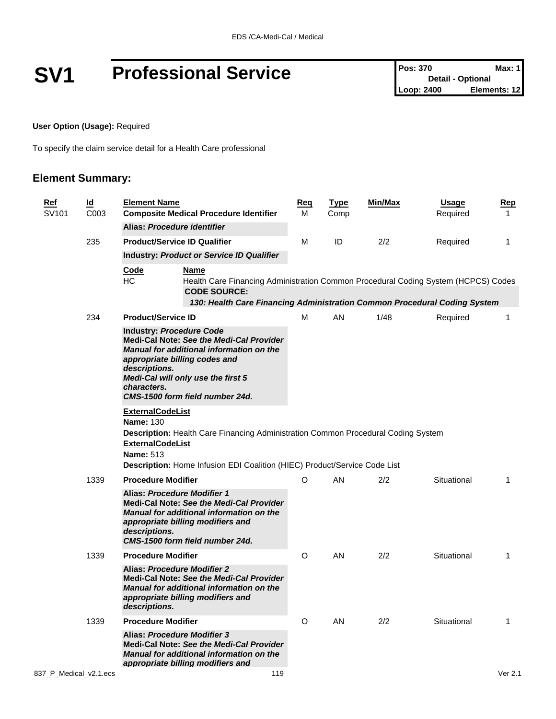## **SV1 Professional Service Pos: 370 Pos: 370 Max: 1**<br>
Loop: 2400 **Elements: 12**

**User Option (Usage):** Required

To specify the claim service detail for a Health Care professional

| <u>Ref</u><br><u>ld</u><br>SV101 | C <sub>003</sub>                                                                           | <b>Element Name</b>                                                                                                                                                                                                                                                      | <b>Composite Medical Procedure Identifier</b>                                                                                                                                                             |    | <u>Type</u><br>Comp | <u>Min/Max</u> | <u>Usage</u><br>Required | <u>Rep</u><br>$\mathbf{1}$ |
|----------------------------------|--------------------------------------------------------------------------------------------|--------------------------------------------------------------------------------------------------------------------------------------------------------------------------------------------------------------------------------------------------------------------------|-----------------------------------------------------------------------------------------------------------------------------------------------------------------------------------------------------------|----|---------------------|----------------|--------------------------|----------------------------|
|                                  |                                                                                            | Alias: Procedure identifier                                                                                                                                                                                                                                              |                                                                                                                                                                                                           |    |                     |                |                          |                            |
|                                  | 235                                                                                        |                                                                                                                                                                                                                                                                          | <b>Product/Service ID Qualifier</b>                                                                                                                                                                       | М  | ID                  | 2/2            | Required                 | $\mathbf{1}$               |
|                                  |                                                                                            |                                                                                                                                                                                                                                                                          | <b>Industry: Product or Service ID Qualifier</b>                                                                                                                                                          |    |                     |                |                          |                            |
|                                  |                                                                                            | <b>Code</b><br><b>HC</b>                                                                                                                                                                                                                                                 | <b>Name</b><br>Health Care Financing Administration Common Procedural Coding System (HCPCS) Codes<br><b>CODE SOURCE:</b><br>130: Health Care Financing Administration Common Procedural Coding System     |    |                     |                |                          |                            |
|                                  | 234                                                                                        | <b>Product/Service ID</b>                                                                                                                                                                                                                                                |                                                                                                                                                                                                           | М  | AN                  | 1/48           | Required                 | $\mathbf{1}$               |
|                                  |                                                                                            | <b>Industry: Procedure Code</b><br>Medi-Cal Note: See the Medi-Cal Provider<br><b>Manual for additional information on the</b><br>appropriate billing codes and<br>descriptions.<br>Medi-Cal will only use the first 5<br>characters.<br>CMS-1500 form field number 24d. |                                                                                                                                                                                                           |    |                     |                |                          |                            |
|                                  | <b>ExternalCodeList</b><br><b>Name: 130</b><br><b>ExternalCodeList</b><br><b>Name: 513</b> | <b>Description:</b> Health Care Financing Administration Common Procedural Coding System<br>Description: Home Infusion EDI Coalition (HIEC) Product/Service Code List                                                                                                    |                                                                                                                                                                                                           |    |                     |                |                          |                            |
|                                  | 1339                                                                                       | <b>Procedure Modifier</b>                                                                                                                                                                                                                                                | O                                                                                                                                                                                                         | AN | 2/2                 | Situational    | $\mathbf{1}$             |                            |
|                                  |                                                                                            | descriptions.                                                                                                                                                                                                                                                            | <b>Alias: Procedure Modifier 1</b><br>Medi-Cal Note: See the Medi-Cal Provider<br><b>Manual for additional information on the</b><br>appropriate billing modifiers and<br>CMS-1500 form field number 24d. |    |                     |                |                          |                            |
|                                  | 1339                                                                                       | <b>Procedure Modifier</b>                                                                                                                                                                                                                                                |                                                                                                                                                                                                           | O  | AN                  | 2/2            | Situational              | $\mathbf{1}$               |
|                                  |                                                                                            | descriptions.                                                                                                                                                                                                                                                            | <b>Alias: Procedure Modifier 2</b><br>Medi-Cal Note: See the Medi-Cal Provider<br><b>Manual for additional information on the</b><br>appropriate billing modifiers and                                    |    |                     |                |                          |                            |
|                                  | 1339                                                                                       | <b>Procedure Modifier</b>                                                                                                                                                                                                                                                |                                                                                                                                                                                                           | O  | AN                  | 2/2            | Situational              | $\mathbf{1}$               |
|                                  |                                                                                            |                                                                                                                                                                                                                                                                          | Alias: Procedure Modifier 3<br><b>Medi-Cal Note: See the Medi-Cal Provider</b><br>Manual for additional information on the<br>appropriate billing modifiers and                                           |    |                     |                |                          |                            |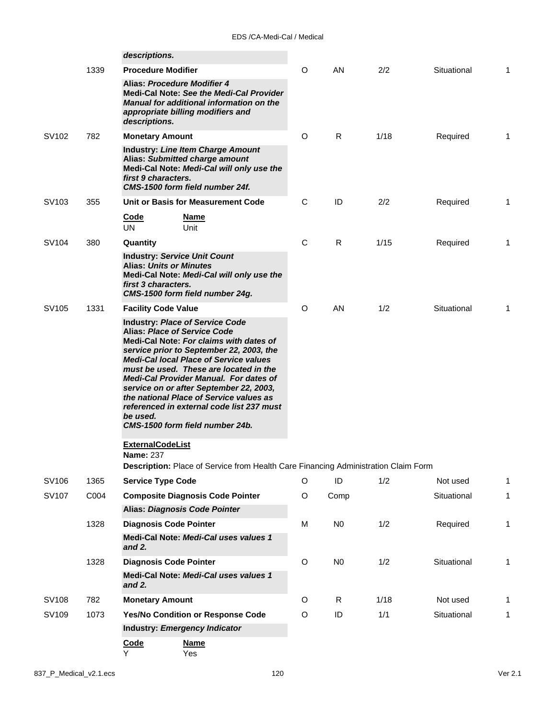|                   |      | descriptions.                                                                                                                                                                                                                                                                                                                                                                                                                                                                                      |             |                |      |             |              |
|-------------------|------|----------------------------------------------------------------------------------------------------------------------------------------------------------------------------------------------------------------------------------------------------------------------------------------------------------------------------------------------------------------------------------------------------------------------------------------------------------------------------------------------------|-------------|----------------|------|-------------|--------------|
|                   | 1339 | <b>Procedure Modifier</b>                                                                                                                                                                                                                                                                                                                                                                                                                                                                          | O           | <b>AN</b>      | 2/2  | Situational | 1            |
|                   |      | Alias: Procedure Modifier 4<br><b>Medi-Cal Note: See the Medi-Cal Provider</b><br><b>Manual for additional information on the</b><br>appropriate billing modifiers and<br>descriptions.                                                                                                                                                                                                                                                                                                            |             |                |      |             |              |
| SV102             | 782  | <b>Monetary Amount</b>                                                                                                                                                                                                                                                                                                                                                                                                                                                                             | O           | R              | 1/18 | Required    | 1            |
|                   |      | <b>Industry: Line Item Charge Amount</b><br>Alias: Submitted charge amount<br>Medi-Cal Note: Medi-Cal will only use the<br>first 9 characters.<br>CMS-1500 form field number 24f.                                                                                                                                                                                                                                                                                                                  |             |                |      |             |              |
| SV <sub>103</sub> | 355  | Unit or Basis for Measurement Code                                                                                                                                                                                                                                                                                                                                                                                                                                                                 | C           | ID             | 2/2  | Required    | 1            |
|                   |      | <b>Code</b><br>Name<br><b>UN</b><br>Unit                                                                                                                                                                                                                                                                                                                                                                                                                                                           |             |                |      |             |              |
| SV104             | 380  | Quantity                                                                                                                                                                                                                                                                                                                                                                                                                                                                                           | $\mathbf C$ | R              | 1/15 | Required    | 1            |
|                   |      | <b>Industry: Service Unit Count</b><br><b>Alias: Units or Minutes</b><br>Medi-Cal Note: Medi-Cal will only use the<br>first 3 characters.<br>CMS-1500 form field number 24g.                                                                                                                                                                                                                                                                                                                       |             |                |      |             |              |
| SV105             | 1331 | <b>Facility Code Value</b>                                                                                                                                                                                                                                                                                                                                                                                                                                                                         | O           | AN.            | 1/2  | Situational | 1            |
|                   |      | <b>Industry: Place of Service Code</b><br><b>Alias: Place of Service Code</b><br>Medi-Cal Note: For claims with dates of<br>service prior to September 22, 2003, the<br><b>Medi-Cal local Place of Service values</b><br>must be used. These are located in the<br><b>Medi-Cal Provider Manual. For dates of</b><br>service on or after September 22, 2003,<br>the national Place of Service values as<br>referenced in external code list 237 must<br>be used.<br>CMS-1500 form field number 24b. |             |                |      |             |              |
|                   |      | <b>ExternalCodeList</b>                                                                                                                                                                                                                                                                                                                                                                                                                                                                            |             |                |      |             |              |
|                   |      | <b>Name: 237</b><br>Description: Place of Service from Health Care Financing Administration Claim Form                                                                                                                                                                                                                                                                                                                                                                                             |             |                |      |             |              |
| SV106             | 1365 | <b>Service Type Code</b>                                                                                                                                                                                                                                                                                                                                                                                                                                                                           | O           | ID             | 1/2  | Not used    | 1            |
| SV107             | C004 | <b>Composite Diagnosis Code Pointer</b>                                                                                                                                                                                                                                                                                                                                                                                                                                                            | O           | Comp           |      | Situational | $\mathbf{1}$ |
|                   |      | Alias: Diagnosis Code Pointer                                                                                                                                                                                                                                                                                                                                                                                                                                                                      |             |                |      |             |              |
|                   | 1328 | <b>Diagnosis Code Pointer</b>                                                                                                                                                                                                                                                                                                                                                                                                                                                                      | M           | N <sub>0</sub> | 1/2  | Required    | 1            |
|                   |      | Medi-Cal Note: Medi-Cal uses values 1<br>and $2.$                                                                                                                                                                                                                                                                                                                                                                                                                                                  |             |                |      |             |              |
|                   | 1328 | <b>Diagnosis Code Pointer</b>                                                                                                                                                                                                                                                                                                                                                                                                                                                                      | O           | N <sub>0</sub> | 1/2  | Situational | 1            |
|                   |      | Medi-Cal Note: Medi-Cal uses values 1<br>and 2.                                                                                                                                                                                                                                                                                                                                                                                                                                                    |             |                |      |             |              |
| SV108             | 782  | <b>Monetary Amount</b>                                                                                                                                                                                                                                                                                                                                                                                                                                                                             | O           | R              | 1/18 | Not used    | 1            |
| SV109             | 1073 | Yes/No Condition or Response Code                                                                                                                                                                                                                                                                                                                                                                                                                                                                  | O           | ID             | 1/1  | Situational | 1            |
|                   |      | Industry: Emergency Indicator                                                                                                                                                                                                                                                                                                                                                                                                                                                                      |             |                |      |             |              |
|                   |      | Code<br><b>Name</b><br>Y<br>Yes                                                                                                                                                                                                                                                                                                                                                                                                                                                                    |             |                |      |             |              |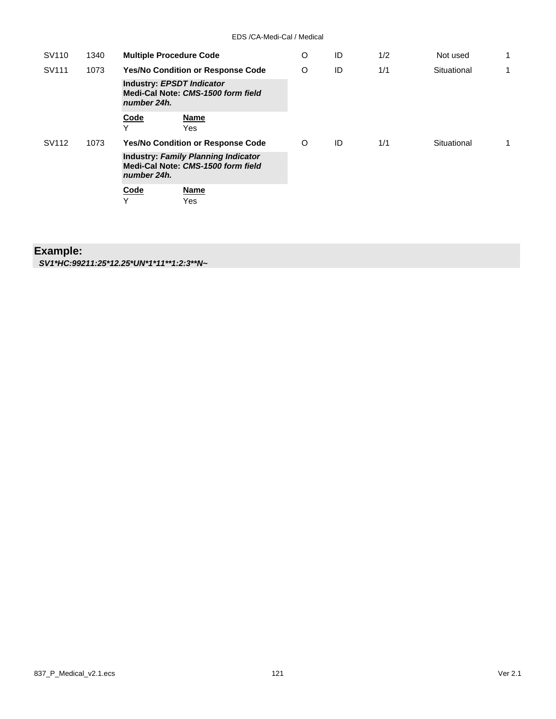| SV110 | 1340 | <b>Multiple Procedure Code</b>                                                                  | O | ID | 1/2 | Not used    | 1  |
|-------|------|-------------------------------------------------------------------------------------------------|---|----|-----|-------------|----|
| SV111 | 1073 | <b>Yes/No Condition or Response Code</b>                                                        | O | ID | 1/1 | Situational | 1  |
|       |      | <b>Industry: EPSDT Indicator</b><br>Medi-Cal Note: CMS-1500 form field<br>number 24h.           |   |    |     |             |    |
|       |      | <b>Code</b><br>Name<br>v<br>Yes                                                                 |   |    |     |             |    |
| SV112 | 1073 | <b>Yes/No Condition or Response Code</b>                                                        | O | ID | 1/1 | Situational | 1. |
|       |      | <b>Industry: Family Planning Indicator</b><br>Medi-Cal Note: CMS-1500 form field<br>number 24h. |   |    |     |             |    |
|       |      | <b>Name</b><br>Code<br>Y<br>Yes                                                                 |   |    |     |             |    |

### **Example:**

*SV1\*HC:99211:25\*12.25\*UN\*1\*11\*\*1:2:3\*\*N~*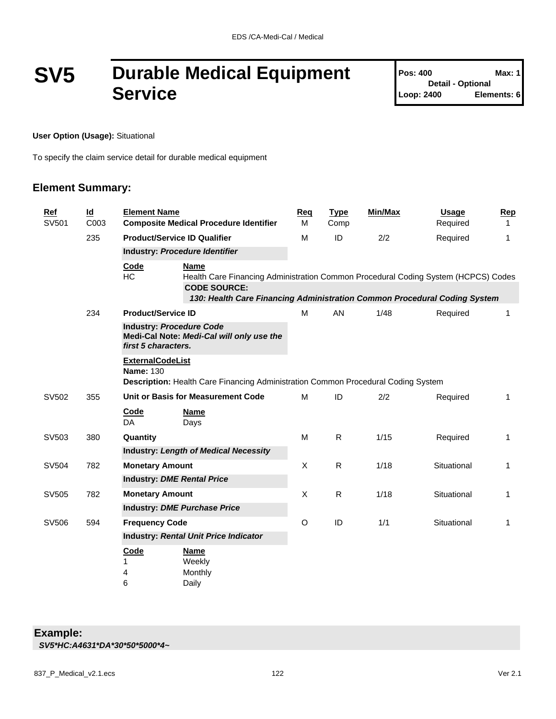## **SV5 Durable Medical Equipment Service**

| <b>Pos: 400</b>          | Max: 1      |
|--------------------------|-------------|
| <b>Detail - Optional</b> |             |
| Loop: 2400               | Elements: 6 |

**User Option (Usage):** Situational

To specify the claim service detail for durable medical equipment

| <b>Ref</b><br>SV501 | $\underline{\mathsf{Id}}$<br>C003 | <b>Element Name</b>                         | <b>Composite Medical Procedure Identifier</b>                                                                                                                                                         | Reg<br>M | <b>Type</b><br>Comp | Min/Max | <b>Usage</b><br>Required | <b>Rep</b><br>1 |
|---------------------|-----------------------------------|---------------------------------------------|-------------------------------------------------------------------------------------------------------------------------------------------------------------------------------------------------------|----------|---------------------|---------|--------------------------|-----------------|
|                     | 235                               |                                             | <b>Product/Service ID Qualifier</b>                                                                                                                                                                   | M        | ID                  | 2/2     | Required                 | 1               |
|                     |                                   |                                             | Industry: Procedure Identifier                                                                                                                                                                        |          |                     |         |                          |                 |
|                     |                                   | Code<br>HC                                  | <b>Name</b><br>Health Care Financing Administration Common Procedural Coding System (HCPCS) Codes<br><b>CODE SOURCE:</b><br>130: Health Care Financing Administration Common Procedural Coding System |          |                     |         |                          |                 |
|                     | 234                               | <b>Product/Service ID</b>                   |                                                                                                                                                                                                       | M        | AN                  | 1/48    | Required                 | $\mathbf{1}$    |
|                     |                                   |                                             | <b>Industry: Procedure Code</b><br>Medi-Cal Note: Medi-Cal will only use the<br>first 5 characters.                                                                                                   |          |                     |         |                          |                 |
|                     |                                   | <b>ExternalCodeList</b><br><b>Name: 130</b> | Description: Health Care Financing Administration Common Procedural Coding System                                                                                                                     |          |                     |         |                          |                 |
| SV502               | 355                               |                                             | Unit or Basis for Measurement Code                                                                                                                                                                    | M        | ID                  | 2/2     | Required                 | $\mathbf{1}$    |
|                     |                                   | <b>Code</b><br>DA                           | <b>Name</b><br>Days                                                                                                                                                                                   |          |                     |         |                          |                 |
| SV503               | 380                               | Quantity                                    |                                                                                                                                                                                                       | M        | $\mathsf{R}$        | 1/15    | Required                 | 1               |
|                     |                                   |                                             | <b>Industry: Length of Medical Necessity</b>                                                                                                                                                          |          |                     |         |                          |                 |
| SV504               | 782                               | <b>Monetary Amount</b>                      |                                                                                                                                                                                                       | X        | $\mathsf{R}$        | 1/18    | Situational              | $\mathbf 1$     |
|                     |                                   | <b>Industry: DME Rental Price</b>           |                                                                                                                                                                                                       |          |                     |         |                          |                 |
| SV505               | 782                               | <b>Monetary Amount</b>                      |                                                                                                                                                                                                       | X        | $\mathsf{R}$        | 1/18    | Situational              | $\mathbf{1}$    |
|                     |                                   |                                             | <b>Industry: DME Purchase Price</b>                                                                                                                                                                   |          |                     |         |                          |                 |
| SV506               | 594                               | <b>Frequency Code</b>                       |                                                                                                                                                                                                       | O        | ID                  | 1/1     | Situational              | $\mathbf{1}$    |
|                     |                                   |                                             | <b>Industry: Rental Unit Price Indicator</b>                                                                                                                                                          |          |                     |         |                          |                 |
|                     |                                   | <b>Code</b><br>1<br>4<br>6                  | <b>Name</b><br>Weekly<br>Monthly<br>Daily                                                                                                                                                             |          |                     |         |                          |                 |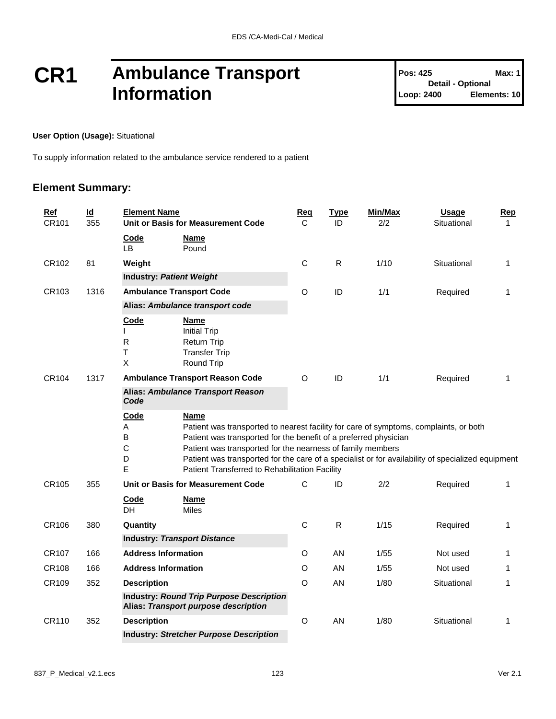### **CR1 Ambulance Transport Information**

#### **User Option (Usage):** Situational

To supply information related to the ambulance service rendered to a patient

| Ref<br>CR101 | $\underline{\mathsf{Id}}$<br>355 | <b>Element Name</b>                     | Unit or Basis for Measurement Code                                                                                                                                                                                                                                                                                                                                                            | Req<br>С    | <b>Type</b><br>ID | Min/Max<br>2/2 | <b>Usage</b><br>Situational | Rep<br>$\mathbf 1$ |  |  |  |
|--------------|----------------------------------|-----------------------------------------|-----------------------------------------------------------------------------------------------------------------------------------------------------------------------------------------------------------------------------------------------------------------------------------------------------------------------------------------------------------------------------------------------|-------------|-------------------|----------------|-----------------------------|--------------------|--|--|--|
|              |                                  | Code<br>LВ                              | <b>Name</b><br>Pound                                                                                                                                                                                                                                                                                                                                                                          |             |                   |                |                             |                    |  |  |  |
| CR102        | 81                               | Weight                                  |                                                                                                                                                                                                                                                                                                                                                                                               | $\mathsf C$ | $\mathsf{R}$      | 1/10           | Situational                 | $\mathbf{1}$       |  |  |  |
|              |                                  |                                         | <b>Industry: Patient Weight</b>                                                                                                                                                                                                                                                                                                                                                               |             |                   |                |                             |                    |  |  |  |
| CR103        | 1316                             |                                         | <b>Ambulance Transport Code</b>                                                                                                                                                                                                                                                                                                                                                               | O           | ID                | 1/1            | Required                    | 1                  |  |  |  |
|              |                                  |                                         | Alias: Ambulance transport code                                                                                                                                                                                                                                                                                                                                                               |             |                   |                |                             |                    |  |  |  |
| CR104        | 1317                             | <b>Code</b><br>$\mathsf{R}$<br>T<br>X   | <u>Name</u><br><b>Initial Trip</b><br>Return Trip<br><b>Transfer Trip</b><br>Round Trip<br><b>Ambulance Transport Reason Code</b>                                                                                                                                                                                                                                                             | O           | ID                | 1/1            | Required                    | 1                  |  |  |  |
|              |                                  | Code                                    | Alias: Ambulance Transport Reason                                                                                                                                                                                                                                                                                                                                                             |             |                   |                |                             |                    |  |  |  |
|              |                                  | Code<br>Α<br>B<br>$\mathsf C$<br>D<br>E | <b>Name</b><br>Patient was transported to nearest facility for care of symptoms, complaints, or both<br>Patient was transported for the benefit of a preferred physician<br>Patient was transported for the nearness of family members<br>Patient was transported for the care of a specialist or for availability of specialized equipment<br>Patient Transferred to Rehabilitation Facility |             |                   |                |                             |                    |  |  |  |
| CR105        | 355                              |                                         | Unit or Basis for Measurement Code                                                                                                                                                                                                                                                                                                                                                            | C           | ID                | 2/2            | Required                    | $\mathbf{1}$       |  |  |  |
|              |                                  | Code<br>DH                              | <b>Name</b><br><b>Miles</b>                                                                                                                                                                                                                                                                                                                                                                   |             |                   |                |                             |                    |  |  |  |
| CR106        | 380                              | Quantity                                |                                                                                                                                                                                                                                                                                                                                                                                               | C           | $\mathsf{R}$      | 1/15           | Required                    | 1                  |  |  |  |
|              |                                  |                                         | <b>Industry: Transport Distance</b>                                                                                                                                                                                                                                                                                                                                                           |             |                   |                |                             |                    |  |  |  |
| CR107        | 166                              | <b>Address Information</b>              |                                                                                                                                                                                                                                                                                                                                                                                               | O           | AN                | 1/55           | Not used                    | 1                  |  |  |  |
| CR108        | 166                              | <b>Address Information</b>              |                                                                                                                                                                                                                                                                                                                                                                                               | O           | AN                | 1/55           | Not used                    | 1                  |  |  |  |
| CR109        | 352                              | <b>Description</b>                      |                                                                                                                                                                                                                                                                                                                                                                                               | O           | AN                | 1/80           | Situational                 | 1                  |  |  |  |
|              |                                  |                                         | <b>Industry: Round Trip Purpose Description</b><br>Alias: Transport purpose description                                                                                                                                                                                                                                                                                                       |             |                   |                |                             |                    |  |  |  |
| CR110        | 352                              | <b>Description</b>                      |                                                                                                                                                                                                                                                                                                                                                                                               | O           | AN                | 1/80           | Situational                 | 1                  |  |  |  |
|              |                                  |                                         | <b>Industry: Stretcher Purpose Description</b>                                                                                                                                                                                                                                                                                                                                                |             |                   |                |                             |                    |  |  |  |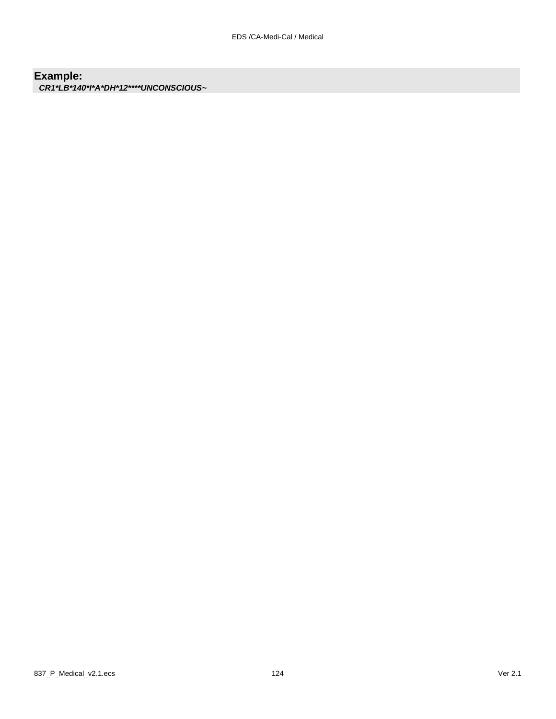### **Example:**

*CR1\*LB\*140\*I\*A\*DH\*12\*\*\*\*UNCONSCIOUS~*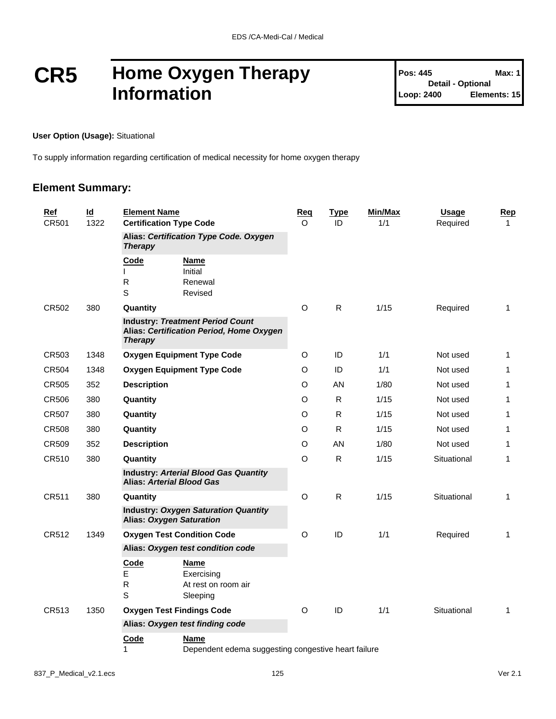### **CR5 Home Oxygen Therapy Information**

#### **User Option (Usage):** Situational

To supply information regarding certification of medical necessity for home oxygen therapy

| Id<br>Ref<br>CR501<br>1322 |      |                               | <b>Element Name</b><br><b>Certification Type Code</b>                               |         | <b>Type</b><br>ID | <b>Min/Max</b><br>1/1 | <b>Usage</b><br>Required | Rep<br>$\mathbf{1}$ |
|----------------------------|------|-------------------------------|-------------------------------------------------------------------------------------|---------|-------------------|-----------------------|--------------------------|---------------------|
|                            |      | <b>Therapy</b>                | Alias: Certification Type Code. Oxygen                                              |         |                   |                       |                          |                     |
|                            |      | Code<br>$\mathsf{R}$<br>S     | <b>Name</b><br>Initial<br>Renewal<br>Revised                                        |         |                   |                       |                          |                     |
| CR502                      | 380  | Quantity                      |                                                                                     | O       | $\mathsf{R}$      | 1/15                  | Required                 | $\mathbf{1}$        |
|                            |      | <b>Therapy</b>                | <b>Industry: Treatment Period Count</b><br>Alias: Certification Period, Home Oxygen |         |                   |                       |                          |                     |
| CR503                      | 1348 |                               | <b>Oxygen Equipment Type Code</b>                                                   | O       | ID                | 1/1                   | Not used                 | 1                   |
| CR504                      | 1348 |                               | <b>Oxygen Equipment Type Code</b>                                                   | O       | ID                | 1/1                   | Not used                 | $\mathbf{1}$        |
| CR505                      | 352  | <b>Description</b>            |                                                                                     | O       | AN                | 1/80                  | Not used                 | 1                   |
| <b>CR506</b>               | 380  | Quantity                      |                                                                                     | O       | R.                | 1/15                  | Not used                 | 1                   |
| CR507                      | 380  | Quantity                      |                                                                                     | O       | R.                | 1/15                  | Not used                 | 1                   |
| CR508                      | 380  | Quantity                      |                                                                                     | O       | R                 | 1/15                  | Not used                 | 1                   |
| CR509                      | 352  | <b>Description</b>            |                                                                                     | O       | AN                | 1/80                  | Not used                 | $\mathbf{1}$        |
| CR510                      | 380  | Quantity                      |                                                                                     | O       | R                 | 1/15                  | Situational              | 1                   |
|                            |      |                               | <b>Industry: Arterial Blood Gas Quantity</b><br><b>Alias: Arterial Blood Gas</b>    |         |                   |                       |                          |                     |
| CR511                      | 380  | Quantity                      |                                                                                     | O       | $\mathsf{R}$      | 1/15                  | Situational              | 1                   |
|                            |      |                               | <b>Industry: Oxygen Saturation Quantity</b><br><b>Alias: Oxygen Saturation</b>      |         |                   |                       |                          |                     |
| CR512                      | 1349 |                               | <b>Oxygen Test Condition Code</b>                                                   | $\circ$ | ID                | 1/1                   | Required                 | 1                   |
|                            |      |                               | Alias: Oxygen test condition code                                                   |         |                   |                       |                          |                     |
|                            |      | Code<br>E<br>$\mathsf R$<br>S | Name<br>Exercising<br>At rest on room air<br>Sleeping                               |         |                   |                       |                          |                     |
| CR513                      | 1350 |                               | <b>Oxygen Test Findings Code</b>                                                    | O       | ID                | 1/1                   | Situational              | 1                   |
|                            |      |                               | Alias: Oxygen test finding code                                                     |         |                   |                       |                          |                     |
|                            |      | Code<br>1                     | Name<br>Dependent edema suggesting congestive heart failure                         |         |                   |                       |                          |                     |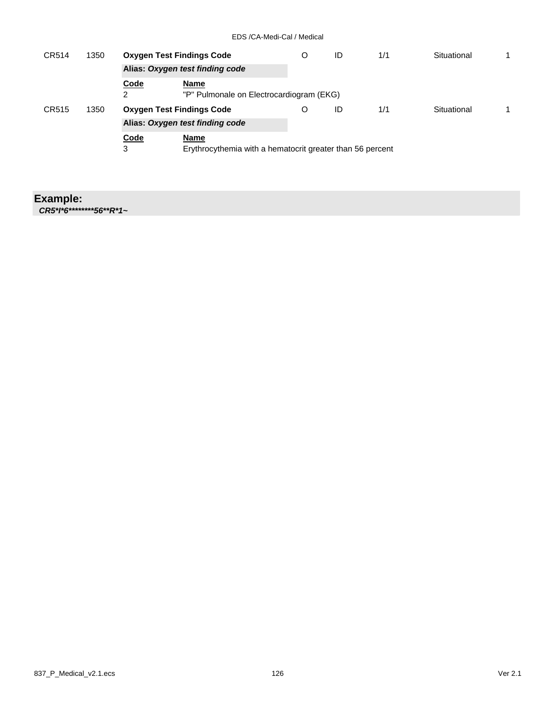| CR514 | 1350 |           | <b>Oxygen Test Findings Code</b>                          | O | ID | 1/1 | Situational |  |
|-------|------|-----------|-----------------------------------------------------------|---|----|-----|-------------|--|
|       |      |           | Alias: Oxygen test finding code                           |   |    |     |             |  |
|       |      | Code<br>2 | Name<br>"P" Pulmonale on Electrocardiogram (EKG)          |   |    |     |             |  |
| CR515 | 1350 |           | <b>Oxygen Test Findings Code</b>                          | O | ID | 1/1 | Situational |  |
|       |      |           | Alias: Oxygen test finding code                           |   |    |     |             |  |
|       |      | Code      | Name                                                      |   |    |     |             |  |
|       |      | 3         | Erythrocythemia with a hematocrit greater than 56 percent |   |    |     |             |  |

#### **Example:**

*CR5\*I\*6\*\*\*\*\*\*\*\*56\*\*R\*1~*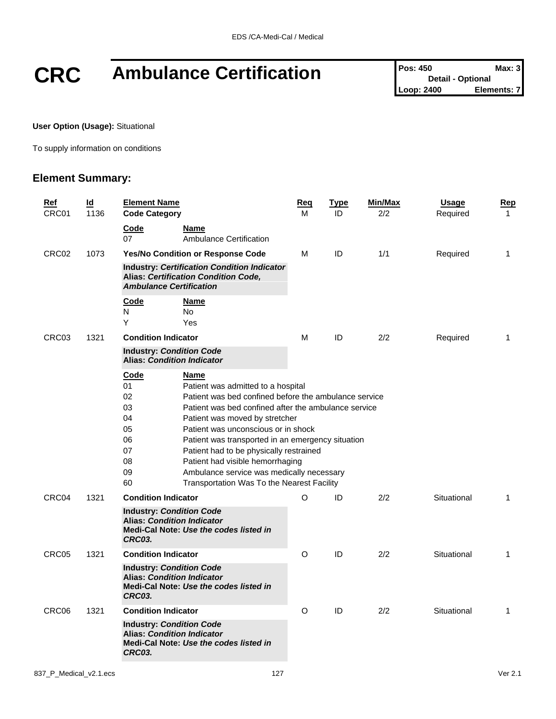# **CRC** Ambulance Certification **Pos: 450 Detail - Optional Max: 3**<br>Loop: 2400 **Elements: 7**

**Detail - Optional Elements: 7** 

**User Option (Usage):** Situational

To supply information on conditions

| <b>Ref</b><br>CRC01 | ld<br>1136 | <b>Element Name</b><br><b>Code Category</b>                      |                                                                                                                                                                                                                                                                                                                                                                                                                                                                     | <u>Req</u><br>м | <u>Type</u><br>ID | Min/Max<br>2/2 | <b>Usage</b><br>Required | <u>Rep</u><br>$\mathbf{1}$ |
|---------------------|------------|------------------------------------------------------------------|---------------------------------------------------------------------------------------------------------------------------------------------------------------------------------------------------------------------------------------------------------------------------------------------------------------------------------------------------------------------------------------------------------------------------------------------------------------------|-----------------|-------------------|----------------|--------------------------|----------------------------|
|                     |            | Code<br>07                                                       | Name<br><b>Ambulance Certification</b>                                                                                                                                                                                                                                                                                                                                                                                                                              |                 |                   |                |                          |                            |
| CRC02               | 1073       | Yes/No Condition or Response Code                                |                                                                                                                                                                                                                                                                                                                                                                                                                                                                     | м               | ID                | 1/1            | Required                 | $\mathbf{1}$               |
|                     |            |                                                                  | <b>Industry: Certification Condition Indicator</b><br>Alias: Certification Condition Code,<br><b>Ambulance Certification</b>                                                                                                                                                                                                                                                                                                                                        |                 |                   |                |                          |                            |
|                     |            | Code<br>N<br>Υ                                                   | Name<br><b>No</b><br>Yes                                                                                                                                                                                                                                                                                                                                                                                                                                            |                 |                   |                |                          |                            |
| CRC03               | 1321       |                                                                  | <b>Condition Indicator</b>                                                                                                                                                                                                                                                                                                                                                                                                                                          |                 | ID                | 2/2            | Required                 | 1                          |
|                     |            | <b>Industry: Condition Code</b>                                  | <b>Alias: Condition Indicator</b>                                                                                                                                                                                                                                                                                                                                                                                                                                   |                 |                   |                |                          |                            |
|                     |            | Code<br>01<br>02<br>03<br>04<br>05<br>06<br>07<br>08<br>09<br>60 | Name<br>Patient was admitted to a hospital<br>Patient was bed confined before the ambulance service<br>Patient was bed confined after the ambulance service<br>Patient was moved by stretcher<br>Patient was unconscious or in shock<br>Patient was transported in an emergency situation<br>Patient had to be physically restrained<br>Patient had visible hemorrhaging<br>Ambulance service was medically necessary<br>Transportation Was To the Nearest Facility |                 |                   |                |                          |                            |
| CRC04               | 1321       | <b>Condition Indicator</b><br><b>Industry: Condition Code</b>    |                                                                                                                                                                                                                                                                                                                                                                                                                                                                     | O               | ID                | 2/2            | Situational              | $\mathbf{1}$               |
|                     |            | CRC03.                                                           | <b>Alias: Condition Indicator</b><br>Medi-Cal Note: Use the codes listed in                                                                                                                                                                                                                                                                                                                                                                                         |                 |                   |                |                          |                            |
| CRC05               | 1321       | <b>Condition Indicator</b>                                       |                                                                                                                                                                                                                                                                                                                                                                                                                                                                     | O               | ID                | 2/2            | Situational              | $\mathbf{1}$               |
|                     |            | <b>Industry: Condition Code</b><br><b>CRC03.</b>                 | <b>Alias: Condition Indicator</b><br>Medi-Cal Note: Use the codes listed in                                                                                                                                                                                                                                                                                                                                                                                         |                 |                   |                |                          |                            |
| CRC06               | 1321       | <b>Condition Indicator</b>                                       |                                                                                                                                                                                                                                                                                                                                                                                                                                                                     | O               | ID                | 2/2            | Situational              | 1                          |
|                     |            | <b>Industry: Condition Code</b><br><b>CRC03.</b>                 | <b>Alias: Condition Indicator</b><br>Medi-Cal Note: Use the codes listed in                                                                                                                                                                                                                                                                                                                                                                                         |                 |                   |                |                          |                            |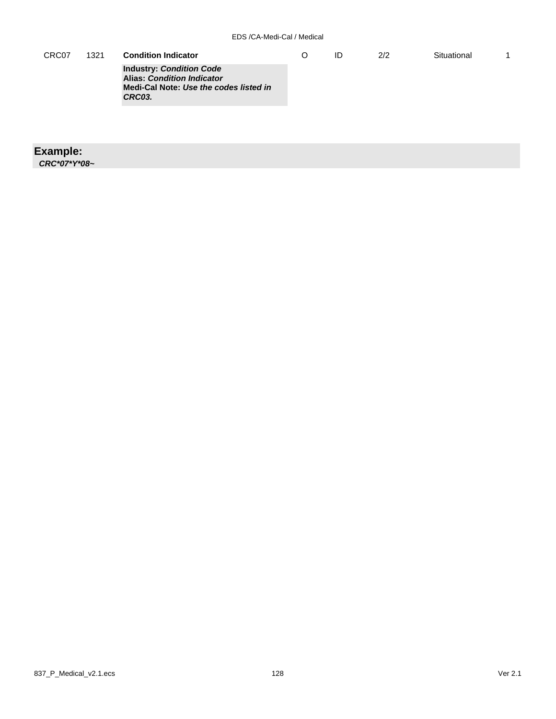| CRC07 | 1321 | <b>Condition Indicator</b>                                                                                               | ID | 2/2 | Situational |  |
|-------|------|--------------------------------------------------------------------------------------------------------------------------|----|-----|-------------|--|
|       |      | <b>Industry: Condition Code</b><br><b>Alias: Condition Indicator</b><br>Medi-Cal Note: Use the codes listed in<br>CRC03. |    |     |             |  |

#### **Example:**

*CRC\*07\*Y\*08~*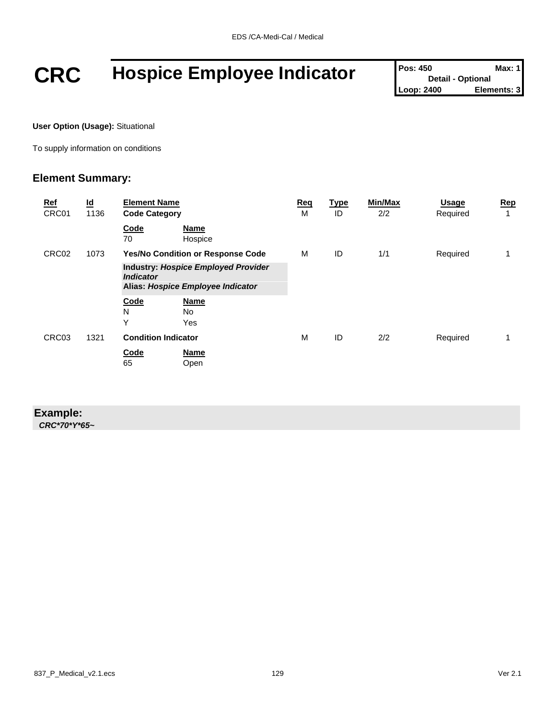## **CRC Hospice Employee Indicator Pos: 450 Detail - Optional Max: 1**<br>Loop: 2400 **Elements: 3**

**Detail - Optional Elements: 3** 

**User Option (Usage):** Situational

To supply information on conditions

#### **Element Summary:**

| <u>Ref</u><br>CRC01 | $\underline{\mathsf{Id}}$<br>1136 | <b>Element Name</b><br><b>Code Category</b>                                                         | Req<br>М | <b>Type</b><br>ID | Min/Max<br>2/2 | <b>Usage</b><br>Required | Rep<br>1 |
|---------------------|-----------------------------------|-----------------------------------------------------------------------------------------------------|----------|-------------------|----------------|--------------------------|----------|
|                     |                                   | Code<br>Name<br>70<br>Hospice                                                                       |          |                   |                |                          |          |
| CRC02               | 1073                              | <b>Yes/No Condition or Response Code</b>                                                            | м        | ID                | 1/1            | Required                 |          |
|                     |                                   | <b>Industry: Hospice Employed Provider</b><br><b>Indicator</b><br>Alias: Hospice Employee Indicator |          |                   |                |                          |          |
|                     |                                   | Code<br><b>Name</b><br>N<br>No.<br>Y<br>Yes                                                         |          |                   |                |                          |          |
| CRC03               | 1321                              | <b>Condition Indicator</b>                                                                          | M        | ID                | 2/2            | Required                 |          |
|                     |                                   | Code<br><b>Name</b><br>65<br>Open                                                                   |          |                   |                |                          |          |

#### **Example:**

*CRC\*70\*Y\*65~*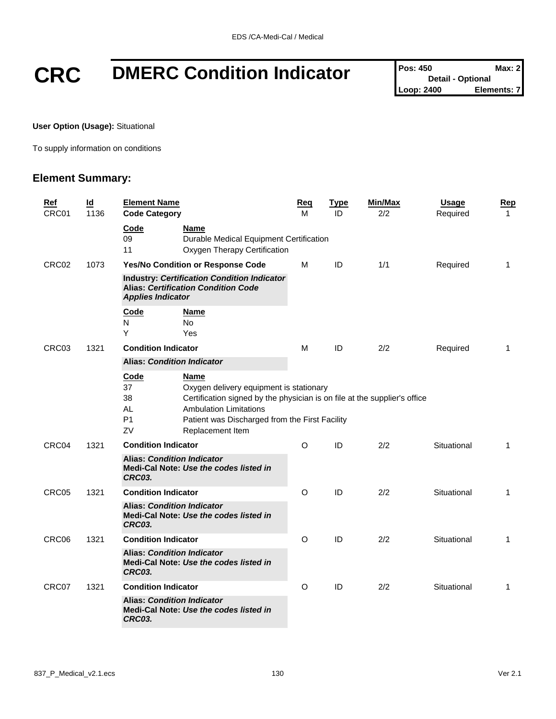# **CRC** DMERC Condition Indicator **Pos: 450 Detail - Optional Max: 2**<br>Loop: 2400 **Elements:** 7

**Detail - Optional Elements: 7** 

**User Option (Usage):** Situational

To supply information on conditions

| <u>Ref</u> | $\underline{\mathsf{Id}}$ | <b>Element Name</b>                                                                                                          | <b>Reg</b>                                                                                                                                                             | <b>Type</b> | Min/Max | <b>Usage</b> | <u>Rep</u>   |
|------------|---------------------------|------------------------------------------------------------------------------------------------------------------------------|------------------------------------------------------------------------------------------------------------------------------------------------------------------------|-------------|---------|--------------|--------------|
| CRC01      | 1136                      | <b>Code Category</b>                                                                                                         | М                                                                                                                                                                      | ID          | 2/2     | Required     | $\mathbf{1}$ |
|            |                           | Code<br>Name<br>09<br>11                                                                                                     | Durable Medical Equipment Certification<br>Oxygen Therapy Certification                                                                                                |             |         |              |              |
| CRC02      | 1073                      | Yes/No Condition or Response Code                                                                                            | М                                                                                                                                                                      | ID          | 1/1     | Required     | $\mathbf{1}$ |
|            |                           | <b>Industry: Certification Condition Indicator</b><br><b>Alias: Certification Condition Code</b><br><b>Applies Indicator</b> |                                                                                                                                                                        |             |         |              |              |
|            |                           | Code<br>Name<br>N<br>No.<br>Υ<br>Yes                                                                                         |                                                                                                                                                                        |             |         |              |              |
| CRC03      | 1321                      | <b>Condition Indicator</b>                                                                                                   | М                                                                                                                                                                      | ID          | 2/2     | Required     | $\mathbf{1}$ |
|            |                           | <b>Alias: Condition Indicator</b>                                                                                            |                                                                                                                                                                        |             |         |              |              |
|            |                           | <b>Code</b><br>Name<br>37<br>38<br><b>AL</b><br><b>Ambulation Limitations</b><br>P <sub>1</sub><br>ZV<br>Replacement Item    | Oxygen delivery equipment is stationary<br>Certification signed by the physician is on file at the supplier's office<br>Patient was Discharged from the First Facility |             |         |              |              |
| CRC04      | 1321                      | <b>Condition Indicator</b>                                                                                                   | $\circ$                                                                                                                                                                | ID          | 2/2     | Situational  | $\mathbf 1$  |
|            |                           | <b>Alias: Condition Indicator</b><br>Medi-Cal Note: Use the codes listed in<br><b>CRC03.</b>                                 |                                                                                                                                                                        |             |         |              |              |
| CRC05      | 1321                      | <b>Condition Indicator</b>                                                                                                   | O                                                                                                                                                                      | ID          | 2/2     | Situational  | $\mathbf 1$  |
|            |                           | <b>Alias: Condition Indicator</b><br>Medi-Cal Note: Use the codes listed in<br><b>CRC03.</b>                                 |                                                                                                                                                                        |             |         |              |              |
| CRC06      | 1321                      | <b>Condition Indicator</b>                                                                                                   | $\circ$                                                                                                                                                                | ID          | 2/2     | Situational  | 1            |
|            |                           | <b>Alias: Condition Indicator</b><br>Medi-Cal Note: Use the codes listed in<br><b>CRC03.</b>                                 |                                                                                                                                                                        |             |         |              |              |
| CRC07      | 1321                      | <b>Condition Indicator</b>                                                                                                   | O                                                                                                                                                                      | ID          | 2/2     | Situational  | 1            |
|            |                           | <b>Alias: Condition Indicator</b><br>Medi-Cal Note: Use the codes listed in<br><b>CRC03.</b>                                 |                                                                                                                                                                        |             |         |              |              |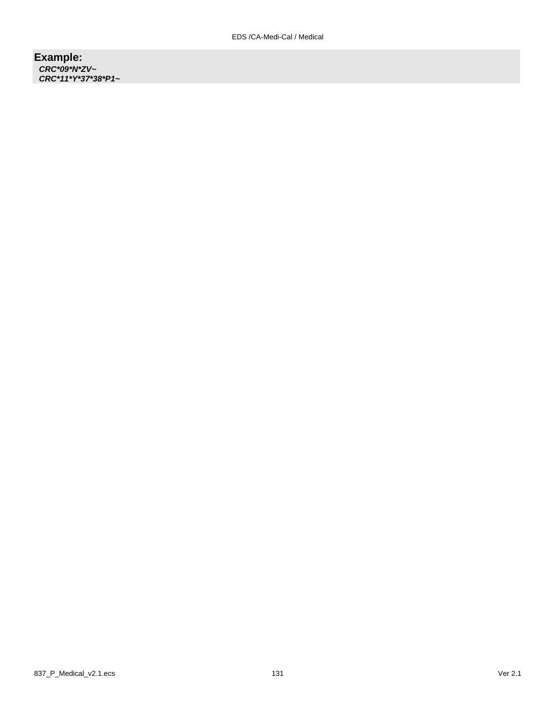#### **Example:** *CRC\*09\*N\*ZV~ CRC\*11\*Y\*37\*38\*P1~*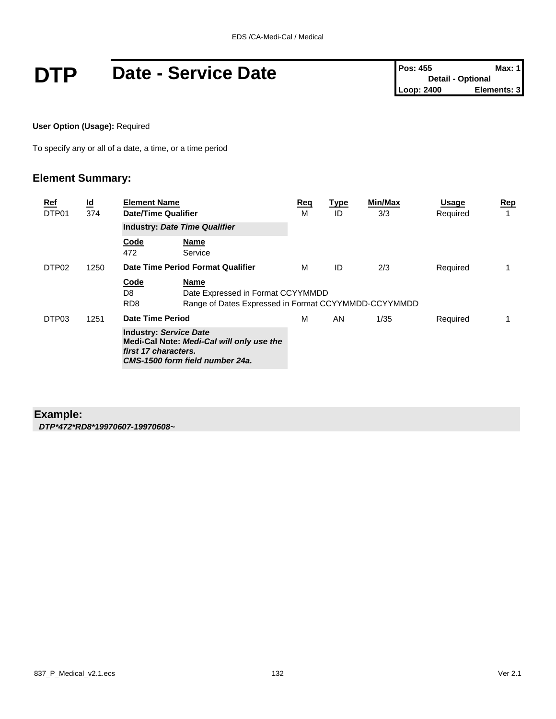# **DTP** Date - Service Date  $\left[\begin{array}{cc} \text{Pos: 455} & \text{Max: 1} \\ \text{Detail-Optional} & \text{Detail-Optional} \\ \text{Loop: 2400} & \text{Elements: 3} \end{array}\right]$

**User Option (Usage):** Required

To specify any or all of a date, a time, or a time period

#### **Element Summary:**

| $\underline{\mathsf{Id}}$<br>Ref<br>DTP01<br>374 |      | <b>Element Name</b><br><b>Date/Time Qualifier</b>     |                                                                                                          | Req<br>м | <b>Type</b><br>ID | Min/Max<br>3/3 | <b>Usage</b><br>Required | <u>Rep</u> |
|--------------------------------------------------|------|-------------------------------------------------------|----------------------------------------------------------------------------------------------------------|----------|-------------------|----------------|--------------------------|------------|
|                                                  |      |                                                       | <b>Industry: Date Time Qualifier</b>                                                                     |          |                   |                |                          |            |
|                                                  |      | Code<br>472                                           | <b>Name</b><br>Service                                                                                   |          |                   |                |                          |            |
| DTP <sub>02</sub>                                | 1250 |                                                       | Date Time Period Format Qualifier                                                                        | м        | ID                | 2/3            | Required                 |            |
|                                                  |      | Code<br>D8<br>R <sub>D</sub> 8                        | <b>Name</b><br>Date Expressed in Format CCYYMMDD<br>Range of Dates Expressed in Format CCYYMMDD-CCYYMMDD |          |                   |                |                          |            |
| DTP03                                            | 1251 | Date Time Period                                      |                                                                                                          | м        | AN                | 1/35           | Required                 |            |
|                                                  |      | <b>Industry: Service Date</b><br>first 17 characters. | Medi-Cal Note: Medi-Cal will only use the<br>CMS-1500 form field number 24a.                             |          |                   |                |                          |            |

#### **Example:**

*DTP\*472\*RD8\*19970607-19970608~*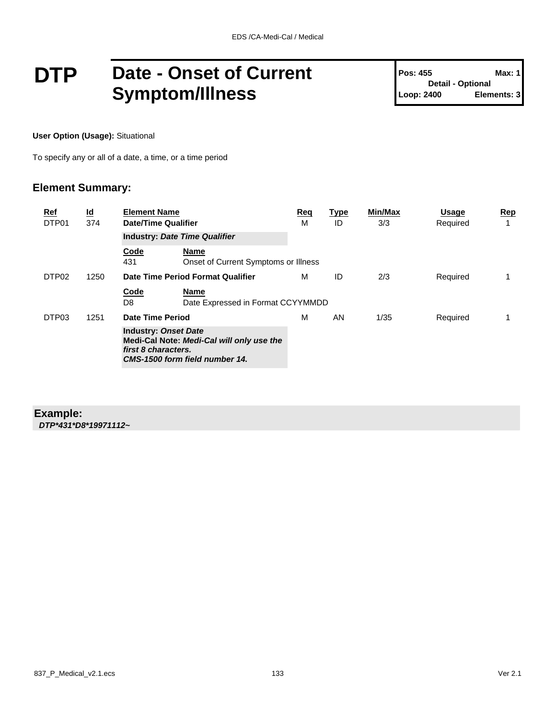### **DTP** Date - Onset of Current **Symptom/Illness**

**Pos: 455 Max: 1 Detail - Optional Loop: 2400 Elements: 3**

**User Option (Usage):** Situational

To specify any or all of a date, a time, or a time period

#### **Element Summary:**

| $\underline{\mathsf{Id}}$<br>Ref<br>DTP01<br>374 |      | <b>Element Name</b><br><b>Date/Time Qualifier</b>  |                                                                             | Req<br>М | Type<br>ID | Min/Max<br>3/3 | <b>Usage</b><br>Required | <u>Rep</u><br>1 |
|--------------------------------------------------|------|----------------------------------------------------|-----------------------------------------------------------------------------|----------|------------|----------------|--------------------------|-----------------|
|                                                  |      | <b>Industry: Date Time Qualifier</b>               |                                                                             |          |            |                |                          |                 |
|                                                  |      | Code<br>431                                        | Name<br>Onset of Current Symptoms or Illness                                |          |            |                |                          |                 |
| DTP <sub>02</sub>                                | 1250 |                                                    | Date Time Period Format Qualifier                                           | м        | ID         | 2/3            | Required                 |                 |
|                                                  |      | Code<br>D8                                         | Name<br>Date Expressed in Format CCYYMMDD                                   |          |            |                |                          |                 |
| DTP03                                            | 1251 | Date Time Period                                   |                                                                             | М        | AN         | 1/35           | Required                 |                 |
|                                                  |      | <b>Industry: Onset Date</b><br>first 8 characters. | Medi-Cal Note: Medi-Cal will only use the<br>CMS-1500 form field number 14. |          |            |                |                          |                 |

#### **Example:**

*DTP\*431\*D8\*19971112~*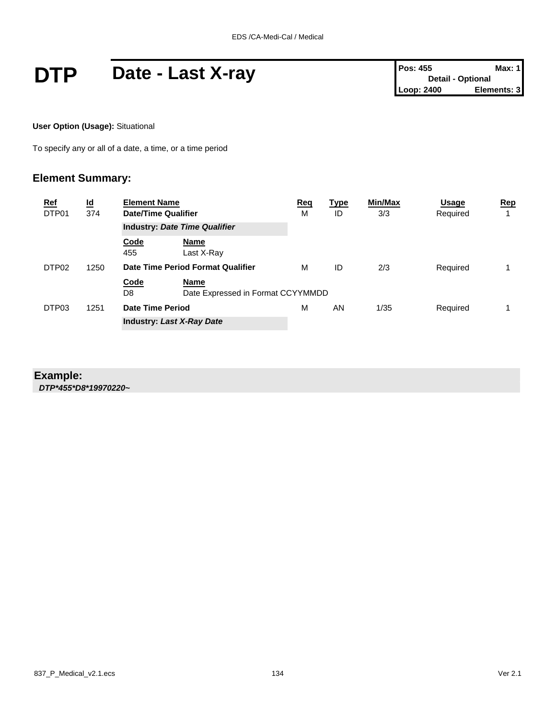## **DTP** Date - Last X-ray **Pos: 455** Max: 1<br>
Loop: 2400 Elements: 3

**User Option (Usage):** Situational

To specify any or all of a date, a time, or a time period

### **Element Summary:**

| <b>Ref</b><br>DTP01 | $\underline{\mathsf{Id}}$<br>374 | <b>Element Name</b><br>Date/Time Qualifier |                                           | <u>Req</u><br>M | <u>Type</u><br>ID | Min/Max<br>3/3 | Usage<br>Required | Rep |
|---------------------|----------------------------------|--------------------------------------------|-------------------------------------------|-----------------|-------------------|----------------|-------------------|-----|
|                     |                                  |                                            | <b>Industry: Date Time Qualifier</b>      |                 |                   |                |                   |     |
|                     |                                  | Code<br>455                                | Name<br>Last X-Ray                        |                 |                   |                |                   |     |
| DTP <sub>02</sub>   | 1250                             |                                            | Date Time Period Format Qualifier         | м               | ID                | 2/3            | Required          |     |
|                     |                                  | Code<br>D8                                 | Name<br>Date Expressed in Format CCYYMMDD |                 |                   |                |                   |     |
| DTP03               | 1251                             |                                            | Date Time Period                          |                 | AN                | 1/35           | Required          |     |
|                     |                                  | <b>Industry: Last X-Ray Date</b>           |                                           |                 |                   |                |                   |     |

#### **Example:**

*DTP\*455\*D8\*19970220~*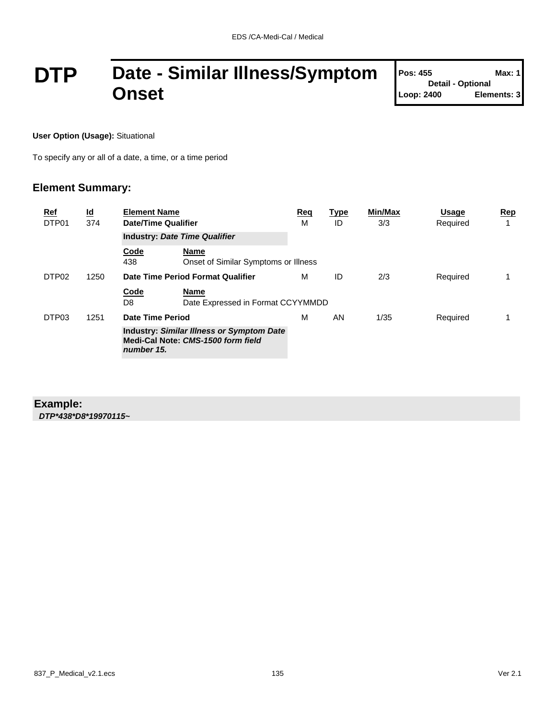## **DTP Date - Similar Illness/Symptom Onset**

| <b>Pos: 455</b>          | Max: 1      |
|--------------------------|-------------|
| <b>Detail - Optional</b> |             |
| Loop: 2400               | Elements: 3 |

T

**User Option (Usage):** Situational

To specify any or all of a date, a time, or a time period

#### **Element Summary:**

| Ref<br>DTP01      | $\underline{\mathsf{Id}}$<br>374 | <b>Element Name</b><br>Date/Time Qualifier |                                                                                        | Req<br>м | <b>Type</b><br>ID | Min/Max<br>3/3 | <b>Usage</b><br>Required | Rep |
|-------------------|----------------------------------|--------------------------------------------|----------------------------------------------------------------------------------------|----------|-------------------|----------------|--------------------------|-----|
|                   |                                  | <b>Industry: Date Time Qualifier</b>       |                                                                                        |          |                   |                |                          |     |
|                   |                                  | Code<br>438                                | Name<br>Onset of Similar Symptoms or Illness                                           |          |                   |                |                          |     |
| DTP <sub>02</sub> | 1250                             |                                            | Date Time Period Format Qualifier                                                      | м        | ID                | 2/3            | Required                 |     |
|                   |                                  | <b>Code</b><br>D8                          | <b>Name</b><br>Date Expressed in Format CCYYMMDD                                       |          |                   |                |                          |     |
| DTP03             | 1251                             | Date Time Period                           |                                                                                        | м        | AN                | 1/35           | Required                 |     |
|                   |                                  | number 15.                                 | <b>Industry: Similar Illness or Symptom Date</b><br>Medi-Cal Note: CMS-1500 form field |          |                   |                |                          |     |

#### **Example:** *DTP\*438\*D8\*19970115~*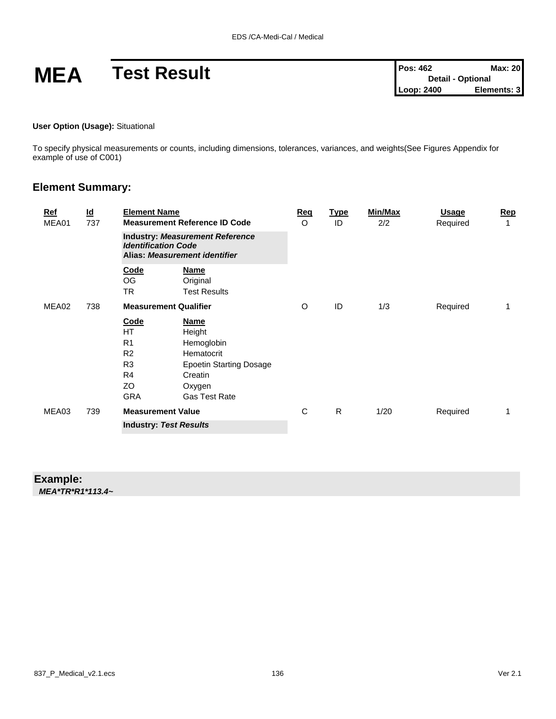# **MEA Test Result Pos: 462 Max: 20**<br> **Pos: 462 Max: 20**<br>
Loop: 2400 **Elements: 3**

#### **User Option (Usage):** Situational

To specify physical measurements or counts, including dimensions, tolerances, variances, and weights(See Figures Appendix for example of use of C001)

#### **Element Summary:**

| <u>Ref</u><br>MEA01 | $\underline{\mathsf{Id}}$<br>737 | <b>Element Name</b>                                                                                                  | <b>Measurement Reference ID Code</b>                                                                                             | Reg<br>$\circ$ | <u>Type</u><br>ID | Min/Max<br>2/2 | <u>Usage</u><br>Required | Rep<br>1 |
|---------------------|----------------------------------|----------------------------------------------------------------------------------------------------------------------|----------------------------------------------------------------------------------------------------------------------------------|----------------|-------------------|----------------|--------------------------|----------|
|                     |                                  | <b>Industry: Measurement Reference</b><br><b>Identification Code</b><br>Alias: Measurement identifier                |                                                                                                                                  |                |                   |                |                          |          |
|                     |                                  | Code<br><b>OG</b><br><b>TR</b>                                                                                       | <b>Name</b><br>Original<br><b>Test Results</b>                                                                                   |                |                   |                |                          |          |
| MEA02               | 738                              |                                                                                                                      | <b>Measurement Qualifier</b>                                                                                                     | O              | ID                | 1/3            | Required                 | 1        |
|                     |                                  | <b>Code</b><br><b>HT</b><br>R <sub>1</sub><br>R <sub>2</sub><br>R <sub>3</sub><br>R <sub>4</sub><br>ZO<br><b>GRA</b> | <b>Name</b><br>Height<br>Hemoglobin<br>Hematocrit<br><b>Epoetin Starting Dosage</b><br>Creatin<br>Oxygen<br><b>Gas Test Rate</b> |                |                   |                |                          |          |
| MEA03               | 739                              | <b>Measurement Value</b>                                                                                             |                                                                                                                                  | С              | $\mathsf{R}$      | 1/20           | Required                 | 1        |
|                     |                                  | <b>Industry: Test Results</b>                                                                                        |                                                                                                                                  |                |                   |                |                          |          |

#### **Example:** *MEA\*TR\*R1\*113.4~*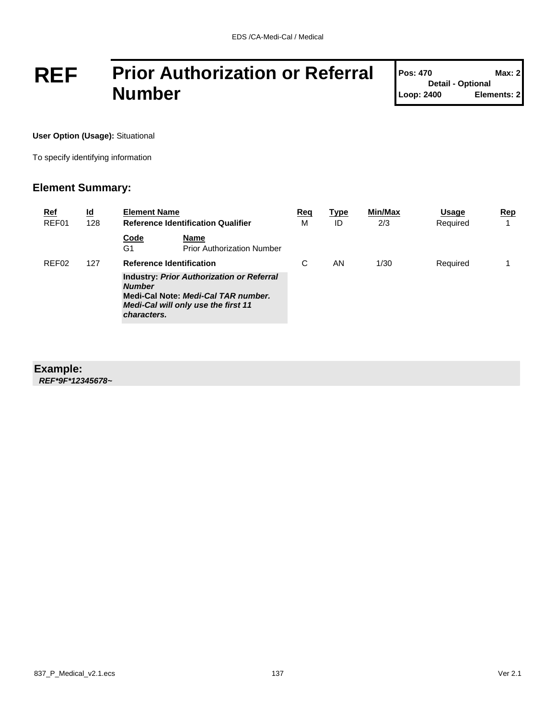## **REF Prior Authorization or Referral Number**

| <b>Pos: 470</b>          | <b>Max: 2</b> |
|--------------------------|---------------|
| <b>Detail - Optional</b> |               |
| Loop: 2400               | Elements: 2   |

T

**User Option (Usage):** Situational

To specify identifying information

### **Element Summary:**

| <u>Ref</u><br>REF01 | <u>ld</u><br>128 | <b>Element Name</b>             | <b>Reference Identification Qualifier</b>                                                                                      | <u>Req</u><br>M | <u>Type</u><br>ID | Min/Max<br>2/3 | Usage<br>Required | Rep<br>4 |
|---------------------|------------------|---------------------------------|--------------------------------------------------------------------------------------------------------------------------------|-----------------|-------------------|----------------|-------------------|----------|
|                     |                  | Code<br>G1                      | Name<br><b>Prior Authorization Number</b>                                                                                      |                 |                   |                |                   |          |
| REF <sub>02</sub>   | 127              | <b>Reference Identification</b> |                                                                                                                                | C               | ΑN                | 1/30           | Required          |          |
|                     |                  | <b>Number</b><br>characters.    | <b>Industry: Prior Authorization or Referral</b><br>Medi-Cal Note: Medi-Cal TAR number.<br>Medi-Cal will only use the first 11 |                 |                   |                |                   |          |

#### **Example:**

*REF\*9F\*12345678~*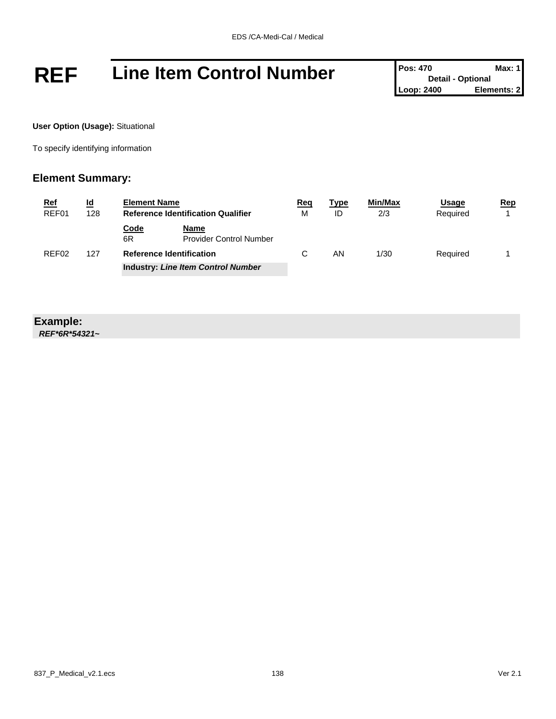## **REF** Line Item Control Number **Pos:** 470 **Detail - Optional** Max: 1

**Detail - Optional Elements: 2** 

**User Option (Usage):** Situational

To specify identifying information

#### **Element Summary:**

| <u>Ref</u>        | <u>ld</u> | <b>Element Name</b>                       |                                               | <u>Req</u> | <u>Type</u> | <b>Min/Max</b> | <u>Usage</u> | Rep |
|-------------------|-----------|-------------------------------------------|-----------------------------------------------|------------|-------------|----------------|--------------|-----|
| REF01             | 128       | <b>Reference Identification Qualifier</b> |                                               | M          | ID          | 2/3            | Required     |     |
|                   |           | <u>Code</u><br>6R                         | <b>Name</b><br><b>Provider Control Number</b> |            |             |                |              |     |
| REF <sub>02</sub> | 127       |                                           | <b>Reference Identification</b>               | C          | ΑN          | 1/30           | Required     |     |
|                   |           |                                           | <b>Industry: Line Item Control Number</b>     |            |             |                |              |     |

#### **Example:**

*REF\*6R\*54321~*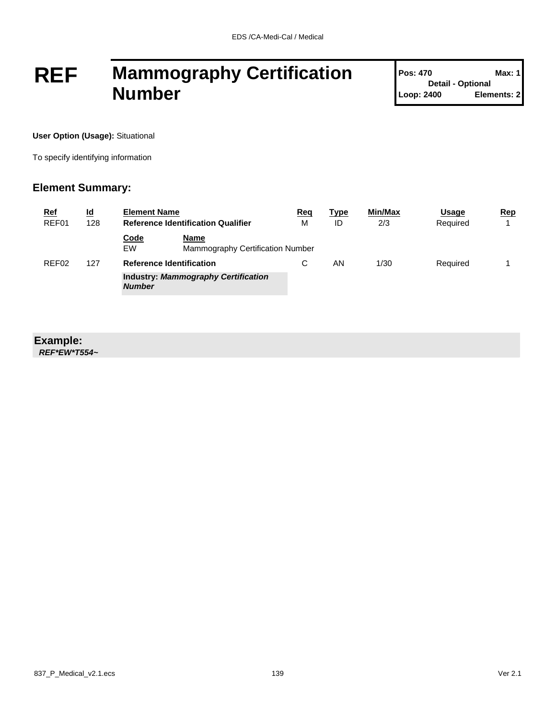## **REF Mammography Certification Number**

**Pos: 470 Max: 1 Detail - Optional Loop: 2400 Elements: 2**

**User Option (Usage):** Situational

To specify identifying information

#### **Element Summary:**

| <u>Ref</u> | <u>ld</u> | <b>Element Name</b>             |                                            | Req | <b>Type</b> | <b>Min/Max</b> | Usage    | Rep |
|------------|-----------|---------------------------------|--------------------------------------------|-----|-------------|----------------|----------|-----|
| REF01      | 128       |                                 | <b>Reference Identification Qualifier</b>  |     | ID          | 2/3            | Required |     |
|            |           | Code<br>EW                      | Name<br>Mammography Certification Number   |     |             |                |          |     |
| REF02      | 127       | <b>Reference Identification</b> |                                            | С   | ΑN          | 1/30           | Required |     |
|            |           | <b>Number</b>                   | <b>Industry: Mammography Certification</b> |     |             |                |          |     |

#### **Example:**

*REF\*EW\*T554~*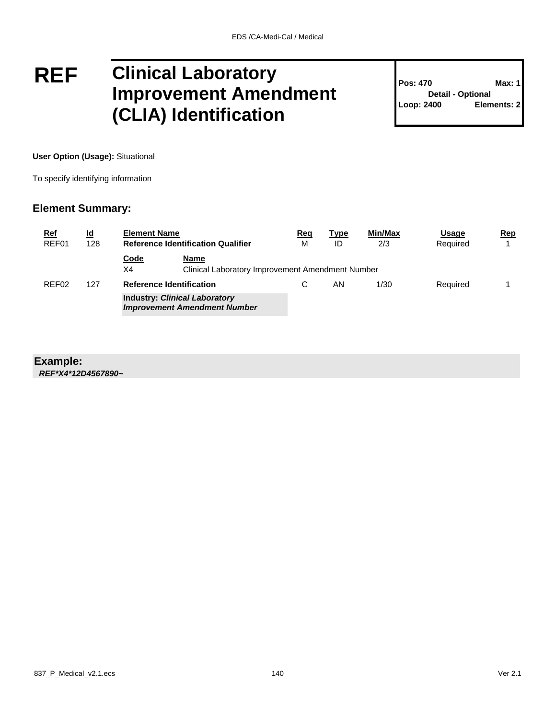## **REF Clinical Laboratory Improvement Amendment (CLIA) Identification**

**Pos: 470 Max: 1 Detail - Optional Loop: 2400 Elements: 2**

**User Option (Usage):** Situational

To specify identifying information

#### **Element Summary:**

| <b>Ref</b><br>REF01 | <u>ld</u><br>128 | <b>Element Name</b><br><b>Reference Identification Qualifier</b> |                                                                             | Req<br>м | <b>Type</b><br>ID | Min/Max<br>2/3 | <b>Usage</b><br>Required | Rep |
|---------------------|------------------|------------------------------------------------------------------|-----------------------------------------------------------------------------|----------|-------------------|----------------|--------------------------|-----|
|                     |                  | <b>Code</b><br>X4                                                | Name<br>Clinical Laboratory Improvement Amendment Number                    |          |                   |                |                          |     |
| REF <sub>02</sub>   | 127              | <b>Reference Identification</b>                                  |                                                                             |          | ΑN                | 1/30           | Required                 |     |
|                     |                  |                                                                  | <b>Industry: Clinical Laboratory</b><br><b>Improvement Amendment Number</b> |          |                   |                |                          |     |

#### **Example:**

*REF\*X4\*12D4567890~*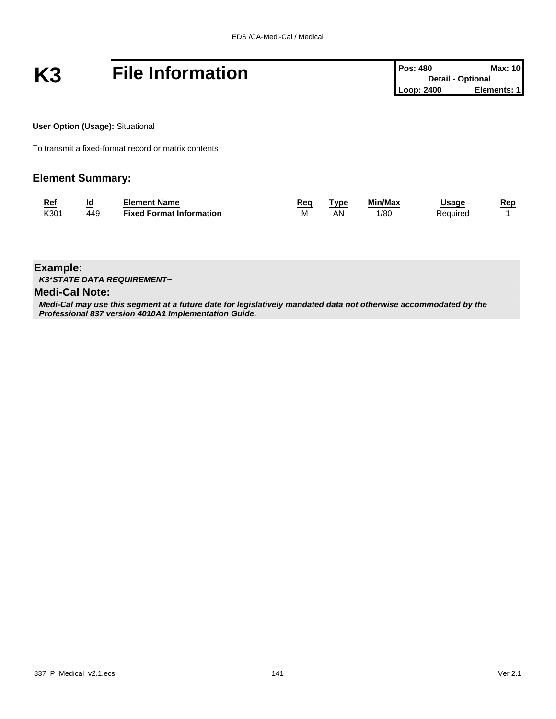# **K3 File Information Pos: 480 Detail - Optional Max: 10**<br>
Loop: 2400 **Elements: 1**

**User Option (Usage):** Situational

To transmit a fixed-format record or matrix contents

#### **Element Summary:**

| <u>Ref</u> | Id  | Element Name                    | Rea | <b>vpe</b> | Min/Max | Jsage    | Rep |
|------------|-----|---------------------------------|-----|------------|---------|----------|-----|
| K301       | 449 | <b>Fixed Format Information</b> | м   | AN         | /80     | Pequireo |     |

**Example:**

*K3\*STATE DATA REQUIREMENT~*

#### **Medi-Cal Note:**

*Medi-Cal may use this segment at a future date for legislatively mandated data not otherwise accommodated by the Professional 837 version 4010A1 Implementation Guide.*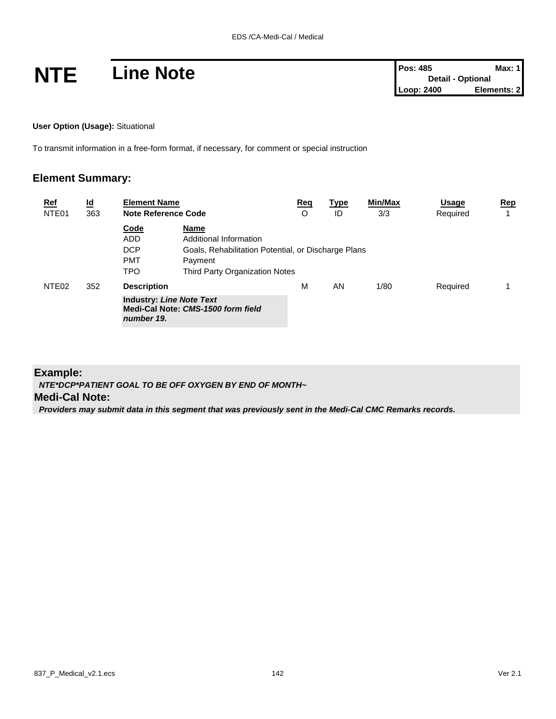**User Option (Usage):** Situational

To transmit information in a free-form format, if necessary, for comment or special instruction

#### **Element Summary:**

| <b>Ref</b>        | $\underline{\mathsf{Id}}$ | <b>Element Name</b>                                                                                       |                                                                                                                                           | Req | <b>Type</b> | Min/Max | <b>Usage</b> | Rep |
|-------------------|---------------------------|-----------------------------------------------------------------------------------------------------------|-------------------------------------------------------------------------------------------------------------------------------------------|-----|-------------|---------|--------------|-----|
| NTE <sub>01</sub> | 363                       | <b>Note Reference Code</b>                                                                                |                                                                                                                                           | O   | ID          | 3/3     | Required     |     |
|                   |                           | Code<br>ADD<br><b>DCP</b><br><b>PMT</b><br><b>TPO</b>                                                     | Name<br>Additional Information<br>Goals, Rehabilitation Potential, or Discharge Plans<br>Payment<br><b>Third Party Organization Notes</b> |     |             |         |              |     |
| NTE <sub>02</sub> | 352                       | <b>Description</b><br><b>Industry: Line Note Text</b><br>Medi-Cal Note: CMS-1500 form field<br>number 19. |                                                                                                                                           | M   | AN          | 1/80    | Required     |     |

#### **Example:**

*NTE\*DCP\*PATIENT GOAL TO BE OFF OXYGEN BY END OF MONTH~*

#### **Medi-Cal Note:**

*Providers may submit data in this segment that was previously sent in the Medi-Cal CMC Remarks records.*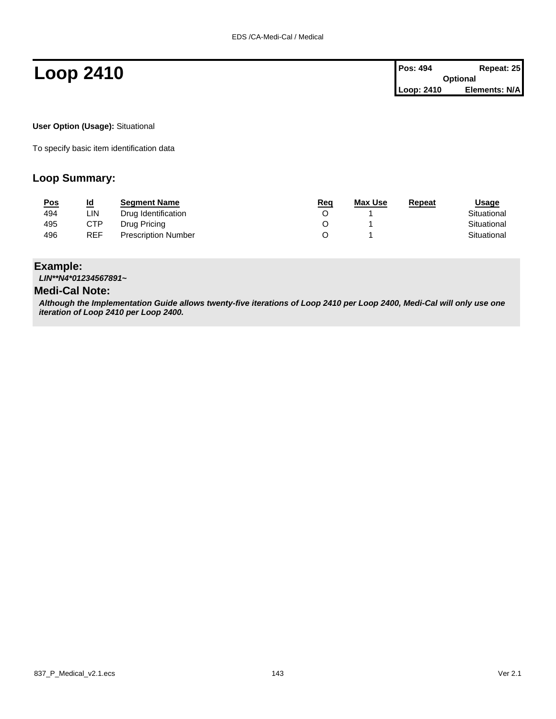**User Option (Usage):** Situational

To specify basic item identification data

#### **Loop Summary:**

| <u>Pos</u> | <u>ld</u>  | <b>Segment Name</b>        | <u>Req</u> | Max Use | Repeat | Usage       |
|------------|------------|----------------------------|------------|---------|--------|-------------|
| 494        | LIN.       | Drug Identification        |            |         |        | Situational |
| 495        | CTP        | Drug Pricing               |            |         |        | Situational |
| 496        | <b>REF</b> | <b>Prescription Number</b> |            |         |        | Situational |

#### **Example:**

*LIN\*\*N4\*01234567891~*

#### **Medi-Cal Note:**

*Although the Implementation Guide allows twenty-five iterations of Loop 2410 per Loop 2400, Medi-Cal will only use one iteration of Loop 2410 per Loop 2400.*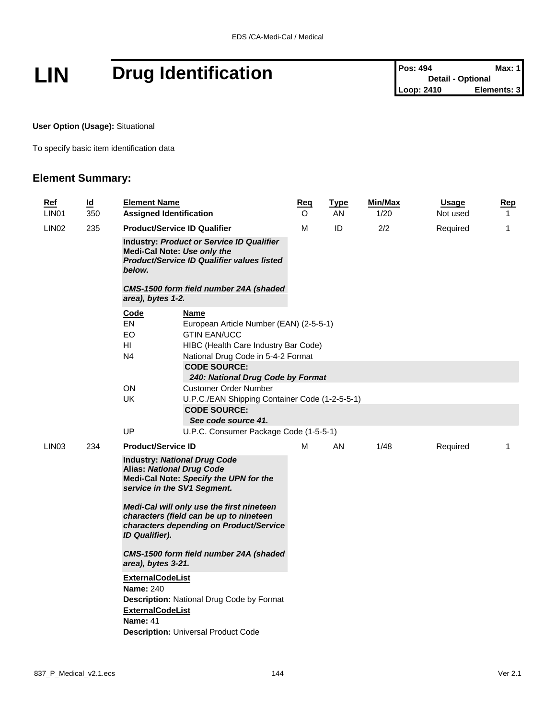# **LIN** Drug Identification **Pos:** 494 **Drug Identification Pos:** 494 **Detail** - Optional **Max:** 1

**User Option (Usage):** Situational

To specify basic item identification data

| Ref<br>LIN <sub>01</sub> | $\overline{\mathsf{Id}}$<br>350 | <b>Element Name</b><br><b>Assigned Identification</b>                                                                                                                                                                                                                                                                                                                                                                                                                                                                                                                       |                                                                                                                                                      | <u>Req</u><br>O | <b>Type</b><br>AN | Min/Max<br>1/20 | <b>Usage</b><br>Not used | <b>Rep</b><br>$\mathbf{1}$ |
|--------------------------|---------------------------------|-----------------------------------------------------------------------------------------------------------------------------------------------------------------------------------------------------------------------------------------------------------------------------------------------------------------------------------------------------------------------------------------------------------------------------------------------------------------------------------------------------------------------------------------------------------------------------|------------------------------------------------------------------------------------------------------------------------------------------------------|-----------------|-------------------|-----------------|--------------------------|----------------------------|
| LIN <sub>02</sub>        | 235                             | <b>Product/Service ID Qualifier</b><br><b>Industry: Product or Service ID Qualifier</b><br>Medi-Cal Note: Use only the<br><b>Product/Service ID Qualifier values listed</b><br>below.<br>CMS-1500 form field number 24A (shaded<br>area), bytes 1-2.                                                                                                                                                                                                                                                                                                                        |                                                                                                                                                      | М               | ID                | 2/2             | Required                 | 1                          |
|                          |                                 | Code<br>EN<br>EO.<br>HI<br>N <sub>4</sub>                                                                                                                                                                                                                                                                                                                                                                                                                                                                                                                                   | Name<br>European Article Number (EAN) (2-5-5-1)<br><b>GTIN EAN/UCC</b><br>HIBC (Health Care Industry Bar Code)<br>National Drug Code in 5-4-2 Format |                 |                   |                 |                          |                            |
|                          |                                 |                                                                                                                                                                                                                                                                                                                                                                                                                                                                                                                                                                             | <b>CODE SOURCE:</b><br>240: National Drug Code by Format                                                                                             |                 |                   |                 |                          |                            |
|                          |                                 | <b>ON</b><br>UK                                                                                                                                                                                                                                                                                                                                                                                                                                                                                                                                                             | Customer Order Number<br>U.P.C./EAN Shipping Container Code (1-2-5-5-1)<br><b>CODE SOURCE:</b><br>See code source 41.                                |                 |                   |                 |                          |                            |
|                          |                                 | UP                                                                                                                                                                                                                                                                                                                                                                                                                                                                                                                                                                          | U.P.C. Consumer Package Code (1-5-5-1)                                                                                                               |                 |                   |                 |                          |                            |
| LIN <sub>03</sub>        | 234                             | <b>Product/Service ID</b>                                                                                                                                                                                                                                                                                                                                                                                                                                                                                                                                                   |                                                                                                                                                      | м               | AN                | 1/48            | Required                 | 1                          |
|                          |                                 | <b>Industry: National Drug Code</b><br><b>Alias: National Drug Code</b><br>Medi-Cal Note: Specify the UPN for the<br>service in the SV1 Segment.<br>Medi-Cal will only use the first nineteen<br>characters (field can be up to nineteen<br>characters depending on Product/Service<br><b>ID Qualifier).</b><br>CMS-1500 form field number 24A (shaded<br>area), bytes 3-21.<br><b>ExternalCodeList</b><br><b>Name: 240</b><br><b>Description: National Drug Code by Format</b><br><b>ExternalCodeList</b><br><b>Name: 41</b><br><b>Description: Universal Product Code</b> |                                                                                                                                                      |                 |                   |                 |                          |                            |
|                          |                                 |                                                                                                                                                                                                                                                                                                                                                                                                                                                                                                                                                                             |                                                                                                                                                      |                 |                   |                 |                          |                            |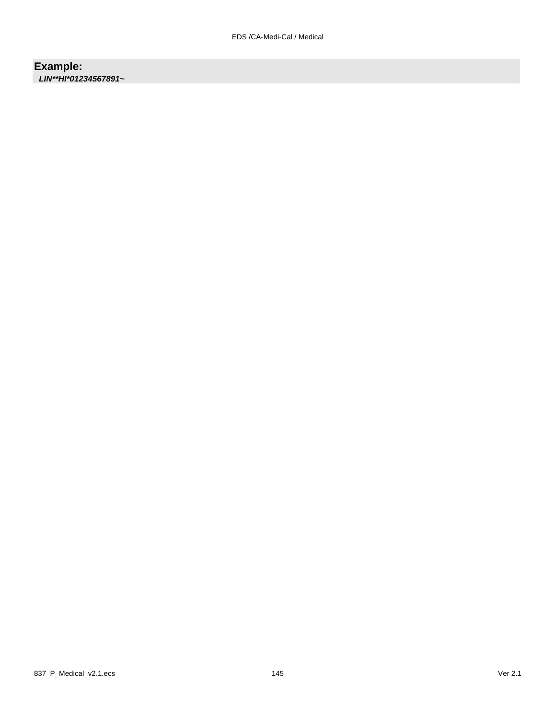**Example:** *LIN\*\*HI\*01234567891~*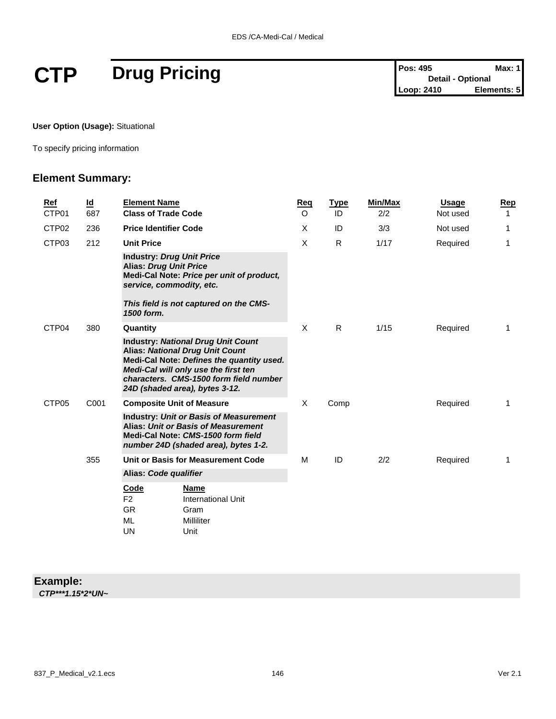# $CTP$  **Drug Pricing**

| <b>Pos: 495</b> | Max: 1                   |
|-----------------|--------------------------|
|                 | <b>Detail - Optional</b> |
| Loop: 2410      | Elements: 5              |

**User Option (Usage):** Situational

To specify pricing information

### **Element Summary:**

| <b>Ref</b><br>CTP01 | $\underline{\mathsf{Id}}$<br>687 | <b>Element Name</b><br><b>Class of Trade Code</b>                                                                                                                                                                                                    | Reg<br>$\Omega$ | <b>Type</b><br>ID | Min/Max<br>2/2 | Usage<br>Not used | Rep<br>1    |
|---------------------|----------------------------------|------------------------------------------------------------------------------------------------------------------------------------------------------------------------------------------------------------------------------------------------------|-----------------|-------------------|----------------|-------------------|-------------|
| CTP <sub>02</sub>   | 236                              | <b>Price Identifier Code</b>                                                                                                                                                                                                                         | X               | ID                | 3/3            | Not used          | 1           |
| CTP <sub>03</sub>   | 212                              | <b>Unit Price</b>                                                                                                                                                                                                                                    | X               | R                 | 1/17           | Required          | 1           |
|                     |                                  | <b>Industry: Drug Unit Price</b><br><b>Alias: Drug Unit Price</b><br>Medi-Cal Note: Price per unit of product,<br>service, commodity, etc.<br>This field is not captured on the CMS-<br>1500 form.                                                   |                 |                   |                |                   |             |
| CTP04               | 380                              | Quantity                                                                                                                                                                                                                                             | X               | R.                | 1/15           | Required          | $\mathbf 1$ |
|                     |                                  | <b>Industry: National Drug Unit Count</b><br><b>Alias: National Drug Unit Count</b><br>Medi-Cal Note: Defines the quantity used.<br>Medi-Cal will only use the first ten<br>characters. CMS-1500 form field number<br>24D (shaded area), bytes 3-12. |                 |                   |                |                   |             |
| CTP <sub>05</sub>   | C001                             | <b>Composite Unit of Measure</b>                                                                                                                                                                                                                     | X               | Comp              |                | Required          | 1           |
|                     |                                  | <b>Industry: Unit or Basis of Measurement</b><br>Alias: Unit or Basis of Measurement<br>Medi-Cal Note: CMS-1500 form field<br>number 24D (shaded area), bytes 1-2.                                                                                   |                 |                   |                |                   |             |
|                     | 355                              | Unit or Basis for Measurement Code                                                                                                                                                                                                                   | M               | ID                | 2/2            | Required          | 1           |
|                     |                                  | Alias: Code qualifier                                                                                                                                                                                                                                |                 |                   |                |                   |             |
|                     |                                  | <b>Code</b><br>Name<br>F <sub>2</sub><br>International Unit<br><b>GR</b><br>Gram<br>ML<br>Milliliter<br>UN<br>Unit                                                                                                                                   |                 |                   |                |                   |             |

#### **Example:**

*CTP\*\*\*1.15\*2\*UN~*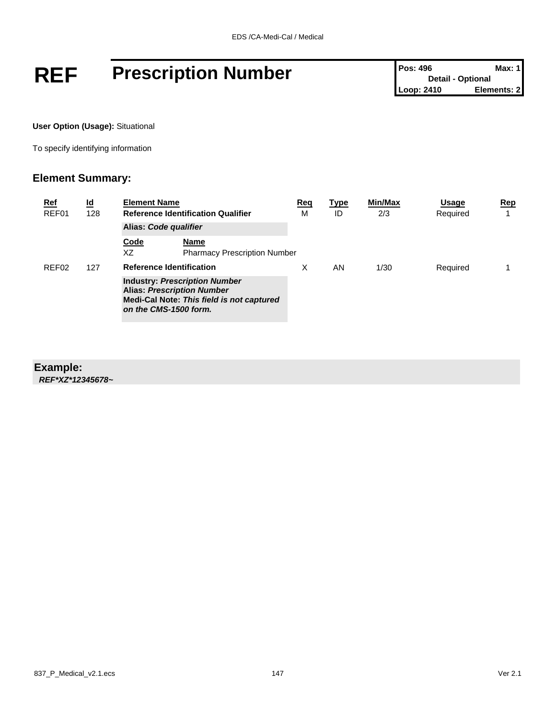# **REF** Prescription Number **Posi** 496 Max: 1<br>
Loop: 2410 Elements: 2

**User Option (Usage):** Situational

To specify identifying information

#### **Element Summary:**

| <u>Ref</u><br>REF01 | <u>ld</u><br>128 | <b>Element Name</b>             | <b>Reference Identification Qualifier</b>                                                                              | <u>Req</u><br>M | <u>Type</u><br>ID | Min/Max<br>2/3 | Usage<br>Required | Rep |
|---------------------|------------------|---------------------------------|------------------------------------------------------------------------------------------------------------------------|-----------------|-------------------|----------------|-------------------|-----|
|                     |                  | Alias: Code qualifier           |                                                                                                                        |                 |                   |                |                   |     |
|                     |                  | Code<br>XZ                      | Name<br><b>Pharmacy Prescription Number</b>                                                                            |                 |                   |                |                   |     |
| REF <sub>02</sub>   | 127              | <b>Reference Identification</b> |                                                                                                                        | X               | AN                | 1/30           | Required          |     |
|                     |                  | on the CMS-1500 form.           | <b>Industry: Prescription Number</b><br><b>Alias: Prescription Number</b><br>Medi-Cal Note: This field is not captured |                 |                   |                |                   |     |

#### **Example:**

*REF\*XZ\*12345678~*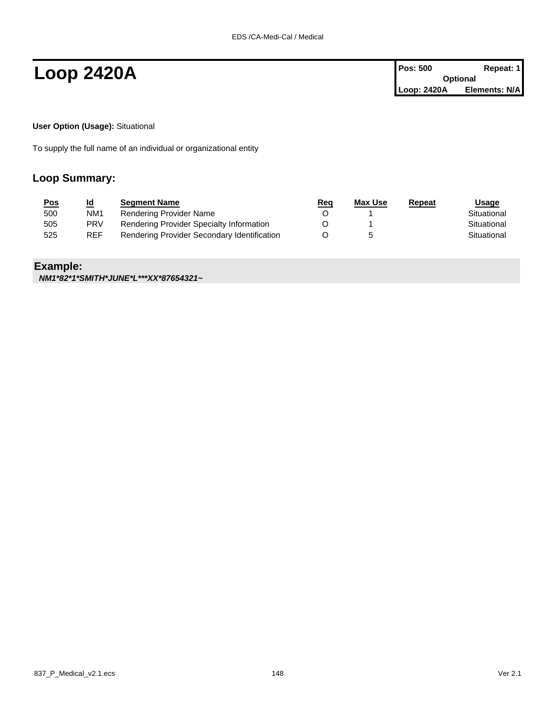**Loop 2420A Pos: 500 Repeat: 1 Pos: 500 Repeat: 1 Optional Loop: 2420A Elements: N/A**

**User Option (Usage):** Situational

To supply the full name of an individual or organizational entity

#### **Loop Summary:**

| <u>Pos</u> | <u>ld</u>       | <b>Segment Name</b>                         | <u>Req</u> | Max Use | Repeat | <u>Usage</u> |
|------------|-----------------|---------------------------------------------|------------|---------|--------|--------------|
| 500        | NM <sub>1</sub> | Rendering Provider Name                     |            |         |        | Situational  |
| 505        | <b>PRV</b>      | Rendering Provider Specialty Information    |            |         |        | Situational  |
| 525        | <b>REF</b>      | Rendering Provider Secondary Identification |            |         |        | Situational  |

#### **Example:**

*NM1\*82\*1\*SMITH\*JUNE\*L\*\*\*XX\*87654321~*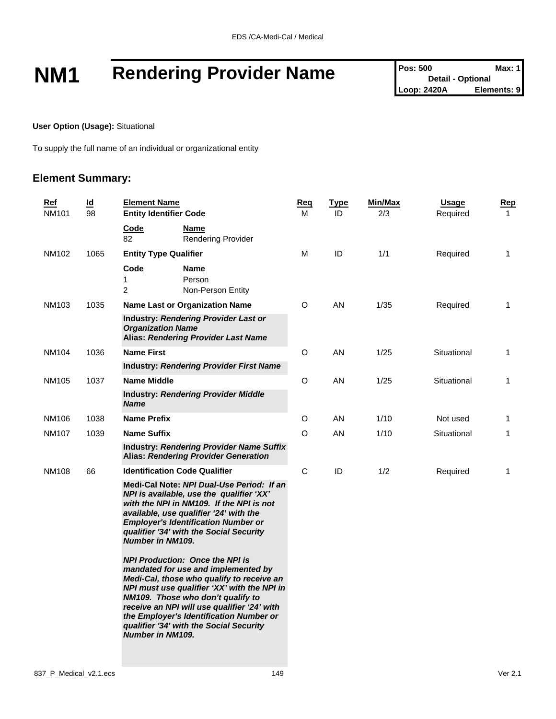# **NM1 Rendering Provider Name** Pos: 500 Max: 1<br>
Loop: 2420A **Elements: 9**

**User Option (Usage):** Situational

To supply the full name of an individual or organizational entity

| <u>Ref</u><br>NM101 | $\underline{\mathsf{Id}}$<br>98 | <b>Element Name</b><br><b>Entity Identifier Code</b>                                                                                                                                                                                                                                                                                                                           | <u>Req</u><br>м | <b>Type</b><br>ID | Min/Max<br>2/3 | <b>Usage</b><br>Required | <u>Rep</u><br>$\mathbf 1$ |
|---------------------|---------------------------------|--------------------------------------------------------------------------------------------------------------------------------------------------------------------------------------------------------------------------------------------------------------------------------------------------------------------------------------------------------------------------------|-----------------|-------------------|----------------|--------------------------|---------------------------|
|                     |                                 | Code<br>Name<br>82<br><b>Rendering Provider</b>                                                                                                                                                                                                                                                                                                                                |                 |                   |                |                          |                           |
| NM102               | 1065                            | <b>Entity Type Qualifier</b>                                                                                                                                                                                                                                                                                                                                                   | M               | ID                | 1/1            | Required                 | $\mathbf{1}$              |
|                     |                                 | Code<br>Name<br>1<br>Person<br>$\overline{2}$<br>Non-Person Entity                                                                                                                                                                                                                                                                                                             |                 |                   |                |                          |                           |
| NM103               | 1035                            | <b>Name Last or Organization Name</b>                                                                                                                                                                                                                                                                                                                                          | O               | AN                | 1/35           | Required                 | 1                         |
|                     |                                 | Industry: Rendering Provider Last or<br><b>Organization Name</b><br><b>Alias: Rendering Provider Last Name</b>                                                                                                                                                                                                                                                                 |                 |                   |                |                          |                           |
| NM104               | 1036                            | <b>Name First</b>                                                                                                                                                                                                                                                                                                                                                              | O               | AN                | 1/25           | Situational              | 1                         |
|                     |                                 | <b>Industry: Rendering Provider First Name</b>                                                                                                                                                                                                                                                                                                                                 |                 |                   |                |                          |                           |
| NM105               | 1037                            | <b>Name Middle</b>                                                                                                                                                                                                                                                                                                                                                             | O               | AN                | 1/25           | Situational              | 1                         |
|                     |                                 | <b>Industry: Rendering Provider Middle</b><br><b>Name</b>                                                                                                                                                                                                                                                                                                                      |                 |                   |                |                          |                           |
| NM106               | 1038                            | <b>Name Prefix</b>                                                                                                                                                                                                                                                                                                                                                             | O               | AN                | 1/10           | Not used                 | 1                         |
| NM107               | 1039                            | <b>Name Suffix</b>                                                                                                                                                                                                                                                                                                                                                             | $\circ$         | AN                | 1/10           | Situational              | 1                         |
|                     |                                 | <b>Industry: Rendering Provider Name Suffix</b><br><b>Alias: Rendering Provider Generation</b>                                                                                                                                                                                                                                                                                 |                 |                   |                |                          |                           |
| <b>NM108</b>        | 66                              | <b>Identification Code Qualifier</b>                                                                                                                                                                                                                                                                                                                                           | $\mathsf{C}$    | ID                | 1/2            | Required                 | 1                         |
|                     |                                 | Medi-Cal Note: NPI Dual-Use Period: If an<br>NPI is available, use the qualifier 'XX'<br>with the NPI in NM109. If the NPI is not<br>available, use qualifier '24' with the<br><b>Employer's Identification Number or</b><br>qualifier '34' with the Social Security<br><b>Number in NM109.</b>                                                                                |                 |                   |                |                          |                           |
|                     |                                 | <b>NPI Production: Once the NPI is</b><br>mandated for use and implemented by<br>Medi-Cal, those who qualify to receive an<br>NPI must use qualifier 'XX' with the NPI in<br>NM109. Those who don't qualify to<br>receive an NPI will use qualifier '24' with<br>the Employer's Identification Number or<br>qualifier '34' with the Social Security<br><b>Number in NM109.</b> |                 |                   |                |                          |                           |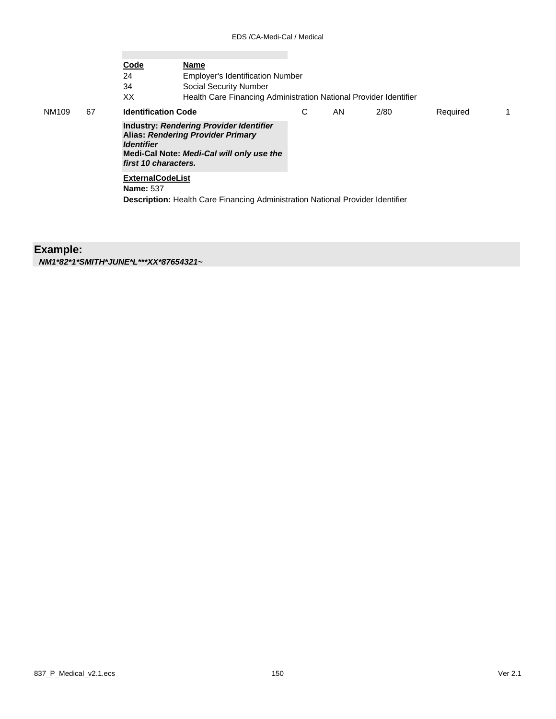|              |    | Code<br>24<br>34<br>XX                                  | Name<br><b>Employer's Identification Number</b><br><b>Social Security Number</b><br>Health Care Financing Administration National Provider Identifier |   |     |      |          |    |
|--------------|----|---------------------------------------------------------|-------------------------------------------------------------------------------------------------------------------------------------------------------|---|-----|------|----------|----|
| <b>NM109</b> | 67 | <b>Identification Code</b>                              |                                                                                                                                                       | С | AN. | 2/80 | Required | 1. |
|              |    | <i><u><b>Identifier</b></u></i><br>first 10 characters. | Industry: Rendering Provider Identifier<br><b>Alias: Rendering Provider Primary</b><br>Medi-Cal Note: Medi-Cal will only use the                      |   |     |      |          |    |
|              |    | <b>ExternalCodeList</b><br><b>Name: 537</b>             | <b>Description:</b> Health Care Financing Administration National Provider Identifier                                                                 |   |     |      |          |    |

### **Example:**

*NM1\*82\*1\*SMITH\*JUNE\*L\*\*\*XX\*87654321~*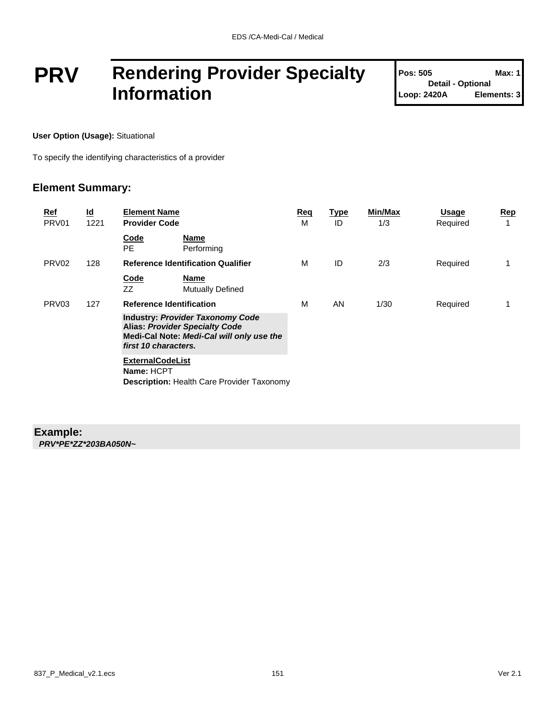## **PRV Rendering Provider Specialty Information**

| <b>Pos: 505</b>          | Max: 1      |
|--------------------------|-------------|
| <b>Detail - Optional</b> |             |
| Loop: 2420A              | Elements: 3 |

**User Option (Usage):** Situational

To specify the identifying characteristics of a provider

#### **Element Summary:**

| Ref<br>PRV <sub>01</sub> | $\underline{\mathsf{Id}}$<br>1221 | <b>Element Name</b><br><b>Provider Code</b>                                                                                                           | Req<br>м | <u>Type</u><br>ID | Min/Max<br>1/3 | Usage<br>Required | <u>Rep</u><br>1 |
|--------------------------|-----------------------------------|-------------------------------------------------------------------------------------------------------------------------------------------------------|----------|-------------------|----------------|-------------------|-----------------|
|                          |                                   | Code<br><b>Name</b><br>PE.<br>Performing                                                                                                              |          |                   |                |                   |                 |
| PRV <sub>02</sub>        | 128                               | <b>Reference Identification Qualifier</b>                                                                                                             | м        | ID                | 2/3            | Required          | 1               |
|                          |                                   | Code<br><b>Name</b><br>ZZ<br><b>Mutually Defined</b>                                                                                                  |          |                   |                |                   |                 |
| PRV <sub>03</sub>        | 127                               | <b>Reference Identification</b>                                                                                                                       | м        | AN                | 1/30           | Required          |                 |
|                          |                                   | <b>Industry: Provider Taxonomy Code</b><br><b>Alias: Provider Specialty Code</b><br>Medi-Cal Note: Medi-Cal will only use the<br>first 10 characters. |          |                   |                |                   |                 |
|                          |                                   | <b>ExternalCodeList</b><br>Name: HCPT<br><b>Description: Health Care Provider Taxonomy</b>                                                            |          |                   |                |                   |                 |

### **Example:**

*PRV\*PE\*ZZ\*203BA050N~*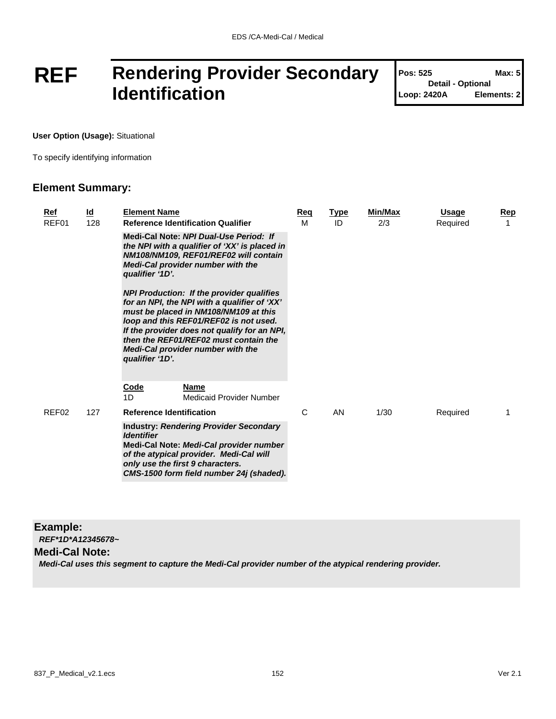## **REF Rendering Provider Secondary Identification**

| <b>Pos: 525</b>          | Max: 5      |
|--------------------------|-------------|
| <b>Detail - Optional</b> |             |
| Loop: 2420A              | Elements: 2 |

T

**User Option (Usage):** Situational

To specify identifying information

#### **Element Summary:**

| Ref<br>REF01      | <u>ld</u><br>128 | <b>Element Name</b><br><b>Reference Identification Qualifier</b>                                                                                                                                                                                                                                                                     | <u>Req</u><br>м | <b>Type</b><br>ID | <b>Min/Max</b><br>2/3 | Usage<br>Required | <u>Rep</u> |
|-------------------|------------------|--------------------------------------------------------------------------------------------------------------------------------------------------------------------------------------------------------------------------------------------------------------------------------------------------------------------------------------|-----------------|-------------------|-----------------------|-------------------|------------|
|                   |                  | Medi-Cal Note: NPI Dual-Use Period: If<br>the NPI with a qualifier of 'XX' is placed in<br>NM108/NM109, REF01/REF02 will contain<br><b>Medi-Cal provider number with the</b><br>qualifier '1D'.                                                                                                                                      |                 |                   |                       |                   |            |
|                   |                  | <b>NPI Production: If the provider qualifies</b><br>for an NPI, the NPI with a qualifier of 'XX'<br>must be placed in NM108/NM109 at this<br>loop and this REF01/REF02 is not used.<br>If the provider does not qualify for an NPI,<br>then the REF01/REF02 must contain the<br>Medi-Cal provider number with the<br>qualifier '1D'. |                 |                   |                       |                   |            |
|                   |                  | <b>Code</b><br><b>Name</b><br>1D<br>Medicaid Provider Number                                                                                                                                                                                                                                                                         |                 |                   |                       |                   |            |
| REF <sub>02</sub> | 127              | <b>Reference Identification</b>                                                                                                                                                                                                                                                                                                      | C               | AN                | 1/30                  | Required          |            |
|                   |                  | <b>Industry: Rendering Provider Secondary</b><br><b>Identifier</b><br>Medi-Cal Note: Medi-Cal provider number<br>of the atypical provider. Medi-Cal will<br>only use the first 9 characters.<br>CMS-1500 form field number 24j (shaded).                                                                                             |                 |                   |                       |                   |            |

#### **Example:**

*REF\*1D\*A12345678~*

**Medi-Cal Note:**

*Medi-Cal uses this segment to capture the Medi-Cal provider number of the atypical rendering provider.*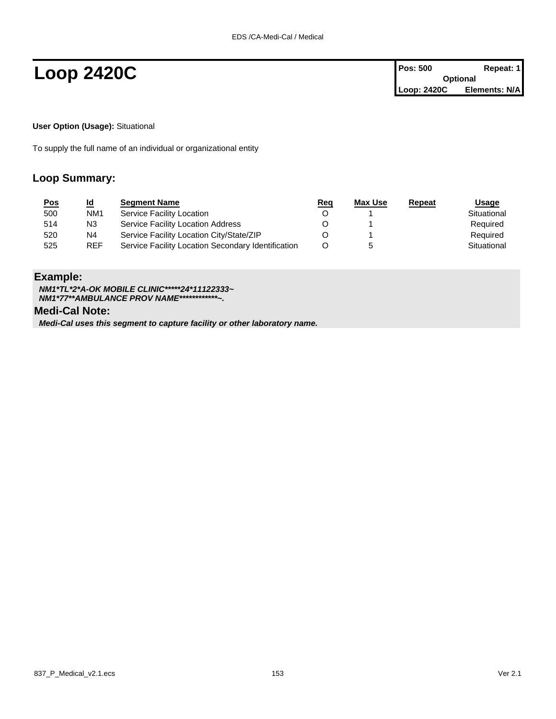**Loop 2420C Pos: 500 Repeat: 1 Pos: 500 Repeat: 1 Optional Loop: 2420C Elements: N/A**

**User Option (Usage):** Situational

To supply the full name of an individual or organizational entity

#### **Loop Summary:**

| <u>Pos</u> | <u>ld</u>       | <b>Segment Name</b>                                | <u>Req</u> | <u>Max Use</u> | Repeat | Usage       |
|------------|-----------------|----------------------------------------------------|------------|----------------|--------|-------------|
| 500        | NM <sub>1</sub> | Service Facility Location                          |            |                |        | Situational |
| 514        | N3              | Service Facility Location Address                  |            |                |        | Required    |
| 520        | N4              | Service Facility Location City/State/ZIP           |            |                |        | Required    |
| 525        | <b>REF</b>      | Service Facility Location Secondary Identification | O          |                |        | Situational |

#### **Example:**

*NM1\*TL\*2\*A-OK MOBILE CLINIC\*\*\*\*\*24\*11122333~ NM1\*77\*\*AMBULANCE PROV NAME\*\*\*\*\*\*\*\*\*\*\*\*~.* **Medi-Cal Note:**

*Medi-Cal uses this segment to capture facility or other laboratory name.*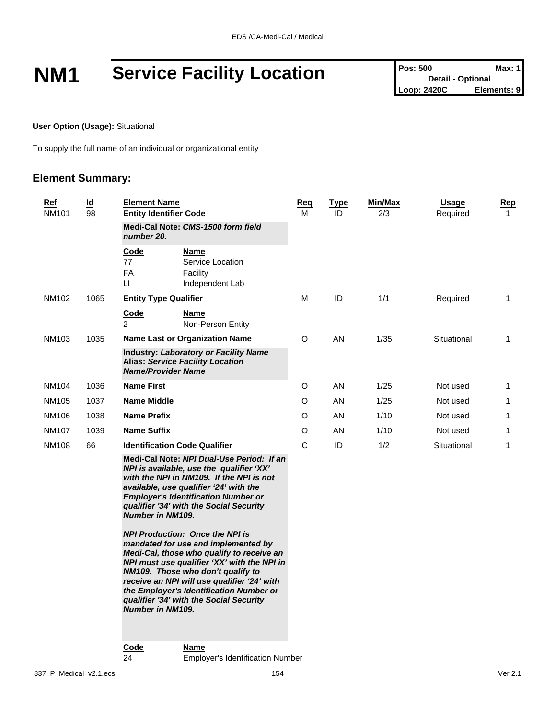# **NM1 Service Facility Location Pos:** 500 **Detail - Optional Max:** 1

**User Option (Usage):** Situational

To supply the full name of an individual or organizational entity

| <b>Ref</b><br>NM101 |       | $\underline{\mathsf{Id}}$<br>98 | <b>Element Name</b><br><b>Entity Identifier Code</b>                                                                 |                                                                                                                                                                                                                                                                                                                                                     | <u>Req</u><br>м | <u>Type</u><br>ID | Min/Max<br>2/3 | <b>Usage</b><br>Required | <u>Rep</u><br>$\mathbf{1}$ |
|---------------------|-------|---------------------------------|----------------------------------------------------------------------------------------------------------------------|-----------------------------------------------------------------------------------------------------------------------------------------------------------------------------------------------------------------------------------------------------------------------------------------------------------------------------------------------------|-----------------|-------------------|----------------|--------------------------|----------------------------|
|                     |       |                                 | number 20.                                                                                                           | Medi-Cal Note: CMS-1500 form field                                                                                                                                                                                                                                                                                                                  |                 |                   |                |                          |                            |
|                     |       |                                 | Code<br>77<br><b>FA</b><br>П                                                                                         | Name<br>Service Location<br>Facility<br>Independent Lab                                                                                                                                                                                                                                                                                             |                 |                   |                |                          |                            |
|                     | NM102 | 1065                            | <b>Entity Type Qualifier</b>                                                                                         |                                                                                                                                                                                                                                                                                                                                                     | М               | ID                | 1/1            | Required                 | $\mathbf 1$                |
|                     |       |                                 | <u>Code</u><br>$\overline{2}$                                                                                        | Name<br>Non-Person Entity                                                                                                                                                                                                                                                                                                                           |                 |                   |                |                          |                            |
|                     | NM103 | 1035                            | <b>Name Last or Organization Name</b>                                                                                |                                                                                                                                                                                                                                                                                                                                                     | O               | AN                | 1/35           | Situational              | $\mathbf{1}$               |
|                     |       |                                 | <b>Industry: Laboratory or Facility Name</b><br><b>Alias: Service Facility Location</b><br><b>Name/Provider Name</b> |                                                                                                                                                                                                                                                                                                                                                     |                 |                   |                |                          |                            |
|                     | NM104 | 1036                            | <b>Name First</b>                                                                                                    |                                                                                                                                                                                                                                                                                                                                                     | O               | AN                | 1/25           | Not used                 | $\mathbf 1$                |
|                     | NM105 | 1037                            | <b>Name Middle</b>                                                                                                   |                                                                                                                                                                                                                                                                                                                                                     | O               | AN                | 1/25           | Not used                 | $\mathbf{1}$               |
|                     | NM106 | 1038                            | <b>Name Prefix</b>                                                                                                   |                                                                                                                                                                                                                                                                                                                                                     | O               | AN                | 1/10           | Not used                 | $\mathbf 1$                |
|                     | NM107 | 1039                            | <b>Name Suffix</b>                                                                                                   |                                                                                                                                                                                                                                                                                                                                                     | O               | AN                | 1/10           | Not used                 | 1                          |
|                     | NM108 | 66                              |                                                                                                                      | <b>Identification Code Qualifier</b>                                                                                                                                                                                                                                                                                                                | C               | ID                | 1/2            | Situational              | $\mathbf{1}$               |
|                     |       |                                 | <b>Number in NM109.</b>                                                                                              | Medi-Cal Note: NPI Dual-Use Period: If an<br>NPI is available, use the qualifier 'XX'<br>with the NPI in NM109. If the NPI is not<br>available, use qualifier '24' with the<br><b>Employer's Identification Number or</b><br>qualifier '34' with the Social Security                                                                                |                 |                   |                |                          |                            |
|                     |       |                                 | <b>Number in NM109.</b>                                                                                              | <b>NPI Production: Once the NPI is</b><br>mandated for use and implemented by<br>Medi-Cal, those who qualify to receive an<br>NPI must use qualifier 'XX' with the NPI in<br>NM109. Those who don't qualify to<br>receive an NPI will use qualifier '24' with<br>the Employer's Identification Number or<br>qualifier '34' with the Social Security |                 |                   |                |                          |                            |
|                     |       |                                 | Code<br>24                                                                                                           | Name<br><b>Employer's Identification Number</b>                                                                                                                                                                                                                                                                                                     |                 |                   |                |                          |                            |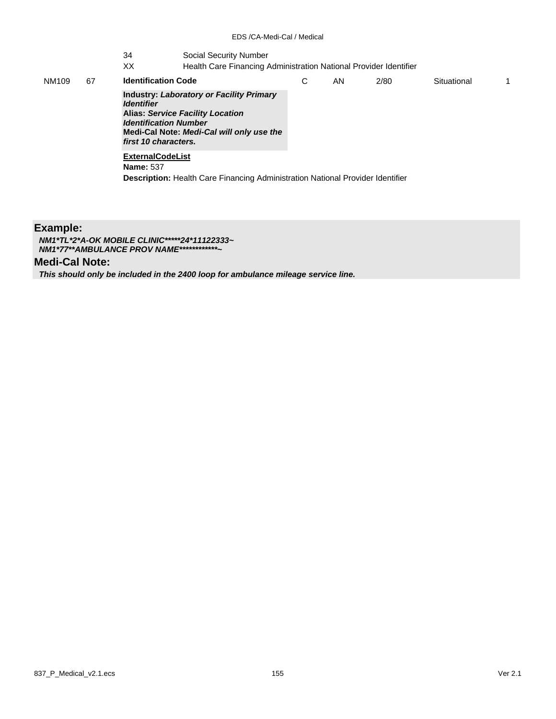#### 34 Social Security Number

XX Health Care Financing Administration National Provider Identifier

| NM109 | 67 | <b>Identification Code</b>                                                                                                                                                                                                         | С | AN. | 2/80 | Situational |  |
|-------|----|------------------------------------------------------------------------------------------------------------------------------------------------------------------------------------------------------------------------------------|---|-----|------|-------------|--|
|       |    | <b>Industry: Laboratory or Facility Primary</b><br><i><u><b>Identifier</b></u></i><br><b>Alias: Service Facility Location</b><br><b>Identification Number</b><br>Medi-Cal Note: Medi-Cal will only use the<br>first 10 characters. |   |     |      |             |  |
|       |    | <b>ExternalCodeList</b><br><b>Name: 537</b>                                                                                                                                                                                        |   |     |      |             |  |
|       |    | <b>Description:</b> Health Care Financing Administration National Provider Identifier                                                                                                                                              |   |     |      |             |  |

#### **Example:**

*NM1\*TL\*2\*A-OK MOBILE CLINIC\*\*\*\*\*24\*11122333~ NM1\*77\*\*AMBULANCE PROV NAME\*\*\*\*\*\*\*\*\*\*\*\*~*

#### **Medi-Cal Note:**

*This should only be included in the 2400 loop for ambulance mileage service line.*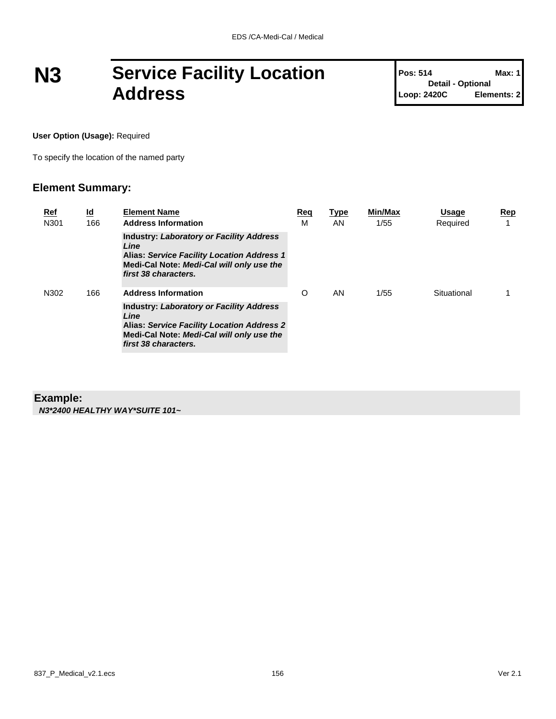## **N3 Service Facility Location Address**

**Pos: 514 Max: 1 Detail - Optional Loop: 2420C Elements: 2**

**User Option (Usage):** Required

To specify the location of the named party

#### **Element Summary:**

| <u>Ref</u><br>N301 | $\underline{\mathsf{Id}}$<br>166                                                                                                                                                  | <b>Element Name</b><br><b>Address Information</b>                                                                                                                                 | Req<br>M | <b>Type</b><br>AN. | Min/Max<br>1/55 | <b>Usage</b><br>Required | Rep |
|--------------------|-----------------------------------------------------------------------------------------------------------------------------------------------------------------------------------|-----------------------------------------------------------------------------------------------------------------------------------------------------------------------------------|----------|--------------------|-----------------|--------------------------|-----|
|                    | <b>Industry: Laboratory or Facility Address</b><br>Line<br><b>Alias: Service Facility Location Address 1</b><br>Medi-Cal Note: Medi-Cal will only use the<br>first 38 characters. |                                                                                                                                                                                   |          |                    |                 |                          |     |
| N302               | 166                                                                                                                                                                               | <b>Address Information</b>                                                                                                                                                        | $\Omega$ | AN.                | 1/55            | Situational              |     |
|                    |                                                                                                                                                                                   | <b>Industry: Laboratory or Facility Address</b><br>Line<br><b>Alias: Service Facility Location Address 2</b><br>Medi-Cal Note: Medi-Cal will only use the<br>first 38 characters. |          |                    |                 |                          |     |

#### **Example:**

*N3\*2400 HEALTHY WAY\*SUITE 101~*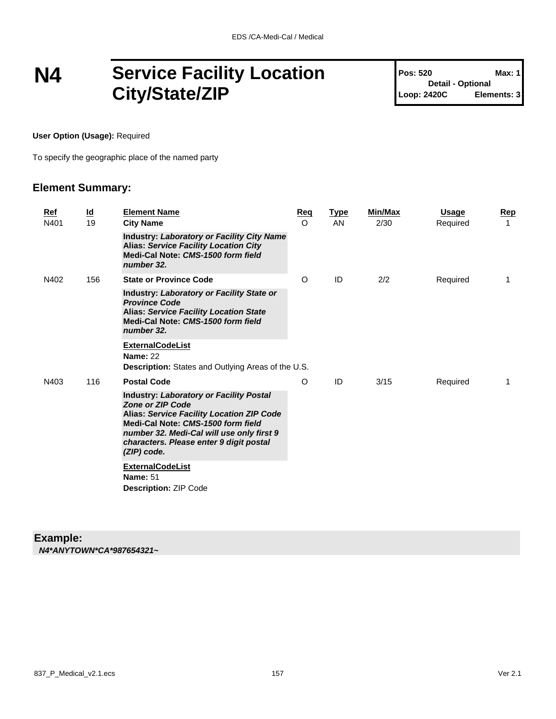## **N4 Service Facility Location City/State/ZIP**

**Pos: 520 Max: 1 Detail - Optional Loop: 2420C Elements: 3**

**User Option (Usage):** Required

To specify the geographic place of the named party

#### **Element Summary:**

|  | Ref<br>N401 | $\underline{\mathsf{Id}}$<br>19 | <b>Element Name</b><br><b>City Name</b>                                                                                                                                                                                                                                    | <b>Reg</b><br>$\circ$ | <b>Type</b><br><b>AN</b> | <b>Min/Max</b><br>2/30 | <b>Usage</b><br>Required | Rep<br>1 |
|--|-------------|---------------------------------|----------------------------------------------------------------------------------------------------------------------------------------------------------------------------------------------------------------------------------------------------------------------------|-----------------------|--------------------------|------------------------|--------------------------|----------|
|  |             |                                 | <b>Industry: Laboratory or Facility City Name</b><br><b>Alias: Service Facility Location City</b><br>Medi-Cal Note: CMS-1500 form field<br>number 32.                                                                                                                      |                       |                          |                        |                          |          |
|  | N402        | 156                             | <b>State or Province Code</b>                                                                                                                                                                                                                                              | O                     | ID                       | 2/2                    | Required                 | 1        |
|  |             |                                 | Industry: Laboratory or Facility State or<br><b>Province Code</b><br><b>Alias: Service Facility Location State</b><br>Medi-Cal Note: CMS-1500 form field<br>number 32.                                                                                                     |                       |                          |                        |                          |          |
|  |             |                                 | <b>ExternalCodeList</b>                                                                                                                                                                                                                                                    |                       |                          |                        |                          |          |
|  |             |                                 | <b>Name: 22</b><br>Description: States and Outlying Areas of the U.S.                                                                                                                                                                                                      |                       |                          |                        |                          |          |
|  | N403        | 116                             | <b>Postal Code</b>                                                                                                                                                                                                                                                         | O                     | ID                       | 3/15                   | Required                 | 1        |
|  |             |                                 | <b>Industry: Laboratory or Facility Postal</b><br><b>Zone or ZIP Code</b><br><b>Alias: Service Facility Location ZIP Code</b><br>Medi-Cal Note: CMS-1500 form field<br>number 32. Medi-Cal will use only first 9<br>characters. Please enter 9 digit postal<br>(ZIP) code. |                       |                          |                        |                          |          |
|  |             |                                 | <b>ExternalCodeList</b><br><b>Name: 51</b><br><b>Description: ZIP Code</b>                                                                                                                                                                                                 |                       |                          |                        |                          |          |

#### **Example:** *N4\*ANYTOWN\*CA\*987654321~*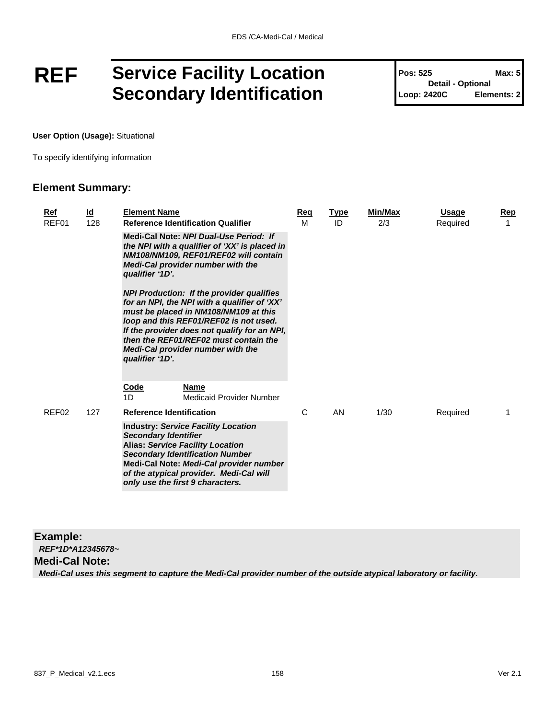## **REF Service Facility Location Secondary Identification**

**Pos: 525 Max: 5 Detail - Optional Loop: 2420C Elements: 2**

**User Option (Usage):** Situational

To specify identifying information

#### **Element Summary:**

| <u>Ref</u><br>REF01 | <u>ld</u><br>128 | <b>Element Name</b>             | <b>Reference Identification Qualifier</b>                                                                                                                                                                                                                                                                                | Reg<br>M | <b>Type</b><br>ID | Min/Max<br>2/3 | Usage<br>Required | Rep<br>1 |
|---------------------|------------------|---------------------------------|--------------------------------------------------------------------------------------------------------------------------------------------------------------------------------------------------------------------------------------------------------------------------------------------------------------------------|----------|-------------------|----------------|-------------------|----------|
|                     |                  | qualifier '1D'.                 | Medi-Cal Note: NPI Dual-Use Period: If<br>the NPI with a qualifier of 'XX' is placed in<br>NM108/NM109, REF01/REF02 will contain<br>Medi-Cal provider number with the                                                                                                                                                    |          |                   |                |                   |          |
|                     |                  | qualifier '1D'.                 | <b>NPI Production: If the provider qualifies</b><br>for an NPI, the NPI with a qualifier of 'XX'<br>must be placed in NM108/NM109 at this<br>loop and this REF01/REF02 is not used.<br>If the provider does not qualify for an NPI,<br>then the REF01/REF02 must contain the<br><b>Medi-Cal provider number with the</b> |          |                   |                |                   |          |
|                     |                  | <b>Code</b><br>1D               | Name<br>Medicaid Provider Number                                                                                                                                                                                                                                                                                         |          |                   |                |                   |          |
| REF <sub>02</sub>   | 127              | <b>Reference Identification</b> |                                                                                                                                                                                                                                                                                                                          | C        | AN                | 1/30           | Required          |          |
|                     |                  | <b>Secondary Identifier</b>     | <b>Industry: Service Facility Location</b><br><b>Alias: Service Facility Location</b><br><b>Secondary Identification Number</b><br>Medi-Cal Note: Medi-Cal provider number<br>of the atypical provider. Medi-Cal will<br>only use the first 9 characters.                                                                |          |                   |                |                   |          |

#### **Example:** *REF\*1D\*A12345678~*

#### **Medi-Cal Note:**

*Medi-Cal uses this segment to capture the Medi-Cal provider number of the outside atypical laboratory or facility.*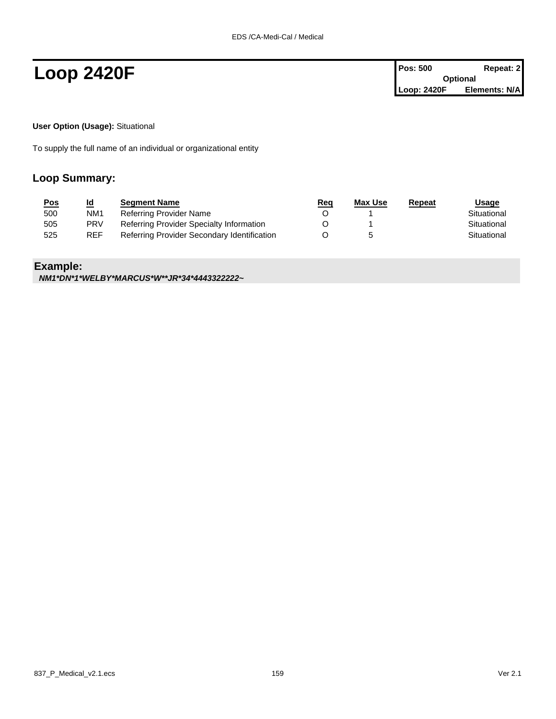**Loop 2420F Pos: 500 Repeat: 2 Pos: 500 Repeat: 2 Optional Loop: 2420F Elements: N/A**

**User Option (Usage):** Situational

To supply the full name of an individual or organizational entity

#### **Loop Summary:**

| <u>Pos</u> | <u>ld</u>       | <b>Segment Name</b>                         | <u>Req</u> | Max Use | Repeat | Usage       |
|------------|-----------------|---------------------------------------------|------------|---------|--------|-------------|
| 500        | NM <sub>1</sub> | Referring Provider Name                     |            |         |        | Situational |
| 505        | <b>PRV</b>      | Referring Provider Specialty Information    |            |         |        | Situational |
| 525        | <b>REF</b>      | Referring Provider Secondary Identification |            |         |        | Situational |

#### **Example:**

*NM1\*DN\*1\*WELBY\*MARCUS\*W\*\*JR\*34\*4443322222~*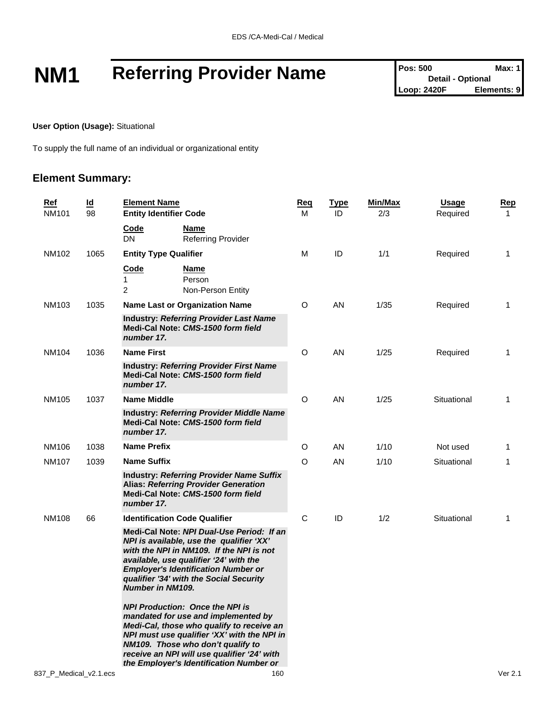# **NM1** Referring Provider Name **Posi** 500 Max: 1<br>
Loop: 2420F **Elements: 9**

**Detail - Optional Loop: 2420F** 

**User Option (Usage):** Situational

To supply the full name of an individual or organizational entity

| <u>Ref</u><br><b>NM101</b> | <u>ld</u><br>98 | <b>Element Name</b><br><b>Entity Identifier Code</b> |                                                                                                                                                                                                                                                                                                          | <b>Req</b><br>м | <b>Type</b><br>ID | Min/Max<br>2/3 | <b>Usage</b><br>Required | <u>Rep</u><br>1 |
|----------------------------|-----------------|------------------------------------------------------|----------------------------------------------------------------------------------------------------------------------------------------------------------------------------------------------------------------------------------------------------------------------------------------------------------|-----------------|-------------------|----------------|--------------------------|-----------------|
|                            |                 | Code<br><b>DN</b>                                    | Name<br><b>Referring Provider</b>                                                                                                                                                                                                                                                                        |                 |                   |                |                          |                 |
| NM102                      | 1065            | <b>Entity Type Qualifier</b>                         |                                                                                                                                                                                                                                                                                                          | M               | ID                | 1/1            | Required                 | 1               |
|                            |                 | Code<br>1<br>2                                       | Name<br>Person<br>Non-Person Entity                                                                                                                                                                                                                                                                      |                 |                   |                |                          |                 |
| <b>NM103</b>               | 1035            |                                                      | <b>Name Last or Organization Name</b>                                                                                                                                                                                                                                                                    | O               | AN                | 1/35           | Required                 | 1               |
|                            |                 | number 17.                                           | <b>Industry: Referring Provider Last Name</b><br>Medi-Cal Note: CMS-1500 form field                                                                                                                                                                                                                      |                 |                   |                |                          |                 |
| <b>NM104</b>               | 1036            | <b>Name First</b>                                    |                                                                                                                                                                                                                                                                                                          | O               | AN                | 1/25           | Required                 | 1               |
|                            |                 | number 17.                                           | <b>Industry: Referring Provider First Name</b><br>Medi-Cal Note: CMS-1500 form field                                                                                                                                                                                                                     |                 |                   |                |                          |                 |
| NM105                      | 1037            | <b>Name Middle</b>                                   |                                                                                                                                                                                                                                                                                                          | O               | AN                | 1/25           | Situational              | 1               |
|                            |                 | number 17.                                           | <b>Industry: Referring Provider Middle Name</b><br>Medi-Cal Note: CMS-1500 form field                                                                                                                                                                                                                    |                 |                   |                |                          |                 |
| NM106                      | 1038            | <b>Name Prefix</b>                                   |                                                                                                                                                                                                                                                                                                          | O               | AN                | 1/10           | Not used                 | 1               |
| <b>NM107</b>               | 1039            | <b>Name Suffix</b>                                   |                                                                                                                                                                                                                                                                                                          | O               | AN                | 1/10           | Situational              | 1               |
|                            |                 | number 17.                                           | <b>Industry: Referring Provider Name Suffix</b><br><b>Alias: Referring Provider Generation</b><br>Medi-Cal Note: CMS-1500 form field                                                                                                                                                                     |                 |                   |                |                          |                 |
| <b>NM108</b>               | 66              |                                                      | <b>Identification Code Qualifier</b>                                                                                                                                                                                                                                                                     | C               | ID                | 1/2            | Situational              | 1               |
|                            |                 | <b>Number in NM109.</b>                              | Medi-Cal Note: NPI Dual-Use Period: If an<br>NPI is available, use the qualifier 'XX'<br>with the NPI in NM109. If the NPI is not<br>available, use qualifier '24' with the<br><b>Employer's Identification Number or</b><br>qualifier '34' with the Social Security                                     |                 |                   |                |                          |                 |
|                            |                 |                                                      | <b>NPI Production: Once the NPI is</b><br>mandated for use and implemented by<br>Medi-Cal, those who qualify to receive an<br>NPI must use qualifier 'XX' with the NPI in<br>NM109. Those who don't qualify to<br>receive an NPI will use qualifier '24' with<br>the Employer's Identification Number or |                 |                   |                |                          |                 |
| 837 P Medical v2.1.ecs     |                 |                                                      | 160                                                                                                                                                                                                                                                                                                      |                 |                   |                |                          | Ver 2.1         |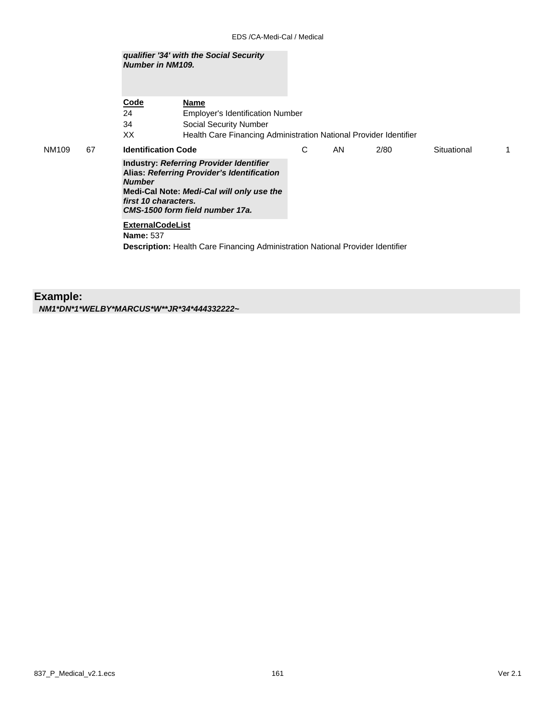|             | Number in NM109.                            | qualifier '34' with the Social Security                                                                                                                               |   |     |      |             |   |
|-------------|---------------------------------------------|-----------------------------------------------------------------------------------------------------------------------------------------------------------------------|---|-----|------|-------------|---|
|             | Code                                        | Name                                                                                                                                                                  |   |     |      |             |   |
|             | 24<br>34                                    | <b>Employer's Identification Number</b><br>Social Security Number                                                                                                     |   |     |      |             |   |
|             | XX                                          | Health Care Financing Administration National Provider Identifier                                                                                                     |   |     |      |             |   |
| NM109<br>67 | <b>Identification Code</b>                  |                                                                                                                                                                       | C | AN. | 2/80 | Situational | 1 |
|             | <b>Number</b><br>first 10 characters.       | Industry: Referring Provider Identifier<br>Alias: Referring Provider's Identification<br>Medi-Cal Note: Medi-Cal will only use the<br>CMS-1500 form field number 17a. |   |     |      |             |   |
|             | <b>ExternalCodeList</b><br><b>Name: 537</b> | <b>Description:</b> Health Care Financing Administration National Provider Identifier                                                                                 |   |     |      |             |   |
|             |                                             |                                                                                                                                                                       |   |     |      |             |   |

### **Example:**

*NM1\*DN\*1\*WELBY\*MARCUS\*W\*\*JR\*34\*444332222~*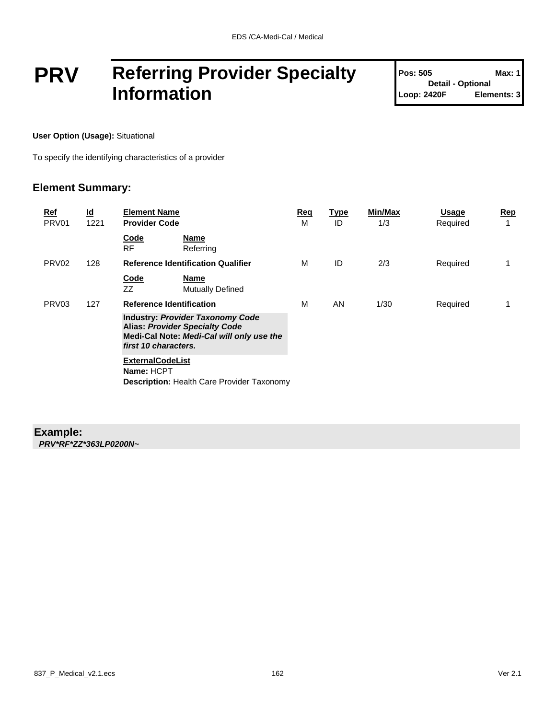## **PRV Referring Provider Specialty Information**

| <b>Pos: 505</b>          | Max: 1      |
|--------------------------|-------------|
| <b>Detail - Optional</b> |             |
| Loop: 2420F              | Elements: 3 |

**User Option (Usage):** Situational

To specify the identifying characteristics of a provider

#### **Element Summary:**

| <u>Ref</u><br>PRV <sub>01</sub> | $\underline{\mathsf{Id}}$<br>1221 | <b>Element Name</b><br><b>Provider Code</b>                                                                                                           | <u>Req</u><br>м | <b>Type</b><br>ID | Min/Max<br>1/3 | <b>Usage</b><br>Required | <u>Rep</u><br>1 |
|---------------------------------|-----------------------------------|-------------------------------------------------------------------------------------------------------------------------------------------------------|-----------------|-------------------|----------------|--------------------------|-----------------|
|                                 |                                   | Code<br><b>Name</b><br><b>RF</b><br>Referring                                                                                                         |                 |                   |                |                          |                 |
| PRV <sub>02</sub>               | 128                               | <b>Reference Identification Qualifier</b>                                                                                                             | м               | ID                | 2/3            | Required                 | 1               |
|                                 |                                   | <b>Code</b><br><b>Name</b><br>ZZ<br><b>Mutually Defined</b>                                                                                           |                 |                   |                |                          |                 |
| PRV <sub>03</sub>               | 127                               | <b>Reference Identification</b>                                                                                                                       | м               | AN                | 1/30           | Required                 | 1               |
|                                 |                                   | <b>Industry: Provider Taxonomy Code</b><br><b>Alias: Provider Specialty Code</b><br>Medi-Cal Note: Medi-Cal will only use the<br>first 10 characters. |                 |                   |                |                          |                 |
|                                 |                                   | <b>ExternalCodeList</b><br>Name: HCPT<br><b>Description: Health Care Provider Taxonomy</b>                                                            |                 |                   |                |                          |                 |

### **Example:**

*PRV\*RF\*ZZ\*363LP0200N~*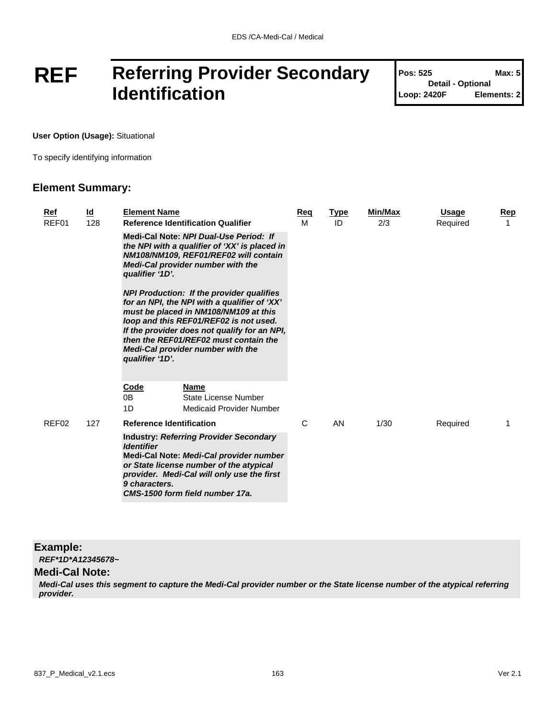## **REF Referring Provider Secondary Identification**

| <b>Pos: 525</b>          | Max: 5      |
|--------------------------|-------------|
| <b>Detail - Optional</b> |             |
| Loop: 2420F              | Elements: 2 |

Т

**User Option (Usage):** Situational

To specify identifying information

#### **Element Summary:**

| Ref<br>REF01 | <u>ld</u><br>128 | <b>Element Name</b><br><b>Reference Identification Qualifier</b>                                                                                                                                                                                                                                                                     | Reg<br>м | <b>Type</b><br>ID | Min/Max<br>2/3 | <b>Usage</b><br>Required | Rep |
|--------------|------------------|--------------------------------------------------------------------------------------------------------------------------------------------------------------------------------------------------------------------------------------------------------------------------------------------------------------------------------------|----------|-------------------|----------------|--------------------------|-----|
|              |                  | Medi-Cal Note: NPI Dual-Use Period: If<br>the NPI with a qualifier of 'XX' is placed in<br>NM108/NM109, REF01/REF02 will contain<br>Medi-Cal provider number with the<br>qualifier '1D'.                                                                                                                                             |          |                   |                |                          |     |
|              |                  | <b>NPI Production: If the provider qualifies</b><br>for an NPI, the NPI with a qualifier of 'XX'<br>must be placed in NM108/NM109 at this<br>loop and this REF01/REF02 is not used.<br>If the provider does not qualify for an NPI,<br>then the REF01/REF02 must contain the<br>Medi-Cal provider number with the<br>qualifier '1D'. |          |                   |                |                          |     |
|              |                  | <b>Name</b><br><u>Code</u><br>0B<br>State License Number<br>1D<br>Medicaid Provider Number                                                                                                                                                                                                                                           |          |                   |                |                          |     |
| REF02        | 127              | <b>Reference Identification</b>                                                                                                                                                                                                                                                                                                      | C        | AN                | 1/30           | Required                 |     |
|              |                  | <b>Industry: Referring Provider Secondary</b><br><b>Identifier</b><br>Medi-Cal Note: Medi-Cal provider number<br>or State license number of the atypical<br>provider. Medi-Cal will only use the first<br>9 characters.<br>CMS-1500 form field number 17a.                                                                           |          |                   |                |                          |     |

#### **Example:**

*REF\*1D\*A12345678~*

#### **Medi-Cal Note:**

*Medi-Cal uses this segment to capture the Medi-Cal provider number or the State license number of the atypical referring provider.*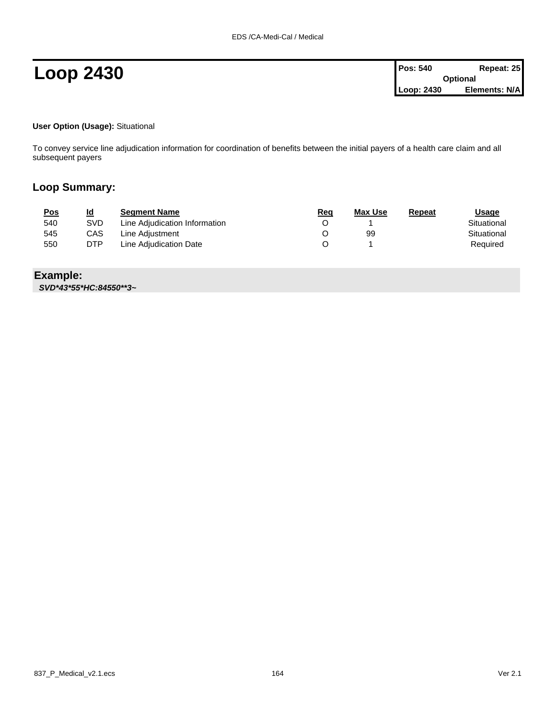#### **User Option (Usage):** Situational

To convey service line adjudication information for coordination of benefits between the initial payers of a health care claim and all subsequent payers

#### **Loop Summary:**

| <u>Pos</u> | <u>ld</u> | <b>Seament Name</b>           | <u>Req</u> | <b>Max Use</b> | Repeat | <u>Usage</u> |
|------------|-----------|-------------------------------|------------|----------------|--------|--------------|
| 540        | SVD       | Line Adjudication Information |            |                |        | Situational  |
| 545        | CAS       | Line Adiustment               |            | 99             |        | Situational  |
| 550        | DTP       | Line Adjudication Date        |            |                |        | Required     |

**Example:**

*SVD\*43\*55\*HC:84550\*\*3~*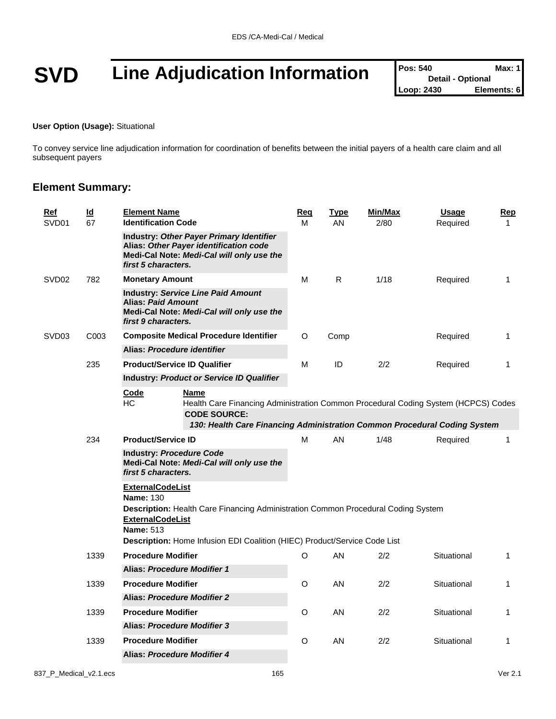# **SVD** Line Adjudication Information

| <b>Pos: 540</b> | Max: 1                   |
|-----------------|--------------------------|
|                 | <b>Detail - Optional</b> |
| Loop: 2430      | Elements: 6              |

#### **User Option (Usage):** Situational

To convey service line adjudication information for coordination of benefits between the initial payers of a health care claim and all subsequent payers

|  | Ref<br>SVD01      | $\underline{\mathsf{Id}}$<br>67                        | <b>Element Name</b><br><b>Identification Code</b>                                          |                                                                                                                                                                                                       | Req<br>М | <b>Type</b><br>AN | Min/Max<br>2/80 | <b>Usage</b><br>Required | Rep<br>$\mathbf{1}$ |
|--|-------------------|--------------------------------------------------------|--------------------------------------------------------------------------------------------|-------------------------------------------------------------------------------------------------------------------------------------------------------------------------------------------------------|----------|-------------------|-----------------|--------------------------|---------------------|
|  |                   |                                                        | first 5 characters.                                                                        | Industry: Other Payer Primary Identifier<br>Alias: Other Payer identification code<br>Medi-Cal Note: Medi-Cal will only use the                                                                       |          |                   |                 |                          |                     |
|  | SVD <sub>02</sub> | 782                                                    | <b>Monetary Amount</b>                                                                     |                                                                                                                                                                                                       | м        | R.                | 1/18            | Required                 | 1                   |
|  |                   |                                                        | <b>Alias: Paid Amount</b><br>first 9 characters.                                           | <b>Industry: Service Line Paid Amount</b><br>Medi-Cal Note: Medi-Cal will only use the                                                                                                                |          |                   |                 |                          |                     |
|  | SVD <sub>03</sub> | C <sub>003</sub>                                       |                                                                                            | <b>Composite Medical Procedure Identifier</b>                                                                                                                                                         |          | Comp              |                 | Required                 | $\mathbf{1}$        |
|  |                   |                                                        | Alias: Procedure identifier                                                                |                                                                                                                                                                                                       |          |                   |                 |                          |                     |
|  |                   | 235                                                    | <b>Product/Service ID Qualifier</b>                                                        |                                                                                                                                                                                                       | M        | ID                | 2/2             | Required                 | 1                   |
|  |                   |                                                        |                                                                                            | Industry: Product or Service ID Qualifier                                                                                                                                                             |          |                   |                 |                          |                     |
|  | 234               |                                                        | Code<br>HC                                                                                 | <b>Name</b><br>Health Care Financing Administration Common Procedural Coding System (HCPCS) Codes<br><b>CODE SOURCE:</b><br>130: Health Care Financing Administration Common Procedural Coding System |          |                   |                 |                          |                     |
|  |                   |                                                        | <b>Product/Service ID</b>                                                                  |                                                                                                                                                                                                       | М        | AN                | 1/48            | Required                 | $\mathbf{1}$        |
|  |                   | <b>Industry: Procedure Code</b><br>first 5 characters. | Medi-Cal Note: Medi-Cal will only use the                                                  |                                                                                                                                                                                                       |          |                   |                 |                          |                     |
|  |                   |                                                        | <b>ExternalCodeList</b><br><b>Name: 130</b><br><b>ExternalCodeList</b><br><b>Name: 513</b> | Description: Health Care Financing Administration Common Procedural Coding System<br>Description: Home Infusion EDI Coalition (HIEC) Product/Service Code List                                        |          |                   |                 |                          |                     |
|  |                   | 1339                                                   | <b>Procedure Modifier</b>                                                                  |                                                                                                                                                                                                       | O        | AN                | 2/2             | Situational              | $\mathbf{1}$        |
|  |                   |                                                        | Alias: Procedure Modifier 1                                                                |                                                                                                                                                                                                       |          |                   |                 |                          |                     |
|  |                   | 1339                                                   | <b>Procedure Modifier</b>                                                                  |                                                                                                                                                                                                       | O        | AN                | 2/2             | Situational              | 1                   |
|  |                   |                                                        | Alias: Procedure Modifier 2                                                                |                                                                                                                                                                                                       |          |                   |                 |                          |                     |
|  |                   | 1339                                                   | <b>Procedure Modifier</b>                                                                  |                                                                                                                                                                                                       | O        | AN                | 2/2             | Situational              | 1                   |
|  |                   |                                                        | Alias: Procedure Modifier 3                                                                |                                                                                                                                                                                                       |          |                   |                 |                          |                     |
|  |                   | 1339                                                   | <b>Procedure Modifier</b>                                                                  |                                                                                                                                                                                                       | O        | AN                | 2/2             | Situational              | 1                   |
|  |                   |                                                        | <b>Alias: Procedure Modifier 4</b>                                                         |                                                                                                                                                                                                       |          |                   |                 |                          |                     |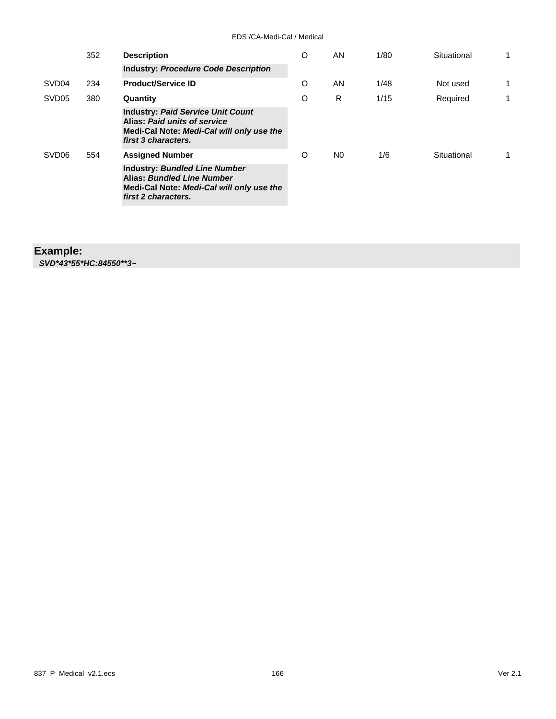| 352               | <b>Description</b> | O                                                                                                                                            | AN | 1/80 | Situational | 1           |   |
|-------------------|--------------------|----------------------------------------------------------------------------------------------------------------------------------------------|----|------|-------------|-------------|---|
|                   |                    | <b>Industry: Procedure Code Description</b>                                                                                                  |    |      |             |             |   |
| SVD <sub>04</sub> | 234                | <b>Product/Service ID</b>                                                                                                                    | O  | AN   | 1/48        | Not used    | 1 |
| SVD <sub>05</sub> | 380                | Quantity                                                                                                                                     | O  | R    | 1/15        | Required    | 1 |
|                   |                    | <b>Industry: Paid Service Unit Count</b><br>Alias: Paid units of service<br>Medi-Cal Note: Medi-Cal will only use the<br>first 3 characters. |    |      |             |             |   |
| SVD <sub>06</sub> | 554                | <b>Assigned Number</b>                                                                                                                       | O  | N0   | 1/6         | Situational |   |
|                   |                    | <b>Industry: Bundled Line Number</b><br>Alias: Bundled Line Number<br>Medi-Cal Note: Medi-Cal will only use the<br>first 2 characters.       |    |      |             |             |   |

### **Example:**

*SVD\*43\*55\*HC:84550\*\*3~*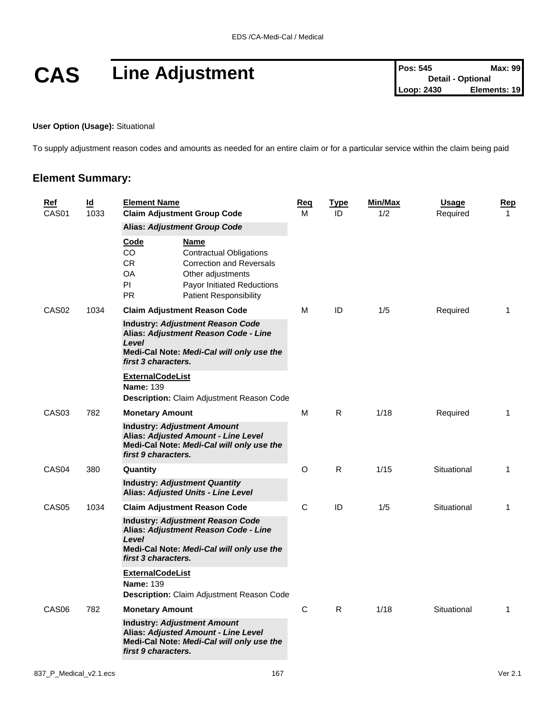

**User Option (Usage):** Situational

To supply adjustment reason codes and amounts as needed for an entire claim or for a particular service within the claim being paid

| <b>Ref</b><br>CAS <sub>01</sub> | $\underline{\mathsf{Id}}$<br>1033 | <b>Element Name</b><br><b>Claim Adjustment Group Code</b>                                                                                                           | <u>Req</u><br>м                                                                                                                                                                                             | <u>Type</u><br>ID | Min/Max<br>1/2 | <b>Usage</b><br>Required | <u>Rep</u><br>$\mathbf{1}$ |              |
|---------------------------------|-----------------------------------|---------------------------------------------------------------------------------------------------------------------------------------------------------------------|-------------------------------------------------------------------------------------------------------------------------------------------------------------------------------------------------------------|-------------------|----------------|--------------------------|----------------------------|--------------|
|                                 |                                   | Code<br>CO.<br>CR.<br>OA<br>PI.<br><b>PR</b>                                                                                                                        | <b>Alias: Adjustment Group Code</b><br><b>Name</b><br><b>Contractual Obligations</b><br><b>Correction and Reversals</b><br>Other adjustments<br>Payor Initiated Reductions<br><b>Patient Responsibility</b> |                   |                |                          |                            |              |
| CAS <sub>02</sub><br>1034       | Level<br>first 3 characters.      | <b>Claim Adjustment Reason Code</b><br><b>Industry: Adjustment Reason Code</b><br>Alias: Adjustment Reason Code - Line<br>Medi-Cal Note: Medi-Cal will only use the | М                                                                                                                                                                                                           | ID                | 1/5            | Required                 | 1                          |              |
|                                 |                                   | <b>ExternalCodeList</b><br><b>Name: 139</b>                                                                                                                         | Description: Claim Adjustment Reason Code                                                                                                                                                                   |                   |                |                          |                            |              |
| CAS <sub>03</sub>               | 782                               | <b>Monetary Amount</b><br>first 9 characters.                                                                                                                       | <b>Industry: Adjustment Amount</b><br>Alias: Adjusted Amount - Line Level<br>Medi-Cal Note: Medi-Cal will only use the                                                                                      | м                 | R.             | 1/18                     | Required                   | 1            |
| CAS <sub>04</sub>               | 380                               | Quantity                                                                                                                                                            |                                                                                                                                                                                                             | O                 | R.             | 1/15                     | Situational                | 1            |
|                                 |                                   |                                                                                                                                                                     | <b>Industry: Adjustment Quantity</b><br>Alias: Adjusted Units - Line Level                                                                                                                                  |                   |                |                          |                            |              |
| CAS <sub>05</sub>               | 1034                              | Level<br>first 3 characters.<br><b>ExternalCodeList</b>                                                                                                             | <b>Claim Adjustment Reason Code</b><br><b>Industry: Adjustment Reason Code</b><br>Alias: Adjustment Reason Code - Line<br>Medi-Cal Note: Medi-Cal will only use the                                         | С                 | ID             | 1/5                      | Situational                | 1            |
|                                 |                                   | <b>Name: 139</b>                                                                                                                                                    | <b>Description:</b> Claim Adjustment Reason Code                                                                                                                                                            |                   |                |                          |                            |              |
| CAS <sub>06</sub>               | 782                               | <b>Monetary Amount</b>                                                                                                                                              |                                                                                                                                                                                                             | С                 | R              | 1/18                     | Situational                | $\mathbf{1}$ |
|                                 |                                   | first 9 characters.                                                                                                                                                 | <b>Industry: Adjustment Amount</b><br>Alias: Adjusted Amount - Line Level<br>Medi-Cal Note: Medi-Cal will only use the                                                                                      |                   |                |                          |                            |              |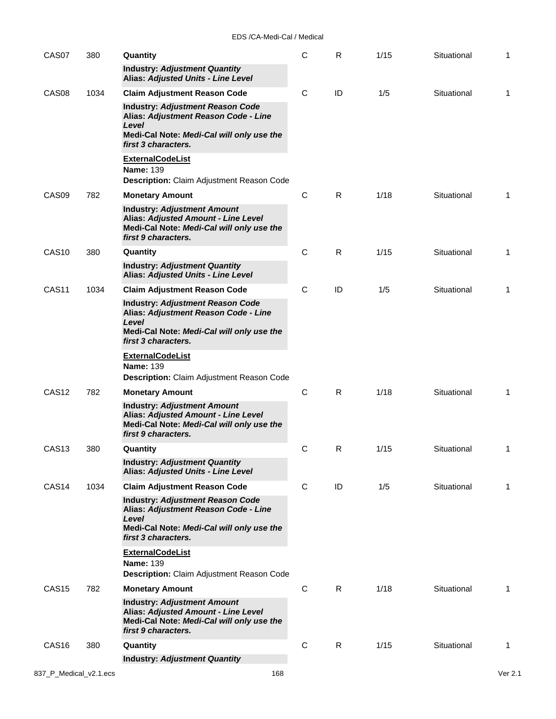| CAS07             | 380  | Quantity                                                                                                                                                     | $\mathsf C$ | R. | 1/15 | Situational | 1 |
|-------------------|------|--------------------------------------------------------------------------------------------------------------------------------------------------------------|-------------|----|------|-------------|---|
|                   |      | <b>Industry: Adjustment Quantity</b><br>Alias: Adjusted Units - Line Level                                                                                   |             |    |      |             |   |
| CAS <sub>08</sub> | 1034 | <b>Claim Adjustment Reason Code</b>                                                                                                                          | C           | ID | 1/5  | Situational | 1 |
|                   |      | <b>Industry: Adjustment Reason Code</b><br>Alias: Adjustment Reason Code - Line<br>Level                                                                     |             |    |      |             |   |
|                   |      | Medi-Cal Note: Medi-Cal will only use the<br>first 3 characters.                                                                                             |             |    |      |             |   |
|                   |      | <b>ExternalCodeList</b><br><b>Name: 139</b><br>Description: Claim Adjustment Reason Code                                                                     |             |    |      |             |   |
| CAS <sub>09</sub> | 782  | <b>Monetary Amount</b>                                                                                                                                       | C           | R. | 1/18 | Situational | 1 |
|                   |      | <b>Industry: Adjustment Amount</b><br>Alias: Adjusted Amount - Line Level<br>Medi-Cal Note: Medi-Cal will only use the<br>first 9 characters.                |             |    |      |             |   |
| <b>CAS10</b>      | 380  | Quantity                                                                                                                                                     | C           | R  | 1/15 | Situational | 1 |
|                   |      | <b>Industry: Adjustment Quantity</b><br>Alias: Adjusted Units - Line Level                                                                                   |             |    |      |             |   |
| CAS <sub>11</sub> | 1034 | <b>Claim Adjustment Reason Code</b>                                                                                                                          | C           | ID | 1/5  | Situational | 1 |
|                   |      | <b>Industry: Adjustment Reason Code</b><br>Alias: Adjustment Reason Code - Line<br>Level<br>Medi-Cal Note: Medi-Cal will only use the<br>first 3 characters. |             |    |      |             |   |
|                   |      | <b>ExternalCodeList</b><br><b>Name: 139</b><br><b>Description:</b> Claim Adjustment Reason Code                                                              |             |    |      |             |   |
| CAS <sub>12</sub> | 782  | <b>Monetary Amount</b>                                                                                                                                       | C           | R. | 1/18 | Situational | 1 |
|                   |      | <b>Industry: Adjustment Amount</b><br>Alias: Adjusted Amount - Line Level<br>Medi-Cal Note: Medi-Cal will only use the<br>first 9 characters.                |             |    |      |             |   |
| CAS <sub>13</sub> | 380  | Quantity                                                                                                                                                     | С           | R  | 1/15 | Situational | 1 |
|                   |      | <b>Industry: Adjustment Quantity</b><br><b>Alias: Adjusted Units - Line Level</b>                                                                            |             |    |      |             |   |
| CAS <sub>14</sub> | 1034 | <b>Claim Adjustment Reason Code</b>                                                                                                                          | C           | ID | 1/5  | Situational | 1 |
|                   |      | <b>Industry: Adjustment Reason Code</b><br>Alias: Adjustment Reason Code - Line<br>Level<br>Medi-Cal Note: Medi-Cal will only use the<br>first 3 characters. |             |    |      |             |   |
|                   |      | <b>ExternalCodeList</b>                                                                                                                                      |             |    |      |             |   |
|                   |      | <b>Name: 139</b><br>Description: Claim Adjustment Reason Code                                                                                                |             |    |      |             |   |
| CAS <sub>15</sub> | 782  | <b>Monetary Amount</b>                                                                                                                                       | C           | R  | 1/18 | Situational | 1 |
|                   |      | <b>Industry: Adjustment Amount</b><br>Alias: Adjusted Amount - Line Level<br>Medi-Cal Note: Medi-Cal will only use the<br>first 9 characters.                |             |    |      |             |   |
| CAS <sub>16</sub> | 380  | Quantity                                                                                                                                                     | C           | R  | 1/15 | Situational | 1 |
|                   |      | <b>Industry: Adjustment Quantity</b>                                                                                                                         |             |    |      |             |   |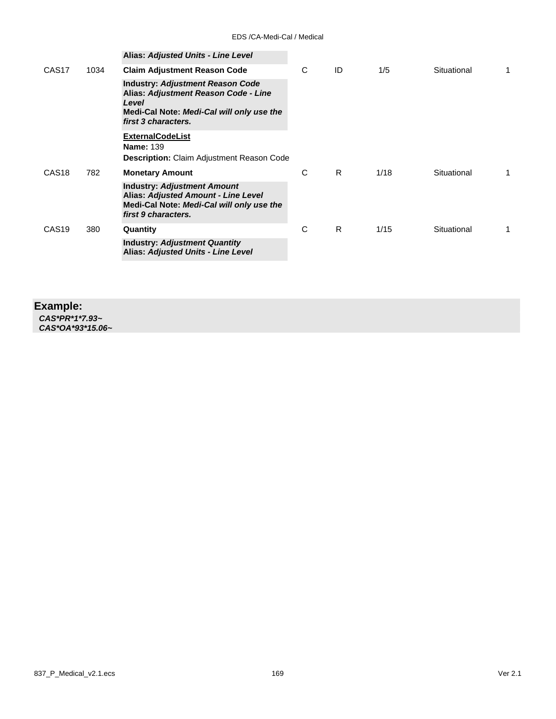|                   |      | Alias: Adjusted Units - Line Level                                                                                                                           |   |    |      |             |  |
|-------------------|------|--------------------------------------------------------------------------------------------------------------------------------------------------------------|---|----|------|-------------|--|
| CAS <sub>17</sub> | 1034 | <b>Claim Adjustment Reason Code</b>                                                                                                                          | C | ID | 1/5  | Situational |  |
|                   |      | <b>Industry: Adjustment Reason Code</b><br>Alias: Adjustment Reason Code - Line<br>Level<br>Medi-Cal Note: Medi-Cal will only use the<br>first 3 characters. |   |    |      |             |  |
|                   |      | <b>ExternalCodeList</b><br><b>Name: 139</b><br><b>Description:</b> Claim Adjustment Reason Code                                                              |   |    |      |             |  |
| CAS <sub>18</sub> | 782  | <b>Monetary Amount</b>                                                                                                                                       | C | R  | 1/18 | Situational |  |
|                   |      | <b>Industry: Adjustment Amount</b><br>Alias: Adjusted Amount - Line Level<br>Medi-Cal Note: Medi-Cal will only use the<br>first 9 characters.                |   |    |      |             |  |
| CAS <sub>19</sub> | 380  | Quantity                                                                                                                                                     | C | R  | 1/15 | Situational |  |
|                   |      | <b>Industry: Adjustment Quantity</b><br>Alias: Adjusted Units - Line Level                                                                                   |   |    |      |             |  |
|                   |      |                                                                                                                                                              |   |    |      |             |  |

### **Example:**

*CAS\*PR\*1\*7.93~ CAS\*OA\*93\*15.06~*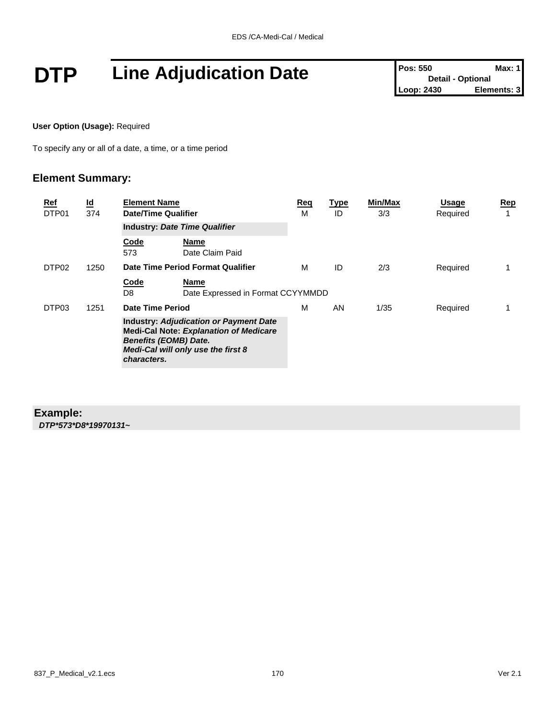# **DTP** Line Adjudication Date **Pos:** 550 Max: 1<br>
Loop: 2430 Elements: 3

**User Option (Usage):** Required

To specify any or all of a date, a time, or a time period

#### **Element Summary:**

| Ref<br>DTP01                                                                                                                                                                        | $\underline{\mathbf{Id}}$<br>374 | <b>Element Name</b><br>Date/Time Qualifier |                                   | Req<br>М | <u>Type</u><br>ID | Min/Max<br>3/3 | <b>Usage</b><br>Required | <u>Rep</u><br>1 |
|-------------------------------------------------------------------------------------------------------------------------------------------------------------------------------------|----------------------------------|--------------------------------------------|-----------------------------------|----------|-------------------|----------------|--------------------------|-----------------|
|                                                                                                                                                                                     |                                  | <b>Industry: Date Time Qualifier</b>       |                                   |          |                   |                |                          |                 |
|                                                                                                                                                                                     |                                  | Code<br>573                                | Name<br>Date Claim Paid           |          |                   |                |                          |                 |
| DTP <sub>02</sub>                                                                                                                                                                   | 1250                             |                                            | Date Time Period Format Qualifier | м        | ID                | 2/3            | Required                 |                 |
|                                                                                                                                                                                     |                                  | Code<br>D8                                 | Date Expressed in Format CCYYMMDD |          |                   |                |                          |                 |
| DTP03                                                                                                                                                                               | 1251                             | Date Time Period                           |                                   | м        | AN                | 1/35           | Required                 | 1               |
| <b>Industry: Adjudication or Payment Date</b><br><b>Medi-Cal Note: Explanation of Medicare</b><br><b>Benefits (EOMB) Date.</b><br>Medi-Cal will only use the first 8<br>characters. |                                  |                                            |                                   |          |                   |                |                          |                 |

#### **Example:**

*DTP\*573\*D8\*19970131~*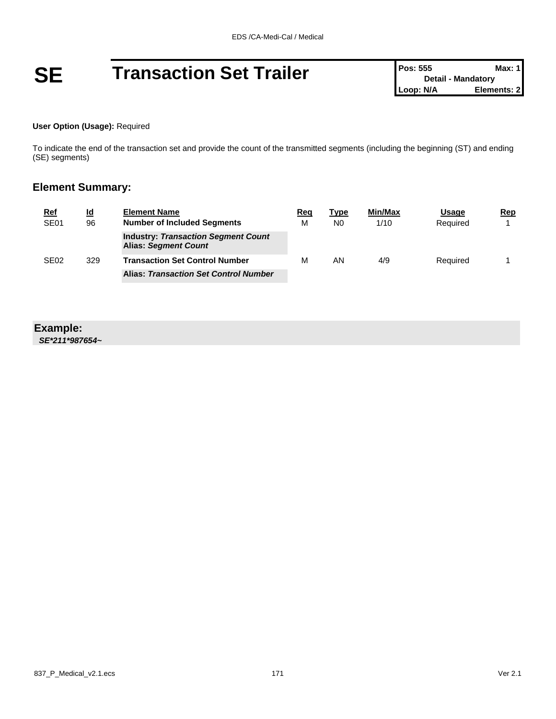#### **User Option (Usage):** Required

To indicate the end of the transaction set and provide the count of the transmitted segments (including the beginning (ST) and ending (SE) segments)

#### **Element Summary:**

| <u>Ref</u>             | <u>ld</u> | <b>Element Name</b>                                                       | Reg | Type           | Min/Max | <b>Usage</b> | Rep |
|------------------------|-----------|---------------------------------------------------------------------------|-----|----------------|---------|--------------|-----|
| SE <sub>01</sub><br>96 |           | <b>Number of Included Segments</b>                                        | M   | N <sub>0</sub> | 1/10    | Required     |     |
|                        |           | <b>Industry: Transaction Segment Count</b><br><b>Alias: Segment Count</b> |     |                |         |              |     |
| SE <sub>02</sub>       | 329       | <b>Transaction Set Control Number</b>                                     | м   | AN             | 4/9     | Required     |     |
|                        |           | <b>Alias: Transaction Set Control Number</b>                              |     |                |         |              |     |

### **Example:**

*SE\*211\*987654~*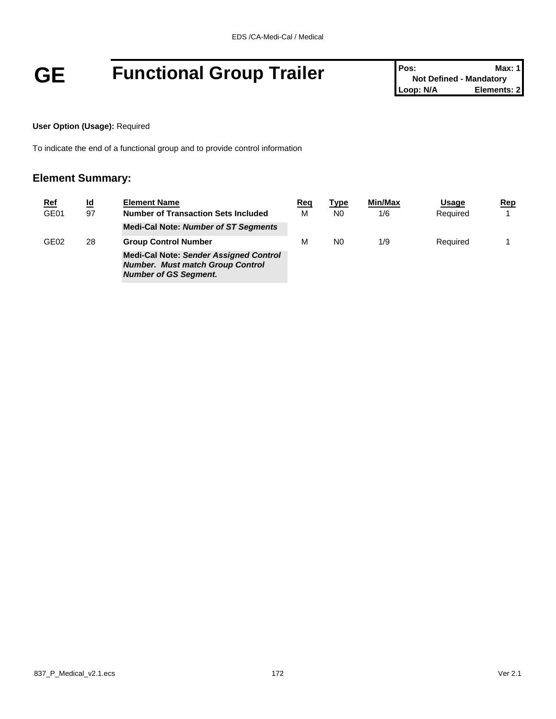# **GE Functional Group Trailer Pos:** Not Defined - Mandatory **Prosecute 2**<br>
Loop: N/A<br>
Loop: N/A<br> **Elements: 2**

**Not Defined - Mandatory Elements: 2** 

#### **User Option (Usage):** Required

To indicate the end of a functional group and to provide control information

| <u>Ref</u>       | $\underline{\mathsf{Id}}$ | <b>Element Name</b>                                                                                                      | Reg | <u>Type</u>    | <b>Min/Max</b> | Usage    | Rep |
|------------------|---------------------------|--------------------------------------------------------------------------------------------------------------------------|-----|----------------|----------------|----------|-----|
| GE01<br>97       |                           | Number of Transaction Sets Included                                                                                      | м   | N0             | 1/6            | Required |     |
|                  |                           | <b>Medi-Cal Note: Number of ST Segments</b>                                                                              |     |                |                |          |     |
| GE <sub>02</sub> | 28                        | <b>Group Control Number</b>                                                                                              | м   | N <sub>0</sub> | 1/9            | Required |     |
|                  |                           | <b>Medi-Cal Note: Sender Assigned Control</b><br><b>Number. Must match Group Control</b><br><b>Number of GS Segment.</b> |     |                |                |          |     |